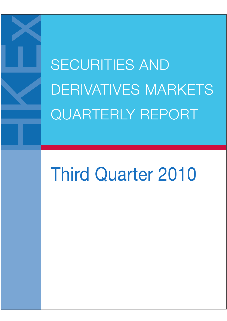SECURITIES AND DERIVATIVES MARKETS QUARTERLY REPORT

# Third Quarter 2010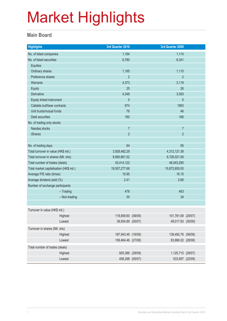### **Main Board**

| <b>Highlights</b>                       | 3rd Quarter 2010   |              | 3rd Quarter 2009   |  |  |
|-----------------------------------------|--------------------|--------------|--------------------|--|--|
| No. of listed companies                 | 1,194              |              | 1,114              |  |  |
| No. of listed securities                | 6,780              |              | 6,341              |  |  |
| <b>Equities</b>                         |                    |              |                    |  |  |
| Ordinary shares                         | 1,195              |              | 1,115              |  |  |
| Preference shares                       | $\overline{2}$     |              | $\overline{2}$     |  |  |
| Warrants                                | 4,373              |              | 3,119              |  |  |
| Equity                                  | 25                 |              | 26                 |  |  |
| Derivative                              | 4,348              |              | 3,093              |  |  |
| Equity linked instrument                | $\pmb{0}$          |              | $\mathbf 0$        |  |  |
| Callable bull/bear contracts            | 974                |              | 1893               |  |  |
| Unit trusts/mutual funds                | 76                 |              | 46                 |  |  |
| Debt securities                         | 160                |              | 166                |  |  |
| No. of trading only stocks              |                    |              |                    |  |  |
| Nasdaq stocks                           | $\overline{7}$     |              | $\overline{7}$     |  |  |
| <b>iShares</b>                          | $\overline{2}$     |              | $\overline{2}$     |  |  |
|                                         |                    |              |                    |  |  |
| No. of trading days                     | 64                 |              | 65                 |  |  |
| Total turnover in value (HK\$ mil.)     | 3,928,482.29       |              | 4,312,121.38       |  |  |
| Total turnover in shares (Mil. shs)     | 8,890,661.52       | 6,726,021.06 |                    |  |  |
| Total number of trades (deals)          | 43,414,122         |              | 48,043,290         |  |  |
| Total market capitalisation (HK\$ mil.) | 19,557,277.66      |              | 15,872,855.00      |  |  |
| Average P/E ratio (times)               | 15.95              |              | 16.10              |  |  |
| Average dividend yield (%)              | 2.41               |              | 2.66               |  |  |
| Number of exchange participants         |                    |              |                    |  |  |
| $-$ Trading                             | 478                |              | 463                |  |  |
| - Non-trading                           | 30                 |              | 34                 |  |  |
|                                         |                    |              |                    |  |  |
| Turnover in value (HK\$ mil.)           |                    |              |                    |  |  |
| Highest                                 | 118,809.60 (08/09) |              | 101,781.69 (29/07) |  |  |
| Lowest                                  | 39,934.89 (05/07)  |              | 49,017.83 (30/09)  |  |  |
| Turnover in shares (Mil. shs)           |                    |              |                    |  |  |
| Highest                                 | 187,943.48 (16/09) |              | 139,492.76 (06/08) |  |  |
| Lowest                                  | 109,464.46 (27/08) |              | 83,866.02 (28/08)  |  |  |
| Total number of trades (deals)          |                    |              |                    |  |  |
| Highest                                 | 925,386 (29/09)    |              | 1,125,715 (29/07)  |  |  |
| Lowest                                  | 456,298 (05/07)    |              | 533,957 (22/09)    |  |  |
|                                         |                    |              |                    |  |  |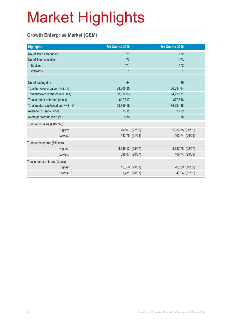### **Growth Enterprise Market (GEM)**

| <b>Highlights</b>                       |         | 3rd Quarter 2010 |                | 3rd Quarter 2009 |                |
|-----------------------------------------|---------|------------------|----------------|------------------|----------------|
| No. of listed companies                 |         | 171              |                | 172              |                |
| No. of listed securities                |         | 172              |                | 173              |                |
| Equities                                |         | 171              |                | 172              |                |
| Warrants                                |         | $\overline{1}$   |                | $\mathbf{1}$     |                |
|                                         |         |                  |                |                  |                |
| No. of trading days                     |         | 64               |                | 65               |                |
| Total turnover in value (HK\$ mil.)     |         | 24,306.35        |                | 26,394.64        |                |
| Total turnover in shares (Mil. shs)     |         | 88,818.93        |                | 84,236.31        |                |
| Total number of trades (deals)          |         | 647,817          |                | 677,648          |                |
| Total market capitalisation (HK\$ mil.) |         | 129,859.18       |                | 86,891.48        |                |
| Average P/E ratio (times)               |         | 33.11            |                | 33.32            |                |
| Average dividend yield (%)              |         | 0.54             |                | 1.15             |                |
| Turnover in value (HK\$ mil.)           |         |                  |                |                  |                |
|                                         | Highest |                  | 700.07 (22/09) | 1,156.65 (16/09) |                |
|                                         | Lowest  |                  | 192.75 (31/08) |                  | 163.74 (29/09) |
| Turnover in shares (Mil. shs)           |         |                  |                |                  |                |
|                                         | Highest | 3,139.12 (29/07) |                | 3,687.78 (02/07) |                |
|                                         | Lowest  |                  | 686.07 (20/07) |                  | 406.74 (29/09) |
| Total number of trades (deals)          |         |                  |                |                  |                |
|                                         | Highest |                  | 15,859 (29/09) |                  | 28,569 (16/09) |
|                                         | Lowest  |                  | 5,731 (20/07)  |                  | 4,924 (02/09)  |
|                                         |         |                  |                |                  |                |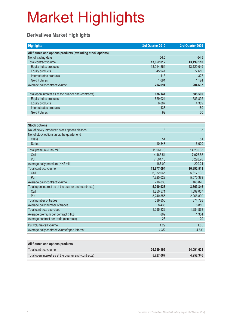### **Derivatives Market Highlights**

| <b>Highlights</b>                                          | 3rd Quarter 2010 | 3rd Quarter 2009 |
|------------------------------------------------------------|------------------|------------------|
| All futures and options products (excluding stock options) |                  |                  |
| No. of trading days                                        | 64.0             | 64.5             |
| Total contract volume                                      | 13,062,012       | 13,199,110       |
| Equity index products                                      | 13,014,864       | 13,120,049       |
| Equity products                                            | 45,941           | 77,610           |
| Interest rates products                                    | 113              | 327              |
| <b>Gold Futures</b>                                        | 1,094            | 1,124            |
| Average daily contract volume                              | 204,094          | 204,637          |
|                                                            |                  |                  |
| Total open interest as at the quarter end (contracts)      | 636,141          | 588,500          |
| Equity index products                                      | 629,024          | 583,892          |
| <b>Equity products</b>                                     | 6,887            | 4,389            |
| Interest rates products                                    | 138              | 189              |
| <b>Gold Futures</b>                                        | 92               | 30               |
|                                                            |                  |                  |
| <b>Stock options</b>                                       |                  |                  |
| No. of newly introduced stock options classes              | $\overline{3}$   | 3                |
| No. of stock options as at the quarter end                 |                  |                  |
| <b>Class</b>                                               | 54               | 51               |
| <b>Series</b>                                              | 10,348           | 6,020            |
| Total premium (HK\$ mil.)                                  | 11,967.70        | 14,205.33        |
| Call                                                       | 4,463.54         | 7,976.55         |
| Put                                                        | 7,504.16         | 6,228.78         |
| Average daily premium (HK\$ mil.)                          | 187.00           | 220.24           |
| Total contract volume                                      | 13,877,094       | 10,892,511       |
| Call                                                       | 6,052,065        | 5,317,132        |
| Put                                                        | 7,825,029        | 5,575,379        |
| Average daily contract volume                              | 216,830          | 168,876          |
| Total open interest as at the quarter end (contracts)      | 5,090,926        | 3,663,846        |
| Call                                                       | 1,850,571        | 1,397,007        |
| Put                                                        | 3,240,355        | 2,266,839        |
| Total number of trades                                     | 539,850          | 374,728          |
| Average daily number of trades                             | 8,435            | 5,810            |
| Total contracts exercised                                  | 1,295,322        | 1,284,878        |
| Average premium per contract (HK\$)                        | 862              | 1,304            |
| Average contract per trade (contracts)                     | 26               | 29               |
| Put volume/call volume                                     | 1.29             | 1.05             |
| Average daily contract volume/open interest                | 4.3%             | 4.6%             |
|                                                            |                  |                  |

| All futures and options products                      |            |            |
|-------------------------------------------------------|------------|------------|
| Total contract volume                                 | 26.939.106 | 24.091.621 |
| Total open interest as at the quarter end (contracts) | 5.727.067  | 4.252.346  |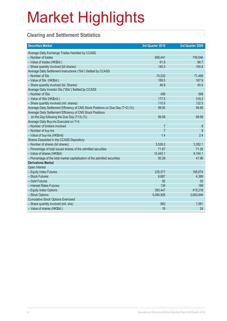### **Clearing and Settlement Statistics**

| <b>Securities Market</b>                                                        | 3rd Quarter 2010 | 3rd Quarter 2009 |
|---------------------------------------------------------------------------------|------------------|------------------|
| Average Daily Exchange Trades Handled by CCASS                                  |                  |                  |
| - Number of trades                                                              | 688,441          | 749,546          |
| - Value of trades (HK\$bil.)                                                    | 61.8             | 66.7             |
| - Share quantity Involved (bil shares)                                          | 140.3            | 104.8            |
| Average Daily Settlement Instructions ("SIs") Settled by CCASS                  |                  |                  |
| - Number of SIs                                                                 | 74,032           | 71,468           |
| - Value of SIs (HK\$bil.)                                                       | 169.5            | 167.9            |
| - Share quantity involved (bil. Shares)                                         | 46.8             | 40.4             |
| Average Daily Investor SIs ("ISIs") Settled by CCASS                            |                  |                  |
| - Number of ISIs                                                                | 499              | 568              |
| - Value of ISIs (HK\$mil.)                                                      | 177.5            | 318.2            |
| - Share quantity involved (mil. shares)                                         | 115.9            | 132.5            |
| Average Daily Settlement Efficiency of CNS Stock Positions on Due Day (T+2) (%) | 99.90            | 99.86            |
| Average Daily Settlement Efficiency of CNS Stock Positions                      |                  |                  |
| on the Day following the Due Day (T+3) (%)                                      | 99.99            | 99.99            |
| Average Daily Buy-ins Executed on T+3                                           |                  |                  |
| - Number of brokers involved                                                    | $\overline{7}$   | 8                |
| - Number of buy-ins                                                             | $\overline{7}$   | 9                |
| - Value of buy-ins (HK\$mil)                                                    | 1.4              | 2.4              |
| Shares Deposited in the CCASS Depository                                        |                  |                  |
| - Number of shares (bil shares)                                                 | 3,538.2          | 3,282.1          |
| - Percentage of total issued shares of the admitted securities                  | 71.67            | 71.26            |
| - Value of shares (HK\$bil)                                                     | 10,442.1         | 8,194.1          |
| - Percentage of the total market capitalisation of the admitted securities      | 50.28            | 47.96            |
| <b>Derivatives Market</b>                                                       |                  |                  |
| Open Interest                                                                   |                  |                  |
| - Equity Index Futures                                                          | 235,577          | 168,674          |
| - Stock Futures                                                                 | 6,887            | 4,389            |
| - Gold Futures                                                                  | 92               | 30               |
| - Interest Rates Futures                                                        | 138              | 189              |
| - Equity Index Options                                                          | 393,447          | 415,218          |
| - Stock Options                                                                 | 5,090,926        | 3,663,846        |
| <b>Cumulative Stock Options Exercised</b>                                       |                  |                  |
| - Share quantity involved (mil. shs)                                            | 860              | 1,061            |
| - Value of shares (HK\$bil.)                                                    | 18               | 24               |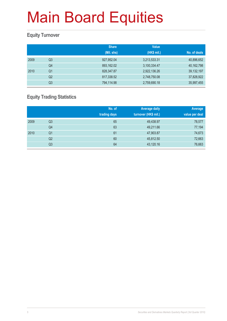### **Equity Turnover**

|                | <b>Share</b> | <b>Value</b> |              |
|----------------|--------------|--------------|--------------|
|                | (Mil. shs)   | (HK\$ mil.)  | No. of deals |
| Q <sub>3</sub> | 927,952.04   | 3,213,533.31 | 40,896,652   |
| Q4             | 893,162.02   | 3,100,334.47 | 40,162,798   |
| Q <sub>1</sub> | 828,347.87   | 2,922,136.26 | 39, 132, 197 |
| Q <sub>2</sub> | 817,338.52   | 2,748,750.08 | 37,828,922   |
| Q <sub>3</sub> | 794,114.98   | 2,759,690.18 | 35,997,455   |
|                |              |              |              |

### **Equity Trading Statistics**

|      |                | No. of<br>trading days | <b>Average daily</b><br>turnover (HK\$ mil.) | Average<br>value per deal |
|------|----------------|------------------------|----------------------------------------------|---------------------------|
| 2009 | Q3             | 65                     | 49,438.97                                    | 78,577                    |
|      | Q4             | 63                     | 49,211.66                                    | 77,194                    |
| 2010 | Q <sub>1</sub> | 61                     | 47,903.87                                    | 74,673                    |
|      | Q2             | 60                     | 45,812.50                                    | 72,663                    |
|      | Q3             | 64                     | 43,120.16                                    | 76,663                    |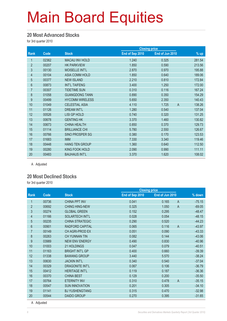#### **20 Most Advanced Stocks**

for 3rd quarter 2010

|                |       |                        | <b>Closing price</b> |                         |        |
|----------------|-------|------------------------|----------------------|-------------------------|--------|
| Rank           | Code  | <b>Stock</b>           | End of Sep 2010      | End of Jun 2010         | $%$ up |
| 1              | 02362 | <b>MACAU INV HOLD</b>  | 1.240                | 0.325                   | 281.54 |
| $\overline{2}$ | 00207 | <b>HK PARKVIEW</b>     | 1.850                | 0.590                   | 213.56 |
| 3              | 00130 | MOISELLE INT'L         | 2.870                | 0.970                   | 195.88 |
| 4              | 00104 | <b>ASIA COMM HOLD</b>  | 1.850                | 0.640                   | 189.06 |
| $\overline{5}$ | 00377 | <b>NEW ISLAND</b>      | 2.210                | 0.810                   | 172.84 |
| $6\phantom{.}$ | 00873 | <b>INT'L TAIFENG</b>   | 3.400                | 1.250                   | 172.00 |
| $\overline{7}$ | 00307 | <b>TIDETIME SUN</b>    | 0.310                | 0.116                   | 167.24 |
| $\bf 8$        | 01058 | <b>GUANGDONG TANN</b>  | 0.890                | 0.350                   | 154.29 |
| 9              | 00499 | <b>HYCOMM WIRELESS</b> | 5.650                | 2.350                   | 140.43 |
| 10             | 01049 | <b>CELESTIAL ASIA</b>  | 4.110                | $\overline{A}$<br>1.725 | 138.26 |
| 11             | 01126 | <b>DREAM INT'L</b>     | 1.280                | 0.540                   | 137.04 |
| 12             | 00526 | <b>LISI GP HOLD</b>    | 0.740                | 0.320                   | 131.25 |
| 13             | 00678 | <b>GENTING HK</b>      | 3.370                | 1.460                   | 130.82 |
| 14             | 00673 | <b>CHINA HEALTH</b>    | 0.850                | 0.370                   | 129.73 |
| 15             | 01114 | <b>BRILLIANCE CHI</b>  | 5.780                | 2.550                   | 126.67 |
| 16             | 00766 | SINO PROSPER SG        | 0.380                | 0.170                   | 123.53 |
| 17             | 01683 | <b>IMM</b>             | 7.330                | 3.340                   | 119.46 |
| 18             | 00448 | <b>HANG TEN GROUP</b>  | 1.360                | 0.640                   | 112.50 |
| 19             | 00280 | KING FOOK HOLD         | 2.090                | 0.990                   | 111.11 |
| 20             | 00483 | <b>BAUHAUS INT'L</b>   | 3.370                | 1.620                   | 108.02 |

A Adjusted

#### **20 Most Declined Stocks**

for 3rd quarter 2010

|                |       |                        | <b>Closing price</b> |                         |          |
|----------------|-------|------------------------|----------------------|-------------------------|----------|
| Rank           | Code  | <b>Stock</b>           | End of Sep 2010      | End of Jun 2010         | % down   |
| 1              | 00736 | <b>CHINA PPT INV</b>   | 0.041                | 0.165<br>$\overline{A}$ | $-75.15$ |
| $\overline{2}$ | 00692 | <b>CHING HING-NEW</b>  | 0.325                | 1.050<br>$\overline{A}$ | $-69.05$ |
| 3              | 00274 | <b>GLOBAL GREEN</b>    | 0.152                | 0.295                   | $-48.47$ |
| $\overline{4}$ | 01166 | <b>SOLARTECH INT'L</b> | 0.028                | 0.054                   | $-48.15$ |
| 5              | 00235 | <b>CHINA STRATEGIC</b> | 0.290                | 0.520                   | $-44.23$ |
| 6              | 00901 | RADFORD CAPITAL        | 0.065                | 0.116<br>$\overline{A}$ | $-43.97$ |
| $\overline{7}$ | 00149 | CH AGRI-PROD EX        | 0.051                | 0.090                   | $-43.33$ |
| 8              | 00263 | <b>CH YUNNAN TIN</b>   | 0.082                | 0.144                   | $-43.06$ |
| 9              | 03989 | <b>NEW ENV ENERGY</b>  | 0.490                | 0.830                   | $-40.96$ |
| 10             | 01003 | 21 HOLDINGS            | 0.047                | 0.079                   | $-40.51$ |
| 11             | 01163 | <b>BRIGHT INT'L GP</b> | 0.400                | 0.660                   | $-39.39$ |
| 12             | 01338 | <b>BAWANG GROUP</b>    | 3.440                | 5.570                   | $-38.24$ |
| 13             | 00630 | <b>JACKIN INT'L</b>    | 0.340                | 0.540                   | $-37.04$ |
| 14             | 00329 | <b>DRAGONITE INT'L</b> | 0.067                | 0.106                   | $-36.79$ |
| 15             | 00412 | <b>HERITAGE INT'L</b>  | 0.119                | 0.187                   | $-36.36$ |
| 16             | 00370 | <b>CHINA BEST</b>      | 0.129                | 0.200                   | $-35.50$ |
| 17             | 00764 | <b>ETERNITY INV</b>    | 0.310                | $\overline{A}$<br>0.478 | $-35.15$ |
| 18             | 00547 | <b>SUN INNOVATION</b>  | 0.201                | 0.305                   | $-34.10$ |
| 19             | 01141 | <b>BJ YUSHENGTANG</b>  | 0.315                | 0.470                   | $-32.98$ |
| 20             | 00544 | <b>DAIDO GROUP</b>     | 0.270                | 0.395                   | $-31.65$ |
|                |       |                        |                      |                         |          |

A Adjusted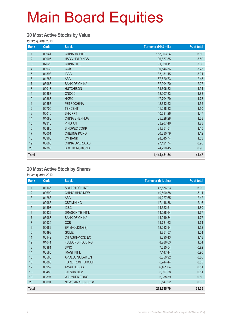#### **20 Most Active Stocks by Value**

for 3rd quarter 2010

| Rank           | Code  | <b>Stock</b>         | Turnover (HK\$ mil.) | % of total |
|----------------|-------|----------------------|----------------------|------------|
| 1              | 00941 | <b>CHINA MOBILE</b>  | 168,303.24           | 6.10       |
| $\overline{2}$ | 00005 | <b>HSBC HOLDINGS</b> | 96,677.55            | 3.50       |
| 3              | 02628 | <b>CHINA LIFE</b>    | 91,020.11            | 3.30       |
| 4              | 00939 | <b>CCB</b>           | 90,546.56            | 3.28       |
| 5              | 01398 | <b>ICBC</b>          | 83,131.15            | 3.01       |
| $6\phantom{.}$ | 01288 | <b>ABC</b>           | 67,520.73            | 2.45       |
| $\overline{7}$ | 03988 | <b>BANK OF CHINA</b> | 57,004.70            | 2.07       |
| 8              | 00013 | <b>HUTCHISON</b>     | 53,606.82            | 1.94       |
| 9              | 00883 | <b>CNOOC</b>         | 52,007.83            | 1.88       |
| 10             | 00388 | <b>HKEX</b>          | 47,704.79            | 1.73       |
| 11             | 00857 | <b>PETROCHINA</b>    | 42,642.52            | 1.55       |
| 12             | 00700 | <b>TENCENT</b>       | 41,288.32            | 1.50       |
| 13             | 00016 | <b>SHK PPT</b>       | 40,691.26            | 1.47       |
| 14             | 01088 | <b>CHINA SHENHUA</b> | 35,328.28            | 1.28       |
| 15             | 02318 | <b>PING AN</b>       | 33,907.46            | 1.23       |
| 16             | 00386 | SINOPEC CORP         | 31,851.51            | 1.15       |
| 17             | 00001 | <b>CHEUNG KONG</b>   | 30,830.79            | 1.12       |
| 18             | 03968 | <b>CM BANK</b>       | 28,545.74            | 1.03       |
| 19             | 00688 | CHINA OVERSEAS       | 27, 121.74           | 0.98       |
| 20             | 02388 | <b>BOC HONG KONG</b> | 24,720.45            | 0.90       |
| <b>Total</b>   |       |                      | 1,144,451.54         | 41.47      |

#### **20 Most Active Stock by Shares**

for 3rd quarter 2010

| Rank           | Code  | <b>Stock</b>           | <b>Turnover (Mil. shs)</b> | % of total |
|----------------|-------|------------------------|----------------------------|------------|
| 1              | 01166 | SOLARTECH INT'L        | 47,676.23                  | 6.00       |
| $\overline{2}$ | 00692 | <b>CHING HING-NEW</b>  | 40,590.58                  | 5.11       |
| 3              | 01288 | <b>ABC</b>             | 19,227.65                  | 2.42       |
| $\overline{4}$ | 00985 | <b>CST MINING</b>      | 17,118.38                  | 2.16       |
| 5              | 01398 | <b>ICBC</b>            | 14,322.51                  | 1.80       |
| 6              | 00329 | DRAGONITE INT'L        | 14,028.64                  | 1.77       |
| $\overline{7}$ | 03988 | <b>BANK OF CHINA</b>   | 14,019.84                  | 1.77       |
| 8              | 00939 | <b>CCB</b>             | 13,781.62                  | 1.74       |
| 9              | 00689 | EPI (HOLDINGS)         | 12,033.94                  | 1.52       |
| 10             | 00493 | <b>GOME</b>            | 9,851.57                   | 1.24       |
| 11             | 00149 | CH AGRI-PROD EX        | 9,390.43                   | 1.18       |
| 12             | 01041 | <b>FULBOND HOLDING</b> | 8,286.63                   | 1.04       |
| 13             | 00981 | <b>SMIC</b>            | 7,280.54                   | 0.92       |
| 14             | 00585 | <b>IMAGI INT'L</b>     | 7,147.44                   | 0.90       |
| 15             | 00566 | APOLLO SOLAR EN        | 6,850.92                   | 0.86       |
| 16             | 00885 | FOREFRONT GROUP        | 6,744.44                   | 0.85       |
| 17             | 00959 | <b>AMAX HLDGS</b>      | 6,461.04                   | 0.81       |
| 18             | 00488 | <b>LAI SUN DEV</b>     | 6,397.58                   | 0.81       |
| 19             | 00897 | <b>WAI YUEN TONG</b>   | 6,388.59                   | 0.80       |
| 20             | 00091 | <b>NEWSMART ENERGY</b> | 5,147.22                   | 0.65       |
| <b>Total</b>   |       |                        | 272,745.79                 | 34.35      |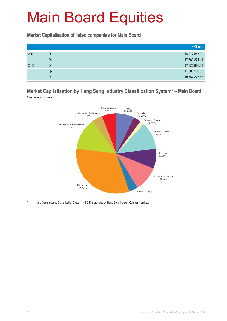**Market Capitalisation of listed companies for Main Board**

|      |    | HK\$ mil.     |
|------|----|---------------|
| 2009 | Q3 | 15,872,855.00 |
|      | Q4 | 17,769,271.41 |
| 2010 | Q1 | 17,920,896.03 |
|      | Q2 | 17,000,166.93 |
|      | Q3 | 19,557,277.66 |

#### **Market Capitalisation by Hang Seng Industry Classification System\* – Main Board** Quarter-end figures



Hang Seng Industry Classification System (HSICS) is provided by Hang Seng Indexes Company Limited.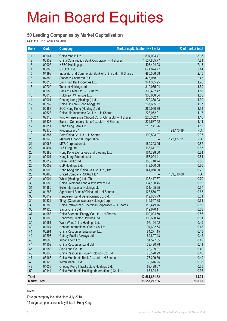#### **50 Leading Companies by Market Capitalisation**

as at the 3rd quarter end 2010

| Rank                | Code           | <b>Company</b>                                                     | <b>Market capitalisation (HK\$ mil.)</b> | % of market total  |
|---------------------|----------------|--------------------------------------------------------------------|------------------------------------------|--------------------|
| 1                   | 00941          | China Mobile Ltd.                                                  | 1,594,094.47                             | 8.15               |
| $\overline{2}$      | 00939          | China Construction Bank Corporation - H Shares                     | 1,527,885.77                             | 7.81               |
| 3                   | 00005          | <b>HSBC Holdings plc</b>                                           | 1,403,424.08                             | 7.18               |
| 4                   | 00883          | CNOOC Ltd.                                                         | 671,824.77                               | 3.44               |
| $\overline{5}$      | 01398          | Industrial and Commercial Bank of China Ltd. - H Shares            | 480,066.58                               | 2.45               |
| $6\phantom{a}$      | 02888          | <b>Standard Chartered PLC</b>                                      | 476,058.07                               | 2.43               |
| $\overline{7}$      | 00016          | Sun Hung Kai Properties Ltd.                                       | 344,385.25                               | 1.76               |
| 8                   | 00700          | Tencent Holdings Ltd.                                              | 310,035.94                               | 1.59               |
| 9                   | 03988          | Bank of China Ltd. - H Shares                                      | 309,402.42                               | 1.58               |
| 10                  | 00013          | Hutchison Whampoa Ltd.                                             | 308,668.04                               | 1.58               |
| 11                  | 00001          | Cheung Kong (Holdings) Ltd.                                        | 272,380.93                               | 1.39               |
| 12                  | 00762          | China Unicom (Hong Kong) Ltd.                                      | 267,665.37                               | 1.37               |
| 13                  | 02388          | BOC Hong Kong (Holdings) Ltd.                                      | 260,090.39                               | 1.33               |
| 14                  | 02628          | China Life Insurance Co. Ltd. - H Shares                           | 228,072.01                               | 1.17               |
| 15                  | 02318          | Ping An Insurance (Group) Co. of China Ltd. - H Shares             | 226,332.41                               | 1.16               |
| 16                  | 03328          | Bank of Communications Co., Ltd. - H Shares                        | 222,537.52                               | 1.14               |
| 17                  | 00011          | Hang Seng Bank Ltd.                                                | 218,141.26                               | 1.12               |
| 18                  | 02378          | Prudential plc *                                                   |                                          | N.A.<br>198,173.98 |
| 19                  | 00857          | PetroChina Co. Ltd. - H Shares                                     | 190,523.07                               | 0.97               |
| 20                  | 00945          | Manulife Financial Corporation *                                   |                                          | N.A.<br>172,437.91 |
| 21                  | 00066          | MTR Corporation Ltd.                                               | 169,293.95                               | 0.87               |
| 22                  | 00494          | Li & Fung Ltd.                                                     | 166,611.37                               | 0.85               |
| 23                  | 00388          | Hong Kong Exchanges and Clearing Ltd.                              | 164,728.00                               | 0.84               |
| 24                  | 00101          | Hang Lung Properties Ltd.                                          | 158,004.41                               | 0.81               |
| 25                  | 00019          | Swire Pacific Ltd.                                                 | 156,710.74                               | 0.80               |
| 26<br>27            | 00002<br>00003 | CLP Holdings Ltd.                                                  | 149,060.58                               | 0.76<br>0.72       |
| 28                  | 00486          | Hong Kong and China Gas Co. Ltd., The<br>United Company RUSAL Plc* | 141,060.80                               | N.A.               |
| 29                  | 00004          | Wharf (Holdings) Ltd., The                                         | $\qquad \qquad -$<br>137,417.67          | 139,016.09<br>0.70 |
| 30                  | 00688          | China Overseas Land & Investment Ltd.                              | 134,188.45                               | 0.69               |
| 31                  | 01880          | Belle International Holdings Ltd.                                  | 131,405.35                               | 0.67               |
| 32                  | 01288          | Agricultural Bank of China Ltd. - H Shares                         | 123,570.07                               | 0.63               |
| 33                  | 00012          | Henderson Land Development Co. Ltd.                                | 119,635.73                               | 0.61               |
| 34                  | 00322          | Tingyi (Cayman Islands) Holdings Corp.                             | 119,557.38                               | 0.61               |
| 35                  | 00386          | China Petroleum & Chemical Corporation - H Shares                  | 115,449.76                               | 0.59               |
| 36                  | 01928          | Sands China Ltd.                                                   | 112,670.11                               | 0.58               |
| 37                  | 01088          | China Shenhua Energy Co. Ltd. - H Shares                           | 109,094.50                               | 0.56               |
| 38                  | 00006          | Hongkong Electric Holdings Ltd.                                    | 100,630.44                               | 0.51               |
| 39                  | 00151          | Want Want China Holdings Ltd.                                      | 95,124.02                                | 0.49               |
| 40                  | 01044          | Hengan International Group Co. Ltd.                                | 94,692.54                                | 0.48               |
| 41                  | 00291          | China Resources Enterprise, Ltd.                                   | 84,271.15                                | 0.43               |
| 42                  | 00293          | Cathay Pacific Airways Ltd.                                        | 82,807.43                                | 0.42               |
| 43                  | 01688          | Alibaba.com Ltd.                                                   | 81,527.85                                | 0.42               |
| 44                  | 01109          | China Resources Land Ltd.                                          | 79,490.78                                | 0.41               |
| 45                  | 00083          | Sino Land Co. Ltd.                                                 | 78,709.91                                | 0.40               |
| 46                  | 00836          | China Resources Power Holdings Co. Ltd.                            | 78,520.29                                | 0.40               |
| 47                  | 03968          | China Merchants Bank Co., Ltd. - H Shares                          | 78,209.56                                | 0.40               |
| 48                  | 01128          | Wynn Macau, Ltd.                                                   | 69,616.25                                | 0.36               |
| 49                  | 01038          | Cheung Kong Infrastructure Holdings Ltd.                           | 69,429.67                                | 0.36               |
| 50                  | 00144          | China Merchants Holdings (International) Co. Ltd.                  | 68,804.71                                | 0.35               |
| <b>Total</b>        |                |                                                                    | 12,581,881.82                            | 64.34              |
| <b>Market Total</b> |                |                                                                    | 19,557,277.66                            | 100.00             |

Notes:

Foreign company included since July 2010

\* foreign companies not solely listed in Hong Kong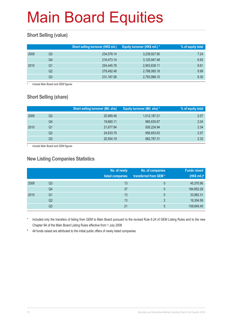### **Short Selling (value)**

|      |    | Short selling turnover (HK\$ mil.) | Equity turnover (HK\$ mil.) * | % of equity total |
|------|----|------------------------------------|-------------------------------|-------------------|
| 2009 | Q3 | 234,578.14                         | 3,239,927.90                  | 7.24              |
|      | Q4 | 216,473.14                         | 3,125,947.48                  | 6.93              |
| 2010 | Q1 | 254,445.78                         | 2,953,639.11                  | 8.61              |
|      | Q2 | 278,492.48                         | 2,788,065.18                  | 9.99              |
|      | Q3 | 231,187.06                         | 2,783,988.10                  | 8.30              |

include Main Board and GEM figures

### **Short Selling (share)**

|      |    | <b>Short selling turnover (Mil. shs)</b> | Equity turnover (Mil. shs) * | % of equity total |
|------|----|------------------------------------------|------------------------------|-------------------|
| 2009 | Q3 | 20,969.48                                | 1,012,187.21                 | 2.07              |
|      | Q4 | 19,660.11                                | 965,635.67                   | 2.04              |
| 2010 | Q1 | 21,677.84                                | 926,224.94                   | 2.34              |
|      | Q2 | 24,633.79                                | 956,653.63                   | 2.57              |
|      | Q3 | 20,554.19                                | 882,787.31                   | 2.33              |

include Main Board and GEM figures

#### **New Listing Companies Statistics**

|      |                | No. of newly<br>listed companies | No. of companies<br>transferred from GEM* | <b>Funds raised</b><br>(HK\$ mil.) $#$ |
|------|----------------|----------------------------------|-------------------------------------------|----------------------------------------|
| 2009 | Q3             | 13                               |                                           | 45,370.96                              |
|      | Q4             | 37                               | 0                                         | 184,852.28                             |
| 2010 | Q <sub>1</sub> | 13                               | 0                                         | 33,962.31                              |
|      | Q <sub>2</sub> | 13                               | റ                                         | 16,304.58                              |
|      | Q <sub>3</sub> | 21                               | 5                                         | 109,845.45                             |

Included only the transfers of listing from GEM to Main Board pursuant to the revised Rule 9.24 of GEM Listing Rules and to the new Chapter 9A of the Main Board Listing Rules effective from 1 July 2008

# All funds raised are attributed to the initial public offers of newly listed companies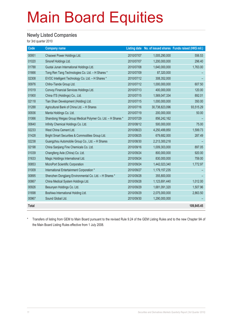#### **Newly Listed Companies**

for 3rd quarter 2010

| Code         | <b>Company name</b>                                         |            |                | Listing date No. of issued shares Funds raised (HK\$ mil.) |
|--------------|-------------------------------------------------------------|------------|----------------|------------------------------------------------------------|
| 00951        | Chaowei Power Holdings Ltd.                                 | 2010/07/07 | 1,005,290,000  | 556.53                                                     |
| 01020        | Sinoref Holdings Ltd.                                       | 2010/07/07 | 1,200,000,000  | 296.40                                                     |
| 01788        | Guotai Junan International Holdings Ltd.                    | 2010/07/08 | 1,640,000,000  | 1,763.00                                                   |
| 01666        | Tong Ren Tang Technologies Co. Ltd. - H Shares *            | 2010/07/09 | 87,320,000     |                                                            |
| 02308        | EVOC Intelligent Technology Co. Ltd. - H Shares *           | 2010/07/12 | 308,352,000    |                                                            |
| 00976        | Chiho-Tiande Group Ltd.                                     | 2010/07/12 | 1,000,000,000  | 607.50                                                     |
| 01019        | Convoy Financial Services Holdings Ltd.                     | 2010/07/13 | 400,000,000    | 120.00                                                     |
| 01900        | China ITS (Holdings) Co., Ltd.                              | 2010/07/15 | 1,569,047,334  | 892.01                                                     |
| 02118        | Tian Shan Development (Holding) Ltd.                        | 2010/07/15 | 1,000,000,000  | 350.00                                                     |
| 01288        | Agricultural Bank of China Ltd. - H Shares                  | 2010/07/16 | 30,738,823,096 | 93,515.29                                                  |
| 00936        | Manta Holdings Co. Ltd.                                     | 2010/07/19 | 200,000,000    | 50.00                                                      |
| 01066        | Shandong Weigao Group Medical Polymer Co. Ltd. - H Shares * | 2010/07/29 | 856,242,162    |                                                            |
| 00640        | Infinity Chemical Holdings Co. Ltd.                         | 2010/08/12 | 500,000,000    | 75.00                                                      |
| 02233        | West China Cement Ltd.                                      | 2010/08/23 | 4,250,499,850  | 1,599.73                                                   |
| 01428        | Bright Smart Securities & Commodities Group Ltd.            | 2010/08/25 | 679,682,000    | 287.49                                                     |
| 02238        | Guangzhou Automobile Group Co., Ltd. - H Shares             | 2010/08/30 | 2,213,300,218  |                                                            |
| 02198        | China Sanjiang Fine Chemicals Co. Ltd.                      | 2010/09/16 | 1,009,303,000  | 897.05                                                     |
| 01039        | Changfeng Axle (China) Co. Ltd.                             | 2010/09/24 | 800,000,000    | 920.00                                                     |
| 01633        | Magic Holdings International Ltd.                           | 2010/09/24 | 830,000,000    | 759.00                                                     |
| 00853        | MicroPort Scientific Corporation                            | 2010/09/24 | 1,442,023,340  | 1,772.97                                                   |
| 01009        | International Entertainment Corporation *                   | 2010/09/27 | 1,179,157,235  |                                                            |
| 00895        | Shenzhen Dongjiang Environmental Co. Ltd. - H Shares *      | 2010/09/28 | 355,800,000    |                                                            |
| 00867        | China Medical System Holdings Ltd.                          | 2010/09/28 | 1,123,691,440  | 1,012.00                                                   |
| 00926        | Besunyen Holdings Co. Ltd.                                  | 2010/09/29 | 1,681,091,320  | 1,507.96                                                   |
| 01698        | Boshiwa International Holding Ltd.                          | 2010/09/29 | 2,075,000,000  | 2,863.50                                                   |
| 00967        | Sound Global Ltd.                                           | 2010/09/30 | 1,290,000,000  |                                                            |
| <b>Total</b> |                                                             |            |                | 109,845.45                                                 |

\* Transfers of listing from GEM to Main Board pursuant to the revised Rule 9.24 of the GEM Listing Rules and to the new Chapter 9A of the Main Board Listing Rules effective from 1 July 2008.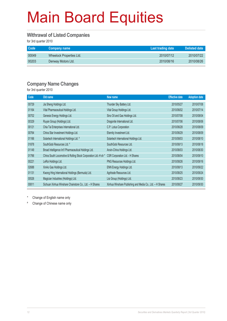#### **Withrawal of Listed Companies**

for 3rd quarter 2010

| Code  | Company name             | Last trading date | Delisted date |
|-------|--------------------------|-------------------|---------------|
| 00049 | Wheelock Properties Ltd. | 2010/07/12        | 2010/07/22    |
| 00203 | Denway Motors Ltd.       | 2010/08/16        | 2010/08/26    |

#### **Company Name Changes**

for 3rd quarter 2010

| Code  | Old name                                                       | New name                                                  | <b>Effective date</b> | <b>Adoption date</b> |
|-------|----------------------------------------------------------------|-----------------------------------------------------------|-----------------------|----------------------|
| 00729 | Jia Sheng Holdings Ltd.                                        | Thunder Sky Battery Ltd.                                  | 2010/05/27            | 2010/07/08           |
| 01164 | Vital Pharmaceutical Holdings Ltd.                             | Vital Group Holdings Ltd.                                 | 2010/06/02            | 2010/07/14           |
| 00702 | Genesis Energy Holdings Ltd.                                   | Sino Oil and Gas Holdings Ltd.                            | 2010/07/08            | 2010/08/04           |
| 00329 | Ruyan Group (Holdings) Ltd.                                    | Dragonite International Ltd.                              | 2010/07/06            | 2010/08/06           |
| 00121 | Chia Tai Enterprises International Ltd.                        | C.P. Lotus Corporation                                    | 2010/06/28            | 2010/08/09           |
| 00764 | China Star Investment Holdings Ltd.                            | Eternity Investment Ltd.                                  | 2010/06/29            | 2010/08/09           |
| 01166 | Solartech International Holdings Ltd. #                        | Solartech International Holdings Ltd.                     | 2010/08/03            | 2010/08/10           |
| 01878 | SouthGobi Resources Ltd. #                                     | SouthGobi Resources Ltd.                                  | 2010/08/13            | 2010/08/18           |
| 01149 | Broad Intelligence Int'l Pharmaceutical Holdings Ltd.          | Anxin-China Holdings Ltd.                                 | 2010/08/03            | 2010/08/30           |
| 01766 | China South Locomotive & Rolling Stock Corporation Ltd.-H sh * | CSR Corporation Ltd. - H Shares                           | 2010/08/04            | 2010/09/10           |
| 00221 | LeRoi Holdings Ltd.                                            | PNG Resources Holdings Ltd.                               | 2010/08/26            | 2010/09/16           |
| 02688 | XinAo Gas Holdings Ltd.                                        | ENN Energy Holdings Ltd.                                  | 2010/08/13            | 2010/09/22           |
| 01131 | Kwong Hing International Holdings (Bermuda) Ltd.               | Agritrade Resources Ltd.                                  | 2010/08/25            | 2010/09/24           |
| 00526 | Magician Industries (Holdings) Ltd.                            | Lisi Group (Holdings) Ltd.                                | 2010/08/23            | 2010/09/30           |
| 00811 | Sichuan Xinhua Winshare Chainstore Co., Ltd. - H Shares        | Xinhua Winshare Publishing and Media Co., Ltd. - H Shares | 2010/08/27            | 2010/09/30           |

Change of English name only

# Change of Chinese name only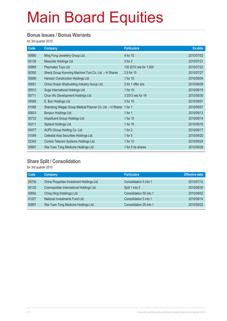#### **Bonus Issues / Bonus Warrants**

for 3rd quarter 2010

| Code  | <b>Company</b>                                            | <b>Particulars</b>     | Ex-date    |
|-------|-----------------------------------------------------------|------------------------|------------|
| 00860 | Ming Fung Jewellery Group Ltd.                            | 4 for 10               | 2010/07/02 |
| 00136 | Mascotte Holdings Ltd.                                    | 3 for 2                | 2010/07/21 |
| 00869 | Playmates Toys Ltd.                                       | 130 2010 wts for 1,000 | 2010/07/22 |
| 00300 | Shenji Group Kunming Machine Tool Co. Ltd. - H Shares     | 2.5 for 10             | 2010/07/27 |
| 00896 | Hanison Construction Holdings Ltd.                        | 1 for 10               | 2010/08/04 |
| 00651 | China Ocean Shipbuilding Industry Group Ltd.              | 2 for 1 offer shs      | 2010/08/09 |
| 00912 | Suga International Holdings Ltd.                          | 1 for 10               | 2010/08/19 |
| 00711 | Chun Wo Development Holdings Ltd.                         | 3 2013 wts for 16      | 2010/08/30 |
| 00599 | E. Bon Holdings Ltd.                                      | 3 for 10               | 2010/09/01 |
| 01066 | Shandong Weigao Group Medical Polymer Co. Ltd. - H Shares | 1 for $1$              | 2010/09/07 |
| 00653 | Bonjour Holdings Ltd.                                     | 1 for $1$              | 2010/09/13 |
| 00733 | Hopefluent Group Holdings Ltd.                            | 1 for 10               | 2010/09/14 |
| 00211 | Styland Holdings Ltd.                                     | 1 for 10               | 2010/09/16 |
| 00477 | AUPU Group Holding Co. Ltd.                               | 1 for 2                | 2010/09/17 |
| 01049 | Celestial Asia Securities Holdings Ltd.                   | 1 for $5$              | 2010/09/20 |
| 02342 | Comba Telecom Systems Holdings Ltd.                       | 1 for 10               | 2010/09/24 |
| 00897 | Wai Yuen Tong Medicine Holdings Ltd.                      | 1 for 5 rts shares     | 2010/09/28 |

### **Share Split / Consolidation**

for 3rd quarter 2010

| <b>Code</b> | <b>Company</b>                            | <b>Particulars</b>      | <b>Effective date</b> |
|-------------|-------------------------------------------|-------------------------|-----------------------|
| 00736       | China Properties Investment Holdings Ltd. | Consolidation 5 into 1  | 2010/07/12            |
| 00120       | Cosmopolitan International Holdings Ltd.  | Split 1 into 5          | 2010/08/30            |
| 00692       | Ching Hing (Holdings) Ltd.                | Consolidation 50 into 1 | 2010/09/02            |
| 01227       | National Investments Fund Ltd.            | Consolidation 5 into 1  | 2010/09/14            |
| 00897       | Wai Yuen Tong Medicine Holdings Ltd.      | Consolidation 25 into 1 | 2010/09/22            |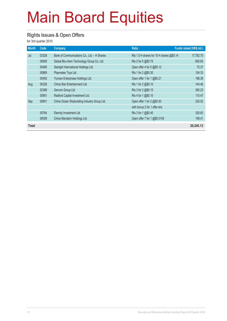#### **Rights Issues & Open Offers**

for 3rd quarter 2010

| <b>Month</b> | Code  | <b>Company</b>                               | <b>Ratio</b>                             | Funds raised (HK\$ mil.) |
|--------------|-------|----------------------------------------------|------------------------------------------|--------------------------|
| Jul          | 03328 | Bank of Communications Co., Ltd. - H Shares  | Rts 1.5 H shares for 10 H shares @\$5.14 | 17,782.70                |
|              | 00809 | Global Bio-chem Technology Group Co. Ltd.    | Rts 2 for 5 @\$0.75                      | 695.65                   |
|              | 00485 | Starlight International Holdings Ltd.        | Open offer 4 for 5 @\$0.12               | 75.37                    |
|              | 00869 | Playmates Toys Ltd.                          | Rts 1 for 2 @\$0.30                      | 104.33                   |
|              | 00455 | Yunnan Enterprises Holdings Ltd.             | Open offer 1 for 1 @\$0.21               | 196.36                   |
| Aug          | 00326 | China Star Entertainment Ltd.                | Rts 1 for 2 @\$0.10                      | 144.46                   |
|              | 02389 | Genvon Group Ltd.                            | Rts 3 for 2 @\$0.15                      | 380.23                   |
|              | 00901 | Radford Capital Investment Ltd.              | Rts 4 for 1 @\$0.10                      | 110.47                   |
| Sep          | 00651 | China Ocean Shipbuilding Industry Group Ltd. | Open offer 1 for 2 @\$0.50               | 225.52                   |
|              |       |                                              | with bonus 2 for 1 offer shs             |                          |
|              | 00764 | Eternity Investment Ltd.                     | Rts 3 for 1 @\$0.40                      | 330.63                   |
|              | 00009 | China Mandarin Holdings Ltd.                 | Open offer 7 for 1 @\$0.0109             | 199.41                   |
| <b>Total</b> |       |                                              |                                          | 20,245.13                |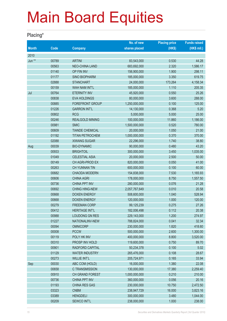### **Placing\***

|              |             |                        | No. of new    | <b>Placing price</b> | <b>Funds raised</b> |
|--------------|-------------|------------------------|---------------|----------------------|---------------------|
| <b>Month</b> | <b>Code</b> | <b>Company</b>         | shares placed | (HK\$)               | (HK\$ mil.)         |
| 2010         |             |                        |               |                      |                     |
| Jun **       | 00789       | <b>ARTINI</b>          | 83,543,000    | 0.530                | 44.28               |
|              | 00563       | <b>NEO-CHINA LAND</b>  | 683,692,000   | 2.320                | 1,586.17            |
|              | 01140       | OP FIN INV             | 156,900,000   | 1.900                | 298.11              |
|              | 01177       | <b>SINO BIOPHARM</b>   | 185,000,000   | 3.350                | 619.75              |
|              | 02888       | <b>STANCHART</b>       | 24,000,000    | 173.264              | 4,158.34            |
|              | 00159       | <b>WAH NAM INT'L</b>   | 185,000,000   | 1.110                | 205.35              |
| Jul          | 00764       | <b>ETERNITY INV</b>    | 45,920,000    | 0.550                | 25.26               |
|              | 00838       | <b>EVA HOLDINGS</b>    | 80,000,000    | 3.600                | 288.00              |
|              | 00885       | FOREFRONT GROUP        | 1,250,000,000 | 0.100                | 125.00              |
|              | 01226       | <b>GARRON INT'L</b>    | 14,130,000    | 0.368                | 5.20                |
|              | 00802       | <b>RCG</b>             | 5,000,000     | 5.000                | 25.00               |
|              | 00246       | <b>REALGOLD MINING</b> | 100,000,000   | 11.860               | 1,186.00            |
|              | 00981       | <b>SMIC</b>            | 1,500,000,000 | 0.520                | 780.00              |
|              | 00609       | <b>TIANDE CHEMICAL</b> | 20,000,000    | 1.050                | 21.00               |
|              | 01192       | <b>TITAN PETROCHEM</b> | 1,000,000,000 | 0.370                | 370.00              |
|              | 02088       | <b>XIWANG SUGAR</b>    | 22,296,000    | 1.740                | 38.80               |
| Aug          | 00039       | <b>BIO-DYNAMIC</b>     | 90,000,000    | 0.480                | 43.20               |
|              | 00933       | <b>BRIGHTOIL</b>       | 300,000,000   | 3.450                | 1,035.00            |
|              | 01049       | <b>CELESTIAL ASIA</b>  | 20,000,000    | 2.500                | 50.00               |
|              | 00149       | CH AGRI-PROD EX        | 820,000,000   | 0.050                | 41.00               |
|              | 00263       | CH YUNNAN TIN          | 600,000,000   | 0.100                | 60.00               |
|              | 00682       | <b>CHAODA MODERN</b>   | 154,838,000   | 7.530                | 1,165.93            |
|              | 00606       | <b>CHINA AGRI</b>      | 178,000,000   | 8.750                | 1,557.50            |
|              | 00736       | <b>CHINA PPT INV</b>   | 280,000,000   | 0.076                | 21.28               |
|              | 00692       | <b>CHING HING-NEW</b>  | 2,057,767,649 | 0.010                | 20.58               |
|              | 00668       | <b>DOXEN ENERGY</b>    | 508,600,000   | 1.040                | 528.94              |
|              | 00668       | <b>DOXEN ENERGY</b>    | 120,000,000   | 1.000                | 120.00              |
|              | 00279       | <b>FREEMAN CORP</b>    | 99,125,239    | 0.275                | 27.26               |
|              | 00412       | <b>HERITAGE INT'L</b>  | 182,006,498   | 0.112                | 20.38               |
|              | 00988       | LOUDONG GN RES         | 229,143,000   | 1.200                | 274.97              |
|              | 01227       | NATIONALINV-NEW        | 788,824,000   | 0.041                | 32.34               |
|              | 00094       | <b>OMNICORP</b>        | 230,000,000   | 1.820                | 418.60              |
|              | 00008       | <b>PCCW</b>            | 500,000,000   | 2.600                | 1,300.00            |
|              | 00119       | POLY HK INV            | 400,000,000   | 8.800                | 3,520.00            |
|              | 00310       | PROSP INV HOLD         | 119,600,000   | 0.750                | 89.70               |
|              | 00901       | RADFORD CAPITAL        | 50,234,378    | 0.100                | 5.02                |
|              | 01129       | <b>WATER INDUSTRY</b>  | 265,476,000   | 0.108                | 28.67               |
|              | 00273       | <b>WILLIE INT'L</b>    | 205,724,971   | 0.165                | 33.94               |
| Sep          | 00030       | ABC COM (HOLD)         | 16,000,000    | 1.380                | 22.08               |
|              | 00658       | C TRANSMISSION         | 130,000,000   | 17.380               | 2,259.40            |
|              | 00910       | CH GRAND FOREST        | 1,000,000,000 | 0.210                | 210.00              |
|              | 00736       | CHINA PPT INV          | 360,000,000   | 0.056                | 20.16               |
|              | 01193       | <b>CHINA RES GAS</b>   | 230,000,000   | 10.750               | 2,472.50            |
|              | 03323       | <b>CNBM</b>            | 238,947,729   | 16.000               | 3,823.16            |
|              | 03389       | <b>HENGDELI</b>        | 300,000,000   | 3.480                | 1,044.00            |
|              | 00209       | SEWCO INT'L            | 238,000,000   | 1.000                | 238.00              |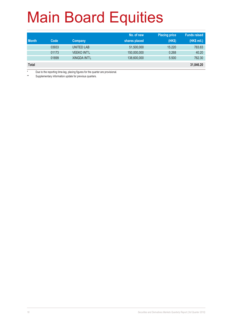|              |       |                     | No. of new    | <b>Placing price</b> | <b>Funds raised</b> |
|--------------|-------|---------------------|---------------|----------------------|---------------------|
| <b>Month</b> | Code  | Company             | shares placed | (HK\$)               | (HK\$ mil.)         |
|              | 03933 | <b>UNITED LAB</b>   | 51,500,000    | 15.220               | 783.83              |
|              | 01173 | <b>VEEKO INT'L</b>  | 150,000,000   | 0.268                | 40.20               |
|              | 01899 | <b>XINGDA INT'L</b> | 138,600,000   | 5.500                | 762.30              |
| <b>Total</b> |       |                     |               |                      | 31,846.20           |

\* Due to the reporting time-lag, placing figures for the quarter are provisional.

\*\* Supplementary information update for previous quarters.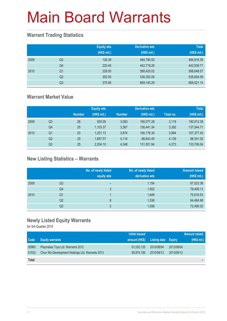### **Warrant Trading Statistics**

|      |                | <b>Equity wts</b><br>(HK\$ mil.) | <b>Derivative wts</b><br>(HK\$ mil.) | <b>Total</b><br>(HK\$ mil.) |
|------|----------------|----------------------------------|--------------------------------------|-----------------------------|
| 2009 | Q <sub>3</sub> | 126.39                           | 484,790.00                           | 484,916.39                  |
|      | Q <sub>4</sub> | 220.45                           | 442,719.26                           | 442,939.71                  |
| 2010 | Q1             | 228.05                           | 588,420.02                           | 588,648.07                  |
|      | Q <sub>2</sub> | 302.00                           | 538,302.09                           | 538,604.09                  |
|      | Q <sub>3</sub> | 375.85                           | 669,145.29                           | 669,521.14                  |

### **Warrant Market Value**

|      |                |               | <b>Equity wts</b> |               | <b>Derivative wts</b> |           | <b>Total</b> |
|------|----------------|---------------|-------------------|---------------|-----------------------|-----------|--------------|
|      |                | <b>Number</b> | (HK\$ mil.)       | <b>Number</b> | (HK\$ mil.)           | Total no. | (HK\$ mil.)  |
| 2009 | Q3             | 26            | 835.09            | 3.093         | 190.077.28            | 3.119     | 190.912.38   |
|      | Q4             | 25            | 1,103.37          | 3.367         | 136,441.34            | 3,392     | 137,544.71   |
| 2010 | Q1             | 20            | 1,201.13          | 3.974         | 106,176.30            | 3.994     | 107,377.43   |
|      | Q <sub>2</sub> | 25            | 1,697.57          | 4,114         | 86,643.45             | 4,139     | 88,341.02    |
|      | Q3             | 25            | 2,204.10          | 4.348         | 131,501.94            | 4,373     | 133,706.04   |

### **New Listing Statistics – Warrants**

|      |    | No. of newly listed<br>equity wts | No. of newly listed<br>derivative wts | <b>Amount raised</b><br>(HK\$ mil.) |
|------|----|-----------------------------------|---------------------------------------|-------------------------------------|
| 2009 | Q3 | -                                 | 1,154                                 | 67,523.38                           |
|      | Q4 | 3                                 | 1,502                                 | 79,409.13                           |
| 2010 | Q1 |                                   | 1,649                                 | 75,616.53                           |
|      | Q2 | 8                                 | 1,536                                 | 64,484.98                           |
|      | Q3 | C                                 | 1,938                                 | 72,490.02                           |

### **Newly Listed Equity Warrants**

for 3rd Quarter 2010

|              |                                                 | <b>Initial issued</b> |                            |            | Amount raised |
|--------------|-------------------------------------------------|-----------------------|----------------------------|------------|---------------|
| Code         | <b>Equity warrants</b>                          | amount (HK\$)         | <b>Listing date Expiry</b> |            | (HK\$ mil.)   |
| 00965        | Playmates Toys Ltd. Warrants 2012               | 61,030,125            | 2010/08/04                 | 2012/08/04 |               |
| 01032        | Chun Wo Development Holdings Ltd. Warrants 2013 | 85.874.156            | 2010/09/13                 | 2013/09/12 |               |
| <b>Total</b> |                                                 |                       |                            |            |               |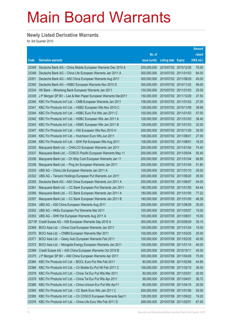### **Newly Listed Derivative Warrants**

for 3rd Quarter 2010

|        |                                                                |               |                            |                       | <b>Amount</b> |
|--------|----------------------------------------------------------------|---------------|----------------------------|-----------------------|---------------|
|        |                                                                | No. of        |                            |                       | raised        |
| Code   | <b>Derivative warrants</b>                                     | issue (units) | <b>Listing date Expiry</b> |                       | (HK\$ mil.)   |
| 23349  | Deutsche Bank AG - China Mobile European Warrants Dec 2010 A   | 200,000,000   |                            | 2010/07/02 2010/12/28 | 78.00         |
| 23348  | Deutsche Bank AG - China Life European Warrants Jan 2011 A     | 300,000,000   |                            | 2010/07/02 2011/01/03 | 84.00         |
| 23351  | Deutsche Bank AG - A50 China European Warrants Aug 2011        | 300,000,000   |                            | 2010/07/02 2011/08/29 | 45.00         |
| 23350  | Deutsche Bank AG - HSBC European Warrants Nov 2010 D           | 300,000,000   |                            | 2010/07/02 2010/11/22 | 99.00         |
| 23334  | HK Bank - Minsheng Bank European Warrants Jan 2011             | 100,000,000   |                            | 2010/07/02 2011/01/03 | 25.00         |
| 23339  | J P Morgan SP BV - Lee & Man Paper European Warrants Dec2011   | 150,000,000   |                            | 2010/07/02 2011/12/29 | 37.50         |
| 23340  | KBC Fin Products Int'l Ltd. - CMB European Warrants Jan 2011   | 108,000,000   |                            | 2010/07/02 2011/01/03 | 27.00         |
| 23341  | KBC Fin Products Int'l Ltd. - HSBC European Wts Nov 2010 C     | 128,000,000   |                            | 2010/07/02 2010/11/08 | 39.68         |
| 23344  | KBC Fin Products Int'l Ltd. - HSBC Euro Put Wts Jan 2011 C     | 100,000,000   |                            | 2010/07/02 2011/01/03 | 57.00         |
| 23342  | KBC Fin Products Int'l Ltd. - HSBC European Wts Jan 2011 A     | 128,000,000   |                            | 2010/07/02 2011/01/03 | 38.40         |
| 23343  | KBC Fin Products Int'l Ltd. - HSBC European Wts Jan 2011 B     | 128,000,000   |                            | 2010/07/02 2011/01/03 | 32.00         |
| 23347  | KBC Fin Products Int'l Ltd. - HSI European Wts Nov 2010 H      | 200,000,000   |                            | 2010/07/02 2010/11/29 | 30.00         |
| 23345  | KBC Fin Products Int'l Ltd. - Hutchison Euro Wts Jun 2011      | 108,000,000   |                            | 2010/07/02 2011/06/01 | 27.00         |
| 23346  | KBC Fin Products Int'l Ltd. - SHK Ppt European Wts Aug 2011    | 108,000,000   | 2010/07/02 2011/08/01      |                       | 16.20         |
| 23335  | Macquarie Bank Ltd. - CHALCO European Warrants Jan 2011        | 200,000,000   |                            | 2010/07/02 2011/01/04 | 74.40         |
| 23337  | Macquarie Bank Ltd. - COSCO Pacific European Warrants May 11   | 200,000,000   |                            | 2010/07/02 2011/05/04 | 50.40         |
| 23336  | Macquarie Bank Ltd. - Ch Ship Cont European Warrants Jan 11    | 200,000,000   |                            | 2010/07/02 2011/01/04 | 68.80         |
| 23338  | Macquarie Bank Ltd. - Ping An European Warrants Jan 2011       | 200,000,000   |                            | 2010/07/02 2011/01/04 | 51.80         |
| 23333  | UBS AG - China Life European Warrants Jan 2011 A               | 100,000,000   |                            | 2010/07/02 2011/01/10 | 25.00         |
| 23332  | UBS AG - Tencent Holdings European Put Warrants Jun 2011       | 200,000,000   |                            | 2010/07/02 2011/06/20 | 30.00         |
| 23355  | Deutsche Bank AG - A50 China European Warrants Jun 2011 A      | 300,000,000   |                            | 2010/07/05 2011/06/07 | 54.00         |
| 23361  | Macquarie Bank Ltd. - CC Bank European Put Warrants Jan 2011   | 180,000,000   |                            | 2010/07/05 2011/01/05 | 64.44         |
| 23356  | Macquarie Bank Ltd. - CC Bank European Warrants Jan 2011 A     | 180,000,000   |                            | 2010/07/05 2011/01/05 | 77.22         |
| 23357  | Macquarie Bank Ltd. - CC Bank European Warrants Jan 2011 B     | 180,000,000   |                            | 2010/07/05 2011/01/05 | 46.26         |
| 23354  | UBS AG - A50 China European Warrants Aug 2011                  | 200,000,000   |                            | 2010/07/05 2011/08/29 | 30.00         |
| 23352  | UBS AG - HKEx European Put Warrants Mar 2011                   | 100,000,000   |                            | 2010/07/05 2011/03/07 | 15.00         |
| 23353  | UBS AG - SHK Ppt European Warrants Aug 2011 A                  | 100,000,000   | 2010/07/05 2011/08/01      |                       | 15.00         |
| 22719# | Credit Suisse AG - HSI European Warrants Sep 2010 A            | 300,000,000   | 2010/07/05 2010/09/29      |                       | 35.10         |
| 23369  | BOCI Asia Ltd. - China Coal European Warrants Jan 2011         | 100,000,000   |                            | 2010/07/06 2011/01/24 | 15.00         |
| 23370  | BOCI Asia Ltd. - CNBM European Warrants Mar 2011               | 100,000,000   |                            | 2010/07/06 2011/03/25 | 25.00         |
| 23371  | BOCI Asia Ltd. - Geely Auto European Warrants Feb 2011         | 100,000,000   |                            | 2010/07/06 2011/02/25 | 40.00         |
| 23372  | BOCI Asia Ltd. - Mongolia Energy European Warrants Jan 2011    | 100,000,000   |                            | 2010/07/06 2011/01/14 | 40.00         |
| 23389  | Credit Suisse AG - A50 China European Warrants Oct 2010 B      | 300,000,000   | 2010/07/06 2010/10/11      |                       | 45.00         |
| 23375  | J P Morgan SP BV - A50 China European Warrants Apr 2011        | 300,000,000   |                            | 2010/07/06 2011/04/28 | 75.00         |
| 23384  | KBC Fin Products Int'l Ltd. - BOCL Euro Put Wts Feb 2011       | 80,000,000    |                            | 2010/07/06 2011/02/08 | 44.80         |
| 23388  | KBC Fin Products Int'l Ltd. - Ch Mobile Eu Put Wt Feb 2011 C   | 158,000,000   |                            | 2010/07/06 2011/02/15 | 39.50         |
| 23378  | KBC Fin Products Int'l Ltd. - China Tel Eur Put Wts Mar 2011   | 80,000,000    | 2010/07/06 2011/03/01      |                       | 20.00         |
| 23379  | KBC Fin Products Int'l Ltd. - China Tel Eur Put Wts Apr 2011   | 68,000,000    | 2010/07/06 2011/04/01      |                       | 36.72         |
| 23380  | KBC Fin Products Int'l Ltd. - China Unicom Eur Put Wts Apr11   | 80,000,000    | 2010/07/06                 | 2011/04/15            | 20.00         |
| 23365  | KBC Fin Products Int'l Ltd. - CC Bank Euro Wts Jan 2011 C      | 200,000,000   |                            | 2010/07/06 2011/01/06 | 50.00         |
| 23385  | KBC Fin Products Int'l Ltd. - Ch COSCO European Warrants Sep11 | 128,000,000   |                            | 2010/07/06 2011/09/22 | 19.20         |
| 23376  | KBC Fin Products Int'l Ltd. - China Life Euro Wts Feb 2011 D   | 268,000,000   | 2010/07/06 2011/02/01      |                       | 67.00         |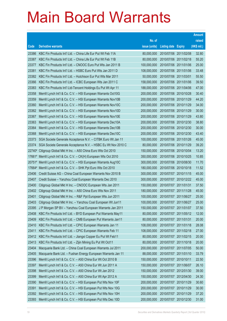|                |                                                                                                                       |                            |                                                |                       | <b>Amount</b>  |
|----------------|-----------------------------------------------------------------------------------------------------------------------|----------------------------|------------------------------------------------|-----------------------|----------------|
|                |                                                                                                                       | No. of                     |                                                |                       | raised         |
| Code           | <b>Derivative warrants</b>                                                                                            | issue (units)              | <b>Listing date</b>                            | <b>Expiry</b>         | (HK\$ mil.)    |
| 23386          | KBC Fin Products Int'l Ltd. - China Life Eur Put Wt Feb 11A                                                           | 80,000,000                 | 2010/07/06 2011/02/08                          |                       | 32.80          |
| 23387          | KBC Fin Products Int'l Ltd. - China Life Eur Put Wt Feb 11B                                                           | 80,000,000                 | 2010/07/06 2011/02/18                          |                       | 55.20          |
| 23377          | KBC Fin Products Int'l Ltd. - CNOOC Euro Put Wts Jan 2011 B                                                           | 100,000,000                | 2010/07/06 2011/01/06                          |                       | 25.00          |
| 23381          | KBC Fin Products Int'l Ltd. - HSBC Euro Put Wts Jan 2011 D                                                            | 108,000,000                | 2010/07/06 2011/01/06                          |                       | 33.48          |
| 23382          | KBC Fin Products Int'l Ltd. - Hutchison Eur Put Wts Mar 2011                                                          | 50,000,000                 | 2010/07/06 2011/03/01                          |                       | 55.50          |
| 23366          | KBC Fin Products Int'l Ltd. - ICBC European Wts Jan 2011 C                                                            | 158,000,000                | 2010/07/06 2011/01/06                          |                       | 39.50          |
| 23383          | KBC Fin Products Int'l Ltd-Tencent Holdings Eu Put Wt Apr 11                                                          | 188,000,000                | 2010/07/06 2011/04/06                          |                       | 47.00          |
| 23358          | Merrill Lynch Int'l & Co. C.V. - HSI European Warrants Oct10G                                                         | 200,000,000                | 2010/07/06 2010/10/28                          |                       | 30.40          |
| 23359          | Merrill Lynch Int'l & Co. C.V. - HSI European Warrants Nov10B                                                         | 200,000,000                | 2010/07/06 2010/11/29                          |                       | 44.20          |
| 23360          | Merrill Lynch Int'l & Co. C.V. - HSI European Warrants Nov10C                                                         | 200,000,000                | 2010/07/06 2010/11/29                          |                       | 34.00          |
| 23362          | Merrill Lynch Int'l & Co. C.V. - HSI European Warrants Nov10D                                                         | 200,000,000                | 2010/07/06 2010/11/29                          |                       | 30.00          |
| 23367          | Merrill Lynch Int'l & Co. C.V. - HSI European Warrants Nov10E                                                         | 200,000,000                | 2010/07/06 2010/11/29                          |                       | 43.80          |
| 23363          | Merrill Lynch Int'l & Co. C.V. - HSI European Warrants Dec10A                                                         | 200,000,000                |                                                | 2010/07/06 2010/12/30 | 38.80          |
| 23364          | Merrill Lynch Int'l & Co. C.V. - HSI European Warrants Dec10B                                                         | 200,000,000                | 2010/07/06 2010/12/30                          |                       | 30.00          |
| 23368          | Merrill Lynch Int'l & Co. C.V. - HSI European Warrants Dec10C                                                         | 200,000,000                |                                                | 2010/07/06 2010/12/30 | 43.40          |
| 23373          | SGA Societe Generale Acceptance N.V. - CITBK Euro Wt Jan 11                                                           | 100,000,000                | 2010/07/06 2011/01/26                          |                       | 45.00          |
| 23374          | SGA Societe Generale Acceptance N.V. - HSBC Eu Wt Nov 2010 C                                                          | 80,000,000                 | 2010/07/06 2010/11/29                          |                       | 39.20          |
| 22740#         | Citigroup Global Mkt H Inc. - A50 China Euro Wts Oct 2010                                                             | 150,000,000                | 2010/07/06 2010/10/04                          |                       | 13.20          |
| 17661#         | Merrill Lynch Int'l & Co. C.V. - CK(H) European Wts Oct 2010                                                          | 350,000,000                | 2010/07/06 2010/10/25                          |                       | 10.85          |
| 20751#         | Merrill Lynch Int'l & Co. C.V. - HSI European Warrants Aug10C                                                         | 300,000,000                | 2010/07/06 2010/08/30                          |                       | 11.70          |
| 17664#         | Merrill Lynch Int'l & Co. C.V. - SHK Ppt Euro Wts Oct 2010                                                            | 180,000,000                | 2010/07/06 2010/10/18                          |                       | 11.52          |
| 23406<br>23407 | Credit Suisse AG - China Coal European Warrants Nov 2010 B<br>Credit Suisse - Yanzhou Coal European Warrants Dec 2010 | 300,000,000<br>300,000,000 | 2010/07/07 2010/11/15<br>2010/07/07 2010/12/22 |                       | 45.00<br>45.00 |
| 23400          | Citigroup Global Mkt H Inc. - CNOOC European Wts Jan 2011                                                             | 150,000,000                | 2010/07/07 2011/01/31                          |                       | 37.50          |
| 23402          | Citigroup Global Mkt H Inc. - A50 China Euro Wts Nov 2011                                                             | 180,000,000                | 2010/07/07 2011/11/28                          |                       | 45.00          |
| 23401          | Citigroup Global Mkt H Inc. - R&F Ppt European Wts Jun 2011                                                           | 100,000,000                | 2010/07/07 2011/06/27                          |                       | 25.00          |
| 23403          | Citigroup Global Mkt H Inc. - Yanzhou Coal European Wt Jun11                                                          | 100,000,000                | 2010/07/07 2011/06/27                          |                       | 25.00          |
| 23395          | J P Morgan SP BV - Yanzhou Coal European Warrants Jan 2011                                                            | 150,000,000                | 2010/07/07 2011/01/07                          |                       | 37.50          |
| 23408          | KBC Fin Products Int'l Ltd. - BYD European Put Warrants May11                                                         | 80,000,000                 |                                                | 2010/07/07 2011/05/12 | 12.00          |
| 23409          | KBC Fin Products Int'l Ltd. - CMB European Put Warrants Jan11                                                         | 80,000,000                 | 2010/07/07 2011/01/31                          |                       | 20.00          |
| 23410          | KBC Fin Products Int'l Ltd. - CPIC European Warrants Jan 11                                                           | 108,000,000                | 2010/07/07 2011/01/18                          |                       | 28.08          |
| 23411          | KBC Fin Products Int'l Ltd. - CPIC European Warrants Feb 11                                                           | 108,000,000                | 2010/07/07 2011/02/18                          |                       | 27.00          |
| 23412          | KBC Fin Products Int'l Ltd. - Jiangxi Copper Eu Put Wt Feb11                                                          | 80,000,000                 | 2010/07/07 2011/02/15                          |                       | 20.00          |
| 23413          | KBC Fin Products Int'l Ltd. - Zijin Mining Eu Put Wt Oct11                                                            | 80,000,000                 | 2010/07/07 2011/10/18                          |                       | 20.00          |
| 23404          | Macquarie Bank Ltd. - China Coal European Warrants Jul 2011                                                           | 200,000,000                | 2010/07/07 2011/07/05                          |                       | 50.00          |
| 23405          | Macquarie Bank Ltd. - Fushan Energy European Warrants Jan 11                                                          | 88,000,000                 | 2010/07/07 2011/01/10                          |                       | 33.79          |
| 23396          | Merrill Lynch Int'l & Co. C.V. - A50 China Eur Wt Oct 2010 B                                                          | 150,000,000                | 2010/07/07 2010/10/11                          |                       | 22.50          |
| 23397          | Merrill Lynch Int'l & Co. C.V. - A50 China Eur Wt Jun 2011 A                                                          | 150,000,000                | 2010/07/07 2011/06/07                          |                       | 26.10          |
| 23398          | Merrill Lynch Int'l & Co. C.V. - A50 China Eur Wt Jan 2012                                                            | 150,000,000                |                                                | 2010/07/07 2012/01/30 | 39.00          |
| 23399          | Merrill Lynch Int'l & Co. C.V. - A50 China Eur Wt Apr 2012 A                                                          | 150,000,000                | 2010/07/07 2012/04/30                          |                       | 24.30          |
| 23390          | Merrill Lynch Int'l & Co. C.V. - HSI European Put Wts Nov 10F                                                         | 200,000,000                | 2010/07/07 2010/11/29                          |                       | 30.60          |
| 23391          | Merrill Lynch Int'l & Co. C.V. - HSI European Put Wts Nov 10G                                                         | 200,000,000                | 2010/07/07 2010/11/29                          |                       | 30.00          |
| 23392          | Merrill Lynch Int'l & Co. C.V. - HSI European Put Wts Nov 10H                                                         | 200,000,000                | 2010/07/07 2010/11/29                          |                       | 37.20          |
| 23393          | Merrill Lynch Int'l & Co. C.V. - HSI European Put Wts Dec 10D                                                         | 200,000,000                | 2010/07/07 2010/12/30                          |                       | 31.00          |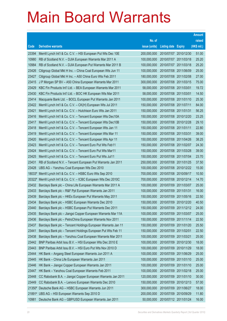|                |                                                                                                             |                            |                            |                       | <b>Amount</b>  |
|----------------|-------------------------------------------------------------------------------------------------------------|----------------------------|----------------------------|-----------------------|----------------|
|                |                                                                                                             | No. of                     |                            |                       | raised         |
| Code           | <b>Derivative warrants</b>                                                                                  | issue (units)              | <b>Listing date Expiry</b> |                       | (HK\$ mil.)    |
| 23394          | Merrill Lynch Int'l & Co. C.V. - HSI European Put Wts Dec 10E                                               | 200,000,000                |                            | 2010/07/07 2010/12/30 | 51.00          |
| 10980          | RB of Scotland N.V. - DJIA European Warrants Mar 2011 A                                                     | 100,000,000                |                            | 2010/07/07 2011/03/18 | 25.20          |
| 10984          | RB of Scotland N.V. - DJIA European Put Warrants Mar 2011 B                                                 | 100,000,000                | 2010/07/07 2011/03/18      |                       | 25.20          |
| 23426          | Citigroup Global Mkt H Inc. - China Coal European Wts Jun 11                                                | 100,000,000                | 2010/07/08 2011/06/09      |                       | 25.00          |
| 23427          | Citigroup Global Mkt H Inc. - A50 China Euro Wts Feb 2011                                                   | 180,000,000                | 2010/07/08 2011/02/08      |                       | 27.00          |
| 23415          | J P Morgan SP BV - A50 China European Warrants Mar 2011                                                     | 300,000,000                |                            | 2010/07/08 2011/03/15 | 75.00          |
| 23429          | KBC Fin Products Int'l Ltd. - BEA European Warrants Mar 2011                                                | 58,000,000                 | 2010/07/08 2011/03/01      |                       | 19.72          |
| 23430          | KBC Fin Products Int'l Ltd. - BOC HK European Wts Mar 2011                                                  | 58,000,000                 | 2010/07/08 2011/03/01      |                       | 14.50          |
| 23414          | Macquarie Bank Ltd. - BOCL European Put Warrants Jan 2011                                                   | 100,000,000                |                            | 2010/07/08 2011/01/10 | 25.30          |
| 23422          | Merrill Lynch Int'l & Co. C.V. - CK(H) European Wts Jul 2011                                                | 150,000,000                | 2010/07/08 2011/07/11      |                       | 84.00          |
| 23421          | Merrill Lynch Int'l & Co. C.V. - Hutchison Euro Wts Jan 2011                                                | 150,000,000                | 2010/07/08 2011/01/31      |                       | 56.25          |
| 23416          | Merrill Lynch Int'l & Co. C.V. - Tencent European Wts Dec10A                                                | 150,000,000                |                            | 2010/07/08 2010/12/20 | 23.25          |
| 23417          | Merrill Lynch Int'l & Co. C.V. - Tencent European Wts Dec10B                                                | 150,000,000                | 2010/07/08 2010/12/28      |                       | 29.10          |
| 23418          | Merrill Lynch Int'l & Co. C.V. - Tencent European Wts Jan 11                                                | 150,000,000                | 2010/07/08 2011/01/11      |                       | 22.80          |
| 23419          | Merrill Lynch Int'l & Co. C.V. - Tencent European Wts Mar 11                                                | 150,000,000                | 2010/07/08 2011/03/31      |                       | 39.00          |
| 23420          | Merrill Lynch Int'l & Co. C.V. - Tencent European Wts Apr 11                                                | 150,000,000                |                            | 2010/07/08 2011/04/26 | 38.25          |
| 23423          | Merrill Lynch Int'l & Co. C.V. - Tencent Euro Put Wts Feb11                                                 | 150,000,000                | 2010/07/08 2011/02/07      |                       | 24.30          |
| 23424          | Merrill Lynch Int'l & Co. C.V. - Tencent Euro Put Wts Mar11                                                 | 150,000,000                |                            | 2010/07/08 2011/03/28 | 39.00<br>23.70 |
| 23425<br>23431 | Merrill Lynch Int'l & Co. C.V. - Tencent Euro Put Wts Jul11                                                 | 150,000,000<br>250,000,000 | 2010/07/08 2011/07/04      | 2010/07/08 2011/01/25 | 37.50          |
| 23428          | RB of Scotland N.V. - Tencent European Put Warrants Jan 2011<br>UBS AG - Yanzhou Coal European Wts Dec 2010 | 100,000,000                |                            | 2010/07/08 2010/12/22 | 15.00          |
| 18033#         | Merrill Lynch Int'l & Co. C.V. - HSBC Euro Wts Sep 2010                                                     | 700,000,000                |                            | 2010/07/08 2010/09/17 | 10.50          |
| 20322#         | Merrill Lynch Int'l & Co. C.V. - ICBC European Wts Dec 2010C                                                | 700,000,000                | 2010/07/08 2010/12/14      |                       | 14.70          |
| 23432          | Barclays Bank plc - China Life European Warrants Mar 2011 A                                                 | 100,000,000                | 2010/07/09 2011/03/07      |                       | 25.00          |
| 23433          | Barclays Bank plc - R&F Ppt European Warrants Jan 2011                                                      | 100,000,000                | 2010/07/09 2011/01/31      |                       | 16.00          |
| 23439          | Barclays Bank plc - HKEx European Put Warrants May 2011                                                     | 150,000,000                | 2010/07/09 2011/05/16      |                       | 22.50          |
| 23434          | Barclays Bank plc - HSBC European Warrants Dec 2010                                                         | 150,000,000                |                            | 2010/07/09 2010/12/20 | 40.50          |
| 23440          | Barclays Bank plc - HSBC European Put Warrants Dec 2011                                                     | 150,000,000                | 2010/07/09 2011/12/12      |                       | 24.00          |
| 23435          | Barclays Bank plc - Jiangxi Copper European Warrants Mar 11A                                                | 100,000,000                | 2010/07/09 2011/03/07      |                       | 25.00          |
| 23436          | Barclays Bank plc - PetroChina European Warrants Nov 2011                                                   | 150,000,000                | 2010/07/09 2011/11/14      |                       | 22.50          |
| 23437          | Barclays Bank plc - Tencent Holdings European Warrants Jan 11                                               | 150,000,000                | 2010/07/09 2011/01/20      |                       | 25.50          |
| 23441          | Barclays Bank plc - Tencent Holdings European Put Wts Feb 11                                                | 150,000,000                | 2010/07/09                 | 2011/02/01            | 22.50          |
| 23438          | Barclays Bank plc - Yanzhou Coal European Warrants Mar 2011                                                 | 100,000,000                | 2010/07/09                 | 2011/03/21            | 25.00          |
| 23442          | BNP Paribas Arbit Issu B.V. - HSI European Wts Dec 2010 E                                                   | 100,000,000                | 2010/07/09                 | 2010/12/30            | 18.00          |
| 23443          | BNP Paribas Arbit Issu B.V. - HSI Euro Put Wts Nov 2010 D                                                   | 100,000,000                | 2010/07/09 2010/11/29      |                       | 18.00          |
| 23444          | HK Bank - Angang Steel European Warrants Jun 2011 A                                                         | 100,000,000                | 2010/07/09                 | 2011/06/29            | 25.00          |
| 23445          | HK Bank - China Life European Warrants Jan 2011                                                             | 100,000,000                | 2010/07/09                 | 2011/01/10            | 25.00          |
| 23446          | HK Bank - Jiangxi Copper European Warrants Jan 2011                                                         | 100,000,000                | 2010/07/09                 | 2011/01/10            | 25.00          |
| 23447          | HK Bank - Yanzhou Coal European Warrants Feb 2011                                                           | 100,000,000                | 2010/07/09 2011/02/18      |                       | 25.00          |
| 23448          | CC Rabobank B.A. - Jiangxi Copper European Warrants Jan 2011                                                | 120,000,000                | 2010/07/09                 | 2011/01/10            | 30.00          |
| 23449          | CC Rabobank B.A. - Lenovo European Warrants Dec 2010                                                        | 150,000,000                | 2010/07/09                 | 2010/12/13            | 57.00          |
|                | 21350# Deutsche Bank AG - HSBC European Warrants Jun 2011                                                   | 300,000,000                | 2010/07/09                 | 2011/06/27            | 18.00          |
|                | 21891# UBS AG - HSI European Warrants Sep 2010 D                                                            | 200,000,000                | 2010/07/09 2010/09/29      |                       | 11.80          |
| 10981          | Deutsche Bank AG - GBP/USD European Warrants Jan 2011                                                       | 50,000,000                 | 2010/07/12 2011/01/24      |                       | 16.00          |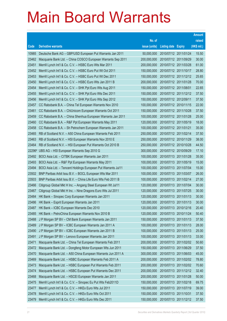|        |                                                               |               |                            |                       | <b>Amount</b> |
|--------|---------------------------------------------------------------|---------------|----------------------------|-----------------------|---------------|
|        |                                                               | No. of        |                            |                       | raised        |
| Code   | <b>Derivative warrants</b>                                    | issue (units) | <b>Listing date Expiry</b> |                       | (HK\$ mil.)   |
| 10985  | Deutsche Bank AG - GBP/USD European Put Warrants Jan 2011     | 50,000,000    | 2010/07/12 2011/01/24      |                       | 15.50         |
| 23462  | Macquarie Bank Ltd. - China COSCO European Warrants Sep 2011  | 200,000,000   | 2010/07/12 2011/09/29      |                       | 30.00         |
| 23451  | Merrill Lynch Int'l & Co. C.V. - HSBC Euro Wts Mar 2011       | 200,000,000   |                            | 2010/07/12 2011/03/28 | 61.00         |
| 23452  | Merrill Lynch Int'l & Co. C.V. - HSBC Euro Put Wt Oct 2011    | 150,000,000   |                            | 2010/07/12 2011/10/17 | 28.80         |
| 23453  | Merrill Lynch Int'l & Co. C.V. - HSBC Euro Put Wt Dec 2011    | 150,000,000   |                            | 2010/07/12 2011/12/12 | 25.65         |
| 23450  | Merrill Lynch Int'l & Co. C.V. - HSBC Euro Wts Jan 2011 B     | 200,000,000   |                            | 2010/07/12 2011/01/28 | 70.00         |
| 23454  | Merrill Lynch Int'l & Co. C.V. - SHK Ppt Euro Wts Aug 2011    | 150,000,000   | 2010/07/12 2011/08/01      |                       | 22.65         |
| 23455  | Merrill Lynch Int'l & Co. C.V. - SHK Ppt Euro Wts Dec 2011    | 150,000,000   |                            | 2010/07/12 2011/12/12 | 37.50         |
| 23456  | Merrill Lynch Int'l & Co. C.V. - SHK Ppt Euro Wts Sep 2012    | 150,000,000   | 2010/07/12 2012/09/11      |                       | 37.50         |
| 23457  | CC Rabobank B.A. - China Tel European Warrants Nov 2010       | 100,000,000   | 2010/07/12 2010/11/15      |                       | 22.00         |
| 23461  | CC Rabobank B.A. - ChiUnicom European Warrants Oct 2011       | 150,000,000   |                            | 2010/07/12 2011/10/28 | 37.50         |
| 23459  | CC Rabobank B.A. - China Shenhua European Warrants Jan 2011   | 100,000,000   | 2010/07/12 2011/01/28      |                       | 25.00         |
| 23460  | CC Rabobank B.A. - R&F Ppt European Warrants May 2011         | 120,000,000   |                            | 2010/07/12 2011/05/19 | 18.00         |
| 23458  | CC Rabobank B.A. - Sh Petrochem European Warrants Jan 2011    | 100,000,000   | 2010/07/12 2011/01/21      |                       | 35.00         |
| 23465  | RB of Scotland N.V. - A50 China European Warrants Feb 2011    | 250,000,000   |                            | 2010/07/12 2011/02/14 | 37.50         |
| 23463  | RB of Scotland N.V. - HSI European Warrants Nov 2010 E        | 250,000,000   | 2010/07/12 2010/11/29      |                       | 38.00         |
| 23464  | RB of Scotland N.V. - HSI European Put Warrants Oct 2010 B    | 250,000,000   |                            | 2010/07/12 2010/10/28 | 44.50         |
| 22296# | UBS AG - HSI European Warrants Sep 2010 G                     | 300,000,000   |                            | 2010/07/12 2010/09/29 | 17.10         |
| 23492  | BOCI Asia Ltd. - CITBK European Warrants Jan 2011             | 100,000,000   |                            | 2010/07/13 2011/01/28 | 35.00         |
| 23493  | BOCI Asia Ltd. - R&F Ppt European Warrants May 2011           | 100,000,000   | 2010/07/13 2011/05/19      |                       | 15.00         |
| 23494  | BOCI Asia Ltd. - Tencent Holdings European Put Warrants Jul11 | 100,000,000   |                            | 2010/07/13 2011/07/04 | 15.00         |
| 23502  | BNP Paribas Arbit Issu B.V. - BOCL European Wts Mar 2011      | 100,000,000   |                            | 2010/07/13 2011/03/07 | 26.00         |
| 23503  | BNP Paribas Arbit Issu B.V. - China Life Euro Wts Feb 2011 B  | 100,000,000   | 2010/07/13 2011/02/14      |                       | 27.00         |
| 23466  | Citigroup Global Mkt H Inc. - Angang Steel European Wt Jul11  | 120,000,000   | 2010/07/13 2011/07/04      |                       | 30.00         |
| 23467  | Citigroup Global Mkt H Inc. - Nine Dragons Euro Wts Jul 2011  | 120,000,000   | 2010/07/13 2011/07/25      |                       | 30.00         |
| 23484  | HK Bank - Sinopec Corp European Warrants Jan 2011             | 120,000,000   | 2010/07/13 2011/01/13      |                       | 30.00         |
| 23486  | HK Bank - Esprit European Warrants Jan 2011                   | 120,000,000   | 2010/07/13 2011/01/13      |                       | 30.00         |
| 23487  | HK Bank - ICBC European Warrants Dec 2010                     | 120,000,000   |                            | 2010/07/13 2010/12/16 | 20.40         |
| 23485  | HK Bank - PetroChina European Warrants Nov 2010 B             | 120,000,000   |                            | 2010/07/13 2010/11/24 | 50.40         |
| 23488  | J P Morgan SP BV - CM Bank European Warrants Jan 2011         | 150,000,000   |                            | 2010/07/13 2011/01/13 | 37.50         |
| 23489  | J P Morgan SP BV - ICBC European Warrants Jan 2011 A          | 100,000,000   |                            | 2010/07/13 2011/01/13 | 28.00         |
| 23490  | J P Morgan SP BV - ICBC European Warrants Jan 2011 B          | 100,000,000   |                            | 2010/07/13 2011/01/13 | 25.00         |
| 23491  | J P Morgan SP BV - Lenovo European Warrants Jan 2011          | 100,000,000   |                            | 2010/07/13 2011/01/13 | 33.00         |
| 23471  | Macquarie Bank Ltd. - China Tel European Warrants Feb 2011    | 200,000,000   | 2010/07/13 2011/02/02      |                       | 50.60         |
| 23472  | Macquarie Bank Ltd. - Dongfeng Motor European Wts Jun 2011    | 150,000,000   |                            | 2010/07/13 2011/06/29 | 37.50         |
| 23470  | Macquarie Bank Ltd. - A50 China European Warrants Jun 2011 A  | 300,000,000   |                            | 2010/07/13 2011/06/03 | 45.00         |
| 23469  | Macquarie Bank Ltd. - HSBC European Warrants Feb 2011 A       | 200,000,000   |                            | 2010/07/13 2011/02/02 | 78.80         |
| 23473  | Macquarie Bank Ltd. - HSBC European Put Warrants Feb 2011     | 200,000,000   | 2010/07/13 2011/02/02      |                       | 70.60         |
| 23474  | Macquarie Bank Ltd. - HSBC European Put Warrants Dec 2011     | 200,000,000   |                            | 2010/07/13 2011/12/12 | 32.40         |
| 23468  | Macquarie Bank Ltd. - HSCEI European Warrants Jan 2011        | 200,000,000   |                            | 2010/07/13 2011/01/28 | 50.00         |
| 23475  | Merrill Lynch Int'l & Co. C.V. - Sinopec Eu Put Wts Feb2011D  | 150,000,000   |                            | 2010/07/13 2011/02/18 | 69.75         |
| 23477  | Merrill Lynch Int'l & Co. C.V. - HKEx Euro Wts Jul 2011       | 150,000,000   | 2010/07/13 2011/07/19      |                       | 39.00         |
| 23478  | Merrill Lynch Int'l & Co. C.V. - HKEx Euro Wts Oct 2011       | 150,000,000   | 2010/07/13 2011/10/31      |                       | 37.50         |
| 23479  | Merrill Lynch Int'l & Co. C.V. - HKEx Euro Wts Dec 2011       | 150,000,000   |                            | 2010/07/13 2011/12/12 | 37.50         |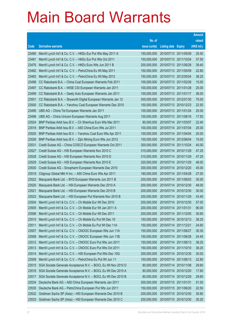|       |                                                               |               |                            |                       | <b>Amount</b> |
|-------|---------------------------------------------------------------|---------------|----------------------------|-----------------------|---------------|
|       |                                                               | No. of        |                            |                       | raised        |
| Code  | <b>Derivative warrants</b>                                    | issue (units) | <b>Listing date Expiry</b> |                       | (HK\$ mil.)   |
| 23480 | Merrill Lynch Int'l & Co. C.V. - HKEx Eur Put Wts May 2011 A  | 150,000,000   | 2010/07/13 2011/05/09      |                       | 25.50         |
| 23481 | Merrill Lynch Int'l & Co. C.V. - HKEx Eur Put Wts Oct 2011    | 150,000,000   | 2010/07/13 2011/10/24      |                       | 37.50         |
| 23476 | Merrill Lynch Int'l & Co. C.V. - HKEx Euro Wts Jun 2011 B     | 200,000,000   | 2010/07/13 2011/06/28      |                       | 39.40         |
| 23482 | Merrill Lynch Int'l & Co. C.V. - PetroChina Eu Wt May 2011    | 150,000,000   | 2010/07/13 2011/05/09      |                       | 22.80         |
| 23483 | Merrill Lynch Int'l & Co. C.V. - PetroChina Eu Wt May 2012    | 150,000,000   |                            | 2010/07/13 2012/05/04 | 38.25         |
| 23498 | CC Rabobank B.A. - China Coal European Warrants Feb 2011      | 100,000,000   | 2010/07/13 2011/02/28      |                       | 15.00         |
| 23497 | CC Rabobank B.A. - WISE CSI European Warrants Jan 2011        | 100,000,000   | 2010/07/13 2011/01/28      |                       | 25.00         |
| 23499 | CC Rabobank B.A. - Geely Auto European Warrants Jan 2011      | 100,000,000   | 2010/07/13 2011/01/17      |                       | 36.00         |
| 23501 | CC Rabobank B.A. - Skyworth Digital European Warrants Jan 12  | 300,000,000   |                            | 2010/07/13 2012/01/30 | 75.00         |
| 23500 | CC Rabobank B.A. - Yanzhou Coal European Warrants Dec 2010    | 150,000,000   | 2010/07/13 2010/12/23      |                       | 22.50         |
| 23495 | UBS AG - China Tel European Warrants Jan 2011                 | 100,000,000   | 2010/07/13 2011/01/24      |                       | 25.00         |
| 23496 | UBS AG - China Unicom European Warrants Aug 2011              | 100,000,000   | 2010/07/13 2011/08/16      |                       | 17.50         |
| 23524 | BNP Paribas Arbit Issu B.V. - Ch Shenhua Euro Wts Mar 2011    | 80,000,000    |                            | 2010/07/14 2011/03/07 | 22.40         |
| 23518 | BNP Paribas Arbit Issu B.V. - A50 China Euro Wts Jul 2011     | 100,000,000   | 2010/07/14 2011/07/04      |                       | 25.00         |
| 23525 | BNP Paribas Arbit Issu B.V. - Yanzhou Coal Euro Wts Apr 2011  | 100,000,000   | 2010/07/14 2011/04/04      |                       | 25.00         |
| 23526 | BNP Paribas Arbit Issu B.V. - Zijin Mining Euro Wts Jun 2012  | 100,000,000   | 2010/07/14 2012/06/04      |                       | 15.00         |
| 23531 | Credit Suisse AG - China COSCO European Warrants Oct 2011     | 300,000,000   |                            | 2010/07/14 2011/10/24 | 45.00         |
| 23527 | Credit Suisse AG - HSI European Warrants Nov 2010 C           | 315,000,000   | 2010/07/14 2010/11/29      |                       | 47.25         |
| 23528 | Credit Suisse AG - HSI European Warrants Nov 2010 D           | 315,000,000   | 2010/07/14 2010/11/29      |                       | 47.25         |
| 23529 | Credit Suisse AG - HSI European Warrants Nov 2010 E           | 320,000,000   | 2010/07/14 2010/11/29      |                       | 48.00         |
| 23530 | Credit Suisse AG - Sinopharm European Warrants Dec 2010       | 300,000,000   |                            | 2010/07/14 2010/12/20 | 45.00         |
| 23519 | Citigroup Global Mkt H Inc. - A50 China Euro Wts Apr 2011     | 180,000,000   |                            | 2010/07/14 2011/04/28 | 27.00         |
| 23522 | Macquarie Bank Ltd. - BYD European Warrants Jun 2011 B        | 200,000,000   | 2010/07/14 2011/06/03      |                       | 30.00         |
| 23520 | Macquarie Bank Ltd. - HSI European Warrants Dec 2010 A        | 200,000,000   |                            | 2010/07/14 2010/12/30 | 48.00         |
| 23521 | Macquarie Bank Ltd. - HSI European Warrants Dec 2010 B        | 200,000,000   |                            | 2010/07/14 2010/12/30 | 30.00         |
| 23523 | Macquarie Bank Ltd. - HSI European Put Warrants Nov 2010 B    | 200,000,000   | 2010/07/14 2010/11/29      |                       | 43.40         |
| 23504 | Merrill Lynch Int'l & Co. C.V. - Ch Mobile Eur Wt Dec 2010    | 200,000,000   | 2010/07/14 2010/12/30      |                       | 57.00         |
| 23505 | Merrill Lynch Int'l & Co. C.V. - Ch Mobile Eur Wt Jan 2011 A  | 200,000,000   | 2010/07/14 2011/01/31      |                       | 90.00         |
| 23506 | Merrill Lynch Int'l & Co. C.V. - Ch Mobile Eur Wt Dec 2011    | 200,000,000   | 2010/07/14 2011/12/05      |                       | 30.60         |
| 23510 | Merrill Lynch Int'l & Co. C.V. - Ch Mobile Eu Put Wt Dec 10   | 150,000,000   | 2010/07/14 2010/12/13      |                       | 38.25         |
| 23511 | Merrill Lynch Int'l & Co. C.V. - Ch Mobile Eu Put Wt Dec 11A  | 150,000,000   | 2010/07/14 2011/12/21      |                       | 24.60         |
| 23507 | Merrill Lynch Int'l & Co. C.V. - CNOOC European Wts Jun 11A   | 150,000,000   | 2010/07/14 2011/06/27      |                       | 30.30         |
| 23508 | Merrill Lynch Int'l & Co. C.V. - CNOOC European Wts Jun 11B   | 150,000,000   | 2010/07/14 2011/06/28      |                       | 24.45         |
| 23512 | Merrill Lynch Int'l & Co. C.V. - CNOOC Euro Put Wts Jun 2011  | 150,000,000   | 2010/07/14 2011/06/13      |                       | 38.25         |
| 23513 | Merrill Lynch Int'l & Co. C.V. - CNOOC Euro Put Wts Oct 2011  | 150,000,000   |                            | 2010/07/14 2011/10/10 | 38.25         |
| 23514 | Merrill Lynch Int'l & Co. C.V. - HSI European Put Wts Dec 10G | 200,000,000   |                            | 2010/07/14 2010/12/30 | 30.00         |
| 23509 | Merrill Lynch Int'l & Co. C.V. - PetroChina Eu Put Wt Jun 11  | 150,000,000   | 2010/07/14 2011/06/13      |                       | 22.80         |
| 23515 | SGA Societe Generale Acceptance N.V. - BOCL Eu Wt Nov 2010 D  | 80,000,000    | 2010/07/14 2010/11/08      |                       | 29.60         |
| 23516 | SGA Societe Generale Acceptance N.V. - BOCL Eu Wt Dec 2010 A  | 80,000,000    | 2010/07/14 2010/12/20      |                       | 17.60         |
| 23517 | SGA Societe Generale Acceptance N.V. - BOCL Eu Wt Dec 2010 B  | 80,000,000    | 2010/07/14 2010/12/29      |                       | 29.60         |
| 23534 | Deutsche Bank AG - A50 China European Warrants Jan 2011       | 300,000,000   | 2010/07/15 2011/01/31      |                       | 51.00         |
| 23535 | Deutsche Bank AG - PetroChina European Put Wts Jun 2011       | 150,000,000   |                            | 2010/07/15 2011/06/20 | 22.50         |
| 23532 | Goldman Sachs SP (Asia) - HSI European Warrants Dec 2010 B    | 200,000,000   | 2010/07/15 2010/12/30      |                       | 30.80         |
| 23533 | Goldman Sachs SP (Asia) - HSI European Warrants Dec 2010 C    | 200,000,000   | 2010/07/15 2010/12/30      |                       | 30.20         |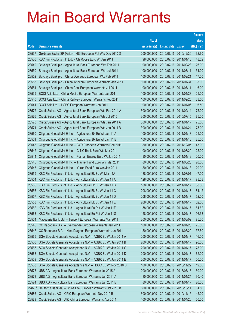|        |                                                              |               |                            |                       | <b>Amount</b> |
|--------|--------------------------------------------------------------|---------------|----------------------------|-----------------------|---------------|
|        |                                                              | No. of        |                            |                       | raised        |
| Code   | <b>Derivative warrants</b>                                   | issue (units) | <b>Listing date Expiry</b> |                       | (HK\$ mil.)   |
| 23537  | Goldman Sachs SP (Asia) - HSI European Put Wts Dec 2010 D    | 200,000,000   |                            | 2010/07/15 2010/12/30 | 32.60         |
| 23536  | KBC Fin Products Int'l Ltd. - Ch Mobile Euro Wt Jan 2011     | 98,000,000    |                            | 2010/07/15 2011/01/18 | 48.02         |
| 23549  | Barclays Bank plc - Agricultural Bank European Wts Feb 2011  | 100,000,000   |                            | 2010/07/16 2011/02/28 | 26.00         |
| 23550  | Barclays Bank plc - Agricultural Bank European Wts Jul 2011  | 100,000,000   | 2010/07/16 2011/07/11      |                       | 31.00         |
| 23552  | Barclays Bank plc - China Overseas European Wts Feb 2011     | 100,000,000   | 2010/07/16 2011/02/21      |                       | 17.00         |
| 23553  | Barclays Bank plc - China Telecom European Warrants Jan 2011 | 100,000,000   | 2010/07/16 2011/01/31      |                       | 33.00         |
| 23551  | Barclays Bank plc - China Coal European Warrants Jul 2011    | 100,000,000   | 2010/07/16 2011/07/11      |                       | 16.00         |
| 23539  | BOCI Asia Ltd. - China Mobile European Warrants Jan 2011     | 100,000,000   | 2010/07/16 2011/01/28      |                       | 25.00         |
| 23540  | BOCI Asia Ltd. - China Railway European Warrants Feb 2011    | 100,000,000   |                            | 2010/07/16 2011/02/25 | 33.50         |
| 23541  | BOCI Asia Ltd. - HSBC European Warrants Jan 2011             | 100,000,000   |                            | 2010/07/16 2011/01/06 | 16.50         |
| 23572  | Credit Suisse AG - Agricultural Bank European Wts Feb 2011 A | 300,000,000   |                            | 2010/07/16 2011/02/14 | 75.00         |
| 23576  | Credit Suisse AG - Agricultural Bank European Wts Jul 2015   | 300,000,000   |                            | 2010/07/16 2015/07/15 | 75.00         |
| 23570  | Credit Suisse AG - Agricultural Bank European Wts Jan 2011 A | 300,000,000   | 2010/07/16 2011/01/17      |                       | 75.00         |
| 23571  | Credit Suisse AG - Agricultural Bank European Wts Jan 2011 B | 300,000,000   |                            | 2010/07/16 2011/01/24 | 75.00         |
| 23560  | Citigroup Global Mkt H Inc. - Agricultural Bk Eu Wt Jan 11 A | 100,000,000   |                            | 2010/07/16 2011/01/18 | 25.00         |
| 23561  | Citigroup Global Mkt H Inc. - Agricultural Bk Eu Wt Jan 11 B | 100,000,000   |                            | 2010/07/16 2011/01/18 | 25.00         |
| 23548  | Citigroup Global Mkt H Inc. - BYD European Warrants Dec 2011 | 180,000,000   |                            | 2010/07/16 2011/12/05 | 45.00         |
| 23542  | Citigroup Global Mkt H Inc. - CITIC Bank Euro Wts Mar 2011   | 100,000,000   |                            | 2010/07/16 2011/03/29 | 25.00         |
| 23544  | Citigroup Global Mkt H Inc. - Fushan Energy Euro Wt Jan 2011 | 80,000,000    |                            | 2010/07/16 2011/01/18 | 20.00         |
| 23545  | Citigroup Global Mkt H Inc. - Tracker Fund Euro Wts Mar 2011 | 80,000,000    |                            | 2010/07/16 2011/03/28 | 20.00         |
| 23543  | Citigroup Global Mkt H Inc. - Yurun Food Euro Wts Jan 2011   | 80,000,000    |                            | 2010/07/16 2011/01/18 | 20.00         |
| 23559  | KBC Fin Products Int'l Ltd. - Agricultural Bk Eu Wt Mar 11A  | 188,000,000   | 2010/07/16 2011/03/01      |                       | 47.00         |
| 23554  | KBC Fin Products Int'l Ltd. - Agricultural Bk Eu Wt Jan 11 A | 128,000,000   |                            | 2010/07/16 2011/01/17 | 78.08         |
| 23555  | KBC Fin Products Int'l Ltd. - Agricultural Bk Eu Wt Jan 11 B | 188,000,000   |                            | 2010/07/16 2011/01/17 | 88.36         |
| 23556  | KBC Fin Products Int'l Ltd. - Agricultural Bk Eu Wt Jan 11 C | 208,000,000   |                            | 2010/07/16 2011/01/17 | 81.12         |
| 23557  | KBC Fin Products Int'l Ltd. - Agricultural Bk Eu Wt Jan 11 D | 208,000,000   |                            | 2010/07/16 2011/01/17 | 52.00         |
| 23558  | KBC Fin Products Int'l Ltd. - Agricultural Bk Eu Wt Jan 11 E | 208,000,000   | 2010/07/16 2011/01/17      |                       | 52.00         |
| 23562  | KBC Fin Products Int'l Ltd. - Agricultural Eu Put Wt Jan 11F | 158,000,000   | 2010/07/16 2011/01/17      |                       | 61.62         |
| 23563  | KBC Fin Products Int'l Ltd. - Agricultural Eu Put Wt Jan 11G | 158,000,000   | 2010/07/16 2011/01/17      |                       | 96.38         |
| 23564  | Macquarie Bank Ltd. - Tencent European Warrants Mar 2011     | 300,000,000   |                            | 2010/07/16 2011/03/02 | 75.30         |
| 23546  | CC Rabobank B.A. - Evergrande European Warrants Jan 2011     | 100,000,000   | 2010/07/16 2011/01/28      |                       | 25.00         |
| 23547  | CC Rabobank B.A. - Nine Dragons European Warrants Jun 2011   | 150,000,000   | 2010/07/16                 | 2011/06/29            | 37.50         |
| 23565  | SGA Societe Generale Acceptance N.V. - AGBK Eu Wt Jan 2011 A | 200,000,000   | 2010/07/16                 | 2011/01/17            | 116.00        |
| 23566  | SGA Societe Generale Acceptance N.V. - AGBK Eu Wt Jan 2011 B | 200,000,000   | 2010/07/16                 | 2011/01/17            | 96.00         |
| 23567  | SGA Societe Generale Acceptance N.V. - AGBK Eu Wt Jan 2011 C | 200,000,000   | 2010/07/16 2011/01/17      |                       | 78.00         |
| 23568  | SGA Societe Generale Acceptance N.V. - AGBK Eu Wt Jan 2011 D | 200,000,000   |                            | 2010/07/16 2011/01/17 | 62.00         |
| 23569  | SGA Societe Generale Acceptance N.V. - AGBK Eu Wt Jan 2011 E | 200,000,000   | 2010/07/16 2011/01/17      |                       | 50.00         |
| 23538  | SGA Societe Generale Acceptance N.V. - HSBC Eu Wt Nov 2010 D | 100,000,000   | 2010/07/16                 | 2010/11/22            | 19.00         |
| 23575  | UBS AG - Agricultural Bank European Warrants Jul 2015 A      | 200,000,000   |                            | 2010/07/16 2015/07/15 | 50.00         |
| 23573  | UBS AG - Agricultural Bank European Warrants Jan 2011 A      | 80,000,000    |                            | 2010/07/16 2011/01/24 | 30.40         |
| 23574  | UBS AG - Agricultural Bank European Warrants Jan 2011 B      | 80,000,000    | 2010/07/16 2011/01/17      |                       | 20.00         |
| 22875# | Deutsche Bank AG - China Life European Warrants Oct 2010 B   | 500,000,000   | 2010/07/16 2010/10/11      |                       | 61.50         |
| 23586  | Credit Suisse AG - CPIC European Warrants Nov 2010 B         | 300,000,000   | 2010/07/19 2010/11/15      |                       | 45.00         |
| 23579  | Credit Suisse AG - A50 China European Warrants Apr 2011      | 400,000,000   | 2010/07/19 2011/04/26      |                       | 60.00         |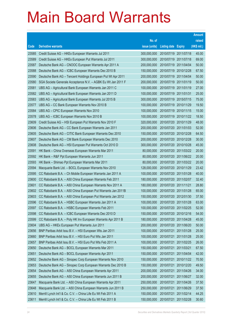|       |                                                              |               |                            |                       | <b>Amount</b> |
|-------|--------------------------------------------------------------|---------------|----------------------------|-----------------------|---------------|
|       |                                                              | No. of        |                            |                       | raised        |
| Code  | <b>Derivative warrants</b>                                   | issue (units) | <b>Listing date Expiry</b> |                       | (HK\$ mil.)   |
| 23585 | Credit Suisse AG - HKEx European Warrants Jul 2011           | 300,000,000   | 2010/07/19 2011/07/18      |                       | 45.00         |
| 23589 | Credit Suisse AG - HKEx European Put Warrants Jul 2011       | 300,000,000   | 2010/07/19 2011/07/18      |                       | 69.00         |
| 23587 | Deutsche Bank AG - CNOOC European Warrants Apr 2011 A        | 200,000,000   | 2010/07/19 2011/04/04      |                       | 50.00         |
| 23588 | Deutsche Bank AG - ICBC European Warrants Dec 2010 B         | 150,000,000   | 2010/07/19 2010/12/28      |                       | 67.50         |
| 23590 | Deutsche Bank AG - Tencent Holdings European Put Wt Apr 2011 | 200,000,000   | 2010/07/19 2011/04/04      |                       | 50.00         |
| 23580 | SGA Societe Generale Acceptance N.V. - AGBK Eu Wt Jan 2011 F | 200,000,000   | 2010/07/19 2011/01/19      |                       | 50.00         |
| 23581 | UBS AG - Agricultural Bank European Warrants Jan 2011 C      | 100,000,000   | 2010/07/19 2011/01/19      |                       | 27.00         |
| 23582 | UBS AG - Agricultural Bank European Warrants Jan 2011 D      | 100,000,000   | 2010/07/19 2011/01/31      |                       | 25.00         |
| 23583 | UBS AG - Agricultural Bank European Warrants Jul 2015 B      | 300,000,000   |                            | 2010/07/19 2015/07/15 | 75.00         |
| 23577 | UBS AG - CC Bank European Warrants Nov 2010 B                | 100,000,000   |                            | 2010/07/19 2010/11/29 | 19.50         |
| 23584 | UBS AG - CPIC European Warrants Nov 2010                     | 100,000,000   | 2010/07/19 2010/11/15      |                       | 15.00         |
| 23578 | UBS AG - ICBC European Warrants Nov 2010 B                   | 100,000,000   |                            | 2010/07/19 2010/11/22 | 18.50         |
| 23609 | Credit Suisse AG - HSI European Put Warrants Nov 2010 F      | 320,000,000   | 2010/07/20 2010/11/29      |                       | 48.00         |
| 23606 | Deutsche Bank AG - CC Bank European Warrants Jan 2011        | 200,000,000   |                            | 2010/07/20 2011/01/03 | 52.00         |
| 23605 | Deutsche Bank AG - CITIC Bank European Warrants Dec 2010     | 150,000,000   | 2010/07/20 2010/12/28      |                       | 64.50         |
| 23607 | Deutsche Bank AG - CM Bank European Warrants Dec 2010        | 200,000,000   |                            | 2010/07/20 2010/12/28 | 30.00         |
| 23608 | Deutsche Bank AG - HSI European Put Warrants Oct 2010 D      | 300,000,000   | 2010/07/20 2010/10/28      |                       | 45.00         |
| 23591 | HK Bank - China Overseas European Warrants Mar 2011          | 80,000,000    |                            | 2010/07/20 2011/03/22 | 20.00         |
| 23592 | HK Bank - R&F Ppt European Warrants Jun 2011                 | 80,000,000    |                            | 2010/07/20 2011/06/22 | 20.00         |
| 23593 | HK Bank - Shimao Ppt European Warrants Mar 2011              | 80,000,000    |                            | 2010/07/20 2011/03/22 | 20.00         |
| 23594 | Macquarie Bank Ltd. - BOCL European Warrants Nov 2010        | 128,000,000   |                            | 2010/07/20 2010/11/29 | 23.42         |
| 23595 | CC Rabobank B.A. - Ch Mobile European Warrants Jan 2011 A    | 100,000,000   |                            | 2010/07/20 2011/01/28 | 40.00         |
| 23600 | CC Rabobank B.A. - A50 China European Warrants Feb 2011      | 180,000,000   | 2010/07/20 2011/02/07      |                       | 32.40         |
| 23601 | CC Rabobank B.A. - A50 China European Warrants Nov 2011 A    | 180,000,000   | 2010/07/20 2011/11/21      |                       | 28.80         |
| 23602 | CC Rabobank B.A. - A50 China European Put Warrants Jan 2011B | 100,000,000   | 2010/07/20 2011/01/28      |                       | 65.00         |
| 23603 | CC Rabobank B.A. - A50 China European Put Warrants Jan 2012  | 150,000,000   | 2010/07/20 2012/01/30      |                       | 37.50         |
| 23596 | CC Rabobank B.A. - HSBC European Warrants Jan 2011 A         | 100,000,000   | 2010/07/20 2011/01/28      |                       | 63.00         |
| 23597 | CC Rabobank B.A. - HSBC European Warrants Feb 2011           | 100,000,000   | 2010/07/20 2011/02/25      |                       | 52.00         |
| 23598 | CC Rabobank B.A. - ICBC European Warrants Dec 2010 D         | 150,000,000   | 2010/07/20 2010/12/16      |                       | 54.00         |
| 23599 | CC Rabobank B.A. - Poly HK Inv European Warrants Apr 2011 B  | 180,000,000   | 2010/07/20 2011/04/28      |                       | 45.00         |
| 23604 | UBS AG - HKEx European Put Warrants Jun 2011                 | 200,000,000   | 2010/07/20 2011/06/20      |                       | 50.00         |
| 23656 | BNP Paribas Arbit Issu B.V. - HSI European Wts Jan 2011      | 100,000,000   | 2010/07/21                 | 2011/01/28            | 25.00         |
| 23660 | BNP Paribas Arbit Issu B.V. - HSI Euro Put Wts Jan 2011      | 100,000,000   | 2010/07/21                 | 2011/01/28            | 25.00         |
| 23657 | BNP Paribas Arbit Issu B.V. - HSI Euro Put Wts Feb 2011 A    | 100,000,000   | 2010/07/21                 | 2011/02/25            | 26.00         |
| 23650 | Deutsche Bank AG - BOCL European Warrants Mar 2011           | 150,000,000   | 2010/07/21                 | 2011/03/21            | 67.50         |
| 23651 | Deutsche Bank AG - BOCL European Warrants Apr 2011           | 150,000,000   | 2010/07/21                 | 2011/04/04            | 42.00         |
| 23652 | Deutsche Bank AG - Sinopec Corp European Warrants Nov 2010   | 150,000,000   | 2010/07/21                 | 2010/11/22            | 70.50         |
| 23653 | Deutsche Bank AG - Sinopec Corp European Warrants Dec 2010 B | 150,000,000   | 2010/07/21                 | 2010/12/20            | 49.50         |
| 23654 | Deutsche Bank AG - A50 China European Warrants Apr 2011      | 200,000,000   | 2010/07/21                 | 2011/04/26            | 34.00         |
| 23655 | Deutsche Bank AG - A50 China European Warrants Jun 2011 B    | 200,000,000   | 2010/07/21                 | 2011/06/27            | 32.00         |
| 23647 | Macquarie Bank Ltd. - A50 China European Warrants Apr 2011   | 250,000,000   | 2010/07/21                 | 2011/04/26            | 37.50         |
| 23648 | Macquarie Bank Ltd. - A50 China European Warrants Jun 2011 B | 250,000,000   | 2010/07/21                 | 2011/06/29            | 37.50         |
| 23610 | Merrill Lynch Int'l & Co. C.V. - China Life Eu Wt Feb 2011 A | 150,000,000   | 2010/07/21                 | 2011/02/14            | 44.25         |
| 23611 | Merrill Lynch Int'l & Co. C.V. - China Life Eu Wt Feb 2011 B | 150,000,000   | 2010/07/21                 | 2011/02/28            | 30.60         |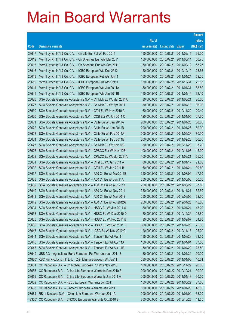|        |                                                                     |               |                       |                       | <b>Amount</b> |
|--------|---------------------------------------------------------------------|---------------|-----------------------|-----------------------|---------------|
|        |                                                                     | No. of        |                       |                       | raised        |
| Code   | <b>Derivative warrants</b>                                          | issue (units) | <b>Listing date</b>   | <b>Expiry</b>         | (HK\$ mil.)   |
| 23617  | Merrill Lynch Int'l & Co. C.V. - Ch Life Eur Put Wt Feb 2011        | 150,000,000   | 2010/07/21            | 2011/02/15            | 39.00         |
| 23612  | Merrill Lynch Int'l & Co. C.V. - Ch Shenhua Eur Wts Mar 2011        | 150,000,000   | 2010/07/21            | 2011/03/14            | 60.75         |
| 23613  | Merrill Lynch Int'l & Co. C.V. - Ch Shenhua Eur Wts Sep 2011        | 150,000,000   | 2010/07/21            | 2011/09/12            | 53.25         |
| 23616  | Merrill Lynch Int'l & Co. C.V. - ICBC European Wts Dec 2012         | 150,000,000   |                       | 2010/07/21 2012/12/10 | 23.55         |
| 23618  | Merrill Lynch Int'l & Co. C.V. - ICBC European Put Wts Jan11        | 150,000,000   | 2010/07/21            | 2011/01/24            | 59.25         |
| 23619  | Merrill Lynch Int'l & Co. C.V. - ICBC European Put Wts Oct11        | 150,000,000   |                       | 2010/07/21 2011/10/31 | 22.65         |
| 23614  | Merrill Lynch Int'l & Co. C.V. - ICBC European Wts Jan 2011A        | 150,000,000   | 2010/07/21            | 2011/01/31            | 58.50         |
| 23615  | Merrill Lynch Int'l & Co. C.V. - ICBC European Wts Jan 2011B        | 150,000,000   |                       | 2010/07/21 2011/01/10 | 32.10         |
| 23626  | SGA Societe Generale Acceptance N.V. - Ch Mob Eu Wt Mar 2011A       | 80,000,000    | 2010/07/21            | 2011/03/21            | 20.00         |
| 23627  | SGA Societe Generale Acceptance N.V. - Ch Mob Eu Wt Apr 2011        | 80,000,000    |                       | 2010/07/21 2011/04/18 | 36.00         |
| 23630  | SGA Societe Generale Acceptance N.V. - CTel Eu Wt Nov 2010 A        | 60,000,000    | 2010/07/21            | 2010/11/22            | 20.40         |
| 23620  | SGA Societe Generale Acceptance N.V. - CCB Eur Wt Jan 2011 C        | 120,000,000   |                       | 2010/07/21 2011/01/05 | 27.60         |
| 23621  | SGA Societe Generale Acceptance N.V. - CLife Eu Wt Jan 2011A        | 200,000,000   | 2010/07/21            | 2011/01/26            | 58.00         |
| 23622  | SGA Societe Generale Acceptance N.V. - CLife Eu Wt Jan 2011B        | 200,000,000   |                       | 2010/07/21 2011/01/26 | 50.00         |
| 23623  | SGA Societe Generale Acceptance N.V. - CLife Eu Wt Feb 2011A        | 200,000,000   | 2010/07/21            | 2011/02/23            | 80.00         |
| 23624  | SGA Societe Generale Acceptance N.V. - CLife Eu Wt Feb 2011B        | 200,000,000   |                       | 2010/07/21 2011/02/23 | 50.00         |
| 23625  | SGA Societe Generale Acceptance N.V. - Ch Mob Eu Wt Nov 10B         | 80,000,000    | 2010/07/21            | 2010/11/29            | 15.20         |
| 23628  | SGA Societe Generale Acceptance N.V. - CP&CC Eur Wt Nov 10B         | 100,000,000   | 2010/07/21            | 2010/11/08            | 15.00         |
| 23629  | SGA Societe Generale Acceptance N.V. - CP&CC Eu Wt Mar 2011A        | 100,000,000   | 2010/07/21            | 2011/03/21            | 55.00         |
| 23631  | SGA Societe Generale Acceptance N.V. - CTel Eu Wt Jan 2011 A        | 60,000,000    |                       | 2010/07/21 2011/01/17 | 21.60         |
| 23632  | SGA Societe Generale Acceptance N.V. - CTel Eu Wt Jan 2011 B        | 60,000,000    | 2010/07/21            | 2011/01/24            | 30.60         |
| 23637  | SGA Societe Generale Acceptance N.V. - A50 Ch Eu Wt Mar2011B        | 250,000,000   | 2010/07/21            | 2011/03/09            | 47.50         |
| 23638  | SGA Societe Generale Acceptance N.V. - A50 Ch Eu Wt Jun 11A         | 250,000,000   | 2010/07/21            | 2011/06/08            | 50.00         |
| 23639  | SGA Societe Generale Acceptance N.V. - A50 Ch Eu Wt Aug 2011        | 250,000,000   |                       | 2010/07/21 2011/08/29 | 37.50         |
| 23640  | SGA Societe Generale Acceptance N.V. - A50 Ch Eu Wt Nov 2011        | 250,000,000   | 2010/07/21            | 2011/11/21            | 52.50         |
| 23641  | SGA Societe Generale Acceptance N.V. - A50 Ch Eu Wt Mar 2012        | 250,000,000   | 2010/07/21            | 2012/03/05            | 62.50         |
| 23642  | SGA Societe Generale Acceptance N.V. - A50 Ch Eu Wt Apr2012A        | 250,000,000   | 2010/07/21            | 2012/04/25            | 45.00         |
| 23634  | SGA Societe Generale Acceptance N.V. - HSBC Eu Wt Jan 2011 A        | 80,000,000    |                       | 2010/07/21 2011/01/24 | 43.20         |
| 23633  | SGA Societe Generale Acceptance N.V. - HSBC Eu Wt Dec 2010 D        | 80,000,000    | 2010/07/21            | 2010/12/29            | 28.80         |
| 23635  | SGA Societe Generale Acceptance N.V. - HSBC Eu Wt Feb 2011 B        | 80,000,000    | 2010/07/21 2011/02/07 |                       | 24.80         |
| 23636  | SGA Societe Generale Acceptance N.V. - HSBC Eu Wt Sep 2011 B        | 500,000,000   | 2010/07/21            | 2011/09/26            | 75.00         |
| 23643  | SGA Societe Generale Acceptance N.V. - ICBC Eu Wt Nov 2010 C        | 120,000,000   | 2010/07/21            | 2010/11/15            | 25.20         |
| 23644  | SGA Societe Generale Acceptance N.V. - Tencent Eu Wt Mar 11         | 150,000,000   | 2010/07/21            | 2011/03/28            | 31.50         |
| 23645  | SGA Societe Generale Acceptance N.V. - Tencent Eu Wt Apr 11A        | 150,000,000   | 2010/07/21            | 2011/04/04            | 37.50         |
| 23646  | SGA Societe Generale Acceptance N.V. - Tencent Eu Wt Apr 11B        | 150,000,000   | 2010/07/21            | 2011/04/20            | 28.50         |
| 23649  | UBS AG - Agricultural Bank European Put Warrants Jan 2011 E         | 80,000,000    | 2010/07/21            | 2011/01/24            | 20.00         |
|        | 21870# KBC Fin Products Int'l Ltd. - Zijin Mining European Wt Jan11 | 280,000,000   | 2010/07/21            | 2011/01/03            | 10.64         |
| 23661  | CC Rabobank B.A. - Ch Mobile European Put Wts Nov 2010              | 100,000,000   | 2010/07/22 2010/11/29 |                       | 20.00         |
| 23658  | CC Rabobank B.A. - China Life European Warrants Dec 2010 B          | 200,000,000   | 2010/07/22 2010/12/21 |                       | 30.00         |
| 23659  | CC Rabobank B.A. - China Life European Warrants Jan 2011 A          | 200,000,000   | 2010/07/22 2011/01/13 |                       | 30.00         |
| 23662  | CC Rabobank B.A. - KECL European Warrants Jun 2011                  | 150,000,000   |                       | 2010/07/22 2011/06/29 | 37.50         |
| 23663  | CC Rabobank B.A. - Sinofert European Warrants Jan 2011              | 100,000,000   | 2010/07/22 2011/01/28 |                       | 48.00         |
| 23664  | RB of Scotland N.V. - China Life European Wts Jan 2011 A            | 200,000,000   |                       | 2010/07/22 2011/01/04 | 33.20         |
| 19360# | CC Rabobank B.A. - CNOOC European Warrants Oct 2010 B               | 350,000,000   |                       | 2010/07/22 2010/10/25 | 11.55         |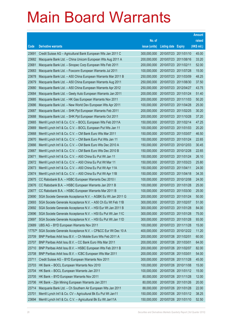|        |                                                                |               |                            |                       | <b>Amount</b> |
|--------|----------------------------------------------------------------|---------------|----------------------------|-----------------------|---------------|
|        |                                                                | No. of        |                            |                       | raised        |
| Code   | <b>Derivative warrants</b>                                     | issue (units) | <b>Listing date Expiry</b> |                       | (HK\$ mil.)   |
| 23691  | Credit Suisse AG - Agricultural Bank European Wts Jan 2011 C   | 300,000,000   |                            | 2010/07/23 2011/01/10 | 45.00         |
| 23682  | Macquarie Bank Ltd. - China Unicom European Wts Aug 2011 A     | 200,000,000   |                            | 2010/07/23 2011/08/16 | 33.20         |
| 23681  | Macquarie Bank Ltd. - Sinopec Corp European Wts Feb 2011       | 200,000,000   | 2010/07/23 2011/02/11      |                       | 52.00         |
| 23683  | Macquarie Bank Ltd. - Foxconn European Warrants Jul 2011       | 100,000,000   |                            | 2010/07/23 2011/07/28 | 15.00         |
| 23678  | Macquarie Bank Ltd. - A50 China European Warrants Mar 2011 B   | 250,000,000   |                            | 2010/07/23 2011/03/09 | 48.25         |
| 23679  | Macquarie Bank Ltd. - A50 China European Warrants Aug 2011     | 250,000,000   |                            | 2010/07/23 2011/08/30 | 37.50         |
| 23680  | Macquarie Bank Ltd. - A50 China European Warrants Apr 2012     | 250,000,000   |                            | 2010/07/23 2012/04/27 | 43.75         |
| 23684  | Macquarie Bank Ltd. - Geely Auto European Warrants Jan 2011    | 200,000,000   |                            | 2010/07/23 2011/01/24 | 51.40         |
| 23685  | Macquarie Bank Ltd. - HK Gas European Warrants Nov 2011        | 200,000,000   |                            | 2010/07/23 2011/11/03 | 50.20         |
| 23686  | Macquarie Bank Ltd. - New World Dev European Wts Apr 2011      | 100,000,000   |                            | 2010/07/23 2011/04/28 | 25.00         |
| 23687  | Macquarie Bank Ltd. - SHK Ppt European Warrants Feb 2011       | 200,000,000   |                            | 2010/07/23 2011/02/25 | 30.20         |
| 23688  | Macquarie Bank Ltd. - SHK Ppt European Warrants Oct 2011       | 200,000,000   |                            | 2010/07/23 2011/10/28 | 37.20         |
| 23665  | Merrill Lynch Int'l & Co. C.V. - BOCL European Wts Feb 2011A   | 150,000,000   |                            | 2010/07/23 2011/02/14 | 47.25         |
| 23669  | Merrill Lynch Int'l & Co. C.V. - BOCL European Put Wts Jan 11  | 100,000,000   |                            | 2010/07/23 2011/01/03 | 20.20         |
| 23668  | Merrill Lynch Int'l & Co. C.V. - CM Bank Euro Wts Mar 2011     | 150,000,000   |                            | 2010/07/23 2011/03/07 | 46.50         |
| 23670  | Merrill Lynch Int'l & Co. C.V. - CM Bank Euro Put Wts Jan 11   | 150,000,000   |                            | 2010/07/23 2011/01/24 | 22.65         |
| 23666  | Merrill Lynch Int'l & Co. C.V. - CM Bank Euro Wts Dec 2010 A   | 150,000,000   |                            | 2010/07/23 2010/12/03 | 30.45         |
| 23667  | Merrill Lynch Int'l & Co. C.V. - CM Bank Euro Wts Dec 2010 B   | 150,000,000   |                            | 2010/07/23 2010/12/28 | 22.65         |
| 23671  | Merrill Lynch Int'l & Co. C.V. - A50 China Eu Put Wt Jan 11    | 150,000,000   |                            | 2010/07/23 2011/01/24 | 26.10         |
| 23672  | Merrill Lynch Int'l & Co. C.V. - A50 China Eu Put Wt Mar 11    | 150,000,000   |                            | 2010/07/23 2011/03/23 | 25.80         |
| 23673  | Merrill Lynch Int'l & Co. C.V. - A50 China Eu Put Wt Apr 11A   | 150,000,000   | 2010/07/23 2011/04/11      |                       | 24.00         |
| 23674  | Merrill Lynch Int'l & Co. C.V. - A50 China Eu Put Wt Apr 11B   | 150,000,000   |                            | 2010/07/23 2011/04/18 | 34.35         |
| 23675  | CC Rabobank B.A. - HSBC European Warrants Dec 2010 I           | 100,000,000   |                            | 2010/07/23 2010/12/08 | 24.00         |
| 23676  | CC Rabobank B.A. - HSBC European Warrants Jan 2011 B           | 100,000,000   |                            | 2010/07/23 2011/01/28 | 25.00         |
| 23677  | CC Rabobank B.A. - HSBC European Warrants Mar 2011 B           | 100,000,000   |                            | 2010/07/23 2011/03/30 | 25.00         |
| 23690  | SGA Societe Generale Acceptance N.V. - AGBK Eu Wt Jan 2011 G   | 200,000,000   |                            | 2010/07/23 2011/01/24 | 50.00         |
| 23693  | SGA Societe Generale Acceptance N.V. - A50 Ch Eu Wt Feb 11B    | 300,000,000   |                            | 2010/07/23 2011/02/07 | 51.00         |
| 23692  | SGA Societe Generale Acceptance N.V. - HSI Eur Wt Jan 2011 B   | 300,000,000   |                            | 2010/07/23 2011/01/28 | 84.00         |
| 23696  | SGA Societe Generale Acceptance N.V. - HSI Eu Put Wt Jan 11C   | 300,000,000   |                            | 2010/07/23 2011/01/28 | 75.00         |
| 23697  | SGA Societe Generale Acceptance N.V. - HSI Eu Put Wt Jan 11D   | 300,000,000   |                            | 2010/07/23 2011/01/28 | 93.00         |
| 23689  | UBS AG - BYD European Warrants Nov 2011                        | 100,000,000   |                            | 2010/07/23 2011/11/28 | 15.00         |
| 17757# | SGA Societe Generale Acceptance N.V. - CP&CC Eur Wt Dec 10 A   | 400,000,000   |                            | 2010/07/23 2010/12/22 | 11.20         |
| 23709  | BNP Paribas Arbit Issu B.V. - Ch Mobile Euro Wts Feb 2011 A    | 200,000,000   | 2010/07/26 2011/02/01      |                       | 60.00         |
| 23707  | BNP Paribas Arbit Issu B.V. - CC Bank Euro Wts Mar 2011        | 200,000,000   | 2010/07/26 2011/03/01      |                       | 64.00         |
| 23710  | BNP Paribas Arbit Issu B.V. - HSBC European Wts Feb 2011 B     | 200,000,000   | 2010/07/26 2011/02/07      |                       | 82.00         |
| 23708  | BNP Paribas Arbit Issu B.V. - ICBC European Wts Mar 2011       | 200,000,000   | 2010/07/26 2011/03/01      |                       | 54.00         |
| 23711  | Credit Suisse AG - BYD European Warrants Nov 2011              | 300,000,000   | 2010/07/26 2011/11/28      |                       | 45.00         |
| 23703  | HK Bank - BOCL European Warrants Nov 2010                      | 100,000,000   |                            | 2010/07/26 2010/11/08 | 15.00         |
| 23704  | HK Bank - BOCL European Warrants Jan 2011                      | 100,000,000   |                            | 2010/07/26 2011/01/12 | 15.00         |
| 23705  | HK Bank - BYD European Warrants Nov 2011                       | 80,000,000    |                            | 2010/07/26 2011/11/28 | 12.00         |
| 23706  | HK Bank - Zijin Mining European Warrants Jan 2011              | 80,000,000    |                            | 2010/07/26 2011/01/26 | 20.00         |
| 23714  | Macquarie Bank Ltd. - Ch Southern Air European Wts Jan 2011    | 88,000,000    | 2010/07/26 2011/01/28      |                       | 22.00         |
| 23701  | Merrill Lynch Int'l & Co. CV - Agricultural Bk Eu Put Wt Jan11 | 150,000,000   |                            | 2010/07/26 2011/01/12 | 38.25         |
| 23694  | Merrill Lynch Int'l & Co. C.V. - Agricultural Bk Eu Wt Jan11A  | 150,000,000   |                            | 2010/07/26 2011/01/10 | 52.50         |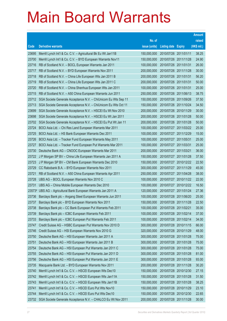|        |                                                                |               |                            |                       | <b>Amount</b> |
|--------|----------------------------------------------------------------|---------------|----------------------------|-----------------------|---------------|
|        |                                                                | No. of        |                            |                       | raised        |
| Code   | <b>Derivative warrants</b>                                     | issue (units) | <b>Listing date Expiry</b> |                       | (HK\$ mil.)   |
| 23695  | Merrill Lynch Int'l & Co. C.V. - Agricultural Bk Eu Wt Jan11B  | 150,000,000   | 2010/07/26 2011/01/11      |                       | 38.25         |
| 23700  | Merrill Lynch Int'l & Co. C.V. - BYD European Warrants Nov11   | 150,000,000   |                            | 2010/07/26 2011/11/28 | 24.90         |
| 23716  | RB of Scotland N.V. - BOCL European Warrants Jan 2011          | 100,000,000   | 2010/07/26 2011/01/31      |                       | 26.00         |
| 23717  | RB of Scotland N.V. - BYD European Warrants Nov 2011           | 200,000,000   |                            | 2010/07/26 2011/11/28 | 30.00         |
| 23718  | RB of Scotland N.V. - China Life European Wts Jan 2011 B       | 200,000,000   | 2010/07/26 2011/01/31      |                       | 56.20         |
| 23719  | RB of Scotland N.V. - China Life European Wts Jan 2011 C       | 200,000,000   | 2010/07/26 2011/01/31      |                       | 50.00         |
| 23720  | RB of Scotland N.V. - China Shenhua European Wts Jan 2011      | 100,000,000   | 2010/07/26 2011/01/31      |                       | 25.00         |
| 23715  | RB of Scotland N.V. - A50 China European Warrants Jun 2011     | 250,000,000   |                            | 2010/07/26 2011/06/13 | 38.75         |
| 23712  | SGA Societe Generale Acceptance N.V. - ChiUnicom Eu Wts Sep 11 | 150,000,000   |                            | 2010/07/26 2011/09/26 | 37.50         |
| 23713  | SGA Societe Generale Acceptance N.V. - ChiUnicom Eu Wts Oct 11 | 150,000,000   |                            | 2010/07/26 2011/10/24 | 34.50         |
| 23699  | SGA Societe Generale Acceptance N.V. - HSCEI Eu Wt Nov 2010    | 200,000,000   |                            | 2010/07/26 2010/11/29 | 30.00         |
| 23698  | SGA Societe Generale Acceptance N.V. - HSCEI Eu Wt Jan 2011    | 200,000,000   |                            | 2010/07/26 2011/01/28 | 50.00         |
| 23702  | SGA Societe Generale Acceptance N.V. - HSCEI Eu Put Wt Jan 11  | 200,000,000   |                            | 2010/07/26 2011/01/28 | 50.00         |
| 23724  | BOCI Asia Ltd. - Chi Res Land European Warrants Mar 2011       | 100,000,000   |                            | 2010/07/27 2011/03/22 | 25.00         |
| 23725  | BOCI Asia Ltd. - HS Bank European Warrants Dec 2011            | 100,000,000   |                            | 2010/07/27 2011/12/29 | 15.00         |
| 23726  | BOCI Asia Ltd. - Tracker Fund European Warrants May 2011       | 100,000,000   | 2010/07/27 2011/05/31      |                       | 25.00         |
| 23727  | BOCI Asia Ltd. - Tracker Fund European Put Warrants Mar 2011   | 100,000,000   | 2010/07/27 2011/03/31      |                       | 25.00         |
| 23730  | Deutsche Bank AG - CNOOC European Warrants Mar 2011            | 200,000,000   | 2010/07/27 2011/03/21      |                       | 36.00         |
| 23722  | J P Morgan SP BV - China Life European Warrants Jan 2011 A     | 150,000,000   |                            | 2010/07/27 2011/01/28 | 37.50         |
| 23723  | J P Morgan SP BV - CM Bank European Warrants Dec 2010          | 150,000,000   |                            | 2010/07/27 2010/12/22 | 22.50         |
| 23729  | CC Rabobank B.A. - BYD European Warrants Nov 2011              | 300,000,000   |                            | 2010/07/27 2011/11/29 | 45.00         |
| 23721  | RB of Scotland N.V. - A50 China European Warrants Apr 2011     | 250,000,000   |                            | 2010/07/27 2011/04/28 | 38.00         |
| 23728  | UBS AG - BOCL European Warrants Nov 2010 C                     | 100,000,000   |                            | 2010/07/27 2010/11/22 | 22.00         |
| 23731  | UBS AG - China Mobile European Warrants Dec 2010               | 100,000,000   |                            | 2010/07/27 2010/12/22 | 16.50         |
| 23573# | UBS AG - Agricultural Bank European Warrants Jan 2011 A        | 120,000,000   |                            | 2010/07/27 2011/01/24 | 27.36         |
| 23736  | Barclays Bank plc - Angang Steel European Warrants Jun 2011    | 100,000,000   | 2010/07/28 2011/06/20      |                       | 25.00         |
| 23737  | Barclays Bank plc - BYD European Warrants Nov 2011             | 150,000,000   | 2010/07/28 2011/11/28      |                       | 22.50         |
| 23738  | Barclays Bank plc - CC Bank European Put Warrants Feb 2011     | 100,000,000   | 2010/07/28 2011/02/21      |                       | 35.00         |
| 23739  | Barclays Bank plc - ICBC European Warrants Feb 2011            | 100,000,000   |                            | 2010/07/28 2011/02/14 | 37.00         |
| 23733  | Barclays Bank plc - ICBC European Put Warrants Feb 2011        | 100,000,000   |                            | 2010/07/28 2011/02/14 | 34.00         |
| 23747  | Credit Suisse AG - HSBC European Put Warrants Nov 2010 D       | 300,000,000   |                            | 2010/07/28 2010/11/15 | 66.00         |
| 23746  | Credit Suisse AG - HSI European Warrants Nov 2010 G            | 320,000,000   |                            | 2010/07/28 2010/11/29 | 48.00         |
| 23750  | Deutsche Bank AG - HSI European Warrants Jan 2011 A            | 300,000,000   |                            | 2010/07/28 2011/01/28 | 75.00         |
| 23751  | Deutsche Bank AG - HSI European Warrants Jan 2011 B            | 300,000,000   |                            | 2010/07/28 2011/01/28 | 75.00         |
| 23754  | Deutsche Bank AG - HSI European Put Warrants Jan 2011 C        | 300,000,000   |                            | 2010/07/28 2011/01/28 | 75.00         |
| 23755  | Deutsche Bank AG - HSI European Put Warrants Jan 2011 D        | 300,000,000   |                            | 2010/07/28 2011/01/28 | 81.00         |
| 23756  | Deutsche Bank AG - HSI European Put Warrants Jan 2011 E        | 300,000,000   | 2010/07/28 2011/01/28      |                       | 93.00         |
| 23735  | Macquarie Bank Ltd. - BYD European Warrants Nov 2011           | 200,000,000   | 2010/07/28 2011/11/28      |                       | 30.20         |
| 23740  | Merrill Lynch Int'l & Co. C.V. - HSCEI European Wts Dec10      | 150,000,000   |                            | 2010/07/28 2010/12/30 | 27.15         |
| 23742  | Merrill Lynch Int'l & Co. C.V. - HSCEI European Wts Jan11A     | 150,000,000   |                            | 2010/07/28 2011/01/28 | 31.50         |
| 23743  | Merrill Lynch Int'l & Co. C.V. - HSCEI European Wts Jan11B     | 150,000,000   |                            | 2010/07/28 2011/01/28 | 38.25         |
| 23741  | Merrill Lynch Int'l & Co. C.V. - HSCEI Euro Put Wts Nov10      | 150,000,000   | 2010/07/28 2010/11/29      |                       | 23.10         |
| 23744  | Merrill Lynch Int'l & Co. C.V. - HSCEI Euro Put Wts Dec10      | 150,000,000   |                            | 2010/07/28 2010/12/30 | 22.65         |
| 23732  | SGA Societe Generale Acceptance N.V. - CHALCO Eu Wt Nov 2011   | 200,000,000   | 2010/07/28 2011/11/28      |                       | 30.00         |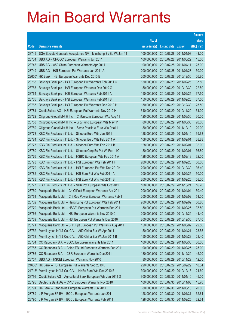|        |                                                               |               |                            |            | <b>Amount</b> |
|--------|---------------------------------------------------------------|---------------|----------------------------|------------|---------------|
|        |                                                               | No. of        |                            |            | raised        |
| Code   | <b>Derivative warrants</b>                                    | issue (units) | <b>Listing date Expiry</b> |            | (HK\$ mil.)   |
| 23745  | SGA Societe Generale Acceptance NV - Minsheng Bk Eu Wt Jan 11 | 100,000,000   | 2010/07/28 2011/01/03      |            | 41.00         |
| 23734  | UBS AG - CNOOC European Warrants Jun 2011                     | 100,000,000   | 2010/07/28 2011/06/22      |            | 15.00         |
| 23748  | UBS AG - A50 China European Warrants Apr 2011                 | 100,000,000   | 2010/07/28 2011/04/11      |            | 25.00         |
| 23749  | UBS AG - HSI European Put Warrants Jan 2011 A                 | 200,000,000   | 2010/07/28 2011/01/28      |            | 50.00         |
| 22650# | HK Bank - HSI European Warrants Dec 2010 E                    | 200,000,000   | 2010/07/28 2010/12/30      |            | 26.80         |
| 23768  | Barclays Bank plc - HSI European Put Warrants Feb 2011 C      | 150,000,000   | 2010/07/29 2011/02/25      |            | 37.50         |
| 23763  | Barclays Bank plc - HSI European Warrants Dec 2010 G          | 150,000,000   | 2010/07/29 2010/12/30      |            | 22.50         |
| 23764  | Barclays Bank plc - HSI European Warrants Feb 2011 A          | 150,000,000   | 2010/07/29 2011/02/25      |            | 37.50         |
| 23765  | Barclays Bank plc - HSI European Warrants Feb 2011 B          | 150,000,000   | 2010/07/29 2011/02/25      |            | 37.50         |
| 23767  | Barclays Bank plc - HSI European Put Warrants Dec 2010 H      | 150,000,000   | 2010/07/29 2010/12/30      |            | 25.50         |
| 23781  | Credit Suisse AG - HSI European Put Warrants Nov 2010 H       | 340,000,000   | 2010/07/29 2010/11/29      |            | 51.00         |
| 23772  | Citigroup Global Mkt H Inc. - ChiUnicom European Wts Aug 11   | 120,000,000   | 2010/07/29 2011/08/30      |            | 30.00         |
| 23758  | Citigroup Global Mkt H Inc. - Li & Fung European Wts May 11   | 80,000,000    | 2010/07/29 2011/05/30      |            | 20.00         |
| 23759  | Citigroup Global Mkt H Inc. - Swrie Pacific A Euro Wts Dec11  | 80,000,000    | 2010/07/29 2011/12/19      |            | 20.00         |
| 23773  | KBC Fin Products Int'l Ltd. - Sinopec Euro Wts Jan 2011       | 128,000,000   | 2010/07/29 2011/01/10      |            | 39.68         |
| 23774  | KBC Fin Products Int'l Ltd. - Sinopec Euro Wts Feb 2011 A     | 108,000,000   | 2010/07/29 2011/02/01      |            | 38.88         |
| 23775  | KBC Fin Products Int'l Ltd. - Sinopec Euro Wts Feb 2011 B     | 128,000,000   | 2010/07/29 2011/02/01      |            | 32.00         |
| 23780  | KBC Fin Products Int'l Ltd. - Sinopec Corp Eu Put Wt Feb 11C  | 80,000,000    | 2010/07/29 2011/02/01      |            | 36.80         |
| 23776  | KBC Fin Products Int'l Ltd. - HSBC European Wts Feb 2011 A    | 128,000,000   | 2010/07/29                 | 2011/02/18 | 32.00         |
| 23778  | KBC Fin Products Int'l Ltd. - HSI European Wts Feb 2011 F     | 200,000,000   | 2010/07/29 2011/02/25      |            | 50.00         |
| 23779  | KBC Fin Products Int'l Ltd. - HSI European Put Wts Dec 2010K  | 200,000,000   | 2010/07/29 2010/12/30      |            | 36.40         |
| 23782  | KBC Fin Products Int'l Ltd. - HSI Euro Put Wts Feb 2011 A     | 200,000,000   | 2010/07/29 2011/02/25      |            | 50.00         |
| 23783  | KBC Fin Products Int'l Ltd. - HSI Euro Put Wts Feb 2011 B     | 200,000,000   | 2010/07/29                 | 2011/02/25 | 58.00         |
| 23777  | KBC Fin Products Int'l Ltd. - SHK Ppt European Wts Oct 2011   | 108,000,000   | 2010/07/29 2011/10/21      |            | 16.20         |
| 23760  | Macquarie Bank Ltd. - Ch Oilfield European Warrants Apr 2011  | 200,000,000   | 2010/07/29 2011/04/04      |            | 50.40         |
| 23761  | Macquarie Bank Ltd. - Chi Res Power European Warrants Feb 11  | 200,000,000   | 2010/07/29 2011/02/02      |            | 51.00         |
| 23762  | Macquarie Bank Ltd. - Hang Lung Ppt European Wts Feb 2011     | 200,000,000   | 2010/07/29                 | 2011/02/02 | 50.80         |
| 23770  | Macquarie Bank Ltd. - HSCEI European Put Warrants Feb 2011    | 150,000,000   | 2010/07/29 2011/02/25      |            | 37.50         |
| 23766  | Macquarie Bank Ltd. - HSI European Warrants Nov 2010 C        | 200,000,000   | 2010/07/29 2010/11/29      |            | 41.40         |
| 23769  | Macquarie Bank Ltd. - HSI European Put Warrants Dec 2010      | 200,000,000   | 2010/07/29 2010/12/30      |            | 37.40         |
| 23771  | Macquarie Bank Ltd. - SHK Ppt European Put Warrants Aug 2011  | 150,000,000   | 2010/07/29 2011/08/02      |            | 22.50         |
| 23752  | Merrill Lynch Int'l & Co. C.V. - A50 China Eur Wt Apr 2011    | 150,000,000   | 2010/07/29 2011/04/21      |            | 23.55         |
| 23753  | Merrill Lynch Int'l & Co. C.V. - A50 China Eur Wt Jun 2011 B  | 150,000,000   | 2010/07/29 2011/06/23      |            | 23.40         |
| 23784  | CC Rabobank B.A. - BOCL European Warrants Mar 2011            | 100,000,000   | 2010/07/29 2011/03/30      |            | 30.00         |
| 23785  | CC Rabobank B.A. - China EB Ltd European Warrants Feb 2011    | 100,000,000   | 2010/07/29 2011/02/25      |            | 25.00         |
| 23786  | CC Rabobank B.A. - CSR European Warrants Dec 2011             | 180,000,000   | 2010/07/29 2011/12/29      |            | 45.00         |
| 23757  | UBS AG - HSCEI European Warrants Nov 2010                     | 80,000,000    | 2010/07/29 2010/11/29      |            | 12.00         |
| 21686# | HK Bank - HSI European Put Warrants Sep 2010 E                | 220,000,000   | 2010/07/29 2010/09/29      |            | 10.34         |
| 21718# | Merrill Lynch Int'l & Co. C.V. - HKEx Euro Wts Dec 2010 B     | 300,000,000   | 2010/07/29 2010/12/13      |            | 21.60         |
| 23796  | Credit Suisse AG - Agricultural Bank European Wts Jan 2011 D  | 300,000,000   | 2010/07/30 2011/01/10      |            | 45.00         |
| 23795  | Deutsche Bank AG - CPIC European Warrants Nov 2010            | 100,000,000   | 2010/07/30 2010/11/08      |            | 15.70         |
| 23791  | HK Bank - Henganintl European Warrants Jun 2011               | 80,000,000    | 2010/07/30 2011/06/13      |            | 20.00         |
| 23789  | J P Morgan SP BV - BOCL European Warrants Jan 2011            | 128,000,000   | 2010/07/30 2011/01/31      |            | 32.64         |
| 23790  | J P Morgan SP BV - BOCL European Warrants Feb 2011            | 128,000,000   | 2010/07/30 2011/02/25      |            | 32.64         |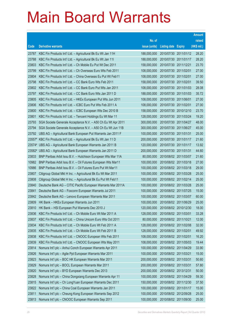|        |                                                                     |               |                            | <b>Amount</b> |
|--------|---------------------------------------------------------------------|---------------|----------------------------|---------------|
|        |                                                                     | No. of        |                            | raised        |
| Code   | <b>Derivative warrants</b>                                          | issue (units) | <b>Listing date Expiry</b> | (HK\$ mil.)   |
| 23787  | KBC Fin Products Int'l Ltd. - Agricultural Bk Eu Wt Jan 11H         | 188,000,000   | 2010/07/30 2011/01/12      | 28.20         |
| 23788  | KBC Fin Products Int'l Ltd. - Agricultural Bk Eu Wt Jan 111         | 188,000,000   | 2010/07/30 2011/01/17      | 28.20         |
| 23803  | KBC Fin Products Int'l Ltd. - Ch Mobile Eu Put Wt Dec 2011          | 158,000,000   | 2010/07/30 2011/12/21      | 23.70         |
| 23799  | KBC Fin Products Int'l Ltd. - Ch Overseas Euro Wts Feb 2011         | 108,000,000   | 2010/07/30 2011/02/01      | 27.00         |
| 23804  | KBC Fin Products Int'l Ltd. - China Overseas Eu Put Wt Feb11        | 108,000,000   | 2010/07/30 2011/02/01      | 27.00         |
| 23798  | KBC Fin Products Int'l Ltd. - CC Bank Euro Wts Feb 2011             | 158,000,000   | 2010/07/30 2011/02/01      | 39.50         |
| 23802  | KBC Fin Products Int'l Ltd. - CC Bank Euro Put Wts Jan 2011         | 108,000,000   | 2010/07/30 2011/01/03      | 28.08         |
| 23797  | KBC Fin Products Int'l Ltd. - CC Bank Euro Wts Jan 2011 D           | 188,000,000   | 2010/07/30 2011/01/03      | 35.72         |
| 23805  | KBC Fin Products Int'l Ltd. - HKEx European Put Wts Jun 2011        | 108,000,000   | 2010/07/30 2011/06/01      | 27.00         |
| 23806  | KBC Fin Products Int'l Ltd. - ICBC Euro Put Wts Feb 2011 A          | 108,000,000   | 2010/07/30 2011/02/01      | 27.00         |
| 23800  | KBC Fin Products Int'l Ltd. - ICBC European Wts Dec 2010 B          | 158,000,000   | 2010/07/30 2010/12/10      | 23.70         |
| 23801  | KBC Fin Products Int'l Ltd. - Tencent Holdings Eu Wt Mar 11         | 128,000,000   | 2010/07/30 2011/03/24      | 19.20         |
| 23793  | SGA Societe Generale Acceptance N.V. - A50 Ch Eu Wt Apr 2011        | 300,000,000   | 2010/07/30 2011/04/27      | 48.00         |
| 23794  | SGA Societe Generale Acceptance N.V. - A50 Ch Eu Wt Jun 11B         | 300,000,000   | 2010/07/30 2011/06/27      | 45.00         |
| 23792  | UBS AG - Agricultural Bank European Put Warrants Jan 2011 F         | 100,000,000   | 2010/07/30 2011/01/31      | 25.00         |
|        | 23557# KBC Fin Products Int'l Ltd. - Agricultural Bk Eu Wt Jan 11 D | 200,000,000   | 2010/07/30 2011/01/17      | 21.60         |
|        | 23574# UBS AG - Agricultural Bank European Warrants Jan 2011 B      | 120,000,000   | 2010/07/30 2011/01/17      | 13.92         |
| 23582# | UBS AG - Agricultural Bank European Warrants Jan 2011 D             | 200,000,000   | 2010/07/30 2011/01/31      | 44.60         |
| 23833  | BNP Paribas Arbit Issu B.V. - Hutchison European Wts Mar 11A        | 80,000,000    | 2010/08/02 2011/03/07      | 21.60         |
| 10982  | BNP Paribas Arbit Issu B.V. - Oil Futures European Wts Mar11        | 100,000,000   | 2010/08/02 2011/03/18      | 27.00         |
| 10986  | BNP Paribas Arbit Issu B.V. - Oil Futures Euro Put Wt Mar11         | 100,000,000   | 2010/08/02 2011/03/18      | 29.00         |
| 23807  | Citigroup Global Mkt H Inc. - Agricultural Bk Eu Wt Mar 2011        | 100,000,000   | 2010/08/02 2011/03/28      | 25.00         |
| 23808  | Citigroup Global Mkt H Inc. - Agricultural Bk Eu Put Wt Feb11       | 100,000,000   | 2010/08/02 2011/02/14      | 25.00         |
| 23840  | Deutsche Bank AG - CITIC Pacific European Warrants Mar 2011A        | 100,000,000   | 2010/08/02 2011/03/28      | 25.00         |
| 23841  | Deutsche Bank AG - Foxconn European Warrants Jul 2011               | 100,000,000   | 2010/08/02 2011/07/25      | 15.00         |
| 23842  | Deutsche Bank AG - Lenovo European Warrants Mar 2011                | 100,000,000   | 2010/08/02 2011/03/07      | 60.00         |
| 23809  | HK Bank – HKEx European Warrants Jun 2011                           | 100,000,000   | 2010/08/02 2011/06/29      | 25.00         |
| 23810  | HK Bank - HSI European Put Warrants Dec 2010 J                      | 120,000,000   | 2010/08/02 2010/12/30      | 18.00         |
| 23836  | KBC Fin Products Int'l Ltd. - Ch Mobile Euro Wt Mar 2011 A          | 128,000,000   | 2010/08/02 2011/03/01      | 33.28         |
| 23837  | KBC Fin Products Int'l Ltd. - China Unicom Euro Wts Oct 2011        | 80,000,000    | 2010/08/02 2011/10/21      | 12.00         |
| 23834  | KBC Fin Products Int'l Ltd. - Ch Mobile Euro Wt Feb 2011 A          | 128,000,000   | 2010/08/02 2011/02/08      | 32.00         |
| 23835  | KBC Fin Products Int'l Ltd. - Ch Mobile Euro Wt Feb 2011 B          | 128,000,000   | 2010/08/02 2011/02/01      | 49.92         |
| 23838  | KBC Fin Products Int'l Ltd. - CNOOC European Wts Feb 2011           | 108,000,000   | 2010/08/02 2011/02/01      | 16.20         |
| 23839  | KBC Fin Products Int'l Ltd. - CNOOC European Wts May 2011           | 108,000,000   | 2010/08/02 2011/05/03      | 19.44         |
| 23814  | Nomura Int'l plc - Anhui Conch European Warrants Apr 2011           | 100,000,000   | 2010/08/02 2011/04/29      | 33.90         |
| 23826  | Nomura Int'l plc - Agile Ppt European Warrants Mar 2011             | 100,000,000   | 2010/08/02 2011/03/21      | 15.00         |
| 23823  | Nomura Int'l plc - BOC HK European Warrants Mar 2011                | 200,000,000   | 2010/08/02 2011/03/31      | 50.60         |
| 23829  | Nomura Int'l plc - BOCL European Warrants Mar 2011                  | 200,000,000   | 2010/08/02 2011/03/31      | 57.80         |
| 23820  | Nomura Int'l plc - BYD European Warrants Dec 2013                   | 200,000,000   | 2010/08/02 2013/12/31      | 50.00         |
| 23828  | Nomura Int'l plc - China Dongxiang European Warrants Apr 11         | 100,000,000   | 2010/08/02 2011/04/29      | 59.30         |
| 23815  | Nomura Int'l plc - Ch LongYuan European Warrants Dec 2011           | 150,000,000   | 2010/08/02 2011/12/30      | 37.50         |
| 23822  | Nomura Int'l plc - China Coal European Warrants Jan 2011            | 100,000,000   | 2010/08/02 2011/01/17      | 15.00         |
| 23811  | Nomura Int'l plc - Cheung Kong European Warrants Sep 2012           | 100,000,000   | 2010/08/02 2012/09/28      | 25.00         |
| 23813  | Nomura Int'l plc - CNOOC European Warrants Sep 2011                 | 100,000,000   | 2010/08/02 2011/09/30      | 25.00         |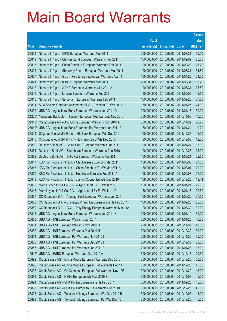|              |                                                                |               |                            |                       | <b>Amount</b> |
|--------------|----------------------------------------------------------------|---------------|----------------------------|-----------------------|---------------|
|              |                                                                | No. of        |                            |                       | raised        |
| Code         | <b>Derivative warrants</b>                                     | issue (units) | <b>Listing date Expiry</b> |                       | (HK\$ mil.)   |
| 23824        | Nomura Int'l plc - CPIC European Warrants Mar 2011             | 200,000,000   | 2010/08/02 2011/03/31      |                       | 50.00         |
| 23819        | Nomura Int'l plc - Chi Res Land European Warrants Feb 2011     | 100,000,000   |                            | 2010/08/02 2011/02/02 | 25.00         |
| 23817        | Nomura Int'l plc - China Shenhua European Warrants Feb 2011    | 100,000,000   |                            | 2010/08/02 2011/02/28 | 26.70         |
| 23825        | Nomura Int'l plc - Shineway Pharm European Warrants Mar 2011   | 100,000,000   | 2010/08/02 2011/03/31      |                       | 31.80         |
| 23827        | Nomura Int'l plc - GCL - Poly Energy European Warrants Apr 11  | 100,000,000   | 2010/08/02 2011/04/29      |                       | 34.00         |
| 23821        | Nomura Int'l plc - ICBC European Warrants Mar 2011             | 200,000,000   | 2010/08/02 2011/03/31      |                       | 106.20        |
| 23812        | Nomura Int'l plc - JIANC European Warrants Mar 2011 A          | 100,000,000   | 2010/08/02 2011/03/31      |                       | 25.50         |
| 23816        | Nomura Int'l plc - Lenovo European Warrants Feb 2011           | 50,000,000    |                            | 2010/08/02 2011/02/02 | 12.50         |
| 23818        | Nomura Int'l plc - Sinopharm European Warrants Feb 2011        | 100,000,000   | 2010/08/02 2011/02/28      |                       | 37.50         |
| 23831        | SGA Societe Generale Acceptance N.V. - Foxconn Eu Wts Jul 11   | 150,000,000   |                            | 2010/08/02 2011/07/25 | 24.00         |
| 23832        | UBS AG - Agricultural Bank European Warrants Jan 2011 G        | 200,000,000   |                            | 2010/08/02 2011/01/17 | 30.00         |
| $21225^{\#}$ | Macquarie Bank Ltd. - Tencent European Put Warrants Nov 2010   | 250,000,000   |                            | 2010/08/02 2010/11/03 | 10.25         |
| 22343#       | Credit Suisse AG - A50 China European Warrants Nov 2010 A      | 300,000,000   |                            | 2010/08/02 2010/11/22 | 26.70         |
| 23649#       | UBS AG - Agricultural Bank European Put Warrants Jan 2011 E    | 170,000,000   |                            | 2010/08/02 2011/01/24 | 10.20         |
| 23844        | Citigroup Global Mkt H Inc. - HS Bank European Wts Dec 2011    | 100,000,000   |                            | 2010/08/03 2011/12/28 | 15.00         |
| 23845        | Citigroup Global Mkt H Inc. - Hutchison Euro Wts Dec 2010      | 80,000,000    |                            | 2010/08/03 2010/12/06 | 12.00         |
| 23860        | Deutsche Bank AG - China Coal European Warrants Jan 2011       | 100,000,000   |                            | 2010/08/03 2011/01/24 | 15.00         |
| 23861        | Deutsche Bank AG - Sinopharm European Warrants Dec 2010        | 100,000,000   | 2010/08/03 2010/12/28      |                       | 25.00         |
| 23862        | Deutsche Bank AG - SHK Ppt European Warrants Feb 2011          | 150,000,000   | 2010/08/03 2011/02/21      |                       | 22.50         |
| 23847        | KBC Fin Products Int'l Ltd. - Ch Overseas Euro Wts Mar 2011    | 108,000,000   | 2010/08/03 2011/03/08      |                       | 27.00         |
| 23848        | KBC Fin Products Int'l Ltd. - China Shenhua Eur Wt Mar 2011A   | 80,000,000    | 2010/08/03 2011/03/01      |                       | 20.00         |
| 23850        | KBC Fin Products Int'l Ltd. - Hutchison Euro Wts Feb 2011 A    | 108,000,000   |                            | 2010/08/03 2011/02/08 | 27.00         |
| 23849        | KBC Fin Products Int'l Ltd. - Jiangxi Copper Eu Wts Dec 2010   | 108,000,000   |                            | 2010/08/03 2010/12/23 | 19.44         |
| 23830        | Merrill Lynch Int'l & Co. C.V. - Agricultural Bk Eu Wt Jan11C  | 150,000,000   | 2010/08/03 2011/01/24      |                       | 29.85         |
| 23843        | Merrill Lynch Int'l & Co. C.V. - Agricultural Bk Eu Wt Jan11D  | 150,000,000   |                            | 2010/08/03 2011/01/17 | 22.50         |
| 23857        | CC Rabobank B.A. - Angang Steel European Warrants Jun 2011     | 150,000,000   | 2010/08/03 2011/06/29      |                       | 37.50         |
| 23858        | CC Rabobank B.A. - Shineway Pharm European Warrants Feb 2011   | 100,000,000   | 2010/08/03 2011/02/25      |                       | 25.00         |
| 23859        | CC Rabobank B.A. - GCL - Poly Energy European Warrants Mar 11A | 120,000,000   | 2010/08/03 2011/03/30      |                       | 30.00         |
| 23846        | UBS AG - Agricultural Bank European Warrants Jan 2011 H        | 200,000,000   |                            | 2010/08/03 2011/01/10 | 30.00         |
| 23853        | UBS AG - HSI European Warrants Jan 2011                        | 200,000,000   | 2010/08/03 2011/01/28      |                       | 40.00         |
| 23851        | UBS AG - HSI European Warrants Nov 2010 H                      | 200,000,000   |                            | 2010/08/03 2010/11/29 | 40.00         |
| 23852        | UBS AG - HSI European Warrants Dec 2010 H                      | 200,000,000   |                            | 2010/08/03 2010/12/30 | 30.00         |
| 23854        | UBS AG - HSI European Put Warrants Nov 2010 I                  | 200,000,000   | 2010/08/03 2010/11/29      |                       | 30.00         |
| 23855        | UBS AG - HSI European Put Warrants Dec 2010 I                  | 200,000,000   |                            | 2010/08/03 2010/12/30 | 30.00         |
| 23856        | UBS AG - HSI European Put Warrants Jan 2011 B                  | 200,000,000   | 2010/08/03 2011/01/28      |                       | 33.00         |
| 15547#       | UBS AG - HSBC European Warrants Dec 2010 A                     | 500,000,000   |                            | 2010/08/03 2010/12/13 | 20.50         |
| 23892        | Credit Suisse AG - China Mobile European Warrants Dec 2010     | 300,000,000   | 2010/08/04 2010/12/23      |                       | 60.00         |
| 23896        | Credit Suisse AG - China Mobile European Put Warrants Dec 11   | 300,000,000   | 2010/08/04 2011/12/23      |                       | 45.00         |
| 23897        | Credit Suisse AG - Ch Overseas European Put Warrants Nov 10B   | 300,000,000   | 2010/08/04 2010/11/29      |                       | 45.00         |
| 23893        | Credit Suisse AG - HSBC European Wts Nov 2010 E                | 300,000,000   | 2010/08/04 2010/11/08      |                       | 45.00         |
| 23894        | Credit Suisse AG - SHK Ppt European Warrants Feb 2011          | 300,000,000   | 2010/08/04                 | 2011/02/28            | 45.00         |
| 23898        | Credit Suisse AG - SHK Ppt European Put Warrants Dec 2010      | 300,000,000   | 2010/08/04 2010/12/20      |                       | 45.00         |
| 23895        | Credit Suisse AG - Tencent Holdings European Wts Dec 2010 B    | 300,000,000   | 2010/08/04                 | 2010/12/06            | 45.00         |
| 23899        | Credit Suisse AG - Tencent Holdings European Put Wts Dec 10    | 300,000,000   | 2010/08/04 2010/12/23      |                       | 45.00         |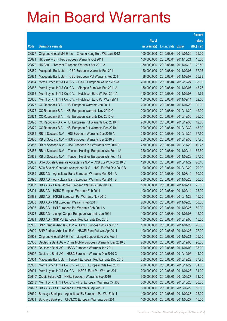|        |                                                               |               |                            |                       | <b>Amount</b> |
|--------|---------------------------------------------------------------|---------------|----------------------------|-----------------------|---------------|
|        |                                                               | No. of        |                            |                       | raised        |
| Code   | <b>Derivative warrants</b>                                    | issue (units) | <b>Listing date Expiry</b> |                       | (HK\$ mil.)   |
| 23877  | Citigroup Global Mkt H Inc. - Cheung Kong Euro Wts Jan 2012   | 100,000,000   |                            | 2010/08/04 2012/01/30 | 25.00         |
| 23871  | HK Bank - SHK Ppt European Warrants Oct 2011                  | 100,000,000   | 2010/08/04 2011/10/21      |                       | 15.00         |
| 23872  | HK Bank - Tencent European Warrants Apr 2011 A                | 150,000,000   | 2010/08/04 2011/04/19      |                       | 22.50         |
| 23880  | Macquarie Bank Ltd. - ICBC European Warrants Feb 2011         | 150,000,000   | 2010/08/04 2011/02/07      |                       | 37.95         |
| 23884  | Macquarie Bank Ltd. - ICBC European Put Warrants Feb 2011     | 88,000,000    | 2010/08/04 2011/02/07      |                       | 55.88         |
| 23864  | Merrill Lynch Int'l & Co. C.V. - CK(H) European Wt Dec 2012A  | 200,000,000   |                            | 2010/08/04 2012/12/24 | 38.00         |
| 23867  | Merrill Lynch Int'l & Co. C.V. - Sinopec Euro Wts Feb 2011 A  | 150,000,000   | 2010/08/04 2011/02/07      |                       | 48.75         |
| 23863  | Merrill Lynch Int'l & Co. C.V. - Hutchison Euro Wt Feb 2011A  | 150,000,000   | 2010/08/04 2011/02/07      |                       | 45.75         |
| 23865  | Merrill Lynch Int'l & Co. C.V. - Hutchison Euro Put Wts Feb11 | 150,000,000   |                            | 2010/08/04 2011/02/14 | 52.50         |
| 23876  | CC Rabobank B.A. - HSI European Warrants Jan 2011             | 200,000,000   |                            | 2010/08/04 2011/01/28 | 30.00         |
| 23875  | CC Rabobank B.A. - HSI European Warrants Nov 2010 C           | 200,000,000   | 2010/08/04 2010/11/29      |                       | 42.00         |
| 23874  | CC Rabobank B.A. - HSI European Warrants Dec 2010 G           | 200,000,000   |                            | 2010/08/04 2010/12/30 | 36.00         |
| 23878  | CC Rabobank B.A. - HSI European Put Warrants Dec 2010 H       | 200,000,000   |                            | 2010/08/04 2010/12/30 | 42.00         |
| 23879  | CC Rabobank B.A. - HSI European Put Warrants Dec 2010 I       | 200,000,000   |                            | 2010/08/04 2010/12/30 | 48.00         |
| 23885  | RB of Scotland N.V. - HSI European Warrants Dec 2010 A        | 250,000,000   |                            | 2010/08/04 2010/12/30 | 37.50         |
| 23886  | RB of Scotland N.V. - HSI European Warrants Dec 2010 B        | 250,000,000   |                            | 2010/08/04 2010/12/30 | 37.75         |
| 23883  | RB of Scotland N.V. - HSI European Put Warrants Nov 2010 F    | 250,000,000   |                            | 2010/08/04 2010/11/29 | 49.25         |
| 23866  | RB of Scotland N.V. - Tencent Holdings European Wts Feb 11A   | 250,000,000   | 2010/08/04 2011/02/14      |                       | 62.50         |
| 23868  | RB of Scotland N.V. - Tencent Holdings European Wts Feb 11B   | 250,000,000   | 2010/08/04 2011/02/23      |                       | 37.50         |
| 23869  | SGA Societe Generale Acceptance N.V. - CCB Eur Wt Nov 2010 C  | 120,000,000   |                            | 2010/08/04 2010/11/22 | 26.40         |
| 23870  | SGA Societe Generale Acceptance N.V. - HWL Eur Wt Dec 2010 B  | 100,000,000   |                            | 2010/08/04 2010/12/29 | 29.00         |
| 23889  | UBS AG - Agricultural Bank European Warrants Mar 2011 A       | 200,000,000   | 2010/08/04 2011/03/14      |                       | 50.00         |
| 23890  | UBS AG - Agricultural Bank European Warrants Mar 2011 B       | 200,000,000   | 2010/08/04 2011/03/28      |                       | 50.00         |
| 23887  | UBS AG - China Mobile European Warrants Feb 2011 A            | 100,000,000   | 2010/08/04 2011/02/14      |                       | 25.00         |
| 23891  | UBS AG - HSBC European Warrants Feb 2011                      | 100,000,000   | 2010/08/04 2011/02/14      |                       | 25.00         |
| 23882  | UBS AG - HSCEI European Put Warrants Nov 2010                 | 100,000,000   | 2010/08/04 2010/11/29      |                       | 15.00         |
| 23888  | UBS AG - HSI European Warrants Feb 2011                       | 200,000,000   |                            | 2010/08/04 2011/02/25 | 50.00         |
| 23903  | UBS AG - HSI European Put Warrants Feb 2011 A                 | 200,000,000   | 2010/08/04 2011/02/25      |                       | 50.00         |
| 23873  | UBS AG - Jiangxi Copper European Warrants Jan 2011            | 100,000,000   | 2010/08/04 2011/01/03      |                       | 15.00         |
| 23881  | UBS AG - SHK Ppt European Put Warrants Dec 2010               | 100,000,000   |                            | 2010/08/04 2010/12/06 | 15.00         |
| 23905  | BNP Paribas Arbit Issu B.V. - HSCEI European Wts Apr 2011     | 100,000,000   | 2010/08/05 2011/04/28      |                       | 26.00         |
| 23909  | BNP Paribas Arbit Issu B.V. - HSCEI Euro Put Wts Apr 2011     | 100,000,000   | 2010/08/05 2011/04/28      |                       | 27.00         |
| 23902  | Citigroup Global Mkt H Inc. - Jiangxi Copper Euro Wts Feb 11  | 100,000,000   | 2010/08/05 2011/02/21      |                       | 25.00         |
| 23906  | Deutsche Bank AG - China Mobile European Warrants Dec 2010 B  | 200,000,000   |                            | 2010/08/05 2010/12/06 | 90.00         |
| 23908  | Deutsche Bank AG - HSBC European Warrants Jan 2011            | 200,000,000   | 2010/08/05 2011/01/03      |                       | 138.00        |
| 23907  | Deutsche Bank AG - HSBC European Warrants Dec 2010 C          | 200,000,000   | 2010/08/05 2010/12/06      |                       | 44.00         |
| 23904  | Macquarie Bank Ltd. - Tencent European Put Warrants Dec 2010  | 250,000,000   | 2010/08/05 2010/12/29      |                       | 37.75         |
| 23900  | Merrill Lynch Int'l & Co. C.V. - HSCEI European Wts Nov 2010  | 200,000,000   | 2010/08/05 2010/11/29      |                       | 31.00         |
| 23901  | Merrill Lynch Int'l & Co. C.V. - HSCEI Euro Put Wts Jan 2011  | 200,000,000   | 2010/08/05 2011/01/28      |                       | 34.00         |
| 22610# | Credit Suisse AG - HKEx European Warrants Sep 2010            | 300,000,000   | 2010/08/05 2010/09/27      |                       | 31.20         |
| 22243# | Merrill Lynch Int'l & Co. C.V. - HSI European Warrants Oct10B | 300,000,000   | 2010/08/05                 | 2010/10/28            | 30.30         |
| 21895# | UBS AG - HSI European Put Warrants Sep 2010 E                 | 300,000,000   | 2010/08/05 2010/09/29      |                       | 10.80         |
| 23930  | Barclays Bank plc - Agricultural Bk European Put Wts Feb11    | 100,000,000   | 2010/08/06 2011/02/28      |                       | 25.00         |
| 23931  | Barclays Bank plc - CHALCO European Warrants Jun 2011         | 100,000,000   | 2010/08/06 2011/06/27      |                       | 15.00         |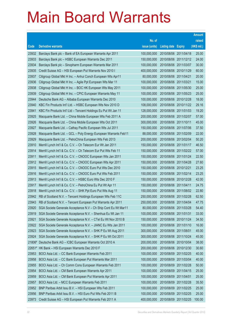|        |                                                                 |               |                            |                       | <b>Amount</b> |
|--------|-----------------------------------------------------------------|---------------|----------------------------|-----------------------|---------------|
|        |                                                                 | No. of        |                            |                       | raised        |
| Code   | <b>Derivative warrants</b>                                      | issue (units) | <b>Listing date Expiry</b> |                       | (HK\$ mil.)   |
| 23932  | Barclays Bank plc - Bank of EA European Warrants Apr 2011       | 100,000,000   | 2010/08/06 2011/04/18      |                       | 25.00         |
| 23933  | Barclays Bank plc - HSBC European Warrants Dec 2011             | 150,000,000   | 2010/08/06 2011/12/12      |                       | 24.00         |
| 23934  | Barclays Bank plc - Sinopharm European Warrants Mar 2011        | 100,000,000   | 2010/08/06 2011/03/07      |                       | 30.00         |
| 23935  | Credit Suisse AG - HSI European Put Warrants Nov 2010 I         | 400,000,000   | 2010/08/06 2010/11/29      |                       | 60.00         |
| 23937  | Citigroup Global Mkt H Inc. - Anhui Conch European Wts Apr11    | 80,000,000    | 2010/08/06 2011/04/21      |                       | 20.00         |
| 23936  | Citigroup Global Mkt H Inc. - Agile Ppt European Wts Mar 11     | 100,000,000   | 2010/08/06 2011/03/21      |                       | 15.00         |
| 23938  | Citigroup Global Mkt H Inc. - BOC HK European Wts May 2011      | 100,000,000   | 2010/08/06 2011/05/30      |                       | 25.00         |
| 23939  | Citigroup Global Mkt H Inc. - CPIC European Warrants May 11     | 100,000,000   | 2010/08/06 2011/05/23      |                       | 25.00         |
| 23944  | Deutsche Bank AG - Alibaba European Warrants Dec 2010           | 100,000,000   | 2010/08/06 2010/12/28      |                       | 18.00         |
| 23940  | KBC Fin Products Int'l Ltd. - HSBC European Wts Nov 2010 D      | 108,000,000   |                            | 2010/08/06 2010/11/22 | 29.16         |
| 23941  | KBC Fin Products Int'l Ltd - Tencent Holdings Eu Put Wt Jan 11  | 128,000,000   | 2010/08/06 2011/01/03      |                       | 19.20         |
| 23925  | Macquarie Bank Ltd. - China Mobile European Wts Feb 2011 A      | 200,000,000   | 2010/08/06 2011/02/07      |                       | 57.00         |
| 23926  | Macquarie Bank Ltd. - China Mobile European Wts Oct 2011        | 300,000,000   | 2010/08/06 2011/10/11      |                       | 45.00         |
| 23927  | Macquarie Bank Ltd. - Cathay Pacific European Wts Jul 2011      | 150,000,000   | 2010/08/06 2011/07/06      |                       | 37.50         |
| 23928  | Macquarie Bank Ltd. - GCL - Poly Energy European Warrants Feb11 | 88,000,000    | 2010/08/06 2011/02/09      |                       | 22.00         |
| 23929  | Macquarie Bank Ltd. - PetroChina European Wts Feb 2013          | 200,000,000   | 2010/08/06 2013/02/04      |                       | 50.20         |
| 23910  | Merrill Lynch Int'l & Co. C.V. - Ch Telecom Eur Wt Jan 2011     | 150,000,000   | 2010/08/06 2011/01/17      |                       | 46.50         |
| 23914  | Merrill Lynch Int'l & Co. C.V. - Ch Telecom Eur Put Wts Feb 11  | 150,000,000   |                            | 2010/08/06 2011/02/22 | 57.00         |
| 23911  | Merrill Lynch Int'l & Co. C.V. - CNOOC European Wts Jan 2011    | 150,000,000   | 2010/08/06 2011/01/24      |                       | 22.50         |
| 23912  | Merrill Lynch Int'l & Co. C.V. - CNOOC European Wts Apr 2011    | 150,000,000   | 2010/08/06 2011/04/28      |                       | 27.60         |
| 23915  | Merrill Lynch Int'l & Co. C.V. - CNOOC Euro Put Wts Dec 2010    | 150,000,000   | 2010/08/06 2010/12/21      |                       | 23.25         |
| 23916  | Merrill Lynch Int'l & Co. C.V. - CNOOC Euro Put Wts Feb 2011    | 150,000,000   | 2010/08/06 2011/02/14      |                       | 23.25         |
| 23913  | Merrill Lynch Int'l & Co. C.V. - HSBC Euro Wts Dec 2010 F       | 150,000,000   | 2010/08/06 2010/12/28      |                       | 42.00         |
| 23917  | Merrill Lynch Int'l & Co. C.V. - PetroChina Eu Put Wt Apr 11    | 150,000,000   | 2010/08/06 2011/04/11      |                       | 24.75         |
| 23918  | Merrill Lynch Int'l & Co. C.V. - SHK Ppt Euro Put Wts Aug 11    | 150,000,000   | 2010/08/06 2011/08/02      |                       | 22.80         |
| 23942  | RB of Scotland N.V. - Tencent Holdings European Wts Feb 11C     | 250,000,000   | 2010/08/06 2011/02/28      |                       | 62.50         |
| 23943  | RB of Scotland N.V. - Tencent European Put Warrants Apr 2011    | 250,000,000   | 2010/08/06 2011/04/04      |                       | 47.75         |
| 23920  | SGA Societe Generale Acceptance N.V - Ch Ship Cont Eu Wt Mar11  | 80,000,000    | 2010/08/06 2011/03/28      |                       | 54.40         |
| 23919  | SGA Societe Generale Acceptance N.V. - Shenhua Eu Wt Jan 11     | 100,000,000   | 2010/08/06 2011/01/31      |                       | 33.00         |
| 23921  | SGA Societe Generale Acceptance N.V. - CTel Eu Wt Nov 2010 B    | 150,000,000   | 2010/08/06 2010/11/24      |                       | 34.50         |
| 23922  | SGA Societe Generale Acceptance N.V. - JIANC Eu Wts Jan 2011    | 100,000,000   | 2010/08/06 2011/01/10      |                       | 16.00         |
| 23923  | SGA Societe Generale Acceptance N.V. - SHK P Eu Wt Aug 2011     | 300,000,000   | 2010/08/06 2011/08/01      |                       | 45.00         |
| 23924  | SGA Societe Generale Acceptance N.V. - SHK P Eu Wt Oct 2011     | 300,000,000   | 2010/08/06 2011/10/24      |                       | 45.00         |
| 21806# | Deutsche Bank AG - ICBC European Warrants Oct 2010 A            | 200,000,000   | 2010/08/06 2010/10/04      |                       | 38.00         |
|        | 22651# HK Bank - HSI European Warrants Dec 2010 F               | 200,000,000   | 2010/08/06 2010/12/30      |                       | 30.60         |
| 23953  | BOCI Asia Ltd. - CC Bank European Warrants Feb 2011             | 100,000,000   | 2010/08/09 2011/02/25      |                       | 40.00         |
| 23958  | BOCI Asia Ltd. - CC Bank European Put Warrants Mar 2011         | 100,000,000   | 2010/08/09                 | 2011/03/04            | 40.00         |
| 23955  | BOCI Asia Ltd. - Ch Comm Cons European Warrants Feb 2011        | 100,000,000   | 2010/08/09 2011/02/28      |                       | 50.00         |
| 23954  | BOCI Asia Ltd. - CM Bank European Warrants Apr 2011             | 100,000,000   | 2010/08/09                 | 2011/04/15            | 25.00         |
| 23959  | BOCI Asia Ltd. - CM Bank European Put Warrants Apr 2011         | 100,000,000   | 2010/08/09 2011/04/01      |                       | 25.00         |
| 23957  | BOCI Asia Ltd. - MCC European Warrants Feb 2011                 | 100,000,000   | 2010/08/09                 | 2011/02/28            | 35.50         |
| 23952  | BNP Paribas Arbit Issu B.V. - HSI European Wts Feb 2011         | 100,000,000   | 2010/08/09 2011/02/25      |                       | 25.00         |
| 23956  | BNP Paribas Arbit Issu B.V. - HSI Euro Put Wts Feb 2011 B       | 100,000,000   | 2010/08/09                 | 2011/02/25            | 25.00         |
| 23973  | Credit Suisse AG - HSI European Put Warrants Feb 2011 A         | 400,000,000   | 2010/08/09 2011/02/25      |                       | 100.00        |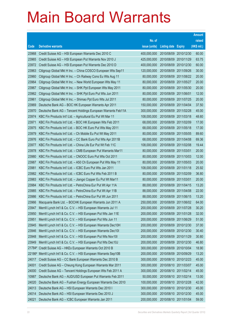| No. of<br><b>Derivative warrants</b><br>issue (units)<br>Code<br><b>Listing date</b><br><b>Expiry</b><br>23968<br>Credit Suisse AG - HSI European Warrants Dec 2010 C<br>400,000,000<br>2010/08/09 2010/12/30<br>23965<br>Credit Suisse AG - HSI European Put Warrants Nov 2010 J<br>425,000,000<br>2010/08/09 2010/11/29<br>23972<br>Credit Suisse AG - HSI European Put Warrants Dec 2010 D<br>400,000,000<br>2010/08/09<br>2010/12/30 | raised<br>(HK\$ mil.)<br>60.00<br>63.75<br>60.00<br>30.00<br>20.00<br>20.00<br>20.00 |
|------------------------------------------------------------------------------------------------------------------------------------------------------------------------------------------------------------------------------------------------------------------------------------------------------------------------------------------------------------------------------------------------------------------------------------------|--------------------------------------------------------------------------------------|
|                                                                                                                                                                                                                                                                                                                                                                                                                                          |                                                                                      |
|                                                                                                                                                                                                                                                                                                                                                                                                                                          |                                                                                      |
|                                                                                                                                                                                                                                                                                                                                                                                                                                          |                                                                                      |
|                                                                                                                                                                                                                                                                                                                                                                                                                                          |                                                                                      |
|                                                                                                                                                                                                                                                                                                                                                                                                                                          |                                                                                      |
| 23963<br>Citigroup Global Mkt H Inc. - China COSCO European Wts Sep11<br>120,000,000<br>2010/08/09 2011/09/26                                                                                                                                                                                                                                                                                                                            |                                                                                      |
| 23960<br>Citigroup Global Mkt H Inc. - Ch Railway Cons Eu Wts Aug 11<br>80,000,000<br>2010/08/09 2011/08/22                                                                                                                                                                                                                                                                                                                              |                                                                                      |
| 23964<br>Citigroup Global Mkt H Inc. - New World European Wts May 11<br>80,000,000<br>2010/08/09 2011/05/27                                                                                                                                                                                                                                                                                                                              |                                                                                      |
| 23967<br>Citigroup Global Mkt H Inc. - SHK Ppt European Wts May 2011<br>80,000,000<br>2010/08/09<br>2011/05/30                                                                                                                                                                                                                                                                                                                           |                                                                                      |
| 23962<br>Citigroup Global Mkt H Inc. - SHK Ppt Euro Put Wts Jun 2011<br>80,000,000<br>2010/08/09 2011/06/01                                                                                                                                                                                                                                                                                                                              | 12.00                                                                                |
| 23961<br>Citigroup Global Mkt H Inc. - Shimao Ppt Euro Wts Jul 2011<br>80,000,000<br>2010/08/09 2011/07/25                                                                                                                                                                                                                                                                                                                               | 20.00                                                                                |
| 23969<br>Deutsche Bank AG - BOC HK European Warrants Apr 2011<br>150,000,000<br>2010/08/09 2011/04/04                                                                                                                                                                                                                                                                                                                                    | 37.50                                                                                |
| 23970<br>Deutsche Bank AG - Tencent Holdings European Warrants Feb11A<br>300,000,000<br>2010/08/09<br>2011/02/28                                                                                                                                                                                                                                                                                                                         | 45.00                                                                                |
| 23974<br>KBC Fin Products Int'l Ltd. - Agricultural Eu Put Wt Mar 11<br>108,000,000<br>2010/08/09 2011/03/18                                                                                                                                                                                                                                                                                                                             | 48.60                                                                                |
| 23971<br>KBC Fin Products Int'l Ltd. - BOC HK European Wts Feb 2011<br>68,000,000<br>2010/08/09 2011/02/09                                                                                                                                                                                                                                                                                                                               | 17.00                                                                                |
| 23975<br>KBC Fin Products Int'l Ltd. - BOC HK Euro Put Wts May 2011<br>68,000,000<br>2010/08/09 2011/05/18                                                                                                                                                                                                                                                                                                                               | 17.00                                                                                |
| 23979<br>80,000,000<br>2010/08/09<br>2011/05/05<br>KBC Fin Products Int'l Ltd. - Ch Mobile Eu Put Wt May 2011                                                                                                                                                                                                                                                                                                                            | 89.60                                                                                |
| 23976<br>KBC Fin Products Int'l Ltd. - CC Bank Euro Put Wts Apr 2011B<br>68,000,000<br>2010/08/09 2011/04/08                                                                                                                                                                                                                                                                                                                             | 69.36                                                                                |
| 23977<br>KBC Fin Products Int'l Ltd. - China Life Eur Put Wt Feb 11C<br>108,000,000<br>2010/08/09 2011/02/08                                                                                                                                                                                                                                                                                                                             | 19.44                                                                                |
| 23978<br>KBC Fin Products Int'l Ltd. - CMB European Put Warrants Mar11<br>80,000,000<br>2010/08/09 2011/03/01                                                                                                                                                                                                                                                                                                                            | 20.00                                                                                |
| 23980<br>KBC Fin Products Int'l Ltd. - CNOOC Euro Put Wts Oct 2011<br>80,000,000<br>2010/08/09<br>2011/10/03                                                                                                                                                                                                                                                                                                                             | 12.00                                                                                |
| 23987<br>KBC Fin Products Int'l Ltd. - A50 Ch European Put Wts May 11<br>80,000,000<br>2010/08/09 2011/05/03                                                                                                                                                                                                                                                                                                                             | 20.00                                                                                |
| 23981<br>KBC Fin Products Int'l Ltd. - ICBC Euro Put Wts Jan 2011<br>108,000,000<br>2010/08/09 2011/01/18                                                                                                                                                                                                                                                                                                                                | 25.92                                                                                |
| 23982<br>KBC Fin Products Int'l Ltd. - ICBC Euro Put Wts Feb 2011 B<br>80,000,000<br>2010/08/09 2011/02/09                                                                                                                                                                                                                                                                                                                               | 36.80                                                                                |
| 23983<br>KBC Fin Products Int'l Ltd. - Jiangxi Copper Eu Put Wt Mar11<br>80,000,000<br>2010/08/09<br>2011/03/01                                                                                                                                                                                                                                                                                                                          | 20.00                                                                                |
| 23984<br>KBC Fin Products Int'l Ltd. - PetroChina Eur Put Wt Apr 11A<br>88,000,000<br>2010/08/09 2011/04/15                                                                                                                                                                                                                                                                                                                              | 13.20                                                                                |
| 23985<br>KBC Fin Products Int'l Ltd. - PetroChina Eur Put Wt Apr 11B<br>88,000,000<br>2010/08/09 2011/04/08                                                                                                                                                                                                                                                                                                                              | 22.00                                                                                |
| 23986<br>KBC Fin Products Int'l Ltd. - PetroChina Eur Put Wt Jun 2011<br>88,000,000<br>2010/08/09 2011/06/15                                                                                                                                                                                                                                                                                                                             | 13.20                                                                                |
| 23966<br>Macquarie Bank Ltd. - BOCHK European Warrants Jun 2011 A<br>250,000,000<br>2010/08/09 2011/06/02<br>Merrill Lynch Int'l & Co. C.V. - HSI European Warrants Jul 11<br>23947                                                                                                                                                                                                                                                      | 64.00<br>30.20                                                                       |
| 200,000,000<br>2010/08/09 2011/07/28<br>23950<br>Merrill Lynch Int'l & Co. C.V. - HSI European Put Wts Jan 11E<br>200,000,000<br>2010/08/09 2011/01/28                                                                                                                                                                                                                                                                                   | 32.00                                                                                |
| 23951<br>Merrill Lynch Int'l & Co. C.V. - HSI European Put Wts Jun 11<br>200,000,000<br>2010/08/09 2011/06/29                                                                                                                                                                                                                                                                                                                            | 51.00                                                                                |
| 23945<br>Merrill Lynch Int'l & Co. C.V. - HSI European Warrants Dec10H<br>200,000,000<br>2010/08/09 2010/12/30                                                                                                                                                                                                                                                                                                                           | 37.00                                                                                |
| 23946<br>Merrill Lynch Int'l & Co. C.V. - HSI European Warrants Dec10I<br>200,000,000<br>2010/08/09 2010/12/30                                                                                                                                                                                                                                                                                                                           | 30.40                                                                                |
| 23948<br>Merrill Lynch Int'l & Co. C.V. - HSI European Put Wts Nov10I<br>200,000,000<br>2010/08/09<br>2010/11/29                                                                                                                                                                                                                                                                                                                         | 30.80                                                                                |
| 23949<br>Merrill Lynch Int'l & Co. C.V. - HSI European Put Wts Dec10J<br>200,000,000<br>2010/08/09 2010/12/30                                                                                                                                                                                                                                                                                                                            | 46.80                                                                                |
| Credit Suisse AG - HKEx European Warrants Oct 2010 B<br>300,000,000<br>2010/08/09 2010/10/04<br>21784#                                                                                                                                                                                                                                                                                                                                   | 18.90                                                                                |
| Merrill Lynch Int'l & Co. C.V. - HSI European Warrants Sep10B<br>200,000,000<br>22186#<br>2010/08/09 2010/09/29                                                                                                                                                                                                                                                                                                                          | 13.20                                                                                |
| 24017<br>Credit Suisse AG - CC Bank European Warrants Dec 2010 B<br>300,000,000<br>2010/08/10 2010/12/23                                                                                                                                                                                                                                                                                                                                 | 45.00                                                                                |
| 24001<br>Credit Suisse AG - Cheung Kong European Warrants Mar 2011<br>300,000,000<br>2010/08/10 2011/03/07                                                                                                                                                                                                                                                                                                                               | 45.00                                                                                |
| Credit Suisse AG - Tencent Holdings European Wts Feb 2011 A<br>300,000,000<br>2010/08/10 2011/02/14<br>24000                                                                                                                                                                                                                                                                                                                             | 45.00                                                                                |
| Deutsche Bank AG - AUD/USD European Put Warrants Feb 2011<br>50,000,000<br>10987<br>2010/08/10 2011/02/14                                                                                                                                                                                                                                                                                                                                | 13.00                                                                                |
| 24020<br>Deutsche Bank AG - Fushan Energy European Warrants Dec 2010<br>100,000,000<br>2010/08/10 2010/12/28                                                                                                                                                                                                                                                                                                                             | 42.00                                                                                |
| 24013<br>Deutsche Bank AG - HSI European Warrants Dec 2010 I<br>300,000,000<br>2010/08/10 2010/12/30                                                                                                                                                                                                                                                                                                                                     | 45.00                                                                                |
| 24014<br>Deutsche Bank AG - HSI European Warrants Dec 2010 J<br>300,000,000<br>2010/08/10 2010/12/30                                                                                                                                                                                                                                                                                                                                     | 45.00                                                                                |
| 24021<br>Deutsche Bank AG - ICBC European Warrants Jan 2011<br>200,000,000<br>2010/08/10 2011/01/04                                                                                                                                                                                                                                                                                                                                      | 59.00                                                                                |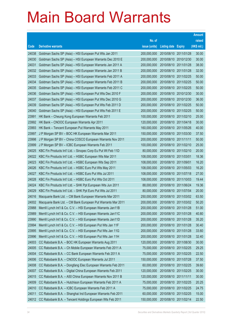|                |                                                                                                                                |                            |                                                |                       | <b>Amount</b>  |
|----------------|--------------------------------------------------------------------------------------------------------------------------------|----------------------------|------------------------------------------------|-----------------------|----------------|
|                |                                                                                                                                | No. of                     |                                                |                       | raised         |
| Code           | <b>Derivative warrants</b>                                                                                                     | issue (units)              | <b>Listing date Expiry</b>                     |                       | (HK\$ mil.)    |
| 24038          | Goldman Sachs SP (Asia) - HSI European Put Wts Jan 2011                                                                        | 200,000,000                | 2010/08/10 2011/01/28                          |                       | 30.00          |
| 24030          | Goldman Sachs SP (Asia) - HSI European Warrants Dec 2010 E                                                                     | 200,000,000                |                                                | 2010/08/10 2010/12/30 | 30.00          |
| 24031          | Goldman Sachs SP (Asia) - HSI European Warrants Jan 2011 A                                                                     | 200,000,000                | 2010/08/10 2011/01/28                          |                       | 38.00          |
| 24032          | Goldman Sachs SP (Asia) - HSI European Warrants Jan 2011 B                                                                     | 200,000,000                |                                                | 2010/08/10 2011/01/28 | 32.00          |
| 24033          | Goldman Sachs SP (Asia) - HSI European Warrants Feb 2011 A                                                                     | 200,000,000                |                                                | 2010/08/10 2011/02/25 | 50.00          |
| 24034          | Goldman Sachs SP (Asia) - HSI European Warrants Feb 2011 B                                                                     | 200,000,000                |                                                | 2010/08/10 2011/02/25 | 50.00          |
| 24035          | Goldman Sachs SP (Asia) - HSI European Warrants Feb 2011 C                                                                     | 200,000,000                |                                                | 2010/08/10 2011/02/25 | 50.00          |
| 24036          | Goldman Sachs SP (Asia) - HSI European Put Wts Dec 2010 F                                                                      | 200,000,000                |                                                | 2010/08/10 2010/12/30 | 30.00          |
| 24037          | Goldman Sachs SP (Asia) - HSI European Put Wts Dec 2010 G                                                                      | 200,000,000                |                                                | 2010/08/10 2010/12/30 | 36.00          |
| 24039          | Goldman Sachs SP (Asia) - HSI European Put Wts Feb 2011 D                                                                      | 200,000,000                |                                                | 2010/08/10 2011/02/25 | 50.00          |
| 24040          | Goldman Sachs SP (Asia) - HSI European Put Wts Feb 2011 E                                                                      | 200,000,000                | 2010/08/10 2011/02/25                          |                       | 50.00          |
| 23991          | HK Bank - Cheung Kong European Warrants Feb 2011                                                                               | 100,000,000                | 2010/08/10 2011/02/10                          |                       | 25.00          |
| 23992          | HK Bank - CNOOC European Warrants Apr 2011                                                                                     | 120,000,000                |                                                | 2010/08/10 2011/04/18 | 30.00          |
| 23993          | HK Bank - Tencent European Put Warrants May 2011                                                                               | 160,000,000                |                                                | 2010/08/10 2011/05/26 | 40.00          |
| 23997          | J P Morgan SP BV - BOC HK European Warrants Mar 2011                                                                           | 150,000,000                |                                                | 2010/08/10 2011/03/30 | 37.50          |
| 23998          | J P Morgan SP BV - China COSCO European Warrants Nov 2011                                                                      | 200,000,000                | 2010/08/10 2011/11/11                          |                       | 50.00          |
| 23999          | J P Morgan SP BV - ICBC European Warrants Feb 2011                                                                             | 100,000,000                |                                                | 2010/08/10 2011/02/10 | 25.00          |
| 24025          | KBC Fin Products Int'l Ltd. - Sinopec Corp Eu Put Wt Feb 11D                                                                   | 80,000,000                 |                                                | 2010/08/10 2011/02/10 | 20.00          |
| 24022          | KBC Fin Products Int'l Ltd. - HSBC European Wts Mar 2011                                                                       | 108,000,000                | 2010/08/10 2011/03/01                          |                       | 18.36          |
| 24023          | KBC Fin Products Int'l Ltd. - HSBC European Wts Sep 2011                                                                       | 108,000,000                | 2010/08/10 2011/09/01                          |                       | 16.20          |
| 24026          | KBC Fin Products Int'l Ltd. - HSBC Euro Put Wts May 2011                                                                       | 108,000,000                |                                                | 2010/08/10 2011/05/03 | 16.20          |
| 24027          | KBC Fin Products Int'l Ltd. - HSBC Euro Put Wts Jul 2011                                                                       | 108,000,000                |                                                | 2010/08/10 2011/07/18 | 27.00          |
| 24028          | KBC Fin Products Int'l Ltd. - HSBC Euro Put Wts Oct 2011                                                                       | 108,000,000                | 2010/08/10 2011/10/03                          |                       | 19.44          |
| 24024          | KBC Fin Products Int'l Ltd. - SHK Ppt European Wts Jun 2011                                                                    | 88,000,000                 |                                                | 2010/08/10 2011/06/24 | 19.36          |
| 24029<br>24016 | KBC Fin Products Int'l Ltd. - SHK Ppt Euro Put Wts Jul 2011                                                                    | 80,000,000                 |                                                | 2010/08/10 2011/07/04 | 20.00          |
|                | Macquarie Bank Ltd. - CM Bank European Warrants Mar 2011                                                                       | 250,000,000                | 2010/08/10 2011/03/02                          |                       | 63.50          |
| 24002          | Macquarie Bank Ltd. - CM Bank European Put Warrants Mar 2011                                                                   | 200,000,000                | 2010/08/10 2011/03/02                          |                       | 50.20          |
| 23988<br>23989 | Merrill Lynch Int'l & Co. C.V. - HSI European Warrants Jan11B                                                                  | 200,000,000<br>200,000,000 | 2010/08/10 2011/01/28<br>2010/08/10 2011/01/28 |                       | 51.00<br>40.80 |
| 23990          | Merrill Lynch Int'l & Co. C.V. - HSI European Warrants Jan11C<br>Merrill Lynch Int'l & Co. C.V. - HSI European Warrants Jan11D | 200,000,000                | 2010/08/10 2011/01/28                          |                       | 35.20          |
| 23994          | Merrill Lynch Int'l & Co. C.V. - HSI European Put Wts Jan 11F                                                                  | 200,000,000                | 2010/08/10 2011/01/28                          |                       | 30.40          |
| 23995          | Merrill Lynch Int'l & Co. C.V. - HSI European Put Wts Jan 11G                                                                  | 200,000,000                | 2010/08/10 2011/01/28                          |                       | 33.60          |
| 23996          | Merrill Lynch Int'l & Co. C.V. - HSI European Put Wts Jan 11H                                                                  | 200,000,000                | 2010/08/10 2011/01/28                          |                       | 32.40          |
| 24003          | CC Rabobank B.A. - BOC HK European Warrants Aug 2011                                                                           | 120,000,000                |                                                | 2010/08/10 2011/08/30 | 30.00          |
| 24005          | CC Rabobank B.A. - Ch Mobile European Warrants Feb 2011 A                                                                      | 75,000,000                 | 2010/08/10 2011/02/25                          |                       | 29.25          |
| 24004          | CC Rabobank B.A. - CC Bank European Warrants Feb 2011 A                                                                        | 75,000,000                 | 2010/08/10 2011/02/25                          |                       | 22.50          |
| 24006          | CC Rabobank B.A. - CNOOC European Warrants Jul 2011                                                                            | 150,000,000                | 2010/08/10 2011/07/28                          |                       | 37.50          |
| 24008          | CC Rabobank B.A. - Dongfang Elec European Warrants Feb 2011                                                                    | 60,000,000                 | 2010/08/10 2011/02/25                          |                       | 39.60          |
| 24007          | CC Rabobank B.A. - Digital China European Warrants Feb 2011                                                                    | 120,000,000                | 2010/08/10 2011/02/25                          |                       | 30.00          |
| 24015          | CC Rabobank B.A. - A50 China European Warrants Nov 2011 B                                                                      | 120,000,000                | 2010/08/10 2011/11/11                          |                       | 30.00          |
| 24009          | CC Rabobank B.A. - Hutchison European Warrants Feb 2011 A                                                                      | 75,000,000                 | 2010/08/10 2011/02/25                          |                       | 20.25          |
| 24010          | CC Rabobank B.A. - ICBC European Warrants Feb 2011 A                                                                           | 75,000,000                 | 2010/08/10 2011/02/25                          |                       | 24.75          |
| 24011          | CC Rabobank B.A. - Shanghai Ind European Warrants Feb 2011                                                                     | 60,000,000                 | 2010/08/10 2011/02/25                          |                       | 15.00          |
| 24012          | CC Rabobank B.A. - Tencent Holdings European Wts Feb 2011                                                                      | 150,000,000                | 2010/08/10 2011/02/14                          |                       | 22.50          |
|                |                                                                                                                                |                            |                                                |                       |                |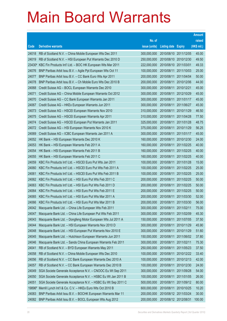|                |                                                                                                                        |                            |                            |                          | <b>Amount</b>  |
|----------------|------------------------------------------------------------------------------------------------------------------------|----------------------------|----------------------------|--------------------------|----------------|
|                |                                                                                                                        | No. of                     |                            |                          | raised         |
| Code           | <b>Derivative warrants</b>                                                                                             | issue (units)              | <b>Listing date Expiry</b> |                          | (HK\$ mil.)    |
| 24018          | RB of Scotland N.V. - China Mobile European Wts Dec 2011                                                               | 300,000,000                | 2010/08/10 2011/12/05      |                          | 45.00          |
| 24019          | RB of Scotland N.V. - HSI European Put Warrants Dec 2010 D                                                             | 250,000,000                |                            | 2010/08/10 2010/12/30    | 49.50          |
| 23430#         | KBC Fin Products Int'l Ltd. - BOC HK European Wts Mar 2011                                                             | 222,000,000                | 2010/08/10 2011/03/01      |                          | 49.33          |
| 24076          | BNP Paribas Arbit Issu B.V. - Agile Ppt European Wts Oct 11                                                            | 100,000,000                | 2010/08/11                 | 2011/10/03               | 25.00          |
| 24077          | BNP Paribas Arbit Issu B.V. - CC Bank Euro Wts Apr 2011                                                                | 200,000,000                | 2010/08/11                 | 2011/04/04               | 50.00          |
| 24078          | BNP Paribas Arbit Issu B.V. - Ch Mobile Euro Wts Dec 2010 B                                                            | 200,000,000                | 2010/08/11                 | 2010/12/06               | 44.00          |
| 24068          | Credit Suisse AG - BOCL European Warrants Dec 2010                                                                     | 300,000,000                | 2010/08/11                 | 2010/12/21               | 45.00          |
| 24071          | Credit Suisse AG - China Mobile European Warrants Oct 2012                                                             | 300,000,000                | 2010/08/11                 | 2012/10/29               | 45.00          |
| 24070          | Credit Suisse AG - CC Bank European Warrants Jan 2011                                                                  | 300,000,000                | 2010/08/11                 | 2011/01/17               | 45.00          |
| 24067          | Credit Suisse AG - HKEx European Warrants Jun 2011                                                                     | 300,000,000                | 2010/08/11                 | 2011/06/27               | 45.00          |
| 24073          | Credit Suisse AG - HSCEI European Warrants Nov 2010                                                                    | 310,000,000                | 2010/08/11                 | 2010/11/29               | 46.50          |
| 24075          | Credit Suisse AG - HSCEI European Warrants Apr 2011                                                                    | 310,000,000                | 2010/08/11                 | 2011/04/28               | 77.50          |
| 24074          | Credit Suisse AG - HSCEI European Put Warrants Jan 2011                                                                | 325,000,000                | 2010/08/11                 | 2011/01/28               | 48.75          |
| 24072          | Credit Suisse AG - HSI European Warrants Nov 2010 K                                                                    | 375,000,000                | 2010/08/11                 | 2010/11/29               | 56.25          |
| 24069          | Credit Suisse AG - ICBC European Warrants Jan 2011 A                                                                   | 300,000,000                | 2010/08/11                 | 2011/01/17               | 45.00          |
| 24052          | HK Bank - HSI European Warrants Dec 2010 K                                                                             | 160,000,000                | 2010/08/11                 | 2010/12/30               | 24.00          |
| 24053          | HK Bank - HSI European Warrants Feb 2011 A                                                                             | 160,000,000                | 2010/08/11                 | 2011/02/25               | 40.00          |
| 24054          | HK Bank - HSI European Warrants Feb 2011 B                                                                             | 160,000,000                | 2010/08/11                 | 2011/02/25               | 40.00          |
| 24055          | HK Bank - HSI European Warrants Feb 2011 C                                                                             | 160,000,000                | 2010/08/11                 | 2011/02/25               | 40.00          |
| 24059          | KBC Fin Products Int'l Ltd. - HSCEI Euro Put Wts Jan 2011                                                              | 100,000,000                | 2010/08/11                 | 2011/01/28               | 15.00          |
| 24060          | KBC Fin Products Int'l Ltd. - HSCEI Euro Put Wts Feb 2011 A                                                            | 100,000,000                | 2010/08/11                 | 2011/02/25               | 25.00          |
| 24061          | KBC Fin Products Int'l Ltd. - HSCEI Euro Put Wts Feb 2011 B                                                            | 100,000,000                | 2010/08/11                 | 2011/02/25               | 25.00          |
| 24062          | KBC Fin Products Int'l Ltd. - HSI Euro Put Wts Feb 2011 C                                                              | 200,000,000                | 2010/08/11                 | 2011/02/25               | 50.00          |
| 24063          | KBC Fin Products Int'l Ltd. - HSI Euro Put Wts Feb 2011 D                                                              | 200,000,000                | 2010/08/11                 | 2011/02/25               | 50.00          |
| 24064<br>24065 | KBC Fin Products Int'l Ltd. - HSI Euro Put Wts Feb 2011 E<br>KBC Fin Products Int'l Ltd. - HSI Euro Put Wts Mar 2011 A | 200,000,000<br>200,000,000 | 2010/08/11<br>2010/08/11   | 2011/02/25<br>2011/03/30 | 50.00<br>52.00 |
| 24066          | KBC Fin Products Int'l Ltd. - HSI Euro Put Wts Mar 2011 B                                                              | 200,000,000                | 2010/08/11                 | 2011/03/30               | 56.00          |
| 24042          | Macquarie Bank Ltd. - China Life European Wts Feb 2011                                                                 | 300,000,000                | 2010/08/11                 | 2011/02/11               | 75.00          |
| 24047          | Macquarie Bank Ltd. - China Life European Put Wts Feb 2011                                                             | 300,000,000                | 2010/08/11                 | 2011/02/09               | 45.30          |
| 24043          | Macquarie Bank Ltd. - Dongfeng Motor European Wts Jul 2011 A                                                           | 150,000,000                | 2010/08/11                 | 2011/07/05               | 37.50          |
| 24044          | Macquarie Bank Ltd. - HSI European Warrants Nov 2010 D                                                                 | 300,000,000                | 2010/08/11                 | 2010/11/29               | 45.90          |
| 24048          | Macquarie Bank Ltd. - HSI European Put Warrants Nov 2010 E                                                             | 300,000,000                | 2010/08/11                 | 2010/11/29               | 51.60          |
| 24045          | Macquarie Bank Ltd. - Hutchison European Warrants Jun 2011                                                             | 150,000,000                | 2010/08/11                 | 2011/06/02               | 37.80          |
| 24046          | Macquarie Bank Ltd. - Sands China European Warrants Feb 2011                                                           | 300,000,000                | 2010/08/11                 | 2011/02/11               | 75.30          |
| 24041          | RB of Scotland N.V. - BYD European Warrants May 2011                                                                   | 250,000,000                | 2010/08/11                 | 2011/05/23               | 37.50          |
| 24058          | RB of Scotland N.V. - China Mobile European Wts Dec 2010                                                               | 100,000,000                | 2010/08/11                 | 2010/12/22               | 33.40          |
| 24056          | RB of Scotland N.V. - CC Bank European Warrants Dec 2010 A                                                             | 100,000,000                | 2010/08/11                 | 2010/12/13               | 42.00          |
| 24057          | RB of Scotland N.V. - CC Bank European Warrants Dec 2010 B                                                             | 100,000,000                | 2010/08/11                 | 2010/12/30               | 24.00          |
| 24049          | SGA Societe Generale Acceptance N.V. - CNOOC Eu Wt Sep 2011                                                            | 300,000,000                | 2010/08/11                 | 2011/09/28               | 54.00          |
| 24050          | SGA Societe Generale Acceptance N.V. - HSBC Eu Wt Jan 2011 B                                                           | 100,000,000                | 2010/08/11                 | 2011/01/05               | 26.00          |
| 24051          | SGA Societe Generale Acceptance N.V. - HSBC Eu Wt Sep 2011 C                                                           | 500,000,000                | 2010/08/11                 | 2011/09/12               | 80.00          |
| 19896#         | Merrill Lynch Int'l & Co. C.V. - HKEx Euro Wts Oct 2010 B                                                              | 600,000,000                | 2010/08/11                 | 2010/10/25               | 10.20          |
| 24083          | BNP Paribas Arbit Issu B.V. - BOCHK European Warrants Mar 11                                                           | 200,000,000                |                            | 2010/08/12 2011/03/24    | 30.00          |
| 24082          | BNP Paribas Arbit Issu B.V. - BOCL European Wts Aug 2012                                                               | 200,000,000                | 2010/08/12 2012/08/31      |                          | 100.00         |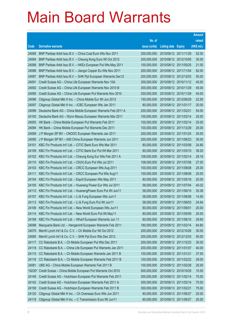|        |                                                               |               |                            |                       | <b>Amount</b> |
|--------|---------------------------------------------------------------|---------------|----------------------------|-----------------------|---------------|
|        |                                                               | No. of        |                            |                       | raised        |
| Code   | <b>Derivative warrants</b>                                    | issue (units) | <b>Listing date Expiry</b> |                       | (HK\$ mil.)   |
| 24085  | BNP Paribas Arbit Issu B.V. - China Coal Euro Wts Nov 2011    | 200,000,000   |                            | 2010/08/12 2011/11/29 | 52.00         |
| 24084  | BNP Paribas Arbit Issu B.V. - Cheung Kong Euro Wt Oct 2012    | 200,000,000   |                            | 2010/08/12 2012/10/05 | 30.00         |
| 24088  | BNP Paribas Arbit Issu B.V. - HKEx European Put Wts May 2011  | 100,000,000   |                            | 2010/08/12 2011/05/25 | 21.00         |
| 24086  | BNP Paribas Arbit Issu B.V. - Jiangxi Copper Eu Wts Nov 2011  | 200,000,000   |                            | 2010/08/12 2011/11/04 | 82.00         |
| 24087  | BNP Paribas Arbit Issu B.V. - SHK Ppt European Warrants Dec12 | 200,000,000   |                            | 2010/08/12 2012/12/03 | 50.00         |
| 24091  | Credit Suisse AG - China Life European Warrants Nov 10A       | 300,000,000   |                            | 2010/08/12 2010/11/12 | 45.00         |
| 24092  | Credit Suisse AG - China Life European Warrants Nov 2010 B    | 300,000,000   |                            | 2010/08/12 2010/11/29 | 45.00         |
| 24095  | Credit Suisse AG - China Life European Put Warrants Nov 2010  | 300,000,000   | 2010/08/12 2010/11/29      |                       | 45.00         |
| 24096  | Citigroup Global Mkt H Inc. - China Mobile Eur Wt Jun 2012    | 150,000,000   |                            | 2010/08/12 2012/06/29 | 22.50         |
| 24097  | Citigroup Global Mkt H Inc. - ICBC European Wts Jan 2011      | 80,000,000    |                            | 2010/08/12 2011/01/17 | 20.00         |
| 24099  | Deutsche Bank AG - China Mobile European Warrants Feb 2011 A  | 200,000,000   | 2010/08/12 2011/02/21      |                       | 54.00         |
| 24100  | Deutsche Bank AG - Wynn Macau European Warrants Mar 2011      | 100,000,000   |                            | 2010/08/12 2011/03/14 | 25.00         |
| 24093  | HK Bank - China Mobile European Put Warrants Feb 2011         | 100,000,000   |                            | 2010/08/12 2011/02/14 | 25.00         |
| 24094  | HK Bank - China Mobile European Put Warrants Dec 2011         | 100,000,000   |                            | 2010/08/12 2011/12/29 | 25.00         |
| 24089  | J P Morgan SP BV - CNOOC European Warrants Jan 2011           | 200,000,000   |                            | 2010/08/12 2011/01/24 | 30.00         |
| 24090  | J P Morgan SP BV - A50 China European Warrants Jun 2011       | 200,000,000   |                            | 2010/08/12 2011/06/23 | 30.00         |
| 24101  | KBC Fin Products Int'l Ltd. - CITIC Bank Euro Wts Mar 2011    | 80,000,000    |                            | 2010/08/12 2011/03/08 | 24.80         |
| 24109  | KBC Fin Products Int'l Ltd. - CITIC Bank Eur Put Wt Mar 2011  | 80,000,000    |                            | 2010/08/12 2011/03/10 | 39.20         |
| 24102  | KBC Fin Products Int'l Ltd. - Cheung Kong Eur Wts Feb 2011 A  | 108,000,000   |                            | 2010/08/12 2011/02/14 | 29.16         |
| 24110  | KBC Fin Products Int'l Ltd. - CK(H) Euro Put Wts Jul 2011     | 108,000,000   |                            | 2010/08/12 2011/07/08 | 27.00         |
| 24103  | KBC Fin Products Int'l Ltd. - CRCC European Wts Aug 2011      | 100,000,000   |                            | 2010/08/12 2011/08/08 | 25.00         |
| 24111  | KBC Fin Products Int'l Ltd. - CRCC European Put Wts Aug11     | 100,000,000   |                            | 2010/08/12 2011/08/08 | 25.00         |
| 24104  | KBC Fin Products Int'l Ltd. - Esprit European Wts May 2011    | 80,000,000    |                            | 2010/08/12 2011/05/18 | 20.00         |
| 24105  | KBC Fin Products Int'l Ltd. - Huaneng Power Eur Wts Jul 2011  | 58,000,000    | 2010/08/12 2011/07/04      |                       | 40.02         |
| 24112  | KBC Fin Products Int'l Ltd. - HuanengPower Euro Put Wt Jun11  | 58,000,000    |                            | 2010/08/12 2011/06/10 | 35.38         |
| 24107  | KBC Fin Products Int'l Ltd. - Li & Fung European Wts Jun11    | 58,000,000    | 2010/08/12 2011/06/08      |                       | 14.50         |
| 24113  | KBC Fin Products Int'l Ltd. - Li & Fung Euro Put Wt Jun11     | 58,000,000    |                            | 2010/08/12 2011/06/03 | 24.94         |
| 24106  | KBC Fin Products Int'l Ltd. - New World European Wts Jun11    | 80,000,000    | 2010/08/12 2011/06/01      |                       | 20.00         |
| 24114  | KBC Fin Products Int'l Ltd. - New World Euro Put Wt May11     | 80,000,000    |                            | 2010/08/12 2011/05/09 | 20.00         |
| 24108  | KBC Fin Products Int'l Ltd. - Wharf European Warrants Jun 11  | 80,000,000    |                            | 2010/08/12 2011/06/10 | 29.60         |
| 24098  | Macquarie Bank Ltd. - Henganintl European Warrants Feb 2011   | 180,000,000   |                            | 2010/08/12 2011/02/14 | 64.80         |
| 24079  | Merrill Lynch Int'l & Co. C.V. - Ch Mobile Eur Wt Oct 2012    | 200,000,000   |                            | 2010/08/12 2012/10/26 | 30.00         |
| 24080  | Merrill Lynch Int'l & Co. C.V. - SHK Ppt Euro Wts Dec 2012    | 200,000,000   |                            | 2010/08/12 2012/12/03 | 50.00         |
| 24117  | CC Rabobank B.A. - Ch Mobile European Put Wts Dec 2011        | 200,000,000   |                            | 2010/08/12 2011/12/23 | 30.00         |
| 24118  | CC Rabobank B.A. - China Life European Put Warrants Jan 2011  | 200,000,000   |                            | 2010/08/12 2011/01/07 | 40.00         |
| 24115  | CC Rabobank B.A. - Ch Mobile European Warrants Jan 2011 B     | 100,000,000   |                            | 2010/08/12 2011/01/21 | 37.00         |
| 24116  | CC Rabobank B.A. - Ch Mobile European Warrants Feb 2011 B     | 100,000,000   |                            | 2010/08/12 2011/02/22 | 29.00         |
| 24081  | UBS AG - China Mobile European Warrants Feb 2011 B            | 100,000,000   | 2010/08/12 2011/02/28      |                       | 25.00         |
| 19230# | Credit Suisse - China Mobile European Put Warrants Oct 2010   | 500,000,000   |                            | 2010/08/12 2010/10/25 | 10.50         |
| 24146  | Credit Suisse AG - Hutchison European Put Warrants Feb 2011   | 300,000,000   |                            | 2010/08/13 2011/02/14 | 75.00         |
| 24142  | Credit Suisse AG - Hutchison European Warrants Feb 2011 A     | 300,000,000   |                            | 2010/08/13 2011/02/14 | 75.00         |
| 24159  | Credit Suisse AG - Hutchison European Warrants Feb 2011 B     | 300,000,000   | 2010/08/13 2011/02/21      |                       | 75.00         |
| 24120  | Citigroup Global Mkt H Inc. - Ch Overseas Euro Wts Jun 2011   | 80,000,000    |                            | 2010/08/13 2011/06/27 | 20.00         |
| 24119  | Citigroup Global Mkt H Inc. - C Transmission Euro Wt Jun11    | 80,000,000    |                            | 2010/08/13 2011/06/27 | 20.00         |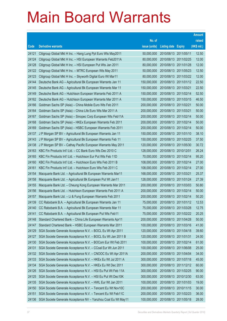|       |                                                               |               |                            |                       | <b>Amount</b> |
|-------|---------------------------------------------------------------|---------------|----------------------------|-----------------------|---------------|
|       |                                                               | No. of        |                            |                       | raised        |
| Code  | <b>Derivative warrants</b>                                    | issue (units) | <b>Listing date Expiry</b> |                       | (HK\$ mil.)   |
| 24121 | Citigroup Global Mkt H Inc. - Hang Lung Ppt Euro Wts May2011  | 50,000,000    | 2010/08/13 2011/05/11      |                       | 12.50         |
| 24124 | Citigroup Global Mkt H Inc. - HSI European Warrants Feb2011A  | 80,000,000    | 2010/08/13 2011/02/25      |                       | 12.00         |
| 24128 | Citigroup Global Mkt H Inc. - HSI European Put Wts Jan 2011   | 80,000,000    | 2010/08/13 2011/01/28      |                       | 12.00         |
| 24122 | Citigroup Global Mkt H Inc. - MTRC European Wts May 2011      | 50,000,000    |                            | 2010/08/13 2011/05/23 | 12.50         |
| 24123 | Citigroup Global Mkt H Inc. - Skyworth Digital Euro Wt Mar11  | 80,000,000    |                            | 2010/08/13 2011/03/22 | 12.00         |
| 24144 | Deutsche Bank AG - Agricultural Bk European Warrants Jan 11   | 150,000,000   |                            | 2010/08/13 2011/01/12 | 22.50         |
| 24145 | Deutsche Bank AG - Agricultural Bk European Warrants Mar 11   | 150,000,000   | 2010/08/13 2011/03/21      |                       | 22.50         |
| 24149 | Deutsche Bank AG - Hutchison European Warrants Feb 2011 A     | 150,000,000   | 2010/08/13 2011/02/14      |                       | 52.50         |
| 24162 | Deutsche Bank AG - Hutchison European Warrants Mar 2011 A     | 150,000,000   |                            | 2010/08/13 2011/03/15 | 46.50         |
| 24166 | Goldman Sachs SP (Asia) - China Mobile Euro Wts Feb 2011      | 200,000,000   | 2010/08/13 2011/02/21      |                       | 50.00         |
| 24164 | Goldman Sachs SP (Asia) - China Life Euro Wts Mar 2011 A      | 200,000,000   | 2010/08/13 2011/03/21      |                       | 50.00         |
| 24167 | Goldman Sachs SP (Asia) - Sinopec Corp European Wts Feb11A    | 200,000,000   | 2010/08/13 2011/02/14      |                       | 50.00         |
| 24168 | Goldman Sachs SP (Asia) - HKEx European Warrants Feb 2011     | 200,000,000   | 2010/08/13 2011/02/14      |                       | 50.00         |
| 24169 | Goldman Sachs SP (Asia) - HSBC European Warrants Feb 2011     | 200,000,000   | 2010/08/13 2011/02/14      |                       | 50.00         |
| 24137 | J P Morgan SP BV - Agricultural Bk European Warrants Jan 11   | 150,000,000   | 2010/08/13 2011/01/10      |                       | 38.10         |
| 24143 | J P Morgan SP BV - Agricultural Bk European Warrants Feb 11   | 150,000,000   |                            | 2010/08/13 2011/02/25 | 37.50         |
| 24138 | J P Morgan SP BV - Cathay Pacific European Warrants May 2011  | 120,000,000   |                            | 2010/08/13 2011/05/30 | 30.72         |
| 24163 | KBC Fin Products Int'l Ltd. - CC Bank Euro Wts Dec 2010 C     | 128,000,000   | 2010/08/13 2010/12/01      |                       | 26.24         |
| 24165 | KBC Fin Products Int'l Ltd. - Hutchison Eur Put Wts Feb 11D   | 70,000,000    | 2010/08/13 2011/02/14      |                       | 95.20         |
| 24160 | KBC Fin Products Int'l Ltd. - Hutchison Euro Wts Feb 2011 B   | 108,000,000   | 2010/08/13 2011/02/14      |                       | 27.00         |
| 24161 | KBC Fin Products Int'l Ltd. - Hutchison Euro Wts Feb 2011 C   | 108,000,000   | 2010/08/13 2011/02/14      |                       | 27.00         |
| 24154 | Macquarie Bank Ltd. - Agricultural Bk European Warrants Mar11 | 168,000,000   | 2010/08/13 2011/03/21      |                       | 25.37         |
| 24158 | Macquarie Bank Ltd. - Agricultural Bk European Put Wt Jan11   | 128,000,000   | 2010/08/13 2011/01/24      |                       | 27.39         |
| 24155 | Macquarie Bank Ltd. - Cheung Kong European Warrants Mar 2011  | 200,000,000   |                            | 2010/08/13 2011/03/03 | 50.80         |
| 24156 | Macquarie Bank Ltd. - Hutchison European Warrants Feb 2011 A  | 200,000,000   | 2010/08/13 2011/02/14      |                       | 50.00         |
| 24157 | Macquarie Bank Ltd. - Li & Fung European Warrants Feb 2011    | 200,000,000   | 2010/08/13 2011/02/14      |                       | 50.20         |
| 24139 | CC Rabobank B.A. - Agricultural Bk European Warrants Jan 11   | 75,000,000    | 2010/08/13 2011/01/12      |                       | 12.53         |
| 24140 | CC Rabobank B.A. - Agricultural Bk European Warrants Mar 11   | 75,000,000    | 2010/08/13 2011/03/28      |                       | 12.75         |
| 24141 | CC Rabobank B.A. - Agricultural Bk European Put Wts Feb11     | 75,000,000    | 2010/08/13 2011/02/22      |                       | 20.25         |
| 24148 | Standard Chartered Bank - China Life European Warrants Apr11  | 200,000,000   | 2010/08/13 2011/04/28      |                       | 50.00         |
| 24147 | Standard Chartered Bank - HSBC European Warrants Mar 2011     | 100,000,000   | 2010/08/13 2011/03/16      |                       | 41.00         |
| 24129 | SGA Societe Generale Acceptance N.V. - BOCL Eu Wt Apr 2011    | 120,000,000   | 2010/08/13 2011/04/18      |                       | 39.60         |
| 24127 | SGA Societe Generale Acceptance N.V. - BOCL Eu Wt Jan 2011 B  | 120,000,000   | 2010/08/13 2011/01/31      |                       | 24.00         |
| 24130 | SGA Societe Generale Acceptance N.V. - BOCom Eur Wt Feb 2011  | 100,000,000   | 2010/08/13 2011/02/14      |                       | 61.00         |
| 24131 | SGA Societe Generale Acceptance N.V. - CCoal Eur Wt Jun 2011  | 100,000,000   | 2010/08/13 2011/06/08      |                       | 25.00         |
| 24132 | SGA Societe Generale Acceptance N.V. - CNOOC Eu Wt Apr 2011A  | 200,000,000   | 2010/08/13 2011/04/04      |                       | 34.00         |
| 24133 | SGA Societe Generale Acceptance N.V. - HKEx Eu Wt Jul 2011 A  | 300,000,000   | 2010/08/13 2011/07/18      |                       | 45.00         |
| 24134 | SGA Societe Generale Acceptance N.V. - HKEx Eu Wt Dec 2011    | 300,000,000   |                            | 2010/08/13 2011/12/12 | 60.00         |
| 24126 | SGA Societe Generale Acceptance N.V. - HSI Eu Put Wt Feb 11A  | 300,000,000   | 2010/08/13 2011/02/25      |                       | 90.00         |
| 24125 | SGA Societe Generale Acceptance N.V. - HSI Eu Put Wt Dec10K   | 300,000,000   | 2010/08/13 2010/12/30      |                       | 63.00         |
| 24135 | SGA Societe Generale Acceptance N.V. - HWL Eur Wt Jan 2011    | 100,000,000   | 2010/08/13 2011/01/03      |                       | 19.00         |
| 24150 | SGA Societe Generale Acceptance N.V. - Tencent Eu Wt Nov10C   | 200,000,000   | 2010/08/13 2010/11/15      |                       | 30.00         |
| 24151 | SGA Societe Generale Acceptance N.V. - Tencent Eu Wt Feb11C   | 200,000,000   | 2010/08/13 2011/02/23      |                       | 36.00         |
| 24136 | SGA Societe Generale Acceptance NV - Yanzhou Coal Eu Wt May11 | 100,000,000   | 2010/08/13 2011/05/18      |                       | 28.00         |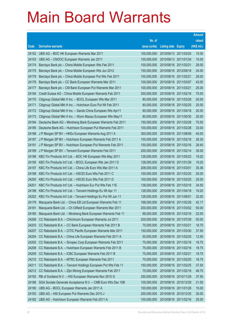|                |                                                                                                                   |                            |                            |                       | <b>Amount</b>  |
|----------------|-------------------------------------------------------------------------------------------------------------------|----------------------------|----------------------------|-----------------------|----------------|
|                |                                                                                                                   | No. of                     |                            |                       | raised         |
| Code           | <b>Derivative warrants</b>                                                                                        | issue (units)              | <b>Listing date Expiry</b> |                       | (HK\$ mil.)    |
| 24152          | UBS AG - BOC HK European Warrants Mar 2011                                                                        | 100,000,000                |                            | 2010/08/13 2011/03/24 | 15.00          |
| 24153          | UBS AG - CNOOC European Warrants Jan 2011                                                                         | 100,000,000                |                            | 2010/08/13 2011/01/24 | 15.00          |
| 24174          | Barclays Bank plc - China Mobile European Wts Feb 2011                                                            | 100,000,000                | 2010/08/16 2011/02/21      |                       | 28.00          |
| 24175          | Barclays Bank plc - China Mobile European Wts Jun 2012                                                            | 150,000,000                | 2010/08/16 2012/06/18      |                       | 24.00          |
| 24178          | Barclays Bank plc - China Mobile European Put Wts Feb 2011                                                        | 100,000,000                | 2010/08/16 2011/02/21      |                       | 28.00          |
| 24176          | Barclays Bank plc - CC Bank European Warrants Mar 2011                                                            | 100,000,000                |                            | 2010/08/16 2011/03/07 | 43.00          |
| 24177          | Barclays Bank plc - CM Bank European Put Warrants Mar 2011                                                        | 100,000,000                | 2010/08/16 2011/03/21      |                       | 25.00          |
| 24194          | Credit Suisse AG - China Mobile European Warrants Feb 2011                                                        | 300,000,000                | 2010/08/16 2011/02/16      |                       | 75.00          |
| 24170          | Citigroup Global Mkt H Inc. - BOCL European Wts Mar 2011                                                          | 80,000,000                 |                            | 2010/08/16 2011/03/28 | 20.00          |
| 24171          | Citigroup Global Mkt H Inc. - Hutchison Euro Put Wt Feb 2011                                                      | 80,000,000                 |                            | 2010/08/16 2011/02/25 | 20.00          |
| 24172          | Citigroup Global Mkt H Inc. - Sands China European Wts Apr11                                                      | 80,000,000                 | 2010/08/16 2011/04/18      |                       | 20.00          |
| 24173          | Citigroup Global Mkt H Inc. - Wynn Macau European Wts May11                                                       | 80,000,000                 |                            | 2010/08/16 2011/05/30 | 20.00          |
| 24184          | Deutsche Bank AG - Minsheng Bank European Warrants Feb 2011                                                       | 150,000,000                |                            | 2010/08/16 2011/02/28 | 70.50          |
| 24185          | Deutsche Bank AG - Hutchison European Put Warrants Feb 2011                                                       | 100,000,000                |                            | 2010/08/16 2011/02/28 | 33.00          |
| 24188<br>24187 | J P Morgan SP BV - HKEx European Warrants Aug 2011 A<br>J P Morgan SP BV - Hutchison European Warrants Feb 2011 A | 300,000,000<br>100,000,000 | 2010/08/16 2011/08/08      | 2010/08/16 2011/02/16 | 45.00<br>28.30 |
| 24191          | J P Morgan SP BV - Hutchison European Put Warrants Feb 2011                                                       | 100,000,000                |                            | 2010/08/16 2011/02/16 | 28.40          |
| 24189          | J P Morgan SP BV - Tencent European Warrants Feb 2011                                                             | 200,000,000                |                            | 2010/08/16 2011/02/14 | 30.00          |
| 24196          | KBC Fin Products Int'l Ltd. - BOC HK European Wts May 2011                                                        | 128,000,000                | 2010/08/16 2011/05/23      |                       | 19.20          |
| 24195          | KBC Fin Products Int'l Ltd. - BOCL European Wts Jan 2011 D                                                        | 128,000,000                |                            | 2010/08/16 2011/01/26 | 19.20          |
| 24197          | KBC Fin Products Int'l Ltd. - China Life Euro Wts Mar 2011 A                                                      | 208,000,000                | 2010/08/16 2011/03/01      |                       | 35.36          |
| 24199          | KBC Fin Products Int'l Ltd. - HSCEI Euro Wts Feb 2011 C                                                           | 100,000,000                |                            | 2010/08/16 2011/02/25 | 25.00          |
| 24200          | KBC Fin Products Int'l Ltd. - HSCEI Euro Wts Feb 2011 D                                                           | 100,000,000                |                            | 2010/08/16 2011/02/25 | 25.00          |
| 24201          | KBC Fin Products Int'l Ltd. - Hutchison Eur Put Wts Feb 11E                                                       | 138,000,000                |                            | 2010/08/16 2011/02/16 | 34.50          |
| 24198          | KBC Fin Products Int'l Ltd. - Tencent Holdings Eu Wt Apr 11                                                       | 128,000,000                | 2010/08/16 2011/04/18      |                       | 19.20          |
| 24202          | KBC Fin Products Int'l Ltd - Tencent Holdings Eu Put Wt Jun 11                                                    | 128,000,000                | 2010/08/16 2011/06/01      |                       | 32.00          |
| 24179          | Macquarie Bank Ltd. - China EB Ltd European Warrants Feb 11                                                       | 168,000,000                | 2010/08/16 2011/02/28      |                       | 42.17          |
| 24181          | Macquarie Bank Ltd. - Ch Oilfield European Warrants Mar 2011                                                      | 200,000,000                | 2010/08/16 2011/03/02      |                       | 50.00          |
| 24180          | Macquarie Bank Ltd. - Minsheng Bank European Warrants Feb 11                                                      | 88,000,000                 | 2010/08/16 2011/02/16      |                       | 22.00          |
| 24206          | CC Rabobank B.A. - ChiUnicom European Warrants Jul 2011                                                           | 200,000,000                | 2010/08/16 2011/07/29      |                       | 50.00          |
| 24203          | CC Rabobank B.A. - CC Bank European Warrants Feb 2011 B                                                           | 75,000,000                 | 2010/08/16 2011/02/21      |                       | 18.75          |
| 24207          | CC Rabobank B.A. - CITIC Pacific European Warrants Mar 2011                                                       | 150,000,000                |                            | 2010/08/16 2011/03/30 | 37.50          |
| 24204          | CC Rabobank B.A. - China Life European Warrants Feb 2011 A                                                        | 50,000,000                 | 2010/08/16 2011/02/25      |                       | 12.50          |
| 24205          | CC Rabobank B.A. - Sinopec Corp European Warrants Feb 2011                                                        | 75,000,000                 | 2010/08/16 2011/02/16      |                       | 18.75          |
| 24208          | CC Rabobank B.A. - Hutchison European Warrants Feb 2011 B                                                         | 75,000,000                 | 2010/08/16 2011/02/16      |                       | 18.75          |
| 24209          | CC Rabobank B.A. - ICBC European Warrants Feb 2011 B                                                              | 75,000,000                 | 2010/08/16 2011/02/21      |                       | 18.75          |
| 24210          | CC Rabobank B.A. - MTRC European Warrants Feb 2011                                                                | 75,000,000                 | 2010/08/16 2011/02/25      |                       | 18.75          |
| 24211          | CC Rabobank B.A. - Tencent Holdings European Put Wts Feb 11                                                       | 150,000,000                |                            | 2010/08/16 2011/02/25 | 37.50          |
| 24212          | CC Rabobank B.A. - Zijin Mining European Warrants Feb 2011                                                        | 75,000,000                 | 2010/08/16 2011/02/18      |                       | 48.75          |
| 24192          | RB of Scotland N.V. - HSI European Warrants Nov 2010 G                                                            | 250,000,000                | 2010/08/16 2010/11/29      |                       | 37.50          |
| 24186          | SGA Societe Generale Acceptance N.V. - CMB Euro Wts Dec 10B                                                       | 100,000,000                | 2010/08/16 2010/12/29      |                       | 21.00          |
| 24190          | UBS AG - BOCL European Warrants Jan 2011 A                                                                        | 100,000,000                | 2010/08/16 2011/01/26      |                       | 15.00          |
| 24193          | UBS AG - HSI European Put Warrants Dec 2010 J                                                                     | 200,000,000                | 2010/08/16 2010/12/30      |                       | 30.00          |
| 24182          | UBS AG - Hutchison European Warrants Feb 2011 A                                                                   | 100,000,000                | 2010/08/16 2011/02/16      |                       | 25.00          |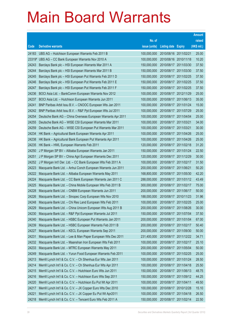|        |                                                               |               |                       |            | <b>Amount</b> |
|--------|---------------------------------------------------------------|---------------|-----------------------|------------|---------------|
|        |                                                               | No. of        |                       |            | raised        |
| Code   | <b>Derivative warrants</b>                                    | issue (units) | Listing date Expiry   |            | (HK\$ mil.)   |
| 24183  | UBS AG - Hutchison European Warrants Feb 2011 B               | 100,000,000   | 2010/08/16 2011/02/21 |            | 25.00         |
| 23319# | UBS AG - CC Bank European Warrants Nov 2010 A                 | 100,000,000   | 2010/08/16 2010/11/18 |            | 10.20         |
| 24243  | Barclays Bank plc - HSI European Warrants Mar 2011 A          | 150,000,000   | 2010/08/17            | 2011/03/30 | 37.50         |
| 24244  | Barclays Bank plc - HSI European Warrants Mar 2011 B          | 150,000,000   | 2010/08/17 2011/03/30 |            | 37.50         |
| 24245  | Barclays Bank plc - HSI European Put Warrants Feb 2011 D      | 150,000,000   | 2010/08/17 2011/02/25 |            | 37.50         |
| 24246  | Barclays Bank plc - HSI European Put Warrants Feb 2011 E      | 150,000,000   | 2010/08/17 2011/02/25 |            | 37.50         |
| 24247  | Barclays Bank plc - HSI European Put Warrants Feb 2011 F      | 150,000,000   | 2010/08/17 2011/02/25 |            | 37.50         |
| 24236  | BOCI Asia Ltd. - BankComm European Warrants Nov 2012          | 100,000,000   | 2010/08/17 2012/11/29 |            | 25.00         |
| 24237  | BOCI Asia Ltd. - Hutchison European Warrants Jun 2011         | 100,000,000   | 2010/08/17 2011/06/13 |            | 35.00         |
| 24241  | BNP Paribas Arbit Issu B.V. - CNOOC European Wts Jan 2011     | 100,000,000   | 2010/08/17 2011/01/24 |            | 15.00         |
| 24242  | BNP Paribas Arbit Issu B.V. - R&F Ppt European Wts Jul 2011   | 100,000,000   | 2010/08/17            | 2011/07/29 | 25.00         |
| 24254  | Deutsche Bank AG - China Overseas European Warrants Apr 2011  | 100,000,000   | 2010/08/17 2011/04/04 |            | 25.00         |
| 24255  | Deutsche Bank AG - WISE CSI European Warrants Mar 2011        | 100,000,000   | 2010/08/17 2011/03/21 |            | 34.00         |
| 24259  | Deutsche Bank AG - WISE CSI European Put Warrants Mar 2011    | 100,000,000   | 2010/08/17 2011/03/21 |            | 30.00         |
| 24234  | HK Bank - Agricultural Bank European Warrants Apr 2011        | 100,000,000   | 2010/08/17            | 2011/04/26 | 25.00         |
| 24238  | HK Bank - Agricultural Bank European Put Warrants Apr 2011    | 100,000,000   | 2010/08/17 2011/04/26 |            | 25.00         |
| 24235  | HK Bank - HWL European Warrants Feb 2011                      | 120,000,000   | 2010/08/17 2011/02/18 |            | 31.20         |
| 24250  | J P Morgan SP BV - Alibaba European Warrants Jan 2011         | 150,000,000   | 2010/08/17 2011/01/24 |            | 22.50         |
| 24251  | J P Morgan SP BV - China Agri European Warrants Dec 2011      | 120,000,000   | 2010/08/17            | 2011/12/29 | 30.00         |
| 24252  | J P Morgan Int'l Der. Ltd. - CC Bank European Wts Feb 2011 A  | 100,000,000   | 2010/08/17 2011/02/17 |            | 31.50         |
| 24223  | Macquarie Bank Ltd. - Anhui Conch European Warrants Jun 2011  | 200,000,000   | 2010/08/17 2011/06/21 |            | 50.20         |
| 24222  | Macquarie Bank Ltd. - Alibaba European Warrants May 2011      | 168,800,000   | 2010/08/17 2011/05/30 |            | 42.20         |
| 24224  | Macquarie Bank Ltd. - CC Bank European Warrants Jan 2011 C    | 288,000,000   | 2010/08/17            | 2011/01/12 | 43.49         |
| 24225  | Macquarie Bank Ltd. - China Mobile European Wts Feb 2011 B    | 300,000,000   | 2010/08/17 2011/02/17 |            | 75.00         |
| 24228  | Macquarie Bank Ltd. - CNBM European Warrants Jun 2011         | 200,000,000   | 2010/08/17 2011/06/17 |            | 50.00         |
| 24226  | Macquarie Bank Ltd. - Sinopec Corp European Wts Nov 2010      | 188,000,000   | 2010/08/17 2010/11/23 |            | 31.96         |
| 24248  | Macquarie Bank Ltd. - Chi Res Land European Wts Feb 2011      | 100,000,000   | 2010/08/17 2011/02/25 |            | 25.00         |
| 24229  | Macquarie Bank Ltd. - China Unicom European Wts Aug 2011 B    | 200,000,000   | 2010/08/17 2011/08/26 |            | 30.00         |
| 24230  | Macquarie Bank Ltd. - R&F Ppt European Warrants Jul 2011      | 150,000,000   | 2010/08/17            | 2011/07/04 | 37.50         |
| 24240  | Macquarie Bank Ltd. - HSBC European Put Warrants Jan 2011     | 200,000,000   | 2010/08/17 2011/01/04 |            | 67.00         |
| 24239  | Macquarie Bank Ltd. - HSBC European Warrants Feb 2011 B       | 200,000,000   | 2010/08/17            | 2011/02/17 | 50.40         |
| 24227  | Macquarie Bank Ltd. - KECL European Warrants Sep 2011         | 200,000,000   | 2010/08/17            | 2011/09/30 | 50.00         |
| 24231  | Macquarie Bank Ltd. - Lee & Man Paper European Wts Dec 2011   | 231,400,000   | 2010/08/17            | 2011/12/22 | 34.71         |
| 24232  | Macquarie Bank Ltd. - Maanshan Iron European Wts Feb 2011     | 100,000,000   | 2010/08/17            | 2011/02/17 | 25.10         |
| 24233  | Macquarie Bank Ltd. - MTRC European Warrants May 2011         | 200,000,000   | 2010/08/17            | 2011/05/04 | 50.00         |
| 24249  | Macquarie Bank Ltd. - Yurun Food European Warrants Feb 2011   | 100,000,000   | 2010/08/17 2011/02/25 |            | 25.00         |
| 24213  | Merrill Lynch Int'l & Co. C.V. - Ch Shenhua Eur Wts Jan 2011  | 100,000,000   | 2010/08/17            | 2011/01/24 | 28.50         |
| 24214  | Merrill Lynch Int'l & Co. C.V. - Ch Shenhua Eur Wts Apr 2011  | 100,000,000   | 2010/08/17            | 2011/04/18 | 25.50         |
| 24215  | Merrill Lynch Int'l & Co. C.V. - Hutchison Euro Wts Jun 2011  | 150,000,000   | 2010/08/17            | 2011/06/13 | 48.75         |
| 24216  | Merrill Lynch Int'l & Co. C.V. - Hutchison Euro Wts Sep 2011  | 150,000,000   | 2010/08/17 2011/09/12 |            | 44.25         |
| 24220  | Merrill Lynch Int'l & Co. C.V. - Hutchison Eu Put Wt Apr 2011 | 100,000,000   | 2010/08/17            | 2011/04/11 | 49.50         |
| 24217  | Merrill Lynch Int'l & Co. C.V. - JX Copper Euro Wts Dec 2010  | 100,000,000   | 2010/08/17 2010/12/28 |            | 15.10         |
| 24221  | Merrill Lynch Int'l & Co. C.V. - JX Copper Eu Put Wt Apr2011  | 100,000,000   | 2010/08/17            | 2011/04/18 | 26.50         |
| 24218  | Merrill Lynch Int'l & Co. C.V. - Tencent Euro Wts Feb 2011 A  | 150,000,000   | 2010/08/17 2011/02/14 |            | 22.50         |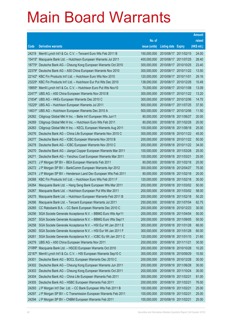|                |                                                                                                                    |                            |                            |                                                | <b>Amount</b>  |
|----------------|--------------------------------------------------------------------------------------------------------------------|----------------------------|----------------------------|------------------------------------------------|----------------|
|                |                                                                                                                    | No. of                     |                            |                                                | raised         |
| Code           | <b>Derivative warrants</b>                                                                                         | issue (units)              | <b>Listing date Expiry</b> |                                                | (HK\$ mil.)    |
| 24219          | Merrill Lynch Int'l & Co. C.V. - Tencent Euro Wts Feb 2011 B                                                       | 150,000,000                | 2010/08/17 2011/02/15      |                                                | 24.00          |
| 15415#         | Macquarie Bank Ltd. - Hutchison European Warrants Jul 2011                                                         | 400,000,000                |                            | 2010/08/17 2011/07/25                          | 28.40          |
| 18775#         | Deutsche Bank AG - Cheung Kong European Warrants Oct 2010                                                          | 300,000,000                | 2010/08/17                 | 2010/10/25                                     | 23.40          |
| 22379#         | Deutsche Bank AG - A50 China European Warrants Nov 2010                                                            | 300,000,000                |                            | 2010/08/17 2010/11/22                          | 13.50          |
|                | 22142 <sup>#</sup> KBC Fin Products Int'l Ltd. - Hutchison Euro Wts Nov 2010                                       | 120,000,000                | 2010/08/17 2010/11/01      |                                                | 29.16          |
|                | 23225# KBC Fin Products Int'l Ltd. - Hutchison Eur Put Wts Dec 2010                                                | 138,000,000                |                            | 2010/08/17 2010/12/28                          | 10.49          |
| 19855#         | Merrill Lynch Int'l & Co. C.V. - Hutchison Euro Put Wts Nov10                                                      | 70,000,000                 | 2010/08/17 2010/11/08      |                                                | 13.09          |
|                | 22477# UBS AG - A50 China European Warrants Nov 2010 B                                                             | 300,000,000                |                            | 2010/08/17 2010/11/22                          | 13.20          |
|                | 21834# UBS AG - HKEx European Warrants Dec 2010 C                                                                  | 300,000,000                |                            | 2010/08/17 2010/12/06                          | 14.70          |
|                | 15225# UBS AG - Hutchison European Warrants Jul 2011                                                               | 500,000,000                |                            | 2010/08/17 2011/07/25                          | 37.50          |
|                | 14631# UBS AG - Hutchison European Warrants Dec 2010 A                                                             | 500,000,000                | 2010/08/17                 | 2010/12/06                                     | 11.50          |
| 24262          | Citigroup Global Mkt H Inc. - Belle Int'l European Wts Jun11                                                       | 80,000,000                 |                            | 2010/08/18 2011/06/27                          | 20.00          |
| 24269          | Citigroup Global Mkt H Inc. - Hutchison Euro Wts Feb 2011                                                          | 80,000,000                 |                            | 2010/08/18 2011/02/28                          | 20.00          |
| 24263          | Citigroup Global Mkt H Inc. - KECL European Warrants Aug 2011                                                      | 100,000,000                |                            | 2010/08/18 2011/08/18                          | 25.00          |
| 24276          | Deutsche Bank AG - China Life European Warrants Nov 2010 C<br>Deutsche Bank AG - ICBC European Warrants Nov 2010 B | 300,000,000                |                            | 2010/08/18 2010/11/22<br>2010/08/18 2010/11/22 | 45.00<br>50.00 |
| 24277<br>24278 | Deutsche Bank AG - ICBC European Warrants Nov 2010 C                                                               | 200,000,000<br>200,000,000 |                            | 2010/08/18 2010/11/22                          | 34.00          |
| 24270          | Deutsche Bank AG - Jiangxi Copper European Warrants Mar 2011                                                       | 100,000,000                |                            | 2010/08/18 2011/03/28                          | 25.00          |
| 24271          | Deutsche Bank AG - Yanzhou Coal European Warrants Mar 2011                                                         | 100,000,000                | 2010/08/18 2011/03/21      |                                                | 25.00          |
| 24273          | J P Morgan SP BV - BEA European Warrants Feb 2011                                                                  | 80,000,000                 |                            | 2010/08/18 2011/02/18                          | 20.00          |
| 24272          | J P Morgan SP BV - BankComm European Warrants Apr 2012                                                             | 300,000,000                |                            | 2010/08/18 2012/04/27                          | 75.00          |
| 24274          | J P Morgan SP BV - Henderson Land Dev European Wts Feb 2011                                                        | 80,000,000                 |                            | 2010/08/18 2011/02/18                          | 20.00          |
| 24268          | KBC Fin Products Int'l Ltd. - Hutchison Euro Wts Feb 2011 F                                                        | 120,000,000                | 2010/08/18 2011/02/18      |                                                | 30.00          |
| 24264          | Macquarie Bank Ltd. - Hang Seng Bank European Wts Mar 2011                                                         | 200,000,000                |                            | 2010/08/18 2011/03/02                          | 50.00          |
| 24267          | Macquarie Bank Ltd. - Hutchison European Put Wts Mar 2011                                                          | 200,000,000                |                            | 2010/08/18 2011/03/02                          | 58.00          |
| 24275          | Macquarie Bank Ltd. - Hutchison European Warrants Feb 2011 B                                                       | 200,000,000                |                            | 2010/08/18 2011/02/18                          | 50.20          |
| 24266          | Macquarie Bank Ltd. - Tencent European Warrants Jul 2011                                                           | 250,000,000                |                            | 2010/08/18 2011/07/04                          | 62.75          |
| 24265          | CC Rabobank B.A. - CC Bank European Warrants Dec 2010 C                                                            | 200,000,000                | 2010/08/18 2010/12/23      |                                                | 30.00          |
| 24256          | SGA Societe Generale Acceptance N.V. - BBMG Euro Wts Apr11                                                         | 200,000,000                | 2010/08/18                 | 2011/04/04                                     | 50.00          |
| 24257          | SGA Societe Generale Acceptance N.V. - BBMG Euro Wts Sep11                                                         | 200,000,000                |                            | 2010/08/18 2011/09/05                          | 50.00          |
| 24258          | SGA Societe Generale Acceptance N.V. - HSI Eur Wt Jan 2011 E                                                       | 300,000,000                | 2010/08/18 2011/01/28      |                                                | 66.00          |
| 24260          | SGA Societe Generale Acceptance N.V. - HSI Eur Wt Jan 2011 F                                                       | 300,000,000                | 2010/08/18                 | 2011/01/28                                     | 60.00          |
| 24261          | SGA Societe Generale Acceptance N.V. - ICBC Eu Wt Jan 2011 C                                                       | 120,000,000                | 2010/08/18                 | 2011/01/10                                     | 21.60          |
| 24279          | UBS AG - A50 China European Warrants Nov 2011                                                                      | 200,000,000                | 2010/08/18 2011/11/21      |                                                | 30.00          |
| 21089#         | Macquarie Bank Ltd. - HSCEI European Warrants Oct 2010                                                             | 200,000,000                | 2010/08/18 2010/10/28      |                                                | 10.20          |
| 22187#         | Merrill Lynch Int'l & Co. C.V. - HSI European Warrants Sep10 C                                                     | 300,000,000                | 2010/08/18                 | 2010/09/29                                     | 10.50          |
| 24301          | Deutsche Bank AG - BOCL European Warrants Dec 2010 C                                                               | 200,000,000                | 2010/08/19                 | 2010/12/28                                     | 30.00          |
| 24302          | Deutsche Bank AG - Cheung Kong European Warrants Jun 2011                                                          | 200,000,000                | 2010/08/19                 | 2011/06/28                                     | 30.00          |
| 24303          | Deutsche Bank AG - Cheung Kong European Warrants Oct 2011                                                          | 200,000,000                | 2010/08/19                 | 2011/10/24                                     | 30.00          |
| 24304          | Deutsche Bank AG - China Life European Warrants Feb 2011                                                           | 300,000,000                | 2010/08/19                 | 2011/02/21                                     | 81.00          |
| 24305          | Deutsche Bank AG - HSBC European Warrants Feb 2011                                                                 | 200,000,000                | 2010/08/19                 | 2011/02/21                                     | 76.00          |
| 24293          | J P Morgan Int'l Der. Ltd. - CC Bank European Wts Feb 2011 B                                                       | 100,000,000                | 2010/08/19                 | 2011/02/21                                     | 25.00          |
| 24297          | J P Morgan SP BV - C Transmission European Warrants Feb 2011                                                       | 100,000,000                | 2010/08/19                 | 2011/02/21                                     | 25.00          |
| 24294          | J P Morgan SP BV - CNBM European Warrants Feb 2011                                                                 | 100,000,000                | 2010/08/19                 | 2011/02/21                                     | 25.00          |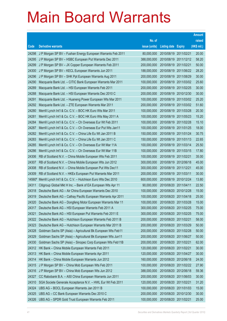|                 |                                                                                                                         |                           |                                                |                       | <b>Amount</b>  |
|-----------------|-------------------------------------------------------------------------------------------------------------------------|---------------------------|------------------------------------------------|-----------------------|----------------|
|                 |                                                                                                                         | No. of                    |                                                |                       | raised         |
| Code            | <b>Derivative warrants</b>                                                                                              | issue (units)             | <b>Listing date</b>                            | <b>Expiry</b>         | (HK\$ mil.)    |
| 24298           | J P Morgan SP BV - Fushan Energy European Warrants Feb 2011                                                             | 80,000,000                | 2010/08/19 2011/02/21                          |                       | 20.00          |
| 24295           | J P Morgan SP BV - HSBC European Put Warrants Dec 2011                                                                  | 388,000,000               |                                                | 2010/08/19 2011/12/12 | 58.20          |
| 24299           | J P Morgan SP BV - JX Copper European Warrants Feb 2011                                                                 | 200,000,000               | 2010/08/19                                     | 2011/02/21            | 50.00          |
| 24300           | J P Morgan SP BV - KECL European Warrants Jun 2011                                                                      | 188,000,000               |                                                | 2010/08/19 2011/06/22 | 28.20          |
| 24296           | J P Morgan SP BV - SHK Ppt European Warrants Aug 2011                                                                   | 200,000,000               | 2010/08/19                                     | 2011/08/29            | 30.00          |
| 24290           | Macquarie Bank Ltd. - CITIC Bank European Warrants Mar 2011                                                             | 100,000,000               |                                                | 2010/08/19 2011/03/02 | 25.60          |
| 24289           | Macquarie Bank Ltd. - HSI European Warrants Feb 2011                                                                    | 200,000,000               | 2010/08/19                                     | 2011/02/25            | 30.00          |
| 24288           | Macquarie Bank Ltd. - HSI European Warrants Dec 2010 C                                                                  | 200,000,000               | 2010/08/19 2010/12/30                          |                       | 30.00          |
| 24291           | Macquarie Bank Ltd. - Huaneng Power European Wts Mar 2011                                                               | 100,000,000               | 2010/08/19                                     | 2011/03/02            | 25.20          |
| 24292           | Macquarie Bank Ltd. - ZTE European Warrants Mar 2011                                                                    | 200,000,000               |                                                | 2010/08/19 2011/03/02 | 51.60          |
| 24280           | Merrill Lynch Int'l & Co. C.V. - BOC HK Euro Wts Mar 2011                                                               | 100,000,000               | 2010/08/19                                     | 2011/03/28            | 20.30          |
| 24281           | Merrill Lynch Int'l & Co. C.V. - BOC HK Euro Wts May 2011 A                                                             | 100,000,000               | 2010/08/19 2011/05/23                          |                       | 15.20          |
| 24284           | Merrill Lynch Int'l & Co. C.V. - Ch Overseas Eur Wt Feb 2011                                                            | 100,000,000               | 2010/08/19 2011/02/28                          |                       | 15.10          |
| 24287           | Merrill Lynch Int'l & Co. C.V. - Ch Overseas Eur Put Wts Jan11                                                          | 100,000,000               | 2010/08/19 2011/01/25                          |                       | 18.00          |
| 24282           | Merrill Lynch Int'l & Co. C.V. - China Life Eu Wt Jan 2011 B                                                            | 150,000,000               | 2010/08/19                                     | 2011/01/24            | 30.75          |
| 24283           | Merrill Lynch Int'l & Co. C.V. - China Life Eu Wt Jan 2011 C                                                            | 150,000,000               | 2010/08/19 2011/01/13                          |                       | 22.65          |
| 24285           | Merrill Lynch Int'l & Co. C.V. - Ch Overseas Eur Wt Mar 11A                                                             | 100,000,000               | 2010/08/19                                     | 2011/03/14            | 25.50          |
| 24286           | Merrill Lynch Int'l & Co. C.V. - Ch Overseas Eur Wt Mar 11B                                                             | 100,000,000               | 2010/08/19 2011/03/15                          |                       | 17.80          |
| 24306           | RB of Scotland N.V. - China Mobile European Wts Feb 2011                                                                | 100,000,000               | 2010/08/19                                     | 2011/02/21            | 35.00          |
| 24307           | RB of Scotland N.V. - China Mobile European Wts Jun 2012                                                                | 300,000,000               | 2010/08/19 2012/06/18                          |                       | 45.00          |
| 24308           | RB of Scotland N.V. - China Mobile European Put Wts Dec11                                                               | 300,000,000               | 2010/08/19                                     | 2011/12/21            | 45.00          |
| 24309           | RB of Scotland N.V. - HKEx European Put Warrants Mar 2011                                                               | 200,000,000               | 2010/08/19 2011/03/11                          |                       | 30.00          |
| 14560#<br>24311 | Merrill Lynch Int'l & Co. C.V. - Hutchison Euro Wts Dec 2010                                                            | 600,000,000<br>90,000,000 | 2010/08/19 2010/12/24<br>2010/08/20 2011/04/11 |                       | 13.80<br>22.50 |
| 24318           | Citigroup Global Mkt H Inc. - Bank of EA European Wts Apr 11<br>Deutsche Bank AG - Air China European Warrants Dec 2010 | 100,000,000               | 2010/08/20 2010/12/28                          |                       | 15.00          |
| 24319           | Deutsche Bank AG - Cathay Pacific European Warrants Apr 2011                                                            | 100,000,000               | 2010/08/20 2011/04/18                          |                       | 25.00          |
| 24320           | Deutsche Bank AG - Dongfeng Motor European Warrants Mar 11                                                              | 100,000,000               | 2010/08/20 2011/03/28                          |                       | 15.00          |
| 24317           | Deutsche Bank AG - HSI European Warrants Feb 2011 A                                                                     | 300,000,000               | 2010/08/20 2011/02/25                          |                       | 75.00          |
| 24321           | Deutsche Bank AG - HSI European Put Warrants Feb 2011 E                                                                 | 300,000,000               | 2010/08/20 2011/02/25                          |                       | 75.00          |
| 24322           | Deutsche Bank AG - Hutchison European Warrants Feb 2011 B                                                               | 200,000,000               | 2010/08/20 2011/02/21                          |                       | 58.00          |
| 24323           | Deutsche Bank AG - Hutchison European Warrants Mar 2011 B                                                               | 200,000,000               | 2010/08/20 2011/03/29                          |                       | 50.00          |
| 24328           | Goldman Sachs SP (Asia) - Agricultural Bk European Wts Feb11                                                            | 200,000,000               | 2010/08/20 2011/02/28                          |                       | 50.00          |
| 24329           | Goldman Sachs SP (Asia) - Agricultural Bk European Wts Jun11                                                            | 200,000,000               | 2010/08/20 2011/06/27                          |                       | 50.00          |
| 24330           | Goldman Sachs SP (Asia) - Sinopec Corp European Wts Feb11B                                                              | 200,000,000               | 2010/08/20 2011/02/21                          |                       | 62.00          |
| 24312           | HK Bank - China Mobile European Warrants Feb 2011                                                                       | 120,000,000               | 2010/08/20 2011/02/21                          |                       | 30.00          |
| 24313           | HK Bank - China Mobile European Warrants Apr 2011                                                                       | 120,000,000               | 2010/08/20 2011/04/27                          |                       | 30.00          |
| 24314           | HK Bank - China Mobile European Warrants Jun 2012                                                                       | 160,000,000               | 2010/08/20 2012/06/18                          |                       | 24.00          |
| 24315           | J P Morgan SP BV - China Mob European Wts Feb 2011                                                                      | 100,000,000               | 2010/08/20 2011/02/22                          |                       | 27.90          |
| 24316           | J P Morgan SP BV - China Mob European Wts Jun 2012                                                                      | 388,000,000               | 2010/08/20 2012/06/18                          |                       | 59.36          |
| 24327           | CC Rabobank B.A. - A50 China European Warrants Jun 2011                                                                 | 200,000,000               | 2010/08/20 2011/06/03                          |                       | 30.00          |
| 24310           | SGA Societe Generale Acceptance N.V. - HWL Eur Wt Feb 2011                                                              | 120,000,000               | 2010/08/20 2011/02/21                          |                       | 31.20          |
| 24324           | UBS AG - BOCL European Warrants Jan 2011 B                                                                              | 100,000,000               | 2010/08/20 2011/01/03                          |                       | 15.00          |
| 24325           | UBS AG - CC Bank European Warrants Dec 2010 C                                                                           | 200,000,000               | 2010/08/20 2010/12/30                          |                       | 30.00          |
| 24326           | UBS AG - SPDR Gold Trust European Warrants Feb 2011                                                                     | 100,000,000               | 2010/08/20 2011/02/21                          |                       | 25.00          |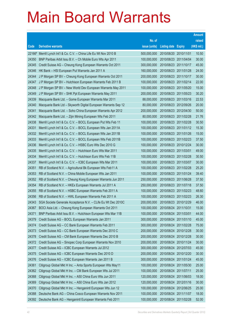|       |                                                                                 |               |                            |                       | <b>Amount</b> |
|-------|---------------------------------------------------------------------------------|---------------|----------------------------|-----------------------|---------------|
|       |                                                                                 | No. of        |                            |                       | raised        |
| Code  | <b>Derivative warrants</b>                                                      | issue (units) | <b>Listing date Expiry</b> |                       | (HK\$ mil.)   |
|       | 22166 <sup>#</sup> Merrill Lynch Int'l & Co. C.V. - China Life Eu Wt Nov 2010 B | 500,000,000   | 2010/08/20 2010/11/01      |                       | 10.50         |
| 24350 | BNP Paribas Arbit Issu B.V. - Ch Mobile Euro Wts Apr 2011                       | 100,000,000   | 2010/08/23 2011/04/04      |                       | 30.00         |
| 24345 | Credit Suisse AG - Cheung Kong European Warrants Oct 2011                       | 300,000,000   | 2010/08/23 2011/10/17      |                       | 45.00         |
| 24346 | HK Bank - HSI European Put Warrants Jan 2011 A                                  | 160,000,000   | 2010/08/23 2011/01/28      |                       | 24.00         |
| 24344 | J P Morgan SP BV - Cheung Kong European Warrants Oct 2011                       | 200,000,000   | 2010/08/23 2011/10/17      |                       | 30.00         |
| 24347 | J P Morgan SP BV - Hutchison European Warrants Feb 2011 B                       | 100,000,000   | 2010/08/23 2011/02/14      |                       | 22.00         |
| 24348 | J P Morgan SP BV - New World Dev European Warrants May 2011                     | 100,000,000   | 2010/08/23 2011/05/20      |                       | 15.00         |
| 24349 | J P Morgan SP BV - SHK Ppt European Warrants May 2011                           | 200,000,000   | 2010/08/23 2011/05/23      |                       | 30.20         |
| 24339 | Macquarie Bank Ltd. - Gome European Warrants Mar 2011                           | 88,000,000    | 2010/08/23 2011/03/16      |                       | 22.53         |
| 24340 | Macquarie Bank Ltd - Skyworth Digital European Warrants Sep 12                  | 80,000,000    | 2010/08/23 2012/09/26      |                       | 20.00         |
| 24341 | Macquarie Bank Ltd. - Soho China European Warrants Apr 2012                     | 200,000,000   | 2010/08/23 2012/04/30      |                       | 50.00         |
| 24342 | Macquarie Bank Ltd. - Zijin Mining European Wts Feb 2011                        | 80,000,000    | 2010/08/23 2011/02/28      |                       | 21.76         |
| 24338 | Merrill Lynch Int'l & Co. C.V. - BOCL European Put Wts Feb 11                   | 100,000,000   | 2010/08/23 2011/02/28      |                       | 30.50         |
| 24331 | Merrill Lynch Int'l & Co. C.V. - BOCL European Wts Jan 2011A                    | 100,000,000   |                            | 2010/08/23 2011/01/12 | 15.30         |
| 24332 | Merrill Lynch Int'l & Co. C.V. - BOCL European Wts Jan 2011B                    | 100,000,000   | 2010/08/23 2011/01/26      |                       | 15.00         |
| 24333 | Merrill Lynch Int'l & Co. C.V. - BOCL European Wts Feb 2011B                    | 100,000,000   | 2010/08/23 2011/02/23      |                       | 37.50         |
| 24336 | Merrill Lynch Int'l & Co. C.V. - HSBC Euro Wts Dec 2010 G                       | 100,000,000   | 2010/08/23 2010/12/24      |                       | 30.00         |
| 24335 | Merrill Lynch Int'l & Co. C.V. - Hutchison Euro Wts Mar 2011                    | 100,000,000   | 2010/08/23 2011/03/01      |                       | 49.00         |
| 24334 | Merrill Lynch Int'l & Co. C.V. - Hutchison Euro Wts Feb 11B                     | 100,000,000   | 2010/08/23 2011/02/28      |                       | 30.50         |
| 24337 | Merrill Lynch Int'l & Co. C.V. - ICBC European Wts Mar 2011                     | 100,000,000   | 2010/08/23 2011/03/07      |                       | 30.00         |
| 24351 | RB of Scotland N.V. - Agricultural Bk European Wts Feb11 A                      | 100,000,000   | 2010/08/23 2011/02/28      |                       | 25.20         |
| 24353 | RB of Scotland N.V. - China Mobile European Wts Jan 2011                        | 100,000,000   | 2010/08/23 2011/01/24      |                       | 39.40         |
| 24352 | RB of Scotland N.V. - Cheung Kong European Warrants Jun 2011                    | 250,000,000   | 2010/08/23 2011/06/28      |                       | 37.50         |
| 24354 | RB of Scotland N.V. - HKEx European Warrants Jul 2011 A                         | 250,000,000   | 2010/08/23 2011/07/18      |                       | 37.50         |
| 24355 | RB of Scotland N.V. - HSBC European Warrants Feb 2011 A                         | 100,000,000   | 2010/08/23 2011/02/23      |                       | 48.60         |
| 24356 | RB of Scotland N.V. - HWL European Warrants Feb 2011 A                          | 100,000,000   | 2010/08/23 2011/02/23      |                       | 26.30         |
| 24343 | SGA Societe Generale Acceptance N.V. - CLife Eu Wt Dec 2010C                    | 200,000,000   | 2010/08/23 2010/12/29      |                       | 46.00         |
| 24367 | BOCI Asia Ltd. - Cheung Kong European Warrants Oct 2011                         | 100,000,000   | 2010/08/24 2011/10/31      |                       | 15.00         |
| 24371 | BNP Paribas Arbit Issu B.V. - Hutchison European Wts Mar 11B                    | 100,000,000   | 2010/08/24                 | 2011/03/01            | 44.00         |
| 24379 | Credit Suisse AG - BOCL European Warrants Jan 2011                              | 300,000,000   | 2010/08/24 2011/01/10      |                       | 45.00         |
| 24374 | Credit Suisse AG - CC Bank European Warrants Feb 2011                           | 300,000,000   | 2010/08/24                 | 2011/02/28            | 75.00         |
| 24373 | Credit Suisse AG - CC Bank European Warrants Dec 2010 C                         | 200,000,000   | 2010/08/24 2010/12/28      |                       | 30.00         |
| 24378 | Credit Suisse AG - CM Bank European Warrants Dec 2010 B                         | 200,000,000   | 2010/08/24                 | 2010/12/28            | 30.00         |
| 24372 | Credit Suisse AG - Sinopec Corp European Warrants Nov 2010                      | 200,000,000   | 2010/08/24 2010/11/24      |                       | 30.00         |
| 24377 | Credit Suisse AG - ICBC European Warrants Jul 2012                              | 300,000,000   | 2010/08/24                 | 2012/07/03            | 45.00         |
| 24375 | Credit Suisse AG - ICBC European Warrants Dec 2010 D                            | 200,000,000   | 2010/08/24 2010/12/20      |                       | 30.00         |
| 24376 | Credit Suisse AG - ICBC European Warrants Jan 2011 B                            | 300,000,000   | 2010/08/24                 | 2011/01/24            | 45.00         |
| 24361 | Citigroup Global Mkt H Inc. - Anta Sports European Wts May11                    | 100,000,000   | 2010/08/24 2011/05/30      |                       | 25.00         |
| 24362 | Citigroup Global Mkt H Inc. - CM Bank European Wts Jul 2011                     | 100,000,000   | 2010/08/24                 | 2011/07/11            | 25.00         |
| 24368 | Citigroup Global Mkt H Inc. - A50 China Euro Wts Jun 2011                       | 120,000,000   | 2010/08/24 2011/06/03      |                       | 18.00         |
| 24369 | Citigroup Global Mkt H Inc. - A50 China Euro Wts Jan 2012                       | 120,000,000   | 2010/08/24                 | 2012/01/16            | 30.00         |
| 24370 | Citigroup Global Mkt H Inc. - Henganintl European Wts Jun 12                    | 100,000,000   | 2010/08/24 2012/06/25      |                       | 25.00         |
| 24388 | Deutsche Bank AG - China Cosco European Warrants Nov 2011                       | 100,000,000   | 2010/08/24                 | 2011/11/07            | 18.00         |
| 24392 | Deutsche Bank AG - Henganintl European Warrants Feb 2011                        | 100,000,000   | 2010/08/24 2011/02/28      |                       | 52.00         |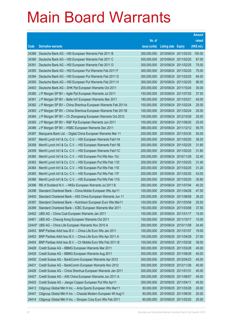|                |                                                                                                                             |                            |                                                |                       | <b>Amount</b>  |
|----------------|-----------------------------------------------------------------------------------------------------------------------------|----------------------------|------------------------------------------------|-----------------------|----------------|
|                |                                                                                                                             | No. of                     |                                                |                       | raised         |
| Code           | <b>Derivative warrants</b>                                                                                                  | issue (units)              | <b>Listing date Expiry</b>                     |                       | (HK\$ mil.)    |
| 24389          | Deutsche Bank AG - HSI European Warrants Feb 2011 B                                                                         | 300,000,000                |                                                | 2010/08/24 2011/02/25 | 105.00         |
| 24390          | Deutsche Bank AG - HSI European Warrants Feb 2011 C                                                                         | 300,000,000                | 2010/08/24 2011/02/25                          |                       | 87.00          |
| 24391          | Deutsche Bank AG - HSI European Warrants Feb 2011 D                                                                         | 300,000,000                | 2010/08/24 2011/02/25                          |                       | 75.00          |
| 24393          | Deutsche Bank AG - HSI European Put Warrants Feb 2011 F                                                                     | 300,000,000                | 2010/08/24 2011/02/25                          |                       | 75.00          |
| 24394          | Deutsche Bank AG - HSI European Put Warrants Feb 2011 G                                                                     | 300,000,000                |                                                | 2010/08/24 2011/02/25 | 84.00          |
| 24395          | Deutsche Bank AG - HSI European Put Warrants Feb 2011 H                                                                     | 300,000,000                | 2010/08/24 2011/02/25                          |                       | 96.00          |
| 24403          | Deutsche Bank AG - SHK Ppt European Warrants Oct 2011                                                                       | 200,000,000                | 2010/08/24 2011/10/24                          |                       | 30.00          |
| 24380          | J P Morgan SP BV - Agile Ppt European Warrants Jul 2011                                                                     | 150,000,000                | 2010/08/24 2011/07/25                          |                       | 37.50          |
| 24381          | J P Morgan SP BV - Belle Int'l European Warrants Mar 2011                                                                   | 180,000,000                | 2010/08/24 2011/03/21                          |                       | 45.00          |
| 24382          | J P Morgan SP BV - China Shenhua European Warrants Feb 2011A                                                                | 100,000,000                | 2010/08/24 2011/02/24                          |                       | 25.00          |
| 24383          | J P Morgan SP BV - China Shenhua European Warrants Feb 2011B                                                                | 100,000,000                | 2010/08/24 2011/02/24                          |                       | 25.00          |
| 24384          | J P Morgan SP BV - Ch Zhongwang European Warrants Oct 2012                                                                  | 100,000,000                | 2010/08/24 2012/10/29                          |                       | 25.00          |
| 24385          | J P Morgan SP BV - R&F Ppt European Warrants Jun 2011                                                                       | 100,000,000                | 2010/08/24 2011/06/20                          |                       | 25.00          |
| 24386          | J P Morgan SP BV - HSBC European Warrants Dec 2011                                                                          | 388,000,000                |                                                | 2010/08/24 2011/12/12 | 59.75          |
| 24387          | Macquarie Bank Ltd. - Digital China European Warrants Mar 11                                                                | 200,000,000                | 2010/08/24 2011/03/30                          |                       | 50.00          |
| 24357          | Merrill Lynch Int'l & Co. C.V. - HSI European Warrants Feb11A                                                               | 200,000,000                |                                                | 2010/08/24 2011/02/25 | 38.20          |
| 24358          | Merrill Lynch Int'l & Co. C.V. - HSI European Warrants Feb11B                                                               | 200,000,000                |                                                | 2010/08/24 2011/02/25 | 31.60          |
| 24359          | Merrill Lynch Int'l & Co. C.V. - HSI European Warrants Feb11C                                                               | 200,000,000                | 2010/08/24 2011/02/25                          |                       | 31.80          |
| 24360          | Merrill Lynch Int'l & Co. C.V. - HSI European Put Wts Nov 10J                                                               | 200,000,000                | 2010/08/24 2010/11/29                          |                       | 32.40          |
| 24363          | Merrill Lynch Int'l & Co. C.V. - HSI European Put Wts Feb 11D                                                               | 200,000,000                | 2010/08/24 2011/02/25                          |                       | 31.40          |
| 24364          | Merrill Lynch Int'l & Co. C.V. - HSI European Put Wts Feb 11E                                                               | 200,000,000                |                                                | 2010/08/24 2011/02/25 | 31.20          |
| 24365          | Merrill Lynch Int'l & Co. C.V. - HSI European Put Wts Feb 11F                                                               | 200,000,000                | 2010/08/24 2011/02/25                          |                       | 43.00          |
| 24366          | Merrill Lynch Int'l & Co. C.V. - HSI European Put Wts Feb 11G                                                               | 200,000,000                | 2010/08/24 2011/02/25                          |                       | 30.80          |
| 24396          | RB of Scotland N.V. - HKEx European Warrants Jul 2011 B                                                                     | 250,000,000                | 2010/08/24 2011/07/04                          |                       | 40.25          |
| 24398          | Standard Chartered Bank - China Mobile European Wts Apr11                                                                   | 100,000,000                | 2010/08/24 2011/04/28<br>2010/08/24 2011/06/08 |                       | 47.50          |
| 24400          | Standard Chartered Bank - A50 China European Warrants Jun 11<br>Standard Chartered Bank - Hutchison European Euro Wts Mar11 | 250,000,000<br>100,000,000 | 2010/08/24 2011/03/08                          |                       | 38.25<br>25.50 |
| 24397<br>24399 | Standard Chartered Bank - ICBC European Warrants Mar 2011                                                                   | 150,000,000                | 2010/08/24 2011/03/08                          |                       | 37.50          |
| 24402          | UBS AG - China Coal European Warrants Jan 2011                                                                              | 100,000,000                | 2010/08/24 2011/01/17                          |                       | 15.00          |
| 24401          | UBS AG - Cheung Kong European Warrants Oct 2011                                                                             | 100,000,000                | 2010/08/24 2011/10/17                          |                       | 15.00          |
| 22443#         | UBS AG - China Life European Warrants Nov 2010 A                                                                            | 200,000,000                | 2010/08/24 2010/11/08                          |                       | 24.40          |
| 24453          | BNP Paribas Arbit Issu B.V. - China Life Euro Wts Jan 2011                                                                  | 100,000,000                | 2010/08/25 2011/01/07                          |                       | 19.00          |
| 24452          | BNP Paribas Arbit Issu B.V. - China Life Euro Wts Apr 2011 A                                                                | 100,000,000                | 2010/08/25 2011/04/29                          |                       | 27.00          |
| 24454          | BNP Paribas Arbit Issu B.V. - Ch Mobile Euro Wts Feb 2011 B                                                                 | 100,000,000                | 2010/08/25 2011/02/28                          |                       | 38.00          |
| 24428          | Credit Suisse AG - BBMG European Warrants Mar 2011                                                                          | 300,000,000                | 2010/08/25 2011/03/28                          |                       | 45.00          |
| 24429          | Credit Suisse AG - BBMG European Warrants Aug 2011                                                                          | 300,000,000                | 2010/08/25 2011/08/29                          |                       | 45.00          |
| 24430          | Credit Suisse AG - BankComm European Warrants Apr 2012                                                                      | 300,000,000                | 2010/08/25 2012/04/23                          |                       | 45.00          |
| 24431          | Credit Suisse AG - BankComm European Warrants Nov 2012                                                                      | 300,000,000                | 2010/08/25 2012/11/26                          |                       | 45.00          |
| 24426          | Credit Suisse AG - China Shenhua European Warrants Jan 2011                                                                 | 300,000,000                | 2010/08/25 2011/01/31                          |                       | 45.00          |
| 24427          | Credit Suisse AG - A50 China European Warrants Jun 2011 A                                                                   | 300,000,000                | 2010/08/25 2011/06/07                          |                       | 45.00          |
| 24425          | Credit Suisse AG - Jiangxi Copper European Put Wts Apr11                                                                    | 300,000,000                | 2010/08/25                                     | 2011/04/11            | 45.00          |
| 24413          | Citigroup Global Mkt H Inc. - Anta Sports European Wts Mar11                                                                | 80,000,000                 | 2010/08/25 2011/03/28                          |                       | 20.00          |
| 24447          | Citigroup Global Mkt H Inc. - Chaoda Modern European Wt Aug11                                                               | 80,000,000                 | 2010/08/25                                     | 2011/08/30            | 20.00          |
| 24414          | Citigroup Global Mkt H Inc. - Sinopec Corp Euro Wts Feb 2011                                                                | 80,000,000                 | 2010/08/25 2011/02/25                          |                       | 20.00          |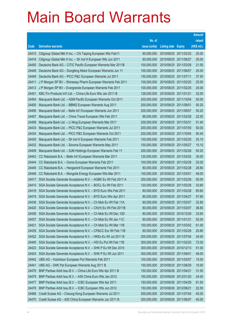|       |                                                              |               |                            |            | <b>Amount</b> |
|-------|--------------------------------------------------------------|---------------|----------------------------|------------|---------------|
|       |                                                              | No. of        |                            |            | raised        |
| Code  | <b>Derivative warrants</b>                                   | issue (units) | <b>Listing date Expiry</b> |            | (HK\$ mil.)   |
| 24415 | Citigroup Global Mkt H Inc. - Chi Taiping European Wts Feb11 | 80,000,000    | 2010/08/25 2011/02/25      |            | 20.00         |
| 24416 | Citigroup Global Mkt H Inc. - Sh Ind H European Wts Jun 2011 | 80,000,000    | 2010/08/25 2011/06/27      |            | 20.00         |
| 24450 | Deutsche Bank AG - CITIC Pacific European Warrants Mar 2011B | 100,000,000   | 2010/08/25 2011/03/28      |            | 21.00         |
| 24448 | Deutsche Bank AG - Dongfeng Motor European Warrants Jun 11   | 100,000,000   | 2010/08/25 2011/06/07      |            | 25.00         |
| 24449 | Deutsche Bank AG - PICC P&C European Warrants Jul 2011       | 150,000,000   | 2010/08/25 2011/07/11      |            | 37.50         |
| 24411 | J P Morgan SP BV - Shineway Pharm European Warrants Feb 2011 | 100,000,000   | 2010/08/25 2011/02/25      |            | 25.00         |
| 24412 | J P Morgan SP BV - Evergrande European Warrants Feb 2011     | 100,000,000   | 2010/08/25 2011/02/25      |            | 25.00         |
| 24451 | KBC Fin Products Int'l Ltd. - China Life Euro Wts Jan 2011 B | 128,000,000   | 2010/08/25 2011/01/21      |            | 32.00         |
| 24404 | Macquarie Bank Ltd. - ASM Pacific European Warrants Oct 2011 | 200,000,000   | 2010/08/25 2011/10/04      |            | 50.00         |
| 24405 | Macquarie Bank Ltd. - BBMG European Warrants Aug 2011        | 200,000,000   | 2010/08/25 2011/08/01      |            | 50.20         |
| 24406 | Macquarie Bank Ltd. - Belle Int'l European Warrants Jun 2011 | 200,000,000   | 2010/08/25 2011/06/07      |            | 50.20         |
| 24407 | Macquarie Bank Ltd. - China Travel European Wts Feb 2011     | 88,000,000    | 2010/08/25 2011/02/28      |            | 22.00         |
| 24408 | Macquarie Bank Ltd. - Li Ning European Warrants Mar 2011     | 200,000,000   | 2010/08/25 2011/03/31      |            | 51.40         |
| 24433 | Macquarie Bank Ltd. - PICC P&C European Warrants Jul 2011    | 200,000,000   | 2010/08/25 2011/07/05      |            | 50.00         |
| 24434 | Macquarie Bank Ltd. - PICC P&C European Warrants Oct 2011    | 200,000,000   | 2010/08/25 2011/10/04      |            | 50.40         |
| 24435 | Macquarie Bank Ltd. - Sh Ind H European Warrants Feb 2011    | 100,000,000   | 2010/08/25 2011/02/25      |            | 25.10         |
| 24432 | Macquarie Bank Ltd. - Sinoma European Warrants May 2011      | 100,000,000   | 2010/08/25 2011/05/27      |            | 15.10         |
| 24409 | Macquarie Bank Ltd. - SJM Holdings European Warrants Feb 11  | 200,000,000   | 2010/08/25 2011/02/28      |            | 50.20         |
| 24443 | CC Rabobank B.A. - Belle Int'l European Warrants Mar 2011    | 120,000,000   | 2010/08/25 2011/03/02      |            | 30.00         |
| 24444 | CC Rabobank B.A. - Gome European Warrants Feb 2011           | 100,000,000   | 2010/08/25 2011/02/28      |            | 25.00         |
| 24445 | CC Rabobank B.A. - Henganintl European Warrants Feb 2011     | 80,000,000    | 2010/08/25 2011/02/28      |            | 28.80         |
| 24446 | CC Rabobank B.A. - Mongolia Energy European Wts Mar 2011     | 100,000,000   | 2010/08/25 2011/03/01      |            | 49.00         |
| 24417 | SGA Societe Generale Acceptance N.V. - AGBK Eu Wt Feb 2011 A | 200,000,000   | 2010/08/25 2011/02/28      |            | 50.00         |
| 24410 | SGA Societe Generale Acceptance N.V. - BOCL Eu Wt Feb 2011   | 120,000,000   | 2010/08/25 2011/02/28      |            | 33.60         |
| 24418 | SGA Societe Generale Acceptance N.V. - BYD Euro Wts Feb 2011 | 80,000,000    | 2010/08/25 2011/02/28      |            | 65.60         |
| 24419 | SGA Societe Generale Acceptance N.V. - BYD Euro Wts Apr 2011 | 80,000,000    | 2010/08/25 2011/04/27      |            | 57.60         |
| 24438 | SGA Societe Generale Acceptance N.V. - Ch Mob Eu Wt Feb 11A  | 80,000,000    | 2010/08/25 2011/02/07      |            | 32.80         |
| 24420 | SGA Societe Generale Acceptance N.V. - CK(H) Eu Wt Feb 2011B | 80,000,000    | 2010/08/25 2011/02/07      |            | 36.80         |
| 24436 | SGA Societe Generale Acceptance N.V. - Ch Mob Eu Wt Dec 10D  | 80,000,000    | 2010/08/25 2010/12/29      |            | 33.60         |
| 24437 | SGA Societe Generale Acceptance N.V. - Ch Mob Eu Wt Jan 11C  | 80,000,000    | 2010/08/25 2011/01/31      |            | 52.00         |
| 24421 | SGA Societe Generale Acceptance N.V. - Ch Mob Eu Wt Mar 11B  | 100,000,000   | 2010/08/25 2011/03/02      |            | 61.00         |
| 24439 | SGA Societe Generale Acceptance N.V. - CP&CC Eur Wt Feb 11B  | 80,000,000    | 2010/08/25 2011/02/28      |            | 20.80         |
| 24422 | SGA Societe Generale Acceptance N.V. - HKEx Eu Wt Jul 2011 B | 200,000,000   | 2010/08/25                 | 2011/07/04 | 34.00         |
| 24440 | SGA Societe Generale Acceptance N.V. - HSI Eu Put Wt Feb 11B | 300,000,000   | 2010/08/25 2011/02/25      |            | 72.00         |
| 24423 | SGA Societe Generale Acceptance N.V. - SHK P Eu Wt Dec 2010  | 300,000,000   | 2010/08/25 2010/12/13      |            | 51.00         |
| 24424 | SGA Societe Generale Acceptance N.V. - SHK P Eu Wt Jun 2011  | 300,000,000   | 2010/08/25 2011/06/01      |            | 48.00         |
| 24442 | UBS AG - Hutchison European Put Warrants Feb 2011            | 100,000,000   | 2010/08/25 2011/02/07      |            | 15.00         |
| 24441 | UBS AG - SHK Ppt European Warrants Aug 2011 B                | 100,000,000   | 2010/08/25 2011/08/29      |            | 15.00         |
| 24476 | BNP Paribas Arbit Issu B.V. - China Life Euro Wts Apr 2011 B | 150,000,000   | 2010/08/26 2011/04/21      |            | 31.50         |
| 24479 | BNP Paribas Arbit Issu B.V. - A50 China Euro Wts Jan 2012    | 150,000,000   | 2010/08/26 2012/01/20      |            | 24.00         |
| 24477 | BNP Paribas Arbit Issu B.V. - ICBC European Wts Apr 2011     | 150,000,000   | 2010/08/26 2011/04/29      |            | 61.50         |
| 24478 | BNP Paribas Arbit Issu B.V. - ICBC European Wts Jun 2012     | 150,000,000   | 2010/08/26 2012/06/21      |            | 22.50         |
| 24468 | Credit Suisse AG - Cheung Kong European Warrants Jul 2011    | 300,000,000   | 2010/08/26 2011/07/04      |            | 45.00         |
| 24470 | Credit Suisse AG - A50 China European Warrants Jun 2011 B    | 300,000,000   | 2010/08/26 2011/06/07      |            | 45.00         |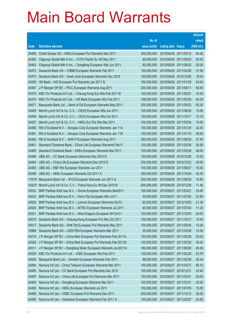|        |                                                                     |               |                            |            | <b>Amount</b> |
|--------|---------------------------------------------------------------------|---------------|----------------------------|------------|---------------|
|        |                                                                     | No. of        |                            |            | raised        |
| Code   | <b>Derivative warrants</b>                                          | issue (units) | <b>Listing date Expiry</b> |            | (HK\$ mil.)   |
| 24469  | Credit Suisse AG - HKEx European Put Warrants Mar 2011              | 300,000,000   | 2010/08/26 2011/03/14      |            | 45.00         |
| 24462  | Citigroup Global Mkt H Inc. - CITIC Pacific Eu Wt May 2011          | 80,000,000    | 2010/08/26 2011/05/23      |            | 20.00         |
| 24463  | Citigroup Global Mkt H Inc. - Dongfeng European Wts Jun 2011        | 80,000,000    | 2010/08/26 2011/06/20      |            | 20.00         |
| 24472  | Deutsche Bank AG - CNBM European Warrants Feb 2011                  | 150,000,000   | 2010/08/26 2011/02/28      |            | 37.50         |
| 24473  | Deutsche Bank AG - Geely Auto European Warrants Dec 2010            | 100,000,000   | 2010/08/26 2010/12/06      |            | 18.00         |
| 24459  | HK Bank - HSI European Put Warrants Jan 2011 B                      | 160,000,000   | 2010/08/26 2011/01/28      |            | 24.00         |
| 24467  | J P Morgan SP BV - PICC European Warrants Aug 2011                  | 200,000,000   | 2010/08/26 2011/08/11      |            | 50.00         |
| 24475  | KBC Fin Products Int'l Ltd. - Cheung Kong Eur Wts Feb 2011 B        | 100,000,000   | 2010/08/26 2011/02/21      |            | 15.00         |
| 24474  | KBC Fin Products Int'l Ltd. - HS Bank European Wts Feb 2011         | 108,000,000   | 2010/08/26 2011/02/28      |            | 44.28         |
| 24471  | Macquarie Bank Ltd. - Bank of EA European Warrants May 2011         | 200,000,000   | 2010/08/26 2011/05/03      |            | 50.20         |
| 24455  | Merrill Lynch Int'l & Co. C.V. - CK(H) European Wts Jun 2011        | 100,000,000   | 2010/08/26 2011/06/28      |            | 15.00         |
| 24456  | Merrill Lynch Int'l & Co. C.V. - CK(H) European Wts Oct 2011        | 100,000,000   | 2010/08/26 2011/10/17      |            | 15.10         |
| 24457  | Merrill Lynch Int'l & Co. C.V. - HKEx Eur Put Wts Mar 2011          | 100,000,000   | 2010/08/26 2011/03/04      |            | 15.00         |
| 24480  | RB of Scotland N.V. - Sinopec Corp European Warrants Jan 11A        | 100,000,000   | 2010/08/26 2011/01/25      |            | 42.00         |
| 24481  | RB of Scotland N.V. - Sinopec Corp European Warrants Jan 11B        | 100,000,000   | 2010/08/26 2011/01/10      |            | 28.80         |
| 24482  | RB of Scotland N.V. - SHK P European Warrants Aug 2011              | 250,000,000   | 2010/08/26 2011/08/29      |            | 37.50         |
| 24461  | Standard Chartered Bank - China Life European Warrants Feb11        | 120,000,000   | 2010/08/26 2011/02/28      |            | 30.00         |
| 24460  | Standard Chartered Bank - HKEx European Warrants Mar 2011           | 100,000,000   | 2010/08/26 2011/03/28      |            | 48.00         |
| 24466  | UBS AG - CC Bank European Warrants Dec 2010 D                       | 100,000,000   | 2010/08/26 2010/12/28      |            | 15.00         |
| 24464  | UBS AG - China Life European Warrants Dec 2010 D                    | 200,000,000   | 2010/08/26 2010/12/23      |            | 30.00         |
| 24465  | UBS AG - R&F Ppt European Warrants Jun 2011                         | 100,000,000   | 2010/08/26 2011/06/27      |            | 15.00         |
| 24458  | UBS AG - HKEx European Warrants Oct 2011 A                          | 300,000,000   | 2010/08/26 2011/10/24      |            | 45.00         |
| 17810# | Macquarie Bank Ltd. - BYD European Warrants Jun 2011 A              | 200,000,000   | 2010/08/26 2011/06/29      |            | 10.60         |
|        | 19323# Merrill Lynch Int'l & Co. C.V. - PetroChina Eu Wt Dec 2010 B | 600,000,000   | 2010/08/26 2010/12/28      |            | 11.40         |
| 24522  | BNP Paribas Arbit Issu B.V. - Gome European Warrants Mar2011        | 100,000,000   | 2010/08/27 2011/03/01      |            | 33.00         |
| 24523  | BNP Paribas Arbit Issu B.V. - Kerry Ppt European Wts Jul11          | 45,000,000    | 2010/08/27 2011/07/04      |            | 22.95         |
| 24520  | BNP Paribas Arbit Issu B.V. - Lenovo European Warrants Oct13        | 85,000,000    | 2010/08/27 2013/10/03      |            | 21.25         |
| 24524  | BNP Paribas Arbit Issu B.V. - MTRC European Warrants Jul 2011       | 45,000,000    | 2010/08/27 2011/07/04      |            | 11.25         |
| 24521  | BNP Paribas Arbit Issu B.V. - Nine Dragons European Wt Oct11        | 100,000,000   | 2010/08/27                 | 2011/10/03 | 25.00         |
| 24516  | Deutsche Bank AG - Cheung Kong European Put Wts Oct 2011            | 100,000,000   | 2010/08/27 2011/10/17      |            | 15.00         |
| 24517  | Deutsche Bank AG - SHK Ppt European Put Warrants May 2011           | 100,000,000   | 2010/08/27                 | 2011/05/30 | 15.00         |
| 10988  | Deutsche Bank AG - USD/YEN European Warrants Mar 2011               | 50,000,000    | 2010/08/27 2011/03/28      |            | 12.50         |
| 24519  | J P Morgan SP BV - China Mob European Put Warrants Feb 2011A        | 100,000,000   | 2010/08/27                 | 2011/02/28 | 25.00         |
| 24528  | J P Morgan SP BV - China Mob European Put Warrants Feb 2011B        | 100,000,000   | 2010/08/27                 | 2011/02/28 | 35.00         |
| 24511  | J P Morgan SP BV - Dongfeng Motor European Warrants Jun2011A        | 180,000,000   | 2010/08/27                 | 2011/06/29 | 45.00         |
| 24525  | KBC Fin Products Int'l Ltd. - ICBC European Wts Feb 2011            | 128,000,000   | 2010/08/27 2011/02/28      |            | 53.76         |
| 24526  | Macquarie Bank Ltd. - Sinofert European Warrants Feb 2011           | 88,000,000    | 2010/08/27                 | 2011/02/28 | 25.34         |
| 24494  | Nomura Int'l plc - China Telecom European Warrants Mar 2011         | 100,000,000   | 2010/08/27 2011/03/31      |            | 56.70         |
| 24495  | Nomura Int'l plc - CC Bank European Put Warrants Dec 2010           | 100,000,000   | 2010/08/27                 | 2010/12/31 | 23.40         |
| 24497  | Nomura Int'l plc - China Life European Put Warrants Mar 2011        | 100,000,000   | 2010/08/27 2011/03/31      |            | 25.00         |
| 24493  | Nomura Int'l plc - Dongfeng European Warrants Mar 2011              | 100,000,000   | 2010/08/27                 | 2011/03/31 | 25.00         |
| 24492  | Nomura Int'l plc - HKEx European Warrants Jul 2011                  | 100,000,000   | 2010/08/27 2011/07/29      |            | 15.00         |
| 24489  | Nomura Int'l plc - HSBC European Put Warrants Dec 2011              | 200,000,000   | 2010/08/27                 | 2011/12/12 | 30.00         |
| 24490  | Nomura Int'l plc - Hutchison European Warrants Feb 2011 A           | 100,000,000   | 2010/08/27 2011/02/07      |            | 24.00         |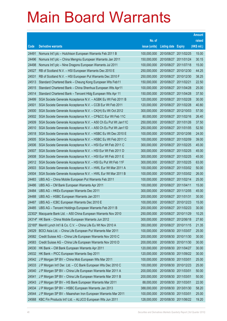|        |                                                                                                                                   |                            |                                                |                       | <b>Amount</b>  |
|--------|-----------------------------------------------------------------------------------------------------------------------------------|----------------------------|------------------------------------------------|-----------------------|----------------|
|        |                                                                                                                                   | No. of                     |                                                |                       | raised         |
| Code   | <b>Derivative warrants</b>                                                                                                        | issue (units)              | Listing date                                   | <b>Expiry</b>         | (HK\$ mil.)    |
| 24491  | Nomura Int'l plc - Hutchison European Warrants Feb 2011 B                                                                         | 100,000,000                | 2010/08/27 2011/02/25                          |                       | 15.00          |
| 24496  | Nomura Int'l plc - China Mengniu European Warrants Jan 2011                                                                       | 150,000,000                | 2010/08/27 2011/01/24                          |                       | 30.15          |
| 24498  | Nomura Int'l plc - Nine Dragons European Warrants Jul 2011                                                                        | 100,000,000                | 2010/08/27 2011/07/18                          |                       | 15.00          |
| 24527  | RB of Scotland N.V. - HSI European Warrants Dec 2010 E                                                                            | 250,000,000                |                                                | 2010/08/27 2010/12/30 | 44.25          |
| 24531  | RB of Scotland N.V. - HSI European Put Warrants Dec 2010 F                                                                        | 250,000,000                |                                                | 2010/08/27 2010/12/30 | 38.25          |
| 24513  | Standard Chartered Bank - Cheung Kong European Wts Feb11                                                                          | 150,000,000                | 2010/08/27 2011/02/21                          |                       | 22.50          |
| 24515  | Standard Chartered Bank - China Shenhua European Wts Apr11                                                                        | 100,000,000                | 2010/08/27 2011/04/28                          |                       | 25.00          |
| 24514  | Standard Chartered Bank - Tencent HIdg European Wts Apr 11                                                                        | 150,000,000                | 2010/08/27 2011/04/28                          |                       | 37.50          |
| 24499  | SGA Societe Generale Acceptance N.V. - AGBK Eu Wt Feb 2011 B                                                                      | 120,000,000                |                                                | 2010/08/27 2011/02/28 | 30.00          |
| 24501  | SGA Societe Generale Acceptance N.V. - CCB Eur Wt Feb 2011                                                                        | 120,000,000                | 2010/08/27 2011/02/28                          |                       | 40.80          |
| 24500  | SGA Societe Generale Acceptance N.V. - CK(H) Eu Wt Oct 2012                                                                       | 300,000,000                |                                                | 2010/08/27 2012/10/03 | 57.00          |
| 24502  | SGA Societe Generale Acceptance N.V. - CP&CC Eur Wt Feb 11C                                                                       | 80,000,000                 | 2010/08/27 2011/02/16                          |                       | 26.40          |
| 24509  | SGA Societe Generale Acceptance N.V. - A50 Ch Eu Put Wt Jan11C                                                                    | 250,000,000                |                                                | 2010/08/27 2011/01/26 | 37.50          |
| 24510  | SGA Societe Generale Acceptance N.V. - A50 Ch Eu Put Wt Jan11D                                                                    | 250,000,000                | 2010/08/27 2011/01/05                          |                       | 52.50          |
| 24518  | SGA Societe Generale Acceptance N.V. - HSBC Eu Wt Dec 2010 E                                                                      | 100,000,000                |                                                | 2010/08/27 2010/12/06 | 24.00          |
| 24505  | SGA Societe Generale Acceptance N.V. - HSBC Eu Wt Feb 2011 C                                                                      | 100,000,000                | 2010/08/27 2011/02/09                          |                       | 39.00          |
| 24506  | SGA Societe Generale Acceptance N.V. - HSI Eur Wt Feb 2011 C                                                                      | 300,000,000                |                                                | 2010/08/27 2011/02/25 | 45.00          |
| 24507  | SGA Societe Generale Acceptance N.V. - HSI Eur Wt Feb 2011 D                                                                      | 300,000,000                | 2010/08/27 2011/02/25                          |                       | 45.00          |
| 24508  | SGA Societe Generale Acceptance N.V. - HSI Eur Wt Feb 2011 E                                                                      | 300,000,000                |                                                | 2010/08/27 2011/02/25 | 45.00          |
| 24512  | SGA Societe Generale Acceptance N.V. - HSI Eu Put Wt Feb 11F                                                                      | 300,000,000                | 2010/08/27 2011/02/25                          |                       | 63.00          |
| 24503  | SGA Societe Generale Acceptance N.V. - HWL Eur Wt Mar 2011 A                                                                      | 100,000,000                |                                                | 2010/08/27 2011/03/02 | 50.00          |
| 24504  | SGA Societe Generale Acceptance N.V. - HWL Eur Wt Mar 2011 B                                                                      | 100,000,000                |                                                | 2010/08/27 2011/03/02 | 26.00          |
| 24483  | UBS AG - China Mobile European Put Warrants Feb 2011                                                                              | 100,000,000                | 2010/08/27 2011/02/14                          |                       | 25.00          |
| 24486  | UBS AG - CM Bank European Warrants Apr 2011                                                                                       | 100,000,000                | 2010/08/27 2011/04/11                          |                       | 15.00          |
| 24484  | UBS AG - HKEx European Warrants Dec 2011                                                                                          | 300,000,000                |                                                | 2010/08/27 2011/12/05 | 45.00          |
| 24488  | UBS AG - HSBC European Warrants Jan 2011                                                                                          | 200,000,000<br>100,000,000 | 2010/08/27 2011/01/31<br>2010/08/27 2010/12/23 |                       | 30.00<br>15.00 |
| 24487  | UBS AG - ICBC European Warrants Dec 2010 E                                                                                        | 200,000,000                |                                                | 2010/08/27 2011/02/23 | 30.00          |
|        | 24485 UBS AG - Tencent Holdings European Warrants Feb 2011 B<br>22302# Macquarie Bank Ltd. - A50 China European Warrants Nov 2010 | 250,000,000                | 2010/08/27 2010/11/29                          |                       | 10.25          |
|        | 24314# HK Bank - China Mobile European Warrants Jun 2012                                                                          | 300,000,000                | 2010/08/27 2012/06/18                          |                       | 27.60          |
| 22165# | Merrill Lynch Int'l & Co. C.V. - China Life Eu Wt Nov 2010 A                                                                      | 350,000,000                | 2010/08/27                                     | 2010/11/15            | 21.35          |
| 24529  | BOCI Asia Ltd. - China Life European Put Warrants Mar 2011                                                                        | 100,000,000                | 2010/08/30 2011/03/07                          |                       | 25.00          |
| 24582  | Credit Suisse AG - China Life European Warrants Nov 2010 C                                                                        | 200,000,000                |                                                | 2010/08/30 2010/11/30 | 30.00          |
| 24583  | Credit Suisse AG - China Life European Warrants Nov 2010 D                                                                        | 200,000,000                |                                                | 2010/08/30 2010/11/30 | 30.00          |
| 24530  | HK Bank - CM Bank European Warrants Apr 2011                                                                                      | 120,000,000                |                                                | 2010/08/30 2011/04/27 | 30.00          |
| 24532  | HK Bank - PICC European Warrants Sep 2011                                                                                         | 120,000,000                |                                                | 2010/08/30 2011/09/22 | 30.00          |
| 24542  | J P Morgan SP BV - China Mob European Wts Mar 2011                                                                                | 100,000,000                | 2010/08/30 2011/03/01                          |                       | 25.00          |
| 24533  | J P Morgan Int'l Der. Ltd. - CC Bank European Wts Dec 2010 C                                                                      | 100,000,000                |                                                | 2010/08/30 2010/12/23 | 25.00          |
| 24540  | J P Morgan SP BV - China Life European Warrants Mar 2011 A                                                                        | 200,000,000                | 2010/08/30 2011/03/01                          |                       | 50.00          |
| 24541  | J P Morgan SP BV - China Life European Warrants Mar 2011 B                                                                        | 200,000,000                | 2010/08/30 2011/03/01                          |                       | 50.00          |
| 24543  | J P Morgan SP BV - HS Bank European Warrants Mar 2011                                                                             | 88,000,000                 | 2010/08/30                                     | 2011/03/01            | 22.00          |
| 24534  | J P Morgan SP BV - HSBC European Warrants Jan 2013                                                                                | 388,000,000                |                                                | 2010/08/30 2013/01/30 | 58.20          |
| 24544  | J P Morgan SP BV - Maanshan Iron European Warrants Mar 2011                                                                       | 100,000,000                | 2010/08/30 2011/03/01                          |                       | 25.00          |
| 24568  | KBC Fin Products Int'l Ltd. - ALUCO European Wts Jun 2011                                                                         | 128,000,000                |                                                | 2010/08/30 2011/06/22 | 19.20          |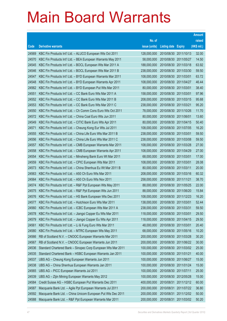|       |                                                              |               |                            |                       | <b>Amount</b> |
|-------|--------------------------------------------------------------|---------------|----------------------------|-----------------------|---------------|
|       |                                                              | No. of        |                            |                       | raised        |
| Code  | <b>Derivative warrants</b>                                   | issue (units) | <b>Listing date Expiry</b> |                       | (HK\$ mil.)   |
| 24569 | KBC Fin Products Int'l Ltd. - ALUCO European Wts Oct 2011    | 128,000,000   |                            | 2010/08/30 2011/10/13 | 32.00         |
| 24570 | KBC Fin Products Int'l Ltd. - BEA European Warrants May 2011 | 58,000,000    |                            | 2010/08/30 2011/05/27 | 14.50         |
| 24545 | KBC Fin Products Int'l Ltd. - BOCL European Wts Mar 2011 A   | 188,000,000   | 2010/08/30 2011/03/18      |                       | 63.92         |
| 24546 | KBC Fin Products Int'l Ltd. - BOCL European Wts Mar 2011 B   | 238,000,000   |                            | 2010/08/30 2011/03/30 | 59.50         |
| 24547 | KBC Fin Products Int'l Ltd. - BYD European Warrants Mar 2011 | 108,000,000   | 2010/08/30 2011/03/01      |                       | 63.72         |
| 24548 | KBC Fin Products Int'l Ltd. - BYD European Warrants Apr 2011 | 108,000,000   |                            | 2010/08/30 2011/04/27 | 46.44         |
| 24562 | KBC Fin Products Int'l Ltd. - BYD European Put Wts Mar 2011  | 80,000,000    | 2010/08/30 2011/03/01      |                       | 38.40         |
| 24551 | KBC Fin Products Int'l Ltd. - CC Bank Euro Wts Mar 2011 A    | 158,000,000   | 2010/08/30 2011/03/01      |                       | 97.96         |
| 24552 | KBC Fin Products Int'l Ltd. - CC Bank Euro Wts Mar 2011 B    | 208,000,000   |                            | 2010/08/30 2011/03/15 | 95.68         |
| 24553 | KBC Fin Products Int'l Ltd. - CC Bank Euro Wts Mar 2011 C    | 238,000,000   | 2010/08/30 2011/03/21      |                       | 95.20         |
| 24550 | KBC Fin Products Int'l Ltd. - Ch Comm Cons Euro Wts Oct 2011 | 78,000,000    |                            | 2010/08/30 2011/10/26 | 11.70         |
| 24572 | KBC Fin Products Int'l Ltd. - China Coal Euro Wts Jun 2011   | 80,000,000    | 2010/08/30 2011/06/01      |                       | 13.60         |
| 24549 | KBC Fin Products Int'l Ltd. - CITIC Bank Euro Wts Apr 2011   | 80,000,000    |                            | 2010/08/30 2011/04/15 | 50.40         |
| 24571 | KBC Fin Products Int'l Ltd. - Cheung Kong Eur Wts Jul 2011   | 108,000,000   |                            | 2010/08/30 2011/07/05 | 16.20         |
| 24555 | KBC Fin Products Int'l Ltd. - China Life Euro Wts Mar 2011 B | 238,000,000   | 2010/08/30 2011/03/01      |                       | 59.50         |
| 24556 | KBC Fin Products Int'l Ltd. - China Life Euro Wts Mar 2011 C | 238,000,000   |                            | 2010/08/30 2011/03/08 | 59.50         |
| 24557 | KBC Fin Products Int'l Ltd. - CMB European Warrants Mar 2011 | 108,000,000   |                            | 2010/08/30 2011/03/28 | 27.00         |
| 24558 | KBC Fin Products Int'l Ltd. - CMB European Warrants Apr 2011 | 108,000,000   | 2010/08/30 2011/04/29      |                       | 27.00         |
| 24554 | KBC Fin Products Int'l Ltd. - Minsheng Bank Euro Wt Mar 2011 | 68,000,000    | 2010/08/30 2011/03/01      |                       | 17.00         |
| 24559 | KBC Fin Products Int'l Ltd. - CPIC European Wts Mar 2011     | 108,000,000   | 2010/08/30 2011/03/01      |                       | 28.08         |
| 24573 | KBC Fin Products Int'l Ltd. - China Shenhua Eu Wt Mar 2011 B | 80,000,000    | 2010/08/30 2011/03/11      |                       | 20.00         |
| 24563 | KBC Fin Products Int'l Ltd. - A50 Ch Euro Wts Mar 2011       | 208,000,000   |                            | 2010/08/30 2011/03/16 | 60.32         |
| 24564 | KBC Fin Products Int'l Ltd. - A50 Ch Euro Wts Nov 2011       | 258,000,000   | 2010/08/30 2011/11/21      |                       | 38.70         |
| 24574 | KBC Fin Products Int'l Ltd. - R&F Ppt European Wts May 2011  | 88,000,000    |                            | 2010/08/30 2011/05/25 | 22.00         |
| 24575 | KBC Fin Products Int'l Ltd. - R&F Ppt European Wts Jun 2011  | 88,000,000    |                            | 2010/08/30 2011/06/20 | 15.84         |
| 24576 | KBC Fin Products Int'l Ltd. - HS Bank European Wts Dec 2011  | 108,000,000   | 2010/08/30 2011/12/23      |                       | 16.20         |
| 24577 | KBC Fin Products Int'l Ltd. - Hutchison Euro Wts Mar 2011    | 138,000,000   | 2010/08/30 2011/03/01      |                       | 52.44         |
| 24560 | KBC Fin Products Int'l Ltd. - ICBC European Wts Mar 2011 A   | 238,000,000   | 2010/08/30 2011/03/31      |                       | 59.50         |
| 24578 | KBC Fin Products Int'l Ltd. - Jiangxi Copper Eu Wts Mar 2011 | 118,000,000   | 2010/08/30                 | 2011/03/01            | 29.50         |
| 24579 | KBC Fin Products Int'l Ltd. - Jiangxi Copper Eu Wts Apr 2011 | 118,000,000   | 2010/08/30 2011/04/15      |                       | 29.50         |
| 24561 | KBC Fin Products Int'l Ltd. - Li & Fung Euro Wts Mar 2011    | 48,000,000    | 2010/08/30 2011/03/01      |                       | 20.40         |
| 24580 | KBC Fin Products Int'l Ltd. - MTRC European Wts May 2011     | 68,000,000    |                            | 2010/08/30 2011/05/16 | 10.20         |
| 24566 | RB of Scotland N.V. - CNOOC European Warrants Mar 2011       | 200,000,000   | 2010/08/30                 | 2011/03/28            | 30.20         |
| 24567 | RB of Scotland N.V. - CNOOC European Warrants Jun 2011       | 200,000,000   | 2010/08/30                 | 2011/06/22            | 30.00         |
| 24536 | Standard Chartered Bank - Sinopec Corp European Wts Mar 2011 | 100,000,000   |                            | 2010/08/30 2011/03/02 | 25.00         |
| 24535 | Standard Chartered Bank - HSBC European Warrants Jan 2011    | 100,000,000   | 2010/08/30 2011/01/21      |                       | 40.00         |
| 24537 | UBS AG - Cheung Kong European Warrants Jun 2011              | 100,000,000   | 2010/08/30                 | 2011/06/27            | 15.00         |
| 24538 | UBS AG - China Shenhua European Warrants Jan 2011            | 100,000,000   | 2010/08/30                 | 2011/01/24            | 15.00         |
| 24565 | UBS AG - PICC European Warrants Jul 2011                     | 100,000,000   | 2010/08/30                 | 2011/07/11            | 25.00         |
| 24539 | UBS AG - Zijin Mining European Warrants May 2012             | 100,000,000   |                            | 2010/08/30 2012/05/28 | 15.00         |
| 24584 | Credit Suisse AG - HSBC European Put Warrants Dec 2011       | 400,000,000   | 2010/08/31                 | 2011/12/12            | 60.00         |
| 24587 | Macquarie Bank Ltd. - Agile Ppt European Warrants Jul 2011   | 200,000,000   | 2010/08/31                 | 2011/07/22            | 36.80         |
| 24592 | Macquarie Bank Ltd. - China Unicom European Put Wts Dec 2011 | 200,000,000   | 2010/08/31                 | 2011/12/02            | 50.00         |
| 24588 | Macquarie Bank Ltd. - R&F Ppt European Warrants Mar 2011     | 200,000,000   | 2010/08/31                 | 2011/03/02            | 50.20         |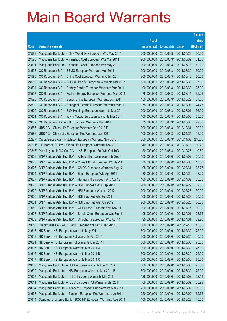|        |                                                                 |               |                     |                       | <b>Amount</b> |
|--------|-----------------------------------------------------------------|---------------|---------------------|-----------------------|---------------|
|        |                                                                 | No. of        |                     |                       | raised        |
| Code   | <b>Derivative warrants</b>                                      | issue (units) | <b>Listing date</b> | <b>Expiry</b>         | (HK\$ mil.)   |
| 24589  | Macquarie Bank Ltd. - New World Dev European Wts May 2011       | 200,000,000   | 2010/08/31          | 2011/05/23            | 30.00         |
| 24590  | Macquarie Bank Ltd. - Yanzhou Coal European Wts Mar 2011        | 200,000,000   |                     | 2010/08/31 2011/03/02 | 61.60         |
| 24591  | Macquarie Bank Ltd. - Yanzhou Coal European Wts May 2011        | 200,000,000   | 2010/08/31          | 2011/05/13            | 42.20         |
| 24593  | CC Rabobank B.A. - BBMG European Warrants Mar 2011              | 200,000,000   | 2010/08/31          | 2011/03/30            | 50.00         |
| 24595  | CC Rabobank B.A. - China Coal European Warrants Jun 2011        | 200,000,000   | 2010/08/31          | 2011/06/10            | 50.00         |
| 24596  | CC Rabobank B.A. - COSCO Pacific European Warrants Mar 2011     | 150,000,000   | 2010/08/31          | 2011/03/30            | 37.50         |
| 24594  | CC Rabobank B.A. - Cathay Pacific European Warrants Mar 2011    | 100,000,000   | 2010/08/31          | 2011/03/30            | 25.00         |
| 24597  | CC Rabobank B.A. - Fushan Energy European Warrants Mar 2011     | 75,000,000    |                     | 2010/08/31 2011/03/14 | 32.25         |
| 24598  | CC Rabobank B.A. - Sands China European Warrants Jun 2011       | 150,000,000   | 2010/08/31          | 2011/06/29            | 37.50         |
| 24599  | CC Rabobank B.A. - Shanghai Electric European Warrants Mar11    | 75,000,000    | 2010/08/31          | 2011/03/03            | 24.75         |
| 24600  | CC Rabobank B.A. - SJM Holdings European Warrants Mar 2011      | 200,000,000   | 2010/08/31          | 2011/03/01            | 56.00         |
| 24601  | CC Rabobank B.A. - Wynn Macau European Warrants Mar 2011        | 100,000,000   | 2010/08/31          | 2011/03/08            | 25.00         |
| 24602  | CC Rabobank B.A. - ZTE European Warrants Mar 2011               | 75,000,000    | 2010/08/31          | 2011/03/30            | 22.50         |
| 24585  | UBS AG - China Life European Warrants Dec 2010 E                | 200,000,000   | 2010/08/31          | 2010/12/31            | 30.00         |
| 24586  | UBS AG - China Life European Put Warrants Jan 2011              | 100,000,000   | 2010/08/31          | 2011/01/24            | 15.00         |
| 23277# | Credit Suisse AG - Hutchison European Warrants Nov 2010         | 500,000,000   |                     | 2010/08/31 2010/11/08 | 240.00        |
|        | 22701# J P Morgan SP BV - China Life European Warrants Nov 2010 | 340,000,000   | 2010/08/31          | 2010/11/18            | 10.20         |
| 22248# | Merrill Lynch Int'l & Co. C.V. - HSI European Put Wts Oct 10D   | 150,000,000   | 2010/08/31          | 2010/10/28            | 10.80         |
| 24623  | BNP Paribas Arbit Issu B.V. - Alibaba European Warrants Sep11   | 100,000,000   | 2010/09/01          | 2011/09/02            | 25.00         |
| 24625  | BNP Paribas Arbit Issu B.V. - China EB Ltd European Wt May11    | 70,000,000    |                     | 2010/09/01 2011/05/03 | 17.50         |
| 24626  | BNP Paribas Arbit Issu B.V. - CMOC European Warrants Aug 12     | 95,000,000    | 2010/09/01          | 2012/08/31            | 23.75         |
| 24624  | BNP Paribas Arbit Issu B.V. - Esprit European Wts Apr 2011      | 80,000,000    | 2010/09/01          | 2011/04/29            | 43.20         |
| 24627  | BNP Paribas Arbit Issu B.V. - Henganintl European Wts Apr 13    | 100,000,000   | 2010/09/01          | 2013/04/02            | 25.00         |
| 24620  | BNP Paribas Arbit Issu B.V. - HSI European Wts Sep 2011         | 200,000,000   | 2010/09/01          | 2011/09/29            | 52.00         |
| 24622  | BNP Paribas Arbit Issu B.V. - HSI European Wts Jun 2012         | 200,000,000   | 2010/09/01          | 2012/06/28            | 50.00         |
| 24630  | BNP Paribas Arbit Issu B.V. - HSI Euro Put Wts Sep 2011         | 100,000,000   | 2010/09/01          | 2011/09/29            | 25.00         |
| 24631  | BNP Paribas Arbit Issu B.V. - HSI Euro Put Wts Jun 2012         | 200,000,000   | 2010/09/01          | 2012/06/28            | 50.00         |
| 10989  | BNP Paribas Arbit Issu B.V. - Oil Futures European Wts Nov 11   | 100,000,000   | 2010/09/01          | 2011/11/16            | 39.00         |
| 24628  | BNP Paribas Arbit Issu B.V. - Sands China European Wts Sep 11   | 95,000,000    | 2010/09/01          | 2011/09/01            | 23.75         |
| 24629  | BNP Paribas Arbit Issu B.V. - Sinopharm European Wts Apr 11     | 95,000,000    | 2010/09/01          | 2011/04/01            | 39.90         |
| 24610  | Credit Suisse AG - CC Bank European Warrants Dec 2010 E         | 300,000,000   | 2010/09/01          | 2010/12/13            | 45.00         |
| 24618  | HK Bank - HSI European Warrants May 2011                        | 300,000,000   | 2010/09/01          | 2011/05/30            | 75.00         |
| 24619  | HK Bank - HSI European Put Warrants Feb 2011                    | 300,000,000   | 2010/09/01          | 2011/02/25            | 45.00         |
| 24621  | HK Bank - HSI European Put Warrants Mar 2011 F                  | 300,000,000   | 2010/09/01          | 2011/03/30            | 75.00         |
| 24615  | HK Bank - HSI European Warrants Mar 2011 A                      | 300,000,000   | 2010/09/01          | 2011/03/30            | 75.00         |
| 24616  | HK Bank - HSI European Warrants Mar 2011 B                      | 300,000,000   | 2010/09/01          | 2011/03/30            | 75.00         |
| 24617  | HK Bank - HSI European Warrants Mar 2011 C                      | 300,000,000   | 2010/09/01          | 2011/03/30            | 75.00         |
| 24608  | Macquarie Bank Ltd. - HSI European Warrants Mar 2011 A          | 300,000,000   | 2010/09/01          | 2011/03/30            | 75.00         |
| 24609  | Macquarie Bank Ltd. - HSI European Warrants Mar 2011 B          | 300,000,000   | 2010/09/01          | 2011/03/30            | 75.00         |
| 24607  | Macquarie Bank Ltd. - ICBC European Warrants Mar 2011           | 128,000,000   | 2010/09/01          | 2011/03/02            | 32.13         |
| 24611  | Macquarie Bank Ltd. - ICBC European Put Warrants Mar 2011       | 88,000,000    | 2010/09/01          | 2011/03/02            | 35.99         |
| 24634  | Macquarie Bank Ltd. - Tencent European Put Warrants Mar 2011    | 250,000,000   | 2010/09/01          | 2011/03/02            | 69.00         |
| 24633  | Macquarie Bank Ltd. - Tencent European Put Warrants Jun 2011    | 250,000,000   | 2010/09/01          | 2011/06/02            | 62.75         |
| 24614  | Standard Chartered Bank - BOC HK European Warrants Aug 2011     | 100,000,000   | 2010/09/01          | 2011/08/23            | 15.00         |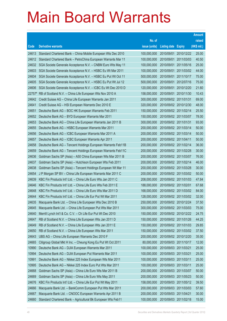|                |                                                               |                            |                       |                       | <b>Amount</b> |
|----------------|---------------------------------------------------------------|----------------------------|-----------------------|-----------------------|---------------|
|                |                                                               | No. of                     |                       |                       | raised        |
| Code           | <b>Derivative warrants</b>                                    | issue (units)              | Listing date          | <b>Expiry</b>         | (HK\$ mil.)   |
| 24613          | Standard Chartered Bank - China Mobile European Wts Dec 2010  | 100,000,000                |                       | 2010/09/01 2010/12/22 | 25.00         |
| 24612          | Standard Chartered Bank - PetroChina European Warrants Mar 11 | 100,000,000                |                       | 2010/09/01 2011/03/03 | 40.50         |
| 24632          | SGA Societe Generale Acceptance N.V. - CNBM Euro Wts May 11   | 100,000,000                | 2010/09/01            | 2011/05/16            | 25.00         |
| 24603          | SGA Societe Generale Acceptance N.V. - HSBC Eu Wt Mar 2011    | 100,000,000                |                       | 2010/09/01 2011/03/02 | 44.00         |
| 24604          | SGA Societe Generale Acceptance N.V. - HSBC Eu Put Wt Oct 11  | 500,000,000                |                       | 2010/09/01 2011/10/17 | 75.00         |
| 24605          | SGA Societe Generale Acceptance N.V. - HSBC Eu Put Wt Jul 12  | 500,000,000                |                       | 2010/09/01 2012/07/16 | 75.00         |
| 24606          | SGA Societe Generale Acceptance N.V. - ICBC Eu Wt Dec 2010 D  | 120,000,000                |                       | 2010/09/01 2010/12/20 | 21.60         |
| 22757#         | RB of Scotland N.V. - China Life European Wts Nov 2010 A      | 158,000,000                |                       | 2010/09/01 2010/11/30 | 10.43         |
| 24642          | Credit Suisse AG - China Life European Warrants Jan 2011      | 300,000,000                |                       | 2010/09/02 2011/01/31 | 69.00         |
| 24641          | Credit Suisse AG - HSI European Warrants Dec 2010 E           | 320,000,000                |                       | 2010/09/02 2010/12/30 | 48.00         |
| 24651          | Deutsche Bank AG - BOC HK European Warrants Feb 2011          | 150,000,000                |                       | 2010/09/02 2011/02/14 | 25.50         |
| 24652          | Deutsche Bank AG - BYD European Warrants Mar 2011             | 150,000,000                |                       | 2010/09/02 2011/03/07 | 78.00         |
| 24653          | Deutsche Bank AG - China Life European Warrants Jan 2011 B    | 300,000,000                |                       | 2010/09/02 2011/01/31 | 93.00         |
| 24655          | Deutsche Bank AG - HSBC European Warrants Mar 2011            | 200,000,000                |                       | 2010/09/02 2011/03/14 | 50.00         |
| 24656          | Deutsche Bank AG - ICBC European Warrants Mar 2011 A          | 200,000,000                |                       | 2010/09/02 2011/03/14 | 50.00         |
| 24657          | Deutsche Bank AG - ICBC European Warrants Apr 2011            | 200,000,000                |                       | 2010/09/02 2011/04/11 | 50.00         |
| 24658          | Deutsche Bank AG - Tencent Holdings European Warrants Feb11B  | 200,000,000                |                       | 2010/09/02 2011/02/14 | 36.00         |
| 24659          | Deutsche Bank AG - Tencent Holdings European Warrants Feb11C  | 200,000,000                |                       | 2010/09/02 2011/02/28 | 30.00         |
| 24636          | Goldman Sachs SP (Asia) - A50 China European Wts Mar 2011 B   | 200,000,000                |                       | 2010/09/02 2011/03/07 | 76.00         |
| 24637          | Goldman Sachs SP (Asia) - Hutchison European Wts Feb 2011     | 200,000,000                |                       | 2010/09/02 2011/02/14 | 46.00         |
| 24638          | Goldman Sachs SP (Asia) - Tencent Holdings European Wt Mar 11 | 200,000,000                |                       | 2010/09/02 2011/03/28 | 30.00         |
| 24654          | J P Morgan SP BV - China Life European Warrants Mar 2011 C    | 200,000,000                |                       | 2010/09/02 2011/03/02 | 50.00         |
| 24639          | KBC Fin Products Int'l Ltd. - China Life Euro Wts Jan 2011 C  | 208,000,000                |                       | 2010/09/02 2011/01/03 | 47.84         |
| 24646          | KBC Fin Products Int'l Ltd. - China Life Euro Wts Feb 2011 E  | 188,000,000                |                       | 2010/09/02 2011/02/01 | 67.68         |
| 24648          | KBC Fin Products Int'l Ltd. - China Life Euro Wts Mar 2011 D  | 168,000,000                |                       | 2010/09/02 2011/03/02 | 84.00         |
| 24644          | KBC Fin Products Int'l Ltd. - China Life Eur Put Wt Mar 2011  | 128,000,000                |                       | 2010/09/02 2011/03/02 | 32.00         |
| 24635          | Macquarie Bank Ltd. - China Life European Wts Dec 2010 B      | 250,000,000                |                       | 2010/09/02 2010/12/24 | 37.50         |
| 24645          | Macquarie Bank Ltd. - China Life European Put Wts Mar 2011    | 300,000,000                | 2010/09/02 2011/03/03 |                       | 75.00         |
| 24640          | Merrill Lynch Int'l & Co. C.V. - Ch Life Eur Put Wt Dec 2010  | 150,000,000                |                       | 2010/09/02 2010/12/22 | 24.75         |
| 24647          | RB of Scotland N.V. - China Life European Wts Jan 2011 D      | 150,000,000                |                       | 2010/09/02 2011/01/26 | 44.25         |
| 24649          | RB of Scotland N.V. - China Life European Wts Jan 2011 E      | 150,000,000                |                       | 2010/09/02 2011/01/03 | 29.85         |
| 24650          | RB of Scotland N.V. - China Life European Wts Mar 2011        | 150,000,000                |                       | 2010/09/02 2011/03/02 | 37.50         |
| 24643          | UBS AG - China Life European Warrants Dec 2010 F              | 200,000,000                |                       | 2010/09/02 2010/12/20 | 35.00         |
| 24665          | Citigroup Global Mkt H Inc. - Cheung Kong Eu Put Wt Oct 2011  | 80,000,000                 |                       | 2010/09/03 2011/10/17 | 12.00         |
| 10990          | Deutsche Bank AG - DJIA European Warrants Mar 2011            | 100,000,000                | 2010/09/03 2011/03/21 |                       | 25.00         |
| 10994          | Deutsche Bank AG - DJIA European Put Warrants Mar 2011        | 100,000,000                |                       | 2010/09/03 2011/03/21 | 25.00         |
| 10991          | Deutsche Bank AG - Nikkei 225 Index European Wts Mar 2011     | 100,000,000                | 2010/09/03 2011/03/11 |                       | 25.00         |
| 10995          | Deutsche Bank AG - Nikkei 225 Index Euro Put Wts Mar 2011     | 100,000,000<br>200,000,000 |                       | 2010/09/03 2011/03/11 | 25.00         |
| 24668<br>24669 | Goldman Sachs SP (Asia) - China Life Euro Wts Mar 2011 B      |                            |                       | 2010/09/03 2011/03/07 | 50.00         |
|                | Goldman Sachs SP (Asia) - China Life Euro Wts May 2011        | 200,000,000                |                       | 2010/09/03 2011/05/23 | 50.00         |
| 24676<br>24666 | KBC Fin Products Int'l Ltd. - China Life Eur Put Wt May 2011  | 158,000,000<br>200,000,000 |                       | 2010/09/03 2011/05/12 | 39.50         |
|                | Macquarie Bank Ltd. - BankComm European Put Wts Mar 2011      | 200,000,000                |                       | 2010/09/03 2011/03/03 | 57.60         |
| 24667          | Macquarie Bank Ltd. - CNOOC European Warrants Apr 2011 B      |                            | 2010/09/03 2011/04/21 |                       | 30.00         |
| 24660          | Standard Chartered Bank - Agricultural Bk European Wts Feb11  | 100,000,000                |                       | 2010/09/03 2011/02/18 | 15.00         |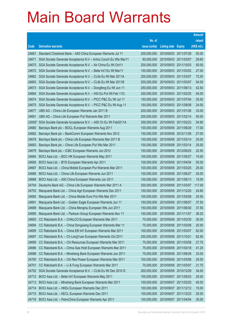|                |                                                                                                                     |                            |                            |                       | <b>Amount</b>  |
|----------------|---------------------------------------------------------------------------------------------------------------------|----------------------------|----------------------------|-----------------------|----------------|
|                |                                                                                                                     | No. of                     |                            |                       | raised         |
| Code           | <b>Derivative warrants</b>                                                                                          | issue (units)              | <b>Listing date Expiry</b> |                       | (HK\$ mil.)    |
| 24661          | Standard Chartered Bank - A50 China European Warrants Jul 11                                                        | 200,000,000                | 2010/09/03 2011/07/28      |                       | 50.00          |
| 24671          | SGA Societe Generale Acceptance N.V - Anhui Conch Eu Wts Mar11                                                      | 80,000,000                 | 2010/09/03 2011/03/07      |                       | 29.60          |
| 24670          | SGA Societe Generale Acceptance N.V. - Air China Eu Wt Oct11                                                        | 200,000,000                | 2010/09/03 2011/10/03      |                       | 50.00          |
| 24672          | SGA Societe Generale Acceptance N.V. - Belle Int'l Eu Wt Mar11                                                      | 150,000,000                |                            | 2010/09/03 2011/03/02 | 27.00          |
| 24662          | SGA Societe Generale Acceptance N.V. - CLife Eu Wt Mar 2011A                                                        | 200,000,000                |                            | 2010/09/03 2011/03/07 | 72.00          |
| 24663          | SGA Societe Generale Acceptance N.V. - CLife Eu Wt Mar 2011B                                                        | 200,000,000                |                            | 2010/09/03 2011/03/07 | 54.00          |
| 24673          | SGA Societe Generale Acceptance N.V. - Dongfeng Eu Wt Jun 11                                                        | 250,000,000                | 2010/09/03 2011/06/13      |                       | 42.50          |
| 24664          | SGA Societe Generale Acceptance N.V. - HSI Eu Put Wt Feb 11G                                                        | 300,000,000                |                            | 2010/09/03 2011/02/25 | 54.00          |
| 24674          | SGA Societe Generale Acceptance N.V. - PICC P&C Eu Wt Jul 11                                                        | 150,000,000                |                            | 2010/09/03 2011/07/04 | 25.50          |
| 24675          | SGA Societe Generale Acceptance N.V. - PICC P&C Eu Wt Aug 11                                                        | 150,000,000                |                            | 2010/09/03 2011/08/08 | 24.00          |
| 24677          | UBS AG - China Life European Warrants Jan 2011 B                                                                    | 200,000,000                | 2010/09/03 2011/01/26      |                       | 33.00          |
| 24681          | UBS AG - China Life European Put Warrants Mar 2011                                                                  | 200,000,000                | 2010/09/03 2011/03/14      |                       | 50.00          |
| 23093#         | SGA Societe Generale Acceptance N.V. - A50 Ch Eu Wt Feb2011A                                                        | 300,000,000                |                            | 2010/09/03 2011/02/23 | 54.90          |
| 24680          | Barclays Bank plc - BOCL European Warrants Aug 2011                                                                 | 100,000,000                |                            | 2010/09/06 2011/08/29 | 17.00          |
| 24682          | Barclays Bank plc - BankComm European Warrants Nov 2012                                                             | 150,000,000                | 2010/09/06 2012/11/26      |                       | 27.00          |
| 24678          | Barclays Bank plc - China Life European Warrants Mar 2011 B                                                         | 100,000,000                | 2010/09/06 2011/03/14      |                       | 25.00          |
| 24683          | Barclays Bank plc - China Life European Put Wts Mar 2011                                                            | 100,000,000                |                            | 2010/09/06 2011/03/14 | 25.00          |
| 24679          | Barclays Bank plc - ICBC European Warrants Jun 2012                                                                 | 150,000,000                |                            | 2010/09/06 2012/06/25 | 22.50          |
| 24684          | BOCI Asia Ltd. - BOC HK European Warrants May 2011                                                                  | 100,000,000                | 2010/09/06 2011/05/27      |                       | 15.00          |
| 24685          | BOCI Asia Ltd. - BYD European Warrants Apr 2011                                                                     | 100,000,000                |                            | 2010/09/06 2011/04/04 | 50.00          |
| 24687          | BOCI Asia Ltd. - China Mobile European Put Warrants Mar 2011                                                        | 100,000,000                |                            | 2010/09/06 2011/03/25 | 25.00          |
| 24686          | BOCI Asia Ltd. - China Life European Warrants Jun 2011                                                              | 100,000,000                |                            | 2010/09/06 2011/06/27 | 25.00<br>15.00 |
| 24688<br>24704 | BOCI Asia Ltd. - A50 China European Warrants Jun 2011<br>Deutsche Bank AG - China Life European Warrants Mar 2011 A | 100,000,000<br>300,000,000 | 2010/09/06 2011/06/13      | 2010/09/06 2011/03/07 | 117.00         |
| 24703          | Macquarie Bank Ltd. - China Agri European Warrants Dec 2011                                                         | 150,000,000                | 2010/09/06 2011/12/20      |                       | 24.60          |
| 24692          | Macquarie Bank Ltd. - China Mobile Euro Put Wts Mar 2011                                                            | 100,000,000                | 2010/09/06 2011/03/08      |                       | 25.50          |
| 24691          | Macquarie Bank Ltd. - Golden Eagle European Warrants Jun 11                                                         | 150,000,000                | 2010/09/06 2011/06/07      |                       | 37.50          |
| 24689          | Macquarie Bank Ltd. - China Mengniu European Wts Jun 2011                                                           | 150,000,000                | 2010/09/06 2011/06/30      |                       | 37.50          |
| 24690          | Macquarie Bank Ltd. - Parkson Group European Warrants Nov 11                                                        | 150,000,000                | 2010/09/06 2011/11/07      |                       | 38.25          |
| 24693          | CC Rabobank B.A. - CHALCO European Warrants Mar 2011                                                                | 75,000,000                 |                            | 2010/09/06 2011/03/30 | 30.00          |
| 24694          | CC Rabobank B.A. - China Dongxiang European Warrants Mar 11                                                         | 75,000,000                 | 2010/09/06 2011/03/08      |                       | 25.50          |
| 24695          | CC Rabobank B.A. - China EB Int'l European Warrants Mar 2011                                                        | 100,000,000                | 2010/09/06 2011/03/07      |                       | 62.00          |
| 24697          | CC Rabobank B.A. - Ch LongYuan European Warrants Oct 2011                                                           | 250,000,000                | 2010/09/06 2011/10/21      |                       | 62.50          |
| 24699          | CC Rabobank B.A. - Chi Resources European Warrants Mar 2011                                                         | 75,000,000                 | 2010/09/06 2011/03/08      |                       | 27.75          |
| 24696          | CC Rabobank B.A. - China Gas Hold European Warrants Mar 2011                                                        | 75,000,000                 | 2010/09/06 2011/03/18      |                       | 41.25          |
| 24698          | CC Rabobank B.A. - Minsheng Bank European Warrants Jun 2011                                                         | 75,000,000                 | 2010/09/06 2011/06/29      |                       | 33.00          |
| 24700          | CC Rabobank B.A. - Chi Res Power European Warrants Mar 2011                                                         | 100,000,000                | 2010/09/06 2011/03/08      |                       | 25.00          |
| 24701          | CC Rabobank B.A. - Li & Fung European Warrants Mar 2011                                                             | 75,000,000                 | 2010/09/06 2011/03/07      |                       | 21.75          |
| 24702          | SGA Societe Generale Acceptance N.V. - CLife Eu Wt Dec 2010 D                                                       | 200,000,000                | 2010/09/06 2010/12/29      |                       | 34.00          |
| 24712          | BOCI Asia Ltd. - Belle Int'l European Warrants May 2011                                                             | 100,000,000                | 2010/09/07 2011/05/03      |                       | 25.00          |
| 24713          | BOCI Asia Ltd. - Minsheng Bank European Warrants Mar 2011                                                           | 100,000,000                | 2010/09/07 2011/03/25      |                       | 40.00          |
| 24714          | BOCI Asia Ltd. - HKEx European Warrants Dec 2011                                                                    | 100,000,000                |                            | 2010/09/07 2011/12/12 | 15.00          |
| 24715          | BOCI Asia Ltd. - KECL European Warrants Dec 2011                                                                    | 100,000,000                | 2010/09/07                 | 2011/12/23            | 25.00          |
| 24716          | BOCI Asia Ltd. - PetroChina European Warrants Apr 2011                                                              | 100,000,000                | 2010/09/07 2011/04/04      |                       | 35.00          |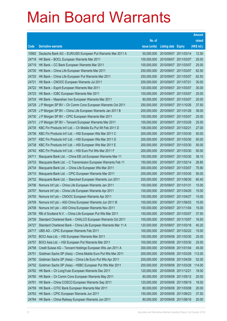|                |                                                                                                                     |                            |                            |                                                | <b>Amount</b>  |
|----------------|---------------------------------------------------------------------------------------------------------------------|----------------------------|----------------------------|------------------------------------------------|----------------|
|                |                                                                                                                     | No. of                     |                            |                                                | raised         |
| Code           | <b>Derivative warrants</b>                                                                                          | issue (units)              | <b>Listing date Expiry</b> |                                                | (HK\$ mil.)    |
| 10992          | Deutsche Bank AG - EUR/USD European Put Warrants Mar 2011 A                                                         | 50,000,000                 |                            | 2010/09/07 2011/03/14                          | 12.50          |
| 24718          | HK Bank - BOCL European Warrants Mar 2011                                                                           | 100,000,000                | 2010/09/07 2011/03/07      |                                                | 25.00          |
| 24719          | HK Bank - CC Bank European Warrants Mar 2011                                                                        | 100,000,000                | 2010/09/07 2011/03/07      |                                                | 25.00          |
| 24720          | HK Bank - China Life European Warrants Mar 2011                                                                     | 250,000,000                | 2010/09/07 2011/03/07      |                                                | 62.50          |
| 24725          | HK Bank - China Life European Put Warrants Mar 2011                                                                 | 250,000,000                |                            | 2010/09/07 2011/03/07                          | 62.50          |
| 24721          | HK Bank - CNOOC European Warrants Jul 2011                                                                          | 200,000,000                | 2010/09/07 2011/07/21      |                                                | 30.00          |
| 24722          | HK Bank - Esprit European Warrants Mar 2011                                                                         | 120,000,000                | 2010/09/07 2011/03/07      |                                                | 30.00          |
| 24723          | HK Bank - ICBC European Warrants Mar 2011                                                                           | 100,000,000                |                            | 2010/09/07 2011/03/07                          | 25.00          |
| 24724          | HK Bank - Maanshan Iron European Warrants Mar 2011                                                                  | 80,000,000                 |                            | 2010/09/07 2011/03/07                          | 20.00          |
| 24728          | J P Morgan SP BV - Ch Comm Cons European Warrants Oct 2011                                                          | 250,000,000                |                            | 2010/09/07 2011/10/26                          | 37.50          |
| 24729          | J P Morgan SP BV - China Life European Warrants Jan 2011 B                                                          | 200,000,000                |                            | 2010/09/07 2011/01/26                          | 38.00          |
| 24730          | J P Morgan SP BV - CPIC European Warrants Mar 2011                                                                  | 100,000,000                |                            | 2010/09/07 2011/03/07                          | 25.00          |
| 24731          | J P Morgan SP BV - Tencent European Warrants Mar 2011                                                               | 100,000,000                |                            | 2010/09/07 2011/03/28                          | 25.00          |
| 24735          | KBC Fin Products Int'l Ltd. - Ch Mobile Eu Put Wt Feb 2011 D                                                        | 108,000,000                | 2010/09/07 2011/02/21      |                                                | 27.00          |
| 24736          | KBC Fin Products Int'l Ltd. - HSI European Wts Mar 2011 C                                                           | 200,000,000                |                            | 2010/09/07 2011/03/30                          | 50.00          |
| 24737          | KBC Fin Products Int'l Ltd. - HSI European Wts Mar 2011 D                                                           | 200,000,000                |                            | 2010/09/07 2011/03/30                          | 50.00          |
| 24738          | KBC Fin Products Int'l Ltd. - HSI European Wts Mar 2011 E                                                           | 200,000,000                |                            | 2010/09/07 2011/03/30                          | 50.00          |
| 24742          | KBC Fin Products Int'l Ltd. - HSI Euro Put Wts Mar 2011 F                                                           | 200,000,000                |                            | 2010/09/07 2011/03/30                          | 50.00          |
| 24711          | Macquarie Bank Ltd. - China EB Ltd European Warrants Mar 11                                                         | 150,000,000                | 2010/09/07                 | 2011/03/30                                     | 38.10          |
| 24733          | Macquarie Bank Ltd. - C Transmission European Warrants Feb 11                                                       | 150,000,000                | 2010/09/07 2011/02/14      |                                                | 26.85          |
| 24734          | Macquarie Bank Ltd. - China Life European Wts Mar 2011                                                              | 300,000,000                |                            | 2010/09/07 2011/03/07                          | 75.90<br>50.00 |
| 24710<br>24732 | Macquarie Bank Ltd. - CPIC European Warrants Mar 2011<br>Macquarie Bank Ltd. - Stanchart European Warrants Jun 2011 | 200,000,000<br>200,000,000 |                            | 2010/09/07 2011/03/30<br>2010/09/07 2011/06/30 | 60.40          |
| 24706          | Nomura Int'l plc - China Life European Warrants Jan 2011                                                            | 100,000,000                | 2010/09/07 2011/01/31      |                                                | 15.00          |
| 24707          | Nomura Int'l plc - China Life European Warrants Apr 2011                                                            | 100,000,000                |                            | 2010/09/07 2011/04/20                          | 15.00          |
| 24705          | Nomura Int'l plc - CNOOC European Warrants Apr 2011                                                                 | 100,000,000                | 2010/09/07 2011/04/27      |                                                | 15.00          |
| 24709          | Nomura Int'l plc - A50 China European Warrants Jun 2011 B                                                           | 100,000,000                | 2010/09/07 2011/06/03      |                                                | 15.00          |
| 24708          | Nomura Int'l plc - A50 China European Warrants Nov 2011                                                             | 100,000,000                | 2010/09/07 2011/11/04      |                                                | 15.00          |
| 24739          | RB of Scotland N.V. - China Life European Put Wts Mar 2011                                                          | 150,000,000                | 2010/09/07 2011/03/07      |                                                | 37.50          |
| 24726          | Standard Chartered Bank - CHALCO European Warrants Oct 2011                                                         | 100,000,000                | 2010/09/07 2011/10/07      |                                                | 16.50          |
| 24727          | Standard Chartered Bank - China Life European Warrants Mar 11 A                                                     | 120,000,000                | 2010/09/07 2011/03/18      |                                                | 40.20          |
| 24717          | UBS AG - CPIC European Warrants Feb 2011                                                                            | 100,000,000                |                            | 2010/09/07 2011/02/22                          | 15.00          |
| 24753          | BOCI Asia Ltd. - HSI European Warrants Mar 2011                                                                     | 100,000,000                |                            | 2010/09/08 2011/03/30                          | 25.00          |
| 24757          | BOCI Asia Ltd. - HSI European Put Warrants Mar 2011                                                                 | 100,000,000                |                            | 2010/09/08 2011/03/30                          | 25.00          |
| 24758          | Credit Suisse AG - Tencent Holdings European Wts Jan 2011 A                                                         | 300,000,000                | 2010/09/08 2011/01/04      |                                                | 45.00          |
| 24751          | Goldman Sachs SP (Asia) - China Mobile Euro Put Wts Mar 2011                                                        | 200,000,000                |                            | 2010/09/08 2011/03/28                          | 112.00         |
| 24750          | Goldman Sachs SP (Asia) - China Life Euro Put Wts Apr 2011                                                          | 200,000,000                | 2010/09/08 2011/04/29      |                                                | 52.00          |
| 24752          | Goldman Sachs SP (Asia) - HSBC European Put Wts Mar 2011                                                            | 200,000,000                |                            | 2010/09/08 2011/03/28                          | 114.00         |
| 24762          | HK Bank - Ch LongYuan European Warrants Dec 2011                                                                    | 120,000,000                | 2010/09/08 2011/12/21      |                                                | 18.00          |
| 24760          | HK Bank - Ch Comm Cons European Warrants May 2011                                                                   | 80,000,000                 |                            | 2010/09/08 2011/05/12                          | 20.00          |
| 24761          | HK Bank - China COSCO European Warrants Sep 2011                                                                    | 120,000,000                | 2010/09/08 2011/09/19      |                                                | 18.00          |
| 24759          | HK Bank - CITIC Bank European Warrants Mar 2011                                                                     | 80,000,000                 | 2010/09/08 2011/03/08      |                                                | 20.00          |
| 24763          | HK Bank - CPIC European Warrants Jun 2011                                                                           | 150,000,000                | 2010/09/08 2011/06/23      |                                                | 37.50          |
| 24764          | HK Bank - China Railway European Warrants Jun 2011                                                                  | 80,000,000                 | 2010/09/08 2011/06/16      |                                                | 20.00          |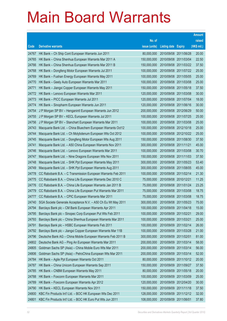|       |                                                              |               |                            |                       | <b>Amount</b> |
|-------|--------------------------------------------------------------|---------------|----------------------------|-----------------------|---------------|
|       |                                                              | No. of        |                            |                       | raised        |
| Code  | <b>Derivative warrants</b>                                   | issue (units) | <b>Listing date Expiry</b> |                       | (HK\$ mil.)   |
| 24767 | HK Bank - Ch Ship Cont European Warrants Jun 2011            | 80,000,000    | 2010/09/08 2011/06/28      |                       | 20.00         |
| 24765 | HK Bank - China Shenhua European Warrants Mar 2011 A         | 150,000,000   | 2010/09/08 2011/03/04      |                       | 22.50         |
| 24766 | HK Bank - China Shenhua European Warrants Mar 2011 B         | 150,000,000   |                            | 2010/09/08 2011/03/22 | 37.50         |
| 24768 | HK Bank - Dongfeng Motor European Warrants Jul 2011          | 100,000,000   |                            | 2010/09/08 2011/07/22 | 25.00         |
| 24769 | HK Bank - Fushan Energy European Warrants May 2011           | 100,000,000   |                            | 2010/09/08 2011/05/05 | 25.00         |
| 24770 | HK Bank - Geely Auto European Warrants Mar 2011              | 100,000,000   |                            | 2010/09/08 2011/03/08 | 25.00         |
| 24771 | HK Bank - Jiangxi Copper European Warrants May 2011          | 150,000,000   | 2010/09/08 2011/05/18      |                       | 37.50         |
| 24772 | HK Bank - Lenovo European Warrants Mar 2011                  | 120,000,000   |                            | 2010/09/08 2011/03/08 | 30.00         |
| 24773 | HK Bank - PICC European Warrants Jul 2011                    | 120,000,000   | 2010/09/08 2011/07/04      |                       | 18.00         |
| 24774 | HK Bank - Sinopharm European Warrants Jun 2011               | 120,000,000   | 2010/09/08 2011/06/16      |                       | 30.00         |
| 24754 | J P Morgan SP BV - Henganintl European Warrants Jun 2012     | 200,000,000   | 2010/09/08 2012/06/29      |                       | 50.00         |
| 24755 | J P Morgan SP BV - KECL European Warrants Jul 2011           | 100,000,000   |                            | 2010/09/08 2011/07/25 | 25.00         |
| 24756 | J P Morgan SP BV - Stanchart European Warrants Mar 2011      | 100,000,000   |                            | 2010/09/08 2011/03/08 | 25.00         |
| 24743 | Macquarie Bank Ltd. - China Bluechem European Warrants Oct12 | 100,000,000   |                            | 2010/09/08 2012/10/18 | 25.00         |
| 24744 | Macquarie Bank Ltd. - Ch Molybdenum European Wts Oct 2012    | 100,000,000   |                            | 2010/09/08 2012/10/22 | 25.00         |
| 24745 | Macquarie Bank Ltd. - Dongfeng Motor European Wts Aug 2011   | 150,000,000   |                            | 2010/09/08 2011/08/30 | 37.50         |
| 24741 | Macquarie Bank Ltd. - A50 China European Warrants Nov 2011   | 300,000,000   | 2010/09/08 2011/11/21      |                       | 45.00         |
| 24746 | Macquarie Bank Ltd. - Lenovo European Warrants Mar 2011      | 100,000,000   |                            | 2010/09/08 2011/03/08 | 30.70         |
| 24747 | Macquarie Bank Ltd. - Nine Dragons European Wts Nov 2011     | 150,000,000   | 2010/09/08 2011/11/03      |                       | 37.50         |
| 24748 | Macquarie Bank Ltd. - SHK Ppt European Warrants May 2011     | 300,000,000   |                            | 2010/09/08 2011/05/23 | 53.40         |
| 24749 | Macquarie Bank Ltd. - SHK Ppt European Warrants Aug 2011     | 300,000,000   |                            | 2010/09/08 2011/08/05 | 45.00         |
| 24778 | CC Rabobank B.A. - C Transmission European Warrants Feb 2011 | 100,000,000   | 2010/09/08 2011/02/14      |                       | 21.30         |
| 24775 | CC Rabobank B.A. - China Life European Warrants Dec 2010 C   | 75,000,000    | 2010/09/08 2010/12/21      |                       | 11.25         |
| 24776 | CC Rabobank B.A. - China Life European Warrants Jan 2011 B   | 75,000,000    | 2010/09/08 2011/01/24      |                       | 23.25         |
| 24779 | CC Rabobank B.A. - China Life European Put Warrants Mar 2011 | 75,000,000    | 2010/09/08 2011/03/08      |                       | 18.75         |
| 24777 | CC Rabobank B.A. - CPIC European Warrants Mar 2011           | 75,000,000    | 2010/09/08 2011/03/08      |                       | 18.75         |
| 24740 | SGA Societe Generale Acceptance N.V. - A50 Ch Eu Wt May 2011 | 300,000,000   | 2010/09/08 2011/05/23      |                       | 75.00         |
| 24794 | Barclays Bank plc - CM Bank European Warrants Apr 2011       | 100,000,000   | 2010/09/09 2011/04/18      |                       | 15.00         |
| 24795 | Barclays Bank plc - Sinopec Corp European Put Wts Feb 2011   | 100,000,000   | 2010/09/09                 | 2011/02/21            | 29.00         |
| 24793 | Barclays Bank plc - China Shenhua European Warrants Mar 2011 | 100,000,000   | 2010/09/09 2011/03/21      |                       | 25.00         |
| 24791 | Barclays Bank plc - HSBC European Warrants Feb 2011          | 100,000,000   | 2010/09/09                 | 2011/02/14            | 26.00         |
| 24792 | Barclays Bank plc - Jiangxi Copper European Warrants Mar 11B | 100,000,000   | 2010/09/09 2011/03/28      |                       | 21.00         |
| 24796 | Deutsche Bank AG - China Mobile European Warrants Feb 2011 B | 300,000,000   | 2010/09/09                 | 2011/02/01            | 81.00         |
| 24802 | Deutsche Bank AG - Ping An European Warrants Mar 2011        | 200,000,000   | 2010/09/09 2011/03/14      |                       | 58.00         |
| 24805 | Goldman Sachs SP (Asia) - China Mobile Euro Wts Mar 2011     | 200,000,000   | 2010/09/09                 | 2011/03/14            | 56.00         |
| 24806 | Goldman Sachs SP (Asia) - PetroChina European Wts Mar 2011   | 200,000,000   | 2010/09/09 2011/03/14      |                       | 52.00         |
| 24784 | HK Bank - Agile Ppt European Warrants Oct 2011               | 80,000,000    | 2010/09/09                 | 2011/10/12            | 20.00         |
| 24787 | HK Bank - China Unicom European Warrants Sep 2011            | 150,000,000   | 2010/09/09 2011/09/27      |                       | 37.50         |
| 24785 | HK Bank - CNBM European Warrants May 2011                    | 80,000,000    | 2010/09/09                 | 2011/05/18            | 20.00         |
| 24788 | HK Bank - Foxconn European Warrants Mar 2011                 | 100,000,000   | 2010/09/09 2011/03/09      |                       | 25.00         |
| 24789 | HK Bank - Foxconn European Warrants Apr 2012                 | 120,000,000   | 2010/09/09                 | 2012/04/20            | 30.00         |
| 24790 | HK Bank - KECL European Warrants Nov 2011                    | 150,000,000   | 2010/09/09 2011/11/18      |                       | 37.50         |
| 24800 | KBC Fin Products Int'l Ltd. - BOC HK European Wts Dec 2011   | 128,000,000   |                            | 2010/09/09 2011/12/12 | 32.00         |
| 24801 | KBC Fin Products Int'l Ltd. - BOC HK Euro Put Wts Jun 2011   | 108,000,000   | 2010/09/09 2011/06/01      |                       | 37.80         |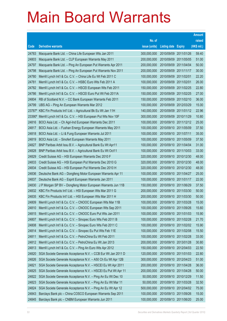|        |                                                               |               |                            |            | <b>Amount</b> |
|--------|---------------------------------------------------------------|---------------|----------------------------|------------|---------------|
|        |                                                               | No. of        |                            |            | raised        |
| Code   | <b>Derivative warrants</b>                                    | issue (units) | <b>Listing date Expiry</b> |            | (HK\$ mil.)   |
| 24783  | Macquarie Bank Ltd. - China Life European Wts Jan 2011        | 300,000,000   | 2010/09/09 2011/01/26      |            | 59.40         |
| 24803  | Macquarie Bank Ltd. - CLP European Warrants May 2011          | 200,000,000   | 2010/09/09 2011/05/05      |            | 51.00         |
| 24797  | Macquarie Bank Ltd. - Ping An European Put Warrants Apr 2011  | 200,000,000   | 2010/09/09                 | 2011/04/04 | 50.00         |
| 24798  | Macquarie Bank Ltd. - Ping An European Put Warrants Nov 2011  | 200,000,000   | 2010/09/09 2011/11/17      |            | 30.00         |
| 24780  | Merrill Lynch Int'l & Co. C.V. - China Life Eu Wt Feb 2011 C  | 100,000,000   | 2010/09/09 2011/02/01      |            | 22.20         |
| 24781  | Merrill Lynch Int'l & Co. C.V. - HSBC Euro Wts Feb 2011 A     | 100,000,000   | 2010/09/09 2011/02/01      |            | 26.00         |
| 24782  | Merrill Lynch Int'l & Co. C.V. - HSCEI European Wts Feb 2011  | 150,000,000   | 2010/09/09 2011/02/25      |            | 22.80         |
| 24786  | Merrill Lynch Int'l & Co. C.V. - HSCEI Euro Put Wt Feb 2011A  | 150,000,000   | 2010/09/09 2011/02/25      |            | 27.00         |
| 24804  | RB of Scotland N.V. - CC Bank European Warrants Feb 2011      | 150,000,000   | 2010/09/09 2011/02/10      |            | 36.00         |
| 24799  | UBS AG - Ping An European Warrants Mar 2012                   | 100,000,000   | 2010/09/09 2012/03/29      |            | 15.00         |
| 23787# | KBC Fin Products Int'l Ltd. - Agricultural Bk Eu Wt Jan 11H   | 140,000,000   | 2010/09/09 2011/01/12      |            | 22.96         |
| 23390# | Merrill Lynch Int'l & Co. C.V. - HSI European Put Wts Nov 10F | 300,000,000   | 2010/09/09 2010/11/29      |            | 10.80         |
| 24816  | BOCI Asia Ltd. - Ch Agri-Ind European Warrants Dec 2011       | 100,000,000   | 2010/09/10 2011/12/12      |            | 25.00         |
| 24817  | BOCI Asia Ltd. - Fushan Energy European Warrants May 2011     | 100,000,000   | 2010/09/10 2011/05/09      |            | 37.50         |
| 24818  | BOCI Asia Ltd. - Li & Fung European Warrants Jul 2011         | 100,000,000   | 2010/09/10 2011/07/11      |            | 35.00         |
| 24819  | BOCI Asia Ltd. - Sinofert European Warrants May 2011          | 100,000,000   | 2010/09/10 2011/05/09      |            | 37.50         |
| 24827  | BNP Paribas Arbit Issu B.V. - Agricultural Bank Eu Wt Apr11   | 100,000,000   | 2010/09/10 2011/04/04      |            | 31.00         |
| 24828  | BNP Paribas Arbit Issu B.V. - Agricultural Bank Eu Wt Oct11   | 100,000,000   | 2010/09/10 2011/10/03      |            | 33.00         |
| 24829  | Credit Suisse AG - HSI European Warrants Dec 2010 F           | 320,000,000   | 2010/09/10 2010/12/30      |            | 48.00         |
| 24833  | Credit Suisse AG - HSI European Put Warrants Dec 2010 G       | 320,000,000   | 2010/09/10 2010/12/30      |            | 48.00         |
| 24834  | Credit Suisse AG - HSI European Put Warrants Dec 2010 H       | 320,000,000   | 2010/09/10 2010/12/30      |            | 48.00         |
| 24836  | Deutsche Bank AG - Dongfeng Motor European Warrants Apr 11    | 100,000,000   | 2010/09/10 2011/04/27      |            | 25.00         |
| 24837  | Deutsche Bank AG - Esprit European Warrants Jan 2011          | 100,000,000   | 2010/09/10 2011/01/17      |            | 22.00         |
| 24830  | J P Morgan SP BV - Dongfeng Motor European Warrants Jun 11B   | 150,000,000   | 2010/09/10 2011/06/29      |            | 37.50         |
| 24832  | KBC Fin Products Int'l Ltd. - HSI European Wts Mar 2011 G     | 200,000,000   | 2010/09/10 2011/03/30      |            | 50.00         |
| 24835  | KBC Fin Products Int'l Ltd. - HSI European Wts Mar 2011 H     | 200,000,000   | 2010/09/10 2011/03/30      |            | 50.00         |
| 24809  | Merrill Lynch Int'l & Co. C.V. - CNOOC European Wts Mar 11B   | 100,000,000   | 2010/09/10 2011/03/28      |            | 15.00         |
| 24810  | Merrill Lynch Int'l & Co. C.V. - CNOOC European Wts Sep 2011  | 100,000,000   | 2010/09/10 2011/09/26      |            | 15.60         |
| 24815  | Merrill Lynch Int'l & Co. C.V. - CNOOC Euro Put Wts Jan 2011  | 100,000,000   | 2010/09/10 2011/01/03      |            | 15.90         |
| 24807  | Merrill Lynch Int'l & Co. C.V. - Sinopec Euro Wts Feb 2011 B  | 100,000,000   | 2010/09/10 2011/02/28      |            | 21.70         |
| 24808  | Merrill Lynch Int'l & Co. C.V. - Sinopec Euro Wts Feb 2011 C  | 100,000,000   | 2010/09/10 2011/02/02      |            | 15.90         |
| 24814  | Merrill Lynch Int'l & Co. C.V. - Sinopec Eu Put Wts Feb 11E   | 100,000,000   | 2010/09/10 2011/02/08      |            | 15.50         |
| 24811  | Merrill Lynch Int'l & Co. C.V. - PetroChina Eu Wt Feb 2011    | 100,000,000   | 2010/09/10 2011/02/28      |            | 33.00         |
| 24812  | Merrill Lynch Int'l & Co. C.V. - PetroChina Eu Wt Jan 2013    | 200,000,000   | 2010/09/10 2013/01/28      |            | 30.80         |
| 24813  | Merrill Lynch Int'l & Co. C.V. - Ping An Euro Wts Apr 2012    | 150,000,000   | 2010/09/10 2012/04/03      |            | 22.50         |
| 24820  | SGA Societe Generale Acceptance N.V. - CCB Eur Wt Jan 2011 D  | 120,000,000   | 2010/09/10 2011/01/03      |            | 22.80         |
| 24826  | SGA Societe Generale Acceptance N.V. - A50 Ch Eu Wt Apr 12B   | 300,000,000   | 2010/09/10 2012/04/23      |            | 51.00         |
| 24821  | SGA Societe Generale Acceptance N.V. - HSCEI Eu Wt Apr 2011   | 200,000,000   | 2010/09/10 2011/04/28      |            | 36.00         |
| 24825  | SGA Societe Generale Acceptance N.V. - HSCEI Eu Put Wt Apr 11 | 200,000,000   | 2010/09/10 2011/04/28      |            | 50.00         |
| 24822  | SGA Societe Generale Acceptance N.V. - Ping An Eu Wt Dec 10   | 50,000,000    | 2010/09/10 2010/12/29      |            | 11.50         |
| 24823  | SGA Societe Generale Acceptance N.V. - Ping An Eu Wt Mar 11   | 50,000,000    | 2010/09/10 2011/03/28      |            | 32.50         |
| 24824  | SGA Societe Generale Acceptance N.V. - Ping An Eu Wt Apr 12   | 500,000,000   | 2010/09/10 2012/04/02      |            | 75.00         |
| 24843  | Barclays Bank plc - China COSCO European Warrants Sep 2011    | 100,000,000   | 2010/09/13 2011/09/26      |            | 15.00         |
| 24845  | Barclays Bank plc - CNBM European Warrants Jun 2011           | 100,000,000   | 2010/09/13 2011/06/20      |            | 25.00         |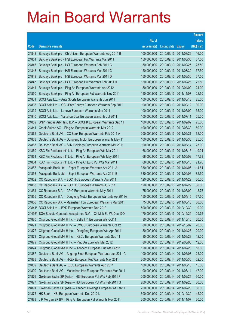|        |                                                              |               |                            |                       | <b>Amount</b> |
|--------|--------------------------------------------------------------|---------------|----------------------------|-----------------------|---------------|
|        |                                                              | No. of        |                            |                       | raised        |
| Code   | <b>Derivative warrants</b>                                   | issue (units) | <b>Listing date Expiry</b> |                       | (HK\$ mil.)   |
| 24842  | Barclays Bank plc - ChiUnicom European Warrants Aug 2011 B   | 100,000,000   |                            | 2010/09/13 2011/08/29 | 16.00         |
| 24851  | Barclays Bank plc - HSI European Put Warrants Mar 2011       | 150,000,000   |                            | 2010/09/13 2011/03/30 | 37.50         |
| 24846  | Barclays Bank plc - HSI European Warrants Feb 2011 G         | 150,000,000   |                            | 2010/09/13 2011/02/25 | 25.50         |
| 24848  | Barclays Bank plc - HSI European Warrants Mar 2011 C         | 150,000,000   |                            | 2010/09/13 2011/03/30 | 37.50         |
| 24849  | Barclays Bank plc - HSI European Warrants Mar 2011 D         | 150,000,000   |                            | 2010/09/13 2011/03/30 | 37.50         |
| 24847  | Barclays Bank plc - HSI European Put Warrants Feb 2011 H     | 150,000,000   |                            | 2010/09/13 2011/02/25 | 25.50         |
| 24844  | Barclays Bank plc - Ping An European Warrants Apr 2012       | 150,000,000   |                            | 2010/09/13 2012/04/02 | 24.00         |
| 24850  | Barclays Bank plc - Ping An European Put Warrants Nov 2011   | 150,000,000   |                            | 2010/09/13 2011/11/07 | 22.50         |
| 24831  | BOCI Asia Ltd. - Anta Sports European Warrants Jun 2011      | 100,000,000   |                            | 2010/09/13 2011/06/13 | 25.00         |
| 24838  | BOCI Asia Ltd. - GCL-Poly Energy European Warrants Sep 2011  | 100,000,000   |                            | 2010/09/13 2011/09/12 | 30.00         |
| 24839  | BOCI Asia Ltd. - Lenovo European Warrants May 2011           | 100,000,000   |                            | 2010/09/13 2011/05/09 | 35.00         |
| 24840  | BOCI Asia Ltd. - Yanzhou Coal European Warrants Jul 2011     | 100,000,000   | 2010/09/13 2011/07/11      |                       | 25.00         |
| 24859  | BNP Paribas Arbit Issu B.V. - BOCHK European Warrants Sep 11 | 100,000,000   |                            | 2010/09/13 2011/09/02 | 25.00         |
| 24841  | Credit Suisse AG - Ping An European Warrants Mar 2012        | 400,000,000   |                            | 2010/09/13 2012/03/30 | 60.00         |
| 24862  | Deutsche Bank AG - CC Bank European Warrants Feb 2011 A      | 200,000,000   | 2010/09/13 2011/02/21      |                       | 62.00         |
| 24863  | Deutsche Bank AG - Dongfeng Motor European Warrants May 11   | 100,000,000   |                            | 2010/09/13 2011/05/30 | 25.00         |
| 24865  | Deutsche Bank AG - SJM Holdings European Warrants Mar 2011   | 100,000,000   |                            | 2010/09/13 2011/03/14 | 25.00         |
| 24860  | KBC Fin Products Int'l Ltd. - Ping An European Wts Mar 2011  | 68,000,000    |                            | 2010/09/13 2011/03/15 | 19.04         |
| 24861  | KBC Fin Products Int'l Ltd. - Ping An European Wts May 2011  | 68,000,000    |                            | 2010/09/13 2011/05/03 | 17.68         |
| 24864  | KBC Fin Products Int'l Ltd. - Ping An Euro Put Wts Mar 2011  | 68,000,000    |                            | 2010/09/13 2011/03/15 | 21.76         |
| 24857  | Macquarie Bank Ltd. - Esprit European Warrants Apr 2011 A    | 330,000,000   |                            | 2010/09/13 2011/04/06 | 114.84        |
| 24858  | Macquarie Bank Ltd. - Esprit European Warrants Apr 2011 B    | 330,000,000   |                            | 2010/09/13 2011/04/06 | 82.50         |
| 24852  | CC Rabobank B.A. - BOC HK European Warrants Apr 2011         | 120,000,000   |                            | 2010/09/13 2011/04/29 | 30.00         |
| 24853  | CC Rabobank B.A. - BOC HK European Warrants Jul 2011         | 120,000,000   |                            | 2010/09/13 2011/07/29 | 30.00         |
| 24854  | CC Rabobank B.A. - CPIC European Warrants May 2011           | 75,000,000    |                            | 2010/09/13 2011/05/09 | 18.75         |
| 24855  | CC Rabobank B.A. - Dongfeng Motor European Warrants Apr2011A | 150,000,000   |                            | 2010/09/13 2011/04/15 | 37.50         |
| 24856  | CC Rabobank B.A. - Maanshan Iron European Warrants Mar 2011  | 75,000,000    |                            | 2010/09/13 2011/03/15 | 30.00         |
|        | 22841# BOCI Asia Ltd. - BYD European Warrants Dec 2010       | 500,000,000   |                            | 2010/09/13 2010/12/30 | 10.00         |
| 24436# | SGA Societe Generale Acceptance N.V. - Ch Mob Eu Wt Dec 10D  | 170,000,000   |                            | 2010/09/13 2010/12/29 | 29.75         |
| 24870  | Citigroup Global Mkt H Inc. - Belle Int'l European Wts Oct11 | 80,000,000    |                            | 2010/09/14 2011/10/10 | 20.00         |
| 24871  | Citigroup Global Mkt H Inc. - CMOC European Warrants Oct 12  | 80,000,000    | 2010/09/14                 | 2012/10/02            | 20.00         |
| 24872  | Citigroup Global Mkt H Inc. - Dongfeng European Wts Apr 2011 | 80,000,000    | 2010/09/14                 | 2011/04/28            | 20.00         |
| 24873  | Citigroup Global Mkt H Inc. - KECL European Warrants Sep 11  | 80,000,000    | 2010/09/14                 | 2011/09/23            | 12.00         |
| 24879  | Citigroup Global Mkt H Inc. - Ping An Euro Wts Mar 2012      | 80,000,000    | 2010/09/14                 | 2012/03/05            | 12.00         |
| 24874  | Citigroup Global Mkt H Inc. - Tencent European Put Wts Feb11 | 120,000,000   | 2010/09/14                 | 2011/02/23            | 18.00         |
| 24887  | Deutsche Bank AG - Angang Steel European Warrants Jun 2011 A | 100,000,000   | 2010/09/14                 | 2011/06/07            | 25.00         |
| 24888  | Deutsche Bank AG - HKEx European Put Warrants May 2011       | 200,000,000   | 2010/09/14                 | 2011/05/30            | 32.00         |
| 24889  | Deutsche Bank AG - KECL European Warrants Aug 2011           | 100,000,000   | 2010/09/14                 | 2011/08/15            | 15.00         |
| 24890  | Deutsche Bank AG - Maanshan Iron European Warrants Mar 2011  | 100,000,000   | 2010/09/14                 | 2011/03/14            | 47.00         |
| 24876  | Goldman Sachs SP (Asia) - HSI European Put Wts Feb 2011 F    | 200,000,000   | 2010/09/14                 | 2011/02/25            | 30.00         |
| 24877  | Goldman Sachs SP (Asia) - HSI European Put Wts Feb 2011 G    | 200,000,000   | 2010/09/14                 | 2011/02/25            | 30.00         |
| 24891  | Goldman Sachs SP (Asia) - Tencent Holdings European Wt Feb11 | 200,000,000   | 2010/09/14                 | 2011/02/28            | 30.00         |
| 24875  | HK Bank - HSI European Warrants Dec 2010 L                   | 300,000,000   | 2010/09/14                 | 2010/12/30            | 45.00         |
| 24883  | J P Morgan SP BV - Ping An European Put Warrants Nov 2011    | 200,000,000   | 2010/09/14                 | 2011/11/07            | 30.00         |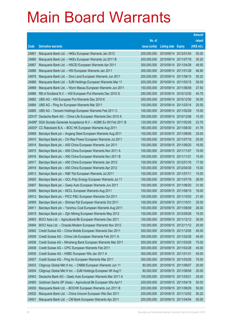|        |                                                              |               |                            |            | <b>Amount</b> |
|--------|--------------------------------------------------------------|---------------|----------------------------|------------|---------------|
|        |                                                              | No. of        |                            |            | raised        |
| Code   | <b>Derivative warrants</b>                                   | issue (units) | <b>Listing date Expiry</b> |            | (HK\$ mil.)   |
| 24881  | Macquarie Bank Ltd. - HKEx European Warrants Jan 2012        | 200,000,000   | 2010/09/14 2012/01/04      |            | 50.00         |
| 24880  | Macquarie Bank Ltd. - HKEx European Warrants Jul 2011 B      | 200,000,000   | 2010/09/14 2011/07/18      |            | 30.20         |
| 24867  | Macquarie Bank Ltd. - HSCEI European Warrants Apr 2011       | 300,000,000   | 2010/09/14                 | 2011/04/28 | 49.50         |
| 24866  | Macquarie Bank Ltd. - HSI European Warrants Jan 2011         | 300,000,000   | 2010/09/14 2011/01/28      |            | 46.80         |
| 24878  | Macquarie Bank Ltd. - Sino Land European Warrants Jun 2011   | 200,000,000   | 2010/09/14                 | 2011/06/15 | 50.20         |
| 24868  | Macquarie Bank Ltd. - SJM Holdings European Warrants Mar 11  | 200,000,000   | 2010/09/14 2011/03/15      |            | 50.00         |
| 24869  | Macquarie Bank Ltd. - Wynn Macau European Warrants Jun 2011  | 150,000,000   | 2010/09/14                 | 2011/06/08 | 37.50         |
| 24886  | RB of Scotland N.V. - HSI European Put Warrants Dec 2010 G   | 250,000,000   | 2010/09/14 2010/12/30      |            | 45.75         |
| 24882  | UBS AG - HSI European Put Warrants Dec 2010 K                | 200,000,000   | 2010/09/14 2010/12/30      |            | 30.00         |
| 24884  | UBS AG – Ping An European Warrants Mar 2011                  | 100,000,000   | 2010/09/14 2011/03/14      |            | 25.00         |
| 24885  | UBS AG - Tencent Holdings European Warrants Feb 2011 C       | 100,000,000   | 2010/09/14                 | 2011/02/28 | 15.00         |
| 22910# | Deutsche Bank AG - China Life European Warrants Dec 2010 A   | 300,000,000   | 2010/09/14 2010/12/06      |            | 15.30         |
| 24499# | SGA Societe Generale Acceptance N.V. - AGBK Eu Wt Feb 2011 B | 120,000,000   | 2010/09/14 2011/02/28      |            | 23.76         |
| 24003# | CC Rabobank B.A. - BOC HK European Warrants Aug 2011         | 180,000,000   | 2010/09/14 2011/08/30      |            | 41.76         |
| 24908  | Barclays Bank plc - Angang Steel European Warrants Aug 2011  | 100,000,000   | 2010/09/15 2011/08/08      |            | 25.00         |
| 24910  | Barclays Bank plc - Chi Res Power European Warrants Jul 2011 | 100,000,000   | 2010/09/15 2011/07/18      |            | 25.00         |
| 24914  | Barclays Bank plc - A50 China European Warrants Jun 2011     | 100,000,000   | 2010/09/15 2011/06/20      |            | 16.00         |
| 24915  | Barclays Bank plc - A50 China European Warrants Nov 2011 A   | 100,000,000   | 2010/09/15 2011/11/07      |            | 15.00         |
| 24916  | Barclays Bank plc - A50 China European Warrants Nov 2011 B   | 100,000,000   | 2010/09/15 2011/11/21      |            | 15.00         |
| 24917  | Barclays Bank plc - A50 China European Warrants Jan 2012     | 100,000,000   | 2010/09/15 2012/01/16      |            | 17.00         |
| 24918  | Barclays Bank plc - A50 China European Warrants Apr 2012     | 100,000,000   | 2010/09/15 2012/04/30      |            | 15.00         |
| 24913  | Barclays Bank plc - R&F Ppt European Warrants Jul 2011       | 100,000,000   | 2010/09/15 2011/07/11      |            | 15.00         |
| 24920  | Barclays Bank plc - GCL-Poly Energy European Warrants Jul 11 | 100,000,000   | 2010/09/15 2011/07/18      |            | 26.00         |
| 24907  | Barclays Bank plc - Geely Auto European Warrants Jun 2011    | 100,000,000   | 2010/09/15 2011/06/20      |            | 31.00         |
| 24906  | Barclays Bank plc - KECL European Warrants Aug 2011          | 100,000,000   | 2010/09/15 2011/08/15      |            | 16.00         |
| 24912  | Barclays Bank plc - PICC P&C European Warrants Oct 2011      | 100,000,000   | 2010/09/15 2011/10/03      |            | 21.00         |
| 24909  | Barclays Bank plc - Shimao Ppt European Warrants Oct 2011    | 100,000,000   | 2010/09/15 2011/10/31      |            | 25.00         |
| 24911  | Barclays Bank plc - Yanzhou Coal European Warrants Aug 2011  | 100,000,000   | 2010/09/15 2011/08/08      |            | 26.00         |
| 24919  | Barclays Bank plc - Zijin Mining European Warrants May 2012  | 100,000,000   | 2010/09/15 2012/05/28      |            | 15.00         |
| 24903  | BOCI Asia Ltd. - Agricultural Bk European Warrants Dec 2011  | 100,000,000   | 2010/09/15 2011/12/12      |            | 30.00         |
| 24904  | BOCI Asia Ltd. - Chaoda Modern European Warrants Nov 2012    | 100,000,000   | 2010/09/15 2012/11/12      |            | 25.00         |
| 24942  | Credit Suisse AG - China Mobile European Warrants Dec 2011   | 300,000,000   | 2010/09/15 2011/12/05      |            | 45.00         |
| 24939  | Credit Suisse AG - China Life European Warrants Feb 2011 A   | 300,000,000   | 2010/09/15 2011/02/28      |            | 45.00         |
| 24936  | Credit Suisse AG - Minsheng Bank European Warrants Mar 2011  | 300,000,000   | 2010/09/15 2011/03/28      |            | 75.00         |
| 24938  | Credit Suisse AG - CPIC European Warrants Feb 2011           | 300,000,000   | 2010/09/15 2011/02/28      |            | 45.00         |
| 24935  | Credit Suisse AG - HSBC European Wts Jan 2011 A              | 300,000,000   | 2010/09/15 2011/01/31      |            | 45.00         |
| 24937  | Credit Suisse AG - Ping An European Warrants Mar 2011        | 300,000,000   | 2010/09/15 2011/03/28      |            | 75.00         |
| 24933  | Citigroup Global Mkt H Inc. - CNBM European Warrants Jun 11  | 80,000,000    | 2010/09/15 2011/06/07      |            | 20.00         |
| 24934  | Citigroup Global Mkt H Inc. - SJM Holdings European Wt Aug11 | 80,000,000    | 2010/09/15 2011/08/08      |            | 20.00         |
| 24943  | Deutsche Bank AG - Geely Auto European Warrants Mar 2011 A   | 100,000,000   | 2010/09/15 2011/03/21      |            | 25.00         |
| 24905  | Goldman Sachs SP (Asia) - Agricultural Bk European Wts Apr11 | 200,000,000   | 2010/09/15 2011/04/18      |            | 50.00         |
| 24930  | Macquarie Bank Ltd. - BOCHK European Warrants Jun 2011 B     | 200,000,000   | 2010/09/15 2011/06/29      |            | 50.00         |
| 24932  | Macquarie Bank Ltd. - China Unicom European Wts Dec 2011     | 200,000,000   | 2010/09/15                 | 2011/12/02 | 50.20         |
| 24931  | Macquarie Bank Ltd. - CM Bank European Warrants Apr 2011     | 200,000,000   | 2010/09/15 2011/04/04      |            | 50.00         |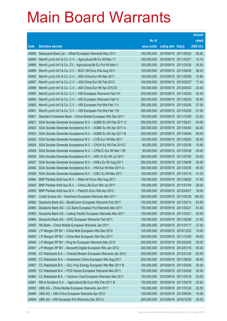|       |                                                                |               |                            | <b>Amount</b> |
|-------|----------------------------------------------------------------|---------------|----------------------------|---------------|
|       |                                                                | No. of        |                            | raised        |
| Code  | <b>Derivative warrants</b>                                     | issue (units) | <b>Listing date Expiry</b> | (HK\$ mil.)   |
| 24892 | Macquarie Bank Ltd. - Wharf European Warrants May 2011         | 150,000,000   | 2010/09/15 2011/05/20      | 38.85         |
| 24895 | Merrill Lynch Int'l & Co. C.V. - Agricultural Bk Eu Wt Mar 11  | 100,000,000   | 2010/09/15 2011/03/21      | 15.10         |
| 24899 | Merrill Lynch Int'l & Co. CV - Agricultural Bk Eu Put Wt Mar11 | 100,000,000   | 2010/09/15 2011/03/28      | 25.50         |
| 24896 | Merrill Lynch Int'l & Co. C.V. - BOC HK Euro Wts Aug 2011      | 150,000,000   | 2010/09/15 2011/08/29      | 38.25         |
| 24902 | Merrill Lynch Int'l & Co. C.V. - A50 China Eur Wt Mar 2011     | 100,000,000   | 2010/09/15 2011/03/08      | 15.80         |
| 24897 | Merrill Lynch Int'l & Co. C.V. - A50 China Eur Wt Feb 2012     | 100,000,000   | 2010/09/15 2012/02/27      | 17.40         |
| 24898 | Merrill Lynch Int'l & Co. C.V. - A50 China Eur Wt Apr 2012 B   | 100,000,000   | 2010/09/15 2012/04/23      | 23.00         |
| 24893 | Merrill Lynch Int'l & Co. C.V. - HSI European Warrants Feb11H  | 200,000,000   | 2010/09/15 2011/02/25      | 30.40         |
| 24894 | Merrill Lynch Int'l & Co. C.V. - HSI European Warrants Feb11I  | 200,000,000   | 2010/09/15 2011/02/25      | 30.80         |
| 24900 | Merrill Lynch Int'l & Co. C.V. - HSI European Put Wts Feb 11J  | 200,000,000   | 2010/09/15 2011/02/25      | 37.00         |
| 24901 | Merrill Lynch Int'l & Co. C.V. - HSI European Put Wts Feb 11K  | 200,000,000   | 2010/09/15 2011/02/25      | 51.00         |
| 24941 | Standard Chartered Bank - China Mobile European Wts Dec 2011   | 150,000,000   | 2010/09/15 2011/12/05      | 22.50         |
| 24921 | SGA Societe Generale Acceptance N.V. - AGBK Eu Wt Feb 2011 C   | 200,000,000   | 2010/09/15 2011/02/21      | 34.00         |
| 24922 | SGA Societe Generale Acceptance N.V. - AGBK Eu Wt Apr 2011 A   | 200,000,000   | 2010/09/15 2011/04/04      | 62.00         |
| 24923 | SGA Societe Generale Acceptance N.V. - AGBK Eu Wt Apr 2011 B   | 200,000,000   | 2010/09/15 2011/04/04      | 50.00         |
| 24925 | SGA Societe Generale Acceptance N.V. - CCB Eur Wt Mar 2011     | 120,000,000   | 2010/09/15 2011/03/02      | 26.40         |
| 24924 | SGA Societe Generale Acceptance N.V. - CK(H) Eu Wt Feb 2011C   | 60,000,000    | 2010/09/15 2011/02/28      | 10.80         |
| 24926 | SGA Societe Generale Acceptance N.V. - CP&CC Eur Wt Mar 11B    | 80,000,000    | 2010/09/15 2011/03/28      | 20.00         |
| 24928 | SGA Societe Generale Acceptance N.V. - A50 Ch Eu Wt Jul 2011   | 300,000,000   | 2010/09/15 2011/07/06      | 63.00         |
| 24927 | SGA Societe Generale Acceptance N.V. - HKEx Eu Wt Aug 2011     | 200,000,000   | 2010/09/15 2011/08/08      | 30.00         |
| 24940 | SGA Societe Generale Acceptance N.V. - HSI Eur Wt Mar 2011 A   | 300,000,000   | 2010/09/15 2011/03/30      | 45.00         |
| 24929 | SGA Societe Generale Acceptance N.V. - ICBC Eu Wt Mar 2011     | 120,000,000   | 2010/09/15 2011/03/16      | 31.20         |
| 24944 | BNP Paribas Arbit Issu B.V. - Belle Int'l Euro Wts Aug 2011    | 100,000,000   | 2010/09/16 2011/08/02      | 31.00         |
| 24945 | BNP Paribas Arbit Issu B.V. - China Life Euro Wts Jul 2011     | 100,000,000   | 2010/09/16 2011/07/04      | 28.00         |
| 24952 | BNP Paribas Arbit Issu B.V. - PetroCh Euro Wts Apr 2012        | 100,000,000   | 2010/09/16 2012/04/27      | 16.00         |
| 24951 | Credit Suisse AG - Hutchison European Warrants Mar 2011        | 300,000,000   | 2010/09/16 2011/03/28      | 165.00        |
| 24962 | Deutsche Bank AG - BankComm European Warrants Feb 2011         | 150,000,000   | 2010/09/16 2011/02/14      | 55.50         |
| 24965 | Deutsche Bank AG - CC Bank European Put Warrants Mar 2011      | 150,000,000   | 2010/09/16 2011/03/21      | 51.00         |
| 24963 | Deutsche Bank AG - Cathay Pacific European Warrants Mar 2011   | 100,000,000   | 2010/09/16 2011/03/21      | 25.00         |
| 24964 | Deutsche Bank AG - CPIC European Warrants Feb 2011             | 100,000,000   | 2010/09/16 2011/02/28      | 21.00         |
| 24950 | HK Bank - China Mobile European Warrants Jan 2011              | 250,000,000   | 2010/09/16 2011/01/17      | 37.50         |
| 24949 | J P Morgan SP BV - China Mob European Wts Dec 2010             | 100,000,000   | 2010/09/16 2010/12/22      | 15.00         |
| 24955 | J P Morgan SP BV - China Mob European Wts Dec 2011             | 300,000,000   | 2010/09/16 2011/12/05      | 45.00         |
| 24946 | J P Morgan SP BV - Ping An European Warrants Mar 2012          | 200,000,000   | 2010/09/16 2012/03/05      | 30.00         |
| 24947 | J P Morgan SP BV - Skyworth Digital European Wts Jan 2012      | 200,000,000   | 2010/09/16 2012/01/18      | 30.00         |
| 24956 | CC Rabobank B.A. - Chaoda Modern European Warrants Jan 2012    | 250,000,000   | 2010/09/16 2012/01/30      | 62.50         |
| 24958 | CC Rabobank B.A. - Greentown China European Wts Aug 2011       | 200,000,000   | 2010/09/16 2011/08/30      | 58.00         |
| 24957 | CC Rabobank B.A. - GCL-Poly Energy European Wts Mar 2011 B     | 100,000,000   | 2010/09/16 2011/03/28      | 25.00         |
| 24959 | CC Rabobank B.A. - PCD Stores European Warrants Mar 2011       | 100,000,000   | 2010/09/16 2011/03/28      | 32.00         |
| 24960 | CC Rabobank B.A. - Yanzhou Coal European Warrants Mar 2011     | 100,000,000   | 2010/09/16 2011/03/18      | 25.00         |
| 24961 | RB of Scotland N.V. - Agricultural Bk Euro Wts Feb 2011 B      | 150,000,000   | 2010/09/16 2011/02/18      | 25.80         |
| 24953 | UBS AG - China Mobile European Warrants Jan 2011               | 100,000,000   | 2010/09/16 2011/01/24      | 25.50         |
| 24948 | UBS AG - A50 China European Warrants Apr 2012                  | 100,000,000   | 2010/09/16 2012/04/24      | 15.00         |
| 24954 | UBS AG - HSI European Put Warrants Dec 2010 L                  | 200,000,000   | 2010/09/16 2010/12/30      | 30.00         |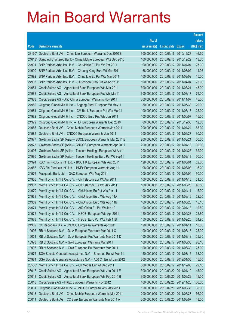| raised<br>No. of<br>(HK\$ mil.)<br><b>Derivative warrants</b><br>issue (units)<br>Code<br><b>Listing date Expiry</b><br>46.50<br>23160# Deutsche Bank AG - China Life European Warrants Dec 2010 B<br>300,000,000<br>2010/09/16 2010/12/28<br>13.30<br>Standard Chartered Bank - China Mobile European Wts Dec 2010<br>100,000,000<br>2010/09/16 2010/12/22<br>24613#<br>25.00<br>24991<br>BNP Paribas Arbit Issu B.V. - Ch Mobile Eu Put Wt Apr 2011<br>100,000,000<br>2010/09/17 2011/04/04<br>14.96<br>24990<br>2010/09/17 2011/03/02<br>BNP Paribas Arbit Issu B.V. - Cheung Kong Euro Wt Mar 2011<br>68,000,000<br>15.00<br>24992<br>BNP Paribas Arbit Issu B.V. - China Life Eu Put Wts Mar 2011<br>100,000,000<br>2010/09/17 2011/03/02<br>2010/09/17 2011/04/04<br>25.00<br>24993<br>BNP Paribas Arbit Issu B.V. - Hutchison Euro Put Wt Apr 2011<br>100,000,000<br>45.00<br>24984<br>300,000,000<br>2010/09/17 2011/03/21<br>Credit Suisse AG - Agricultural Bank European Wts Mar 2011<br>24988<br>2010/09/17 2011/03/17<br>75.00<br>Credit Suisse AG - Agricultural Bank European Put Wts Mar11<br>300,000,000<br>45.00<br>24983<br>Credit Suisse AG - A50 China European Warrants Nov 2011<br>300,000,000<br>2010/09/17 2011/11/07<br>24980<br>20.00<br>Citigroup Global Mkt H Inc. - Angang Steel European Wt May11<br>80,000,000<br>2010/09/17 2011/05/30<br>25.00<br>24981<br>100,000,000<br>2010/09/17 2011/03/17<br>Citigroup Global Mkt H Inc. - CM Bank European Put Wts Mar11<br>24982<br>2010/09/17 2011/06/07<br>15.00<br>Citigroup Global Mkt H Inc. - CNOOC Euro Put Wts Jun 2011<br>100,000,000<br>12.00<br>24979<br>Citigroup Global Mkt H Inc. - HSI European Warrants Dec 2010<br>80,000,000<br>2010/09/17 2010/12/30<br>24986<br>88.00<br>Deutsche Bank AG - China Mobile European Warrants Jan 2011<br>200,000,000<br>2010/09/17 2011/01/24<br>30.00<br>24985<br>200,000,000<br>2010/09/17 2011/06/27<br>Deutsche Bank AG - CNOOC European Warrants Jun 2011<br>2010/09/17 2011/03/21<br>50.00<br>24977<br>Goldman Sachs SP (Asia) - BOCL European Warrants Mar 2011 B<br>200,000,000<br>30.00<br>24978<br>Goldman Sachs SP (Asia) - CNOOC European Warrants Apr 2011<br>200,000,000<br>2010/09/17 2011/04/18<br>32.00<br>24996<br>Goldman Sachs SP (Asia) - Tencent Holdings European Wt Apr11<br>200,000,000<br>2010/09/17 2011/04/26<br>50.00<br>24995<br>Goldman Sachs SP (Asia) - Tencent Holdings Euro Put Wt Sep11<br>200,000,000<br>2010/09/17 2011/09/19<br>24994<br>2010/09/17 2011/08/01<br>32.00<br>KBC Fin Products Int'l Ltd. - BOC HK European Wts Aug 2011<br>128,000,000<br>16.20<br>24987<br>KBC Fin Products Int'l Ltd. - HKEx European Warrants Aug 11<br>108,000,000<br>2010/09/17 2011/08/08<br>50.00<br>24976<br>Macquarie Bank Ltd. - GAC European Wts May 2011<br>200,000,000<br>2010/09/17 2011/05/04<br>31.50<br>24966<br>Merrill Lynch Int'l & Co. C.V. - Ch Telecom Eur Wt Apr 2011<br>100,000,000<br>2010/09/17 2011/04/18 |
|----------------------------------------------------------------------------------------------------------------------------------------------------------------------------------------------------------------------------------------------------------------------------------------------------------------------------------------------------------------------------------------------------------------------------------------------------------------------------------------------------------------------------------------------------------------------------------------------------------------------------------------------------------------------------------------------------------------------------------------------------------------------------------------------------------------------------------------------------------------------------------------------------------------------------------------------------------------------------------------------------------------------------------------------------------------------------------------------------------------------------------------------------------------------------------------------------------------------------------------------------------------------------------------------------------------------------------------------------------------------------------------------------------------------------------------------------------------------------------------------------------------------------------------------------------------------------------------------------------------------------------------------------------------------------------------------------------------------------------------------------------------------------------------------------------------------------------------------------------------------------------------------------------------------------------------------------------------------------------------------------------------------------------------------------------------------------------------------------------------------------------------------------------------------------------------------------------------------------------------------------------------------------------------------------------------------------------------------------------------------------------------------------------------------------------------------------------------------------------------------------------------------------------------------------------------------------------------------------------------------------------------------------------------------------------------------------------------------------------------------------------------------------------------------------------------------------------------------------------------------------------------------------------------------------------------------------------------------------------------|
|                                                                                                                                                                                                                                                                                                                                                                                                                                                                                                                                                                                                                                                                                                                                                                                                                                                                                                                                                                                                                                                                                                                                                                                                                                                                                                                                                                                                                                                                                                                                                                                                                                                                                                                                                                                                                                                                                                                                                                                                                                                                                                                                                                                                                                                                                                                                                                                                                                                                                                                                                                                                                                                                                                                                                                                                                                                                                                                                                                                        |
|                                                                                                                                                                                                                                                                                                                                                                                                                                                                                                                                                                                                                                                                                                                                                                                                                                                                                                                                                                                                                                                                                                                                                                                                                                                                                                                                                                                                                                                                                                                                                                                                                                                                                                                                                                                                                                                                                                                                                                                                                                                                                                                                                                                                                                                                                                                                                                                                                                                                                                                                                                                                                                                                                                                                                                                                                                                                                                                                                                                        |
|                                                                                                                                                                                                                                                                                                                                                                                                                                                                                                                                                                                                                                                                                                                                                                                                                                                                                                                                                                                                                                                                                                                                                                                                                                                                                                                                                                                                                                                                                                                                                                                                                                                                                                                                                                                                                                                                                                                                                                                                                                                                                                                                                                                                                                                                                                                                                                                                                                                                                                                                                                                                                                                                                                                                                                                                                                                                                                                                                                                        |
|                                                                                                                                                                                                                                                                                                                                                                                                                                                                                                                                                                                                                                                                                                                                                                                                                                                                                                                                                                                                                                                                                                                                                                                                                                                                                                                                                                                                                                                                                                                                                                                                                                                                                                                                                                                                                                                                                                                                                                                                                                                                                                                                                                                                                                                                                                                                                                                                                                                                                                                                                                                                                                                                                                                                                                                                                                                                                                                                                                                        |
|                                                                                                                                                                                                                                                                                                                                                                                                                                                                                                                                                                                                                                                                                                                                                                                                                                                                                                                                                                                                                                                                                                                                                                                                                                                                                                                                                                                                                                                                                                                                                                                                                                                                                                                                                                                                                                                                                                                                                                                                                                                                                                                                                                                                                                                                                                                                                                                                                                                                                                                                                                                                                                                                                                                                                                                                                                                                                                                                                                                        |
|                                                                                                                                                                                                                                                                                                                                                                                                                                                                                                                                                                                                                                                                                                                                                                                                                                                                                                                                                                                                                                                                                                                                                                                                                                                                                                                                                                                                                                                                                                                                                                                                                                                                                                                                                                                                                                                                                                                                                                                                                                                                                                                                                                                                                                                                                                                                                                                                                                                                                                                                                                                                                                                                                                                                                                                                                                                                                                                                                                                        |
|                                                                                                                                                                                                                                                                                                                                                                                                                                                                                                                                                                                                                                                                                                                                                                                                                                                                                                                                                                                                                                                                                                                                                                                                                                                                                                                                                                                                                                                                                                                                                                                                                                                                                                                                                                                                                                                                                                                                                                                                                                                                                                                                                                                                                                                                                                                                                                                                                                                                                                                                                                                                                                                                                                                                                                                                                                                                                                                                                                                        |
|                                                                                                                                                                                                                                                                                                                                                                                                                                                                                                                                                                                                                                                                                                                                                                                                                                                                                                                                                                                                                                                                                                                                                                                                                                                                                                                                                                                                                                                                                                                                                                                                                                                                                                                                                                                                                                                                                                                                                                                                                                                                                                                                                                                                                                                                                                                                                                                                                                                                                                                                                                                                                                                                                                                                                                                                                                                                                                                                                                                        |
|                                                                                                                                                                                                                                                                                                                                                                                                                                                                                                                                                                                                                                                                                                                                                                                                                                                                                                                                                                                                                                                                                                                                                                                                                                                                                                                                                                                                                                                                                                                                                                                                                                                                                                                                                                                                                                                                                                                                                                                                                                                                                                                                                                                                                                                                                                                                                                                                                                                                                                                                                                                                                                                                                                                                                                                                                                                                                                                                                                                        |
|                                                                                                                                                                                                                                                                                                                                                                                                                                                                                                                                                                                                                                                                                                                                                                                                                                                                                                                                                                                                                                                                                                                                                                                                                                                                                                                                                                                                                                                                                                                                                                                                                                                                                                                                                                                                                                                                                                                                                                                                                                                                                                                                                                                                                                                                                                                                                                                                                                                                                                                                                                                                                                                                                                                                                                                                                                                                                                                                                                                        |
|                                                                                                                                                                                                                                                                                                                                                                                                                                                                                                                                                                                                                                                                                                                                                                                                                                                                                                                                                                                                                                                                                                                                                                                                                                                                                                                                                                                                                                                                                                                                                                                                                                                                                                                                                                                                                                                                                                                                                                                                                                                                                                                                                                                                                                                                                                                                                                                                                                                                                                                                                                                                                                                                                                                                                                                                                                                                                                                                                                                        |
|                                                                                                                                                                                                                                                                                                                                                                                                                                                                                                                                                                                                                                                                                                                                                                                                                                                                                                                                                                                                                                                                                                                                                                                                                                                                                                                                                                                                                                                                                                                                                                                                                                                                                                                                                                                                                                                                                                                                                                                                                                                                                                                                                                                                                                                                                                                                                                                                                                                                                                                                                                                                                                                                                                                                                                                                                                                                                                                                                                                        |
|                                                                                                                                                                                                                                                                                                                                                                                                                                                                                                                                                                                                                                                                                                                                                                                                                                                                                                                                                                                                                                                                                                                                                                                                                                                                                                                                                                                                                                                                                                                                                                                                                                                                                                                                                                                                                                                                                                                                                                                                                                                                                                                                                                                                                                                                                                                                                                                                                                                                                                                                                                                                                                                                                                                                                                                                                                                                                                                                                                                        |
|                                                                                                                                                                                                                                                                                                                                                                                                                                                                                                                                                                                                                                                                                                                                                                                                                                                                                                                                                                                                                                                                                                                                                                                                                                                                                                                                                                                                                                                                                                                                                                                                                                                                                                                                                                                                                                                                                                                                                                                                                                                                                                                                                                                                                                                                                                                                                                                                                                                                                                                                                                                                                                                                                                                                                                                                                                                                                                                                                                                        |
|                                                                                                                                                                                                                                                                                                                                                                                                                                                                                                                                                                                                                                                                                                                                                                                                                                                                                                                                                                                                                                                                                                                                                                                                                                                                                                                                                                                                                                                                                                                                                                                                                                                                                                                                                                                                                                                                                                                                                                                                                                                                                                                                                                                                                                                                                                                                                                                                                                                                                                                                                                                                                                                                                                                                                                                                                                                                                                                                                                                        |
|                                                                                                                                                                                                                                                                                                                                                                                                                                                                                                                                                                                                                                                                                                                                                                                                                                                                                                                                                                                                                                                                                                                                                                                                                                                                                                                                                                                                                                                                                                                                                                                                                                                                                                                                                                                                                                                                                                                                                                                                                                                                                                                                                                                                                                                                                                                                                                                                                                                                                                                                                                                                                                                                                                                                                                                                                                                                                                                                                                                        |
|                                                                                                                                                                                                                                                                                                                                                                                                                                                                                                                                                                                                                                                                                                                                                                                                                                                                                                                                                                                                                                                                                                                                                                                                                                                                                                                                                                                                                                                                                                                                                                                                                                                                                                                                                                                                                                                                                                                                                                                                                                                                                                                                                                                                                                                                                                                                                                                                                                                                                                                                                                                                                                                                                                                                                                                                                                                                                                                                                                                        |
|                                                                                                                                                                                                                                                                                                                                                                                                                                                                                                                                                                                                                                                                                                                                                                                                                                                                                                                                                                                                                                                                                                                                                                                                                                                                                                                                                                                                                                                                                                                                                                                                                                                                                                                                                                                                                                                                                                                                                                                                                                                                                                                                                                                                                                                                                                                                                                                                                                                                                                                                                                                                                                                                                                                                                                                                                                                                                                                                                                                        |
|                                                                                                                                                                                                                                                                                                                                                                                                                                                                                                                                                                                                                                                                                                                                                                                                                                                                                                                                                                                                                                                                                                                                                                                                                                                                                                                                                                                                                                                                                                                                                                                                                                                                                                                                                                                                                                                                                                                                                                                                                                                                                                                                                                                                                                                                                                                                                                                                                                                                                                                                                                                                                                                                                                                                                                                                                                                                                                                                                                                        |
|                                                                                                                                                                                                                                                                                                                                                                                                                                                                                                                                                                                                                                                                                                                                                                                                                                                                                                                                                                                                                                                                                                                                                                                                                                                                                                                                                                                                                                                                                                                                                                                                                                                                                                                                                                                                                                                                                                                                                                                                                                                                                                                                                                                                                                                                                                                                                                                                                                                                                                                                                                                                                                                                                                                                                                                                                                                                                                                                                                                        |
|                                                                                                                                                                                                                                                                                                                                                                                                                                                                                                                                                                                                                                                                                                                                                                                                                                                                                                                                                                                                                                                                                                                                                                                                                                                                                                                                                                                                                                                                                                                                                                                                                                                                                                                                                                                                                                                                                                                                                                                                                                                                                                                                                                                                                                                                                                                                                                                                                                                                                                                                                                                                                                                                                                                                                                                                                                                                                                                                                                                        |
|                                                                                                                                                                                                                                                                                                                                                                                                                                                                                                                                                                                                                                                                                                                                                                                                                                                                                                                                                                                                                                                                                                                                                                                                                                                                                                                                                                                                                                                                                                                                                                                                                                                                                                                                                                                                                                                                                                                                                                                                                                                                                                                                                                                                                                                                                                                                                                                                                                                                                                                                                                                                                                                                                                                                                                                                                                                                                                                                                                                        |
|                                                                                                                                                                                                                                                                                                                                                                                                                                                                                                                                                                                                                                                                                                                                                                                                                                                                                                                                                                                                                                                                                                                                                                                                                                                                                                                                                                                                                                                                                                                                                                                                                                                                                                                                                                                                                                                                                                                                                                                                                                                                                                                                                                                                                                                                                                                                                                                                                                                                                                                                                                                                                                                                                                                                                                                                                                                                                                                                                                                        |
|                                                                                                                                                                                                                                                                                                                                                                                                                                                                                                                                                                                                                                                                                                                                                                                                                                                                                                                                                                                                                                                                                                                                                                                                                                                                                                                                                                                                                                                                                                                                                                                                                                                                                                                                                                                                                                                                                                                                                                                                                                                                                                                                                                                                                                                                                                                                                                                                                                                                                                                                                                                                                                                                                                                                                                                                                                                                                                                                                                                        |
|                                                                                                                                                                                                                                                                                                                                                                                                                                                                                                                                                                                                                                                                                                                                                                                                                                                                                                                                                                                                                                                                                                                                                                                                                                                                                                                                                                                                                                                                                                                                                                                                                                                                                                                                                                                                                                                                                                                                                                                                                                                                                                                                                                                                                                                                                                                                                                                                                                                                                                                                                                                                                                                                                                                                                                                                                                                                                                                                                                                        |
| 2010/09/17 2011/05/23<br>46.50<br>24967<br>Merrill Lynch Int'l & Co. C.V. - Ch Telecom Eur Wt May 2011<br>100,000,000<br>24970<br>2010/09/17 2011/04/11                                                                                                                                                                                                                                                                                                                                                                                                                                                                                                                                                                                                                                                                                                                                                                                                                                                                                                                                                                                                                                                                                                                                                                                                                                                                                                                                                                                                                                                                                                                                                                                                                                                                                                                                                                                                                                                                                                                                                                                                                                                                                                                                                                                                                                                                                                                                                                                                                                                                                                                                                                                                                                                                                                                                                                                                                                |
| 15.00<br>Merrill Lynch Int'l & Co. C.V. - ChiUnicom Eu Put Wts Apr 11<br>100,000,000<br>2010/09/17 2011/08/16<br>22.20<br>24968                                                                                                                                                                                                                                                                                                                                                                                                                                                                                                                                                                                                                                                                                                                                                                                                                                                                                                                                                                                                                                                                                                                                                                                                                                                                                                                                                                                                                                                                                                                                                                                                                                                                                                                                                                                                                                                                                                                                                                                                                                                                                                                                                                                                                                                                                                                                                                                                                                                                                                                                                                                                                                                                                                                                                                                                                                                        |
| Merrill Lynch Int'l & Co. C.V. - ChiUnicom Euro Wts Aug 11A<br>100,000,000<br>Merrill Lynch Int'l & Co. C.V. - ChiUnicom Euro Wts Aug 11B<br>100,000,000<br>2010/09/17 2011/08/23<br>24969<br>15.10                                                                                                                                                                                                                                                                                                                                                                                                                                                                                                                                                                                                                                                                                                                                                                                                                                                                                                                                                                                                                                                                                                                                                                                                                                                                                                                                                                                                                                                                                                                                                                                                                                                                                                                                                                                                                                                                                                                                                                                                                                                                                                                                                                                                                                                                                                                                                                                                                                                                                                                                                                                                                                                                                                                                                                                    |
| Merrill Lynch Int'l & Co. C.V. - A50 China Eu Put Wt Jan 12<br>100,000,000<br>2010/09/17 2012/01/18<br>19.80<br>24971                                                                                                                                                                                                                                                                                                                                                                                                                                                                                                                                                                                                                                                                                                                                                                                                                                                                                                                                                                                                                                                                                                                                                                                                                                                                                                                                                                                                                                                                                                                                                                                                                                                                                                                                                                                                                                                                                                                                                                                                                                                                                                                                                                                                                                                                                                                                                                                                                                                                                                                                                                                                                                                                                                                                                                                                                                                                  |
| 24972<br>Merrill Lynch Int'l & Co. C.V. - HSCEI European Wts Apr 2011<br>150,000,000<br>2010/09/17 2011/04/28<br>22.80                                                                                                                                                                                                                                                                                                                                                                                                                                                                                                                                                                                                                                                                                                                                                                                                                                                                                                                                                                                                                                                                                                                                                                                                                                                                                                                                                                                                                                                                                                                                                                                                                                                                                                                                                                                                                                                                                                                                                                                                                                                                                                                                                                                                                                                                                                                                                                                                                                                                                                                                                                                                                                                                                                                                                                                                                                                                 |
| 24973<br>24.90<br>Merrill Lynch Int'l & Co. C.V. - HSCEI Euro Put Wts Feb 11B<br>150,000,000<br>2010/09/17 2011/02/25                                                                                                                                                                                                                                                                                                                                                                                                                                                                                                                                                                                                                                                                                                                                                                                                                                                                                                                                                                                                                                                                                                                                                                                                                                                                                                                                                                                                                                                                                                                                                                                                                                                                                                                                                                                                                                                                                                                                                                                                                                                                                                                                                                                                                                                                                                                                                                                                                                                                                                                                                                                                                                                                                                                                                                                                                                                                  |
| 18.00<br>24989<br>CC Rabobank B.A. - CNOOC European Warrants Apr 2011<br>120,000,000<br>2010/09/17 2011/04/11                                                                                                                                                                                                                                                                                                                                                                                                                                                                                                                                                                                                                                                                                                                                                                                                                                                                                                                                                                                                                                                                                                                                                                                                                                                                                                                                                                                                                                                                                                                                                                                                                                                                                                                                                                                                                                                                                                                                                                                                                                                                                                                                                                                                                                                                                                                                                                                                                                                                                                                                                                                                                                                                                                                                                                                                                                                                          |
| 25.00<br>10996<br>RB of Scotland N.V. - DJIA European Warrants Mar 2011 C<br>100,000,000<br>2010/09/17<br>2011/03/18                                                                                                                                                                                                                                                                                                                                                                                                                                                                                                                                                                                                                                                                                                                                                                                                                                                                                                                                                                                                                                                                                                                                                                                                                                                                                                                                                                                                                                                                                                                                                                                                                                                                                                                                                                                                                                                                                                                                                                                                                                                                                                                                                                                                                                                                                                                                                                                                                                                                                                                                                                                                                                                                                                                                                                                                                                                                   |
| 10001<br>RB of Scotland N.V. - DJIA European Put Warrants Mar 2011 D<br>100,000,000<br>2010/09/17<br>25.30<br>2011/03/18                                                                                                                                                                                                                                                                                                                                                                                                                                                                                                                                                                                                                                                                                                                                                                                                                                                                                                                                                                                                                                                                                                                                                                                                                                                                                                                                                                                                                                                                                                                                                                                                                                                                                                                                                                                                                                                                                                                                                                                                                                                                                                                                                                                                                                                                                                                                                                                                                                                                                                                                                                                                                                                                                                                                                                                                                                                               |
| 100,000,000<br>26.10<br>10993<br>RB of Scotland N.V. - Gold European Warrants Mar 2011<br>2010/09/17<br>2011/03/30                                                                                                                                                                                                                                                                                                                                                                                                                                                                                                                                                                                                                                                                                                                                                                                                                                                                                                                                                                                                                                                                                                                                                                                                                                                                                                                                                                                                                                                                                                                                                                                                                                                                                                                                                                                                                                                                                                                                                                                                                                                                                                                                                                                                                                                                                                                                                                                                                                                                                                                                                                                                                                                                                                                                                                                                                                                                     |
| 10997<br>RB of Scotland N.V. - Gold European Put Warrants Mar 2011<br>100,000,000<br>2010/09/17 2011/03/30<br>25.00                                                                                                                                                                                                                                                                                                                                                                                                                                                                                                                                                                                                                                                                                                                                                                                                                                                                                                                                                                                                                                                                                                                                                                                                                                                                                                                                                                                                                                                                                                                                                                                                                                                                                                                                                                                                                                                                                                                                                                                                                                                                                                                                                                                                                                                                                                                                                                                                                                                                                                                                                                                                                                                                                                                                                                                                                                                                    |
| 33.00<br>24975<br>SGA Societe Generale Acceptance N.V. - Shenhua Eu Wt Mar 11<br>150,000,000<br>2010/09/17<br>2011/03/16                                                                                                                                                                                                                                                                                                                                                                                                                                                                                                                                                                                                                                                                                                                                                                                                                                                                                                                                                                                                                                                                                                                                                                                                                                                                                                                                                                                                                                                                                                                                                                                                                                                                                                                                                                                                                                                                                                                                                                                                                                                                                                                                                                                                                                                                                                                                                                                                                                                                                                                                                                                                                                                                                                                                                                                                                                                               |
| 300,000,000<br>2010/09/17<br>45.00<br>24974<br>SGA Societe Generale Acceptance N.V. - A50 Ch Eu Wt Jan 2012<br>2012/01/30                                                                                                                                                                                                                                                                                                                                                                                                                                                                                                                                                                                                                                                                                                                                                                                                                                                                                                                                                                                                                                                                                                                                                                                                                                                                                                                                                                                                                                                                                                                                                                                                                                                                                                                                                                                                                                                                                                                                                                                                                                                                                                                                                                                                                                                                                                                                                                                                                                                                                                                                                                                                                                                                                                                                                                                                                                                              |
| 300,000,000<br>29.10<br>23506#<br>Merrill Lynch Int'l & Co. C.V. - Ch Mobile Eur Wt Dec 2011<br>2010/09/17<br>2011/12/05                                                                                                                                                                                                                                                                                                                                                                                                                                                                                                                                                                                                                                                                                                                                                                                                                                                                                                                                                                                                                                                                                                                                                                                                                                                                                                                                                                                                                                                                                                                                                                                                                                                                                                                                                                                                                                                                                                                                                                                                                                                                                                                                                                                                                                                                                                                                                                                                                                                                                                                                                                                                                                                                                                                                                                                                                                                               |
| Credit Suisse AG - Agricultural Bank European Wts Jan 2011 E<br>300,000,000<br>2010/09/20<br>2011/01/10<br>45.00<br>25017                                                                                                                                                                                                                                                                                                                                                                                                                                                                                                                                                                                                                                                                                                                                                                                                                                                                                                                                                                                                                                                                                                                                                                                                                                                                                                                                                                                                                                                                                                                                                                                                                                                                                                                                                                                                                                                                                                                                                                                                                                                                                                                                                                                                                                                                                                                                                                                                                                                                                                                                                                                                                                                                                                                                                                                                                                                              |
| 25018<br>Credit Suisse AG - Agricultural Bank European Wts Feb 2011 B<br>300,000,000<br>2010/09/20<br>45.00<br>2011/02/22                                                                                                                                                                                                                                                                                                                                                                                                                                                                                                                                                                                                                                                                                                                                                                                                                                                                                                                                                                                                                                                                                                                                                                                                                                                                                                                                                                                                                                                                                                                                                                                                                                                                                                                                                                                                                                                                                                                                                                                                                                                                                                                                                                                                                                                                                                                                                                                                                                                                                                                                                                                                                                                                                                                                                                                                                                                              |
| 100.00<br>25016<br>Credit Suisse AG - HKEx European Warrants Nov 2012<br>400,000,000<br>2010/09/20<br>2012/11/26                                                                                                                                                                                                                                                                                                                                                                                                                                                                                                                                                                                                                                                                                                                                                                                                                                                                                                                                                                                                                                                                                                                                                                                                                                                                                                                                                                                                                                                                                                                                                                                                                                                                                                                                                                                                                                                                                                                                                                                                                                                                                                                                                                                                                                                                                                                                                                                                                                                                                                                                                                                                                                                                                                                                                                                                                                                                       |
| 25001<br>120,000,000<br>30.00<br>Citigroup Global Mkt H Inc. - CNOOC European Wts May 2011<br>2010/09/20<br>2011/05/30                                                                                                                                                                                                                                                                                                                                                                                                                                                                                                                                                                                                                                                                                                                                                                                                                                                                                                                                                                                                                                                                                                                                                                                                                                                                                                                                                                                                                                                                                                                                                                                                                                                                                                                                                                                                                                                                                                                                                                                                                                                                                                                                                                                                                                                                                                                                                                                                                                                                                                                                                                                                                                                                                                                                                                                                                                                                 |
| Deutsche Bank AG - China Mobile European Warrants Mar 2011<br>200,000,000<br>25013<br>2010/09/20<br>2011/03/28<br>156.00                                                                                                                                                                                                                                                                                                                                                                                                                                                                                                                                                                                                                                                                                                                                                                                                                                                                                                                                                                                                                                                                                                                                                                                                                                                                                                                                                                                                                                                                                                                                                                                                                                                                                                                                                                                                                                                                                                                                                                                                                                                                                                                                                                                                                                                                                                                                                                                                                                                                                                                                                                                                                                                                                                                                                                                                                                                               |
| Deutsche Bank AG - CC Bank European Warrants Mar 2011 A<br>25011<br>200,000,000<br>2010/09/20 2011/03/07<br>48.00                                                                                                                                                                                                                                                                                                                                                                                                                                                                                                                                                                                                                                                                                                                                                                                                                                                                                                                                                                                                                                                                                                                                                                                                                                                                                                                                                                                                                                                                                                                                                                                                                                                                                                                                                                                                                                                                                                                                                                                                                                                                                                                                                                                                                                                                                                                                                                                                                                                                                                                                                                                                                                                                                                                                                                                                                                                                      |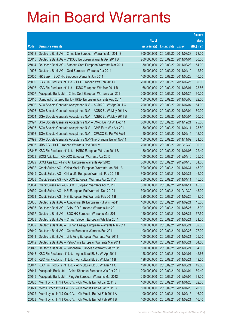|        |                                                              |               |                            |                       | <b>Amount</b> |
|--------|--------------------------------------------------------------|---------------|----------------------------|-----------------------|---------------|
|        |                                                              | No. of        |                            |                       | raised        |
| Code   | <b>Derivative warrants</b>                                   | issue (units) | <b>Listing date Expiry</b> |                       | (HK\$ mil.)   |
| 25012  | Deutsche Bank AG - China Life European Warrants Mar 2011 B   | 300,000,000   | 2010/09/20 2011/03/28      |                       | 78.00         |
| 25015  | Deutsche Bank AG - CNOOC European Warrants Apr 2011 B        | 200,000,000   | 2010/09/20 2011/04/04      |                       | 30.00         |
| 25014  | Deutsche Bank AG - Sinopec Corp European Warrants Mar 2011   | 150,000,000   | 2010/09/20 2011/03/28      |                       | 54.00         |
| 10998  | Deutsche Bank AG - Gold European Warrants Apr 2011           | 50,000,000    | 2010/09/20 2011/04/19      |                       | 12.50         |
| 25000  | HK Bank - BOC HK European Warrants Jun 2011                  | 160,000,000   | 2010/09/20 2011/06/23      |                       | 40.00         |
| 25009  | KBC Fin Products Int'l Ltd. - HSI European Wts Feb 2011 G    | 200,000,000   |                            | 2010/09/20 2011/02/25 | 30.00         |
| 25008  | KBC Fin Products Int'l Ltd. - ICBC European Wts Mar 2011 B   | 168,000,000   | 2010/09/20 2011/03/01      |                       | 28.56         |
| 25007  | Macquarie Bank Ltd. - China Coal European Warrants Jan 2011  | 200,000,000   | 2010/09/20 2011/01/24      |                       | 30.20         |
| 25010  | Standard Chartered Bank - HKEx European Warrants Aug 2011    | 150,000,000   | 2010/09/20 2011/08/08      |                       | 22.50         |
| 25002  | SGA Societe Generale Acceptance N.V. - AGBK Eu Wt Apr 2011 C | 200,000,000   | 2010/09/20 2011/04/04      |                       | 64.00         |
| 25003  | SGA Societe Generale Acceptance N.V. - AGBK Eu Wt May 2011 A | 200,000,000   | 2010/09/20 2011/05/04      |                       | 60.00         |
| 25004  | SGA Societe Generale Acceptance N.V. - AGBK Eu Wt May 2011 B | 200,000,000   | 2010/09/20 2011/05/04      |                       | 50.00         |
| 24997  | SGA Societe Generale Acceptance N.V. - CMob Eu Put Wt Dec 11 | 500,000,000   | 2010/09/20 2011/12/21      |                       | 75.00         |
| 25005  | SGA Societe Generale Acceptance N.V. - CMB Euro Wts Apr 2011 | 150,000,000   | 2010/09/20 2011/04/11      |                       | 25.50         |
| 24998  | SGA Societe Generale Acceptance N.V. - CP&CC Eu Put Wt Feb11 | 50,000,000    | 2010/09/20 2011/02/14      |                       | 12.00         |
| 24999  | SGA Societe Generale Acceptance N.V-Nine Dragons Eu Wt Nov11 | 150,000,000   |                            | 2010/09/20 2011/11/02 | 31.50         |
| 25006  | UBS AG - HSI European Warrants Dec 2010 M                    | 200,000,000   |                            | 2010/09/20 2010/12/30 | 30.00         |
| 23343# | KBC Fin Products Int'l Ltd. - HSBC European Wts Jan 2011 B   | 130,000,000   |                            | 2010/09/20 2011/01/03 | 22.49         |
| 25028  | BOCI Asia Ltd. - CNOOC European Warrants Apr 2012            | 100,000,000   | 2010/09/21                 | 2012/04/10            | 25.00         |
| 25029  | BOCI Asia Ltd. - Ping An European Warrants Apr 2012          | 300,000,000   |                            | 2010/09/21 2012/04/10 | 51.00         |
| 25032  | Credit Suisse AG - China Mobile European Warrants Jan 2011 A | 300,000,000   | 2010/09/21                 | 2011/01/31            | 45.00         |
| 25049  | Credit Suisse AG - China Life European Warrants Feb 2011 B   | 300,000,000   | 2010/09/21                 | 2011/02/21            | 45.00         |
| 25033  | Credit Suisse AG - CNOOC European Warrants Apr 2011 A        | 300,000,000   | 2010/09/21                 | 2011/04/11            | 45.00         |
| 25034  | Credit Suisse AG - CNOOC European Warrants Apr 2011 B        | 300,000,000   | 2010/09/21                 | 2011/04/11            | 45.00         |
| 25030  | Credit Suisse AG - HSI European Put Warrants Dec 2010 I      | 300,000,000   | 2010/09/21                 | 2010/12/30            | 45.00         |
| 25031  | Credit Suisse AG - HSI European Put Warrants Feb 2011 B      | 320,000,000   | 2010/09/21                 | 2011/02/25            | 48.00         |
| 25035  | Deutsche Bank AG - Agricultural Bk European Put Wts Feb11    | 100,000,000   | 2010/09/21                 | 2011/02/21            | 15.00         |
| 25036  | Deutsche Bank AG - CHALCO European Warrants Jun 2011         | 100,000,000   | 2010/09/21 2011/06/27      |                       | 15.00         |
| 25037  | Deutsche Bank AG - BOC HK European Warrants Mar 2011         | 150,000,000   | 2010/09/21                 | 2011/03/21            | 37.50         |
| 25038  | Deutsche Bank AG - China Telecom European Wts Mar 2011       | 100,000,000   | 2010/09/21                 | 2011/03/21            | 31.00         |
| 25039  | Deutsche Bank AG - Fushan Energy European Warrants Mar 2011  | 100,000,000   | 2010/09/21                 | 2011/03/21            | 52.00         |
| 25040  | Deutsche Bank AG - Gome European Warrants Feb 2011           | 100,000,000   | 2010/09/21                 | 2011/02/28            | 27.00         |
| 25041  | Deutsche Bank AG - Li & Fung European Warrants Mar 2011      | 100,000,000   | 2010/09/21                 | 2011/03/21            | 25.00         |
| 25042  | Deutsche Bank AG - PetroChina European Warrants Mar 2011     | 150,000,000   | 2010/09/21                 | 2011/03/21            | 64.50         |
| 25043  | Deutsche Bank AG - Sinopharm European Warrants Mar 2011      | 100,000,000   | 2010/09/21                 | 2011/03/21            | 34.00         |
| 25048  | KBC Fin Products Int'l Ltd. - Agricultural Bk Eu Wt Apr 2011 | 158,000,000   | 2010/09/21                 | 2011/04/01            | 42.66         |
| 25046  | KBC Fin Products Int'l Ltd. - Agricultural Bk Eu Wt Mar 11 B | 198,000,000   | 2010/09/21                 | 2011/03/21            | 49.50         |
| 25047  | KBC Fin Products Int'l Ltd. - Agricultural Bk Eu Wt Mar 11 C | 198,000,000   | 2010/09/21                 | 2011/03/21            | 49.50         |
| 25044  | Macquarie Bank Ltd. - China Shenhua European Wts Apr 2011    | 200,000,000   | 2010/09/21                 | 2011/04/04            | 50.40         |
| 25045  | Macquarie Bank Ltd. - Ping An European Warrants Mar 2012     | 250,000,000   | 2010/09/21                 | 2012/03/05            | 38.00         |
| 25020  | Merrill Lynch Int'l & Co. C.V. - Ch Mobile Eur Wt Jan 2011 B | 100,000,000   | 2010/09/21                 | 2011/01/25            | 32.00         |
| 25021  | Merrill Lynch Int'l & Co. C.V. - Ch Mobile Eur Wt Jan 2011 C | 100,000,000   | 2010/09/21                 | 2011/01/26            | 20.80         |
| 25022  | Merrill Lynch Int'l & Co. C.V. - Ch Mobile Eur Wt Feb 2011 A | 100,000,000   | 2010/09/21                 | 2011/02/15            | 16.00         |
| 25023  | Merrill Lynch Int'l & Co. C.V. - Ch Mobile Eur Wt Feb 2011 B | 100,000,000   | 2010/09/21                 | 2011/02/21            | 16.40         |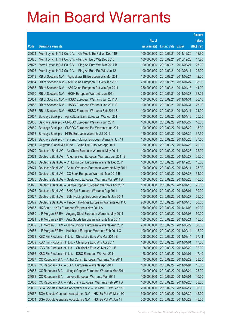|       |                                                               |               |                            |                       | <b>Amount</b> |
|-------|---------------------------------------------------------------|---------------|----------------------------|-----------------------|---------------|
|       |                                                               | No. of        |                            |                       | raised        |
| Code  | <b>Derivative warrants</b>                                    | issue (units) | <b>Listing date Expiry</b> |                       | (HK\$ mil.)   |
| 25024 | Merrill Lynch Int'l & Co. C.V. - Ch Mobile Eu Put Wt Dec 11B  | 100,000,000   | 2010/09/21                 | 2011/12/20            | 18.90         |
| 25025 | Merrill Lynch Int'l & Co. C.V. - Ping An Euro Wts Dec 2010    | 100,000,000   |                            | 2010/09/21 2010/12/28 | 17.20         |
| 25027 | Merrill Lynch Int'l & Co. C.V. - Ping An Euro Wts Mar 2011 B  | 100,000,000   | 2010/09/21                 | 2011/03/21            | 26.00         |
| 25026 | Merrill Lynch Int'l & Co. C.V. - Ping An Euro Put Wts Jun 12  | 100,000,000   | 2010/09/21                 | 2012/06/11            | 25.00         |
| 25019 | RB of Scotland N.V. - Agricultural Bk European Wts Mar 2011   | 150,000,000   | 2010/09/21                 | 2011/03/24            | 42.00         |
| 25054 | RB of Scotland N.V. - A50 China European Put Wts Jan 2011     | 250,000,000   | 2010/09/21                 | 2011/01/24            | 38.00         |
| 25055 | RB of Scotland N.V. - A50 China European Put Wts Apr 2011     | 250,000,000   | 2010/09/21                 | 2011/04/18            | 41.00         |
| 25050 | RB of Scotland N.V. - HKEx European Warrants Jun 2011         | 250,000,000   |                            | 2010/09/21 2011/06/27 | 38.25         |
| 25051 | RB of Scotland N.V. - HSBC European Warrants Jan 2011 A       | 100,000,000   | 2010/09/21                 | 2011/01/31            | 36.10         |
| 25052 | RB of Scotland N.V. - HSBC European Warrants Jan 2011 B       | 100,000,000   |                            | 2010/09/21 2011/01/31 | 26.00         |
| 25053 | RB of Scotland N.V. - HSBC European Warrants Feb 2011 B       | 100,000,000   |                            | 2010/09/21 2011/02/11 | 21.00         |
| 25057 | Barclays Bank plc - Agricultural Bank European Wts Apr 2011   | 100,000,000   |                            | 2010/09/22 2011/04/18 | 25.00         |
| 25056 | Barclays Bank plc - CNOOC European Warrants Jun 2011          | 100,000,000   |                            | 2010/09/22 2011/06/27 | 16.00         |
| 25060 | Barclays Bank plc - CNOOC European Put Warrants Jun 2011      | 100,000,000   |                            | 2010/09/22 2011/06/20 | 15.00         |
| 25058 | Barclays Bank plc - HKEx European Warrants Jul 2012           | 150,000,000   |                            | 2010/09/22 2012/07/30 | 37.50         |
| 25059 | Barclays Bank plc - Tencent Holdings European Warrants Jun 11 | 150,000,000   |                            | 2010/09/22 2011/06/20 | 37.50         |
| 25061 | Citigroup Global Mkt H Inc. - China Life Euro Wts Apr 2011    | 80,000,000    |                            | 2010/09/22 2011/04/28 | 20.00         |
| 25070 | Deutsche Bank AG - Air China European Warrants May 2011       | 100,000,000   |                            | 2010/09/22 2011/05/23 | 25.00         |
| 25071 | Deutsche Bank AG - Angang Steel European Warrants Jun 2011 B  | 100,000,000   |                            | 2010/09/22 2011/06/27 | 25.00         |
| 25073 | Deutsche Bank AG - Ch Long Yuan European Warrants Dec 2011    | 100,000,000   |                            | 2010/09/22 2011/12/28 | 15.00         |
| 25074 | Deutsche Bank AG - China Overseas European Warrants May 2011  | 100,000,000   |                            | 2010/09/22 2011/05/11 | 25.00         |
| 25072 | Deutsche Bank AG - CC Bank European Warrants Mar 2011 B       | 200,000,000   |                            | 2010/09/22 2011/03/28 | 34.00         |
| 25075 | Deutsche Bank AG - Geely Auto European Warrants Mar 2011 B    | 100,000,000   |                            | 2010/09/22 2011/03/28 | 40.00         |
| 25076 | Deutsche Bank AG - Jiangxi Copper European Warrants Apr 2011  | 100,000,000   |                            | 2010/09/22 2011/04/18 | 25.00         |
| 25078 | Deutsche Bank AG - SHK Ppt European Warrants Aug 2011         | 200,000,000   |                            | 2010/09/22 2011/08/01 | 30.00         |
| 25077 | Deutsche Bank AG - SJM Holdings European Warrants Jun 2011    | 100,000,000   |                            | 2010/09/22 2011/06/27 | 25.00         |
| 25079 | Deutsche Bank AG - Tencent Holdings European Warrants Apr11A  | 200,000,000   |                            | 2010/09/22 2011/04/18 | 50.00         |
| 25065 | HK Bank - HKEx European Warrants Nov 2011 A                   | 160,000,000   |                            | 2010/09/22 2011/11/08 | 40.00         |
| 25080 | J P Morgan SP BV - Angang Steel European Warrants May 2011    | 200,000,000   |                            | 2010/09/22 2011/05/03 | 50.00         |
| 25081 | J P Morgan SP BV - Anta Sports European Warrants Mar 2011     | 100,000,000   |                            | 2010/09/22 2011/03/21 | 15.00         |
| 25082 | J P Morgan SP BV - China Unicom European Warrants Aug 2011    | 200,000,000   |                            | 2010/09/22 2011/08/29 | 50.00         |
| 25083 | J P Morgan SP BV - Hutchison European Warrants Feb 2011 C     | 100,000,000   |                            | 2010/09/22 2011/02/14 | 15.00         |
| 25068 | KBC Fin Products Int'l Ltd. - China Life Euro Wts Mar 2011 E  | 208,000,000   |                            | 2010/09/22 2011/03/14 | 37.44         |
| 25069 | KBC Fin Products Int'l Ltd. - China Life Euro Wts Apr 2011    | 188,000,000   |                            | 2010/09/22 2011/04/01 | 47.00         |
| 25084 | KBC Fin Products Int'l Ltd. - Ch Mobile Euro Wt Mar 2011 B    | 128,000,000   |                            | 2010/09/22 2011/03/22 | 32.00         |
| 25066 | KBC Fin Products Int'l Ltd. - ICBC European Wts Apr 2011      | 158,000,000   |                            | 2010/09/22 2011/04/01 | 47.40         |
| 25087 | CC Rabobank B.A. - Anhui Conch European Warrants Mar 2011     | 75,000,000    |                            | 2010/09/22 2011/03/29 | 28.50         |
| 25089 | CC Rabobank B.A. - BOCL European Warrants Apr 2011            | 100,000,000   |                            | 2010/09/22 2011/04/04 | 15.00         |
| 25085 | CC Rabobank B.A. - Jiangxi Copper European Warrants Mar 2011  | 100,000,000   |                            | 2010/09/22 2011/03/24 | 25.00         |
| 25088 | CC Rabobank B.A. - Lenovo European Warrants Mar 2011          | 100,000,000   |                            | 2010/09/22 2011/03/01 | 40.00         |
| 25086 | CC Rabobank B.A. - PetroChina European Warrants Feb 2011 B    | 100,000,000   |                            | 2010/09/22 2011/02/25 | 38.00         |
| 25062 | SGA Societe Generale Acceptance N.V. - Ch Mob Eu Wt Feb 11B   | 200,000,000   |                            | 2010/09/22 2011/02/14 | 30.00         |
| 25067 | SGA Societe Generale Acceptance N.V. - HSI Eu Put Wt Mar 11C  | 300,000,000   |                            | 2010/09/22 2011/03/30 | 45.00         |
| 25064 | SGA Societe Generale Acceptance N.V. - HSI Eu Put Wt Jun 11   | 300,000,000   |                            | 2010/09/22 2011/06/29 | 45.00         |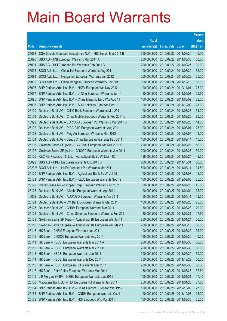|       |                                                               |               |                            |                       | <b>Amount</b> |
|-------|---------------------------------------------------------------|---------------|----------------------------|-----------------------|---------------|
|       |                                                               | No. of        |                            |                       | raised        |
| Code  | <b>Derivative warrants</b>                                    | issue (units) | <b>Listing date Expiry</b> |                       | (HK\$ mil.)   |
| 25063 | SGA Societe Generale Acceptance N.V. - HSI Eur Wt Mar 2011 B  | 300,000,000   |                            | 2010/09/22 2011/03/30 | 45.00         |
| 25090 | UBS AG - HSI European Warrants Mar 2011 A                     | 200,000,000   |                            | 2010/09/22 2011/03/30 | 30.00         |
| 25091 | UBS AG - HSI European Put Warrants Feb 2011 B                 | 200,000,000   |                            | 2010/09/22 2011/02/25 | 30.00         |
| 25093 | BOCI Asia Ltd. - China Tel European Warrants Aug 2011         | 100,000,000   |                            | 2010/09/24 2011/08/29 | 35.00         |
| 25094 | BOCI Asia Ltd. - Henganintl European Warrants Jun 2012        | 200,000,000   |                            | 2010/09/24 2012/06/29 | 35.00         |
| 25092 | BOCI Asia Ltd. - China Mengniu European Warrants Dec 2011     | 100,000,000   |                            | 2010/09/24 2011/12/19 | 30.00         |
| 25096 | BNP Paribas Arbit Issu B.V. - HKEx European Wts Nov 2012      | 100,000,000   | 2010/09/24 2012/11/01      |                       | 25.00         |
| 25097 | BNP Paribas Arbit Issu B.V. - Li Ning European Warrants Jun11 | 80,000,000    | 2010/09/24 2011/06/01      |                       | 25.60         |
| 25095 | BNP Paribas Arbit Issu B.V. - China Mengniu Euro Wts Aug 11   | 100,000,000   |                            | 2010/09/24 2011/08/02 | 28.00         |
| 25098 | BNP Paribas Arbit Issu B.V. - SJM Holdings Euro Wts Dec 11    | 100,000,000   |                            | 2010/09/24 2011/12/02 | 25.00         |
| 25100 | Deutsche Bank AG - CITIC Bank European Warrants Mar 2011      | 100,000,000   |                            | 2010/09/24 2011/03/28 | 31.00         |
| 25101 | Deutsche Bank AG - China Mobile European Warrants Feb 2011 C  | 200,000,000   |                            | 2010/09/24 2011/02/28 | 76.00         |
| 10999 | Deutsche Bank AG - EUR/USD European Put Warrants Mar 2011 B   | 50,000,000    |                            | 2010/09/24 2011/03/28 | 14.00         |
| 25102 | Deutsche Bank AG - PICC P&C European Warrants Aug 2011        | 100,000,000   | 2010/09/24 2011/08/01      |                       | 25.00         |
| 25103 | Deutsche Bank AG - Ping An European Warrants Mar 2012         | 100,000,000   |                            | 2010/09/24 2012/03/05 | 15.00         |
| 25104 | Deutsche Bank AG - Sands China European Warrants Feb 2011     | 100,000,000   |                            | 2010/09/24 2011/02/14 | 15.00         |
| 25106 | Goldman Sachs SP (Asia) - CC Bank European Wts Mar 2011 B     | 200,000,000   |                            | 2010/09/24 2011/03/28 | 50.00         |
| 25107 | Goldman Sachs SP (Asia) - CNOOC European Warrants Jun 2011    | 200,000,000   |                            | 2010/09/24 2011/06/27 | 30.00         |
| 25105 | KBC Fin Products Int'l Ltd. - Agricultural Bk Eu Wt Mar 11D   | 198,000,000   |                            | 2010/09/24 2011/03/24 | 49.50         |
| 25099 | UBS AG - HKEx European Warrants Oct 2011 B                    | 200,000,000   |                            | 2010/09/24 2011/10/31 | 50.00         |
|       | 22232# BOCI Asia Ltd. - HKEx European Put Warrants Mar 2011   | 500,000,000   | 2010/09/24 2011/03/11      |                       | 34.50         |
| 25120 | BNP Paribas Arbit Issu B.V. - Agricultural Bank Eu Wt Jul 15  | 100,000,000   |                            | 2010/09/27 2015/07/08 | 15.00         |
| 25121 | BNP Paribas Arbit Issu B.V. - KECL European Warrants Sep 12   | 100,000,000   |                            | 2010/09/27 2012/09/03 | 25.00         |
| 25122 | Credit Suisse AG - Sinopec Corp European Warrants Jul 2011    | 300,000,000   |                            | 2010/09/27 2011/07/25 | 45.00         |
| 25123 | Deutsche Bank AG - Alibaba European Warrants Apr 2011         | 100,000,000   |                            | 2010/09/27 2011/04/04 | 25.00         |
| 10002 | Deutsche Bank AG - AUD/USD European Warrants Apr 2011         | 50,000,000    | 2010/09/27 2011/04/11      |                       | 12.50         |
| 25124 | Deutsche Bank AG - CM Bank European Warrants Mar 2011         | 100,000,000   |                            | 2010/09/27 2011/03/28 | 25.00         |
| 25125 | Deutsche Bank AG - CNBM European Warrants Mar 2011            | 80,000,000    |                            | 2010/09/27 2011/03/28 | 20.00         |
| 25126 | Deutsche Bank AG - China Shenhua European Warrants Feb 2011   | 80,000,000    | 2010/09/27 2011/02/21      |                       | 17.60         |
| 25109 | Goldman Sachs SP (Asia) - Agricultural Bk European Wts Jan11  | 200,000,000   |                            | 2010/09/27 2011/01/24 | 36.00         |
| 25110 | Goldman Sachs SP (Asia) - Agricultural Bk European Wts May11  | 200,000,000   |                            | 2010/09/27 2011/05/16 | 50.00         |
| 25115 | HK Bank - CNBM European Warrants Jun 2011                     | 100,000,000   |                            | 2010/09/27 2011/06/22 | 25.00         |
| 25116 | HK Bank - CNOOC European Warrants Aug 2011                    | 160,000,000   |                            | 2010/09/27 2011/08/30 | 40.00         |
| 25111 | HK Bank - HSCEI European Warrants Mar 2011 A                  | 200,000,000   |                            | 2010/09/27 2011/03/30 | 50.00         |
| 25112 | HK Bank - HSCEI European Warrants Mar 2011 B                  | 200,000,000   |                            | 2010/09/27 2011/03/30 | 50.00         |
| 25113 | HK Bank - HSCEI European Warrants Jun 2011                    | 200,000,000   |                            | 2010/09/27 2011/06/29 | 50.00         |
| 25114 | HK Bank - HSCEI European Warrants Dec 2011                    | 200,000,000   |                            | 2010/09/27 2011/12/29 | 50.00         |
| 25118 | HK Bank - HSCEI European Put Warrants Mar 2011                | 200,000,000   |                            | 2010/09/27 2011/03/30 | 50.00         |
| 25117 | HK Bank - PetroChina European Warrants Mar 2011               | 150,000,000   |                            | 2010/09/27 2011/03/28 | 37.50         |
| 25119 | J P Morgan SP BV - HSBC European Warrants Jan 2011            | 100,000,000   | 2010/09/27 2011/01/31      |                       | 17.40         |
| 25108 | Macquarie Bank Ltd. - HSI European Put Warrants Jan 2011      | 250,000,000   |                            | 2010/09/27 2011/01/28 | 37.50         |
| 25154 | BNP Paribas Arbit Issu B.V. - China Unicom European Wt Oct12  | 100,000,000   |                            | 2010/09/28 2012/10/03 | 27.00         |
| 25153 | BNP Paribas Arbit Issu B.V. - CNBM European Warrants Oct 11   | 100,000,000   |                            | 2010/09/28 2011/10/03 | 28.00         |
| 25139 | BNP Paribas Arbit Issu B.V. - HSI European Wts Mar 2011       | 100,000,000   |                            | 2010/09/28 2011/03/30 | 25.00         |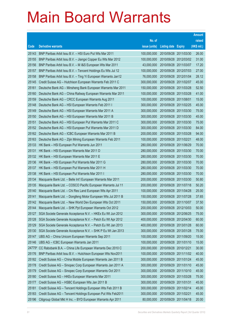|        |                                                               |               |                            |            | <b>Amount</b> |
|--------|---------------------------------------------------------------|---------------|----------------------------|------------|---------------|
|        |                                                               | No. of        |                            |            | raised        |
| Code   | <b>Derivative warrants</b>                                    | issue (units) | <b>Listing date Expiry</b> |            | (HK\$ mil.)   |
| 25143  | BNP Paribas Arbit Issu B.V. - HSI Euro Put Wts Mar 2011       | 100,000,000   | 2010/09/28 2011/03/30      |            | 26.00         |
| 25155  | BNP Paribas Arbit Issu B.V. - Jiangxi Copper Eu Wts Mar 2012  | 100,000,000   | 2010/09/28 2012/03/02      |            | 31.00         |
| 25156  | BNP Paribas Arbit Issu B.V. - M I&S European Wts Mar 2011     | 43,000,000    | 2010/09/28 2011/03/07      |            | 17.20         |
| 25157  | BNP Paribas Arbit Issu B.V. - Tencent Holdings Eu Wts Jul 12  | 100,000,000   | 2010/09/28 2012/07/03      |            | 27.00         |
| 25158  | BNP Paribas Arbit Issu B.V. - Ting Yi European Warrants Jan12 | 76,000,000    | 2010/09/28 2012/01/04      |            | 28.12         |
| 25145  | Credit Suisse AG - Hutchison European Warrants Feb 2011 C     | 300,000,000   | 2010/09/28 2011/02/07      |            | 45.00         |
| 25161  | Deutsche Bank AG - Minsheng Bank European Warrants Mar 2011   | 150,000,000   | 2010/09/28 2011/03/28      |            | 52.50         |
| 25160  | Deutsche Bank AG - China Railway European Warrants Mar 2011   | 100,000,000   | 2010/09/28 2011/03/28      |            | 41.00         |
| 25159  | Deutsche Bank AG - CRCC European Warrants Aug 2011            | 100,000,000   | 2010/09/28 2011/08/01      |            | 15.00         |
| 25148  | Deutsche Bank AG - HSI European Warrants Feb 2011 I           | 300,000,000   | 2010/09/28 2011/02/25      |            | 45.00         |
| 25149  | Deutsche Bank AG - HSI European Warrants Mar 2011 A           | 300,000,000   | 2010/09/28 2011/03/30      |            | 75.00         |
| 25150  | Deutsche Bank AG - HSI European Warrants Mar 2011 B           | 300,000,000   | 2010/09/28 2011/03/30      |            | 45.00         |
| 25151  | Deutsche Bank AG - HSI European Put Warrants Mar 2011 C       | 300,000,000   | 2010/09/28 2011/03/30      |            | 75.00         |
| 25152  | Deutsche Bank AG - HSI European Put Warrants Mar 2011 D       | 300,000,000   | 2010/09/28 2011/03/30      |            | 84.00         |
| 25162  | Deutsche Bank AG - ICBC European Warrants Mar 2011 B          | 200,000,000   | 2010/09/28 2011/03/28      |            | 94.00         |
| 25163  | Deutsche Bank AG - Zijin Mining European Warrants Feb 2011    | 100,000,000   | 2010/09/28 2011/02/21      |            | 48.00         |
| 25133  | HK Bank - HSI European Put Warrants Jun 2011                  | 280,000,000   | 2010/09/28 2011/06/29      |            | 70.00         |
| 25131  | HK Bank - HSI European Warrants Mar 2011 D                    | 280,000,000   | 2010/09/28 2011/03/30      |            | 70.00         |
| 25132  | HK Bank - HSI European Warrants Mar 2011 E                    | 280,000,000   | 2010/09/28 2011/03/30      |            | 70.00         |
| 25136  | HK Bank - HSI European Put Warrants Mar 2011 G                | 280,000,000   | 2010/09/28 2011/03/30      |            | 70.00         |
| 25137  | HK Bank - HSI European Put Warrants Mar 2011 H                | 280,000,000   | 2010/09/28 2011/03/30      |            | 70.00         |
| 25138  | HK Bank - HSI European Put Warrants Mar 2011 I                | 280,000,000   | 2010/09/28 2011/03/30      |            | 70.00         |
| 25134  | Macquarie Bank Ltd. - Belle Int'l European Warrants Mar 2011  | 200,000,000   | 2010/09/28 2011/03/30      |            | 50.80         |
| 25135  | Macquarie Bank Ltd. - COSCO Pacific European Warrants Jul 11  | 200,000,000   | 2010/09/28 2011/07/18      |            | 50.20         |
| 25140  | Macquarie Bank Ltd. - Chi Res Land European Wts Apr 2011      | 100,000,000   | 2010/09/28 2011/04/28      |            | 25.00         |
| 25141  | Macquarie Bank Ltd. - Dongfeng Motor European Wts Jul 2011 B  | 150,000,000   | 2010/09/28 2011/07/28      |            | 37.65         |
| 25142  | Macquarie Bank Ltd. - New World Dev European Wts Oct 2011     | 150,000,000   | 2010/09/28 2011/10/07      |            | 37.50         |
| 25144  | Macquarie Bank Ltd. - SHK Ppt European Warrants Oct 2012      | 200,000,000   | 2010/09/28 2012/10/03      |            | 50.00         |
| 25127  | SGA Societe Generale Acceptance N.V. - HKEx Eu Wt Jun 2012    | 300,000,000   | 2010/09/28 2012/06/25      |            | 75.00         |
| 25128  | SGA Societe Generale Acceptance N.V. - Petch Eu Wt Apr 2012   | 400,000,000   | 2010/09/28 2012/04/30      |            | 60.00         |
| 25129  | SGA Societe Generale Acceptance N.V. - Petch Eu Wt Jan 2013   | 400,000,000   | 2010/09/28 2013/01/28      |            | 60.00         |
| 25130  | SGA Societe Generale Acceptance N.V. - SHK P Eu Wt Jan 2013   | 300,000,000   | 2010/09/28 2013/01/28      |            | 75.00         |
| 25147  | UBS AG - China Unicom European Warrants Sep 2011              | 100,000,000   | 2010/09/28 2011/09/20      |            | 15.00         |
| 25146  | UBS AG - ICBC European Warrants Jan 2011                      | 100,000,000   | 2010/09/28 2011/01/10      |            | 15.00         |
| 24775# | CC Rabobank B.A. - China Life European Warrants Dec 2010 C    | 200,000,000   | 2010/09/28 2010/12/21      |            | 30.00         |
| 25176  | BNP Paribas Arbit Issu B.V. - Hutchison European Wts Nov2011  | 100,000,000   | 2010/09/29 2011/11/02      |            | 40.00         |
| 25182  | Credit Suisse AG - China Mobile European Warrants Jan 2011 B  | 300,000,000   | 2010/09/29                 | 2011/01/24 | 45.00         |
| 25178  | Credit Suisse AG - Sinopec Corp European Warrants Jan 2011 A  | 300,000,000   | 2010/09/29 2011/01/10      |            | 45.00         |
| 25179  | Credit Suisse AG - Sinopec Corp European Warrants Oct 2011    | 300,000,000   | 2010/09/29                 | 2011/10/10 | 45.00         |
| 25180  | Credit Suisse AG - HKEx European Warrants Mar 2011            | 300,000,000   | 2010/09/29 2011/03/28      |            | 75.00         |
| 25177  | Credit Suisse AG - HSBC European Wts Jan 2011 B               | 300,000,000   | 2010/09/29                 | 2011/01/31 | 45.00         |
| 25181  | Credit Suisse AG - Tencent Holdings European Wts Feb 2011 B   | 300,000,000   | 2010/09/29 2011/02/14      |            | 45.00         |
| 25183  | Credit Suisse AG - Tencent Holdings European Put Wts Feb2011  | 300,000,000   | 2010/09/29                 | 2011/02/21 | 45.00         |
| 25196  | Citigroup Global Mkt H Inc. - BYD European Warrants Apr 2011  | 80,000,000    | 2010/09/29 2011/04/18      |            | 20.00         |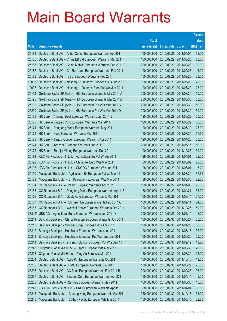|                 |                                                                                                                        |                            |                            |                          | <b>Amount</b>  |
|-----------------|------------------------------------------------------------------------------------------------------------------------|----------------------------|----------------------------|--------------------------|----------------|
|                 |                                                                                                                        | No. of                     |                            |                          | raised         |
| Code            | <b>Derivative warrants</b>                                                                                             | issue (units)              | <b>Listing date Expiry</b> |                          | (HK\$ mil.)    |
| 25184           | Deutsche Bank AG - Anhui Conch European Warrants Apr 2011                                                              | 100,000,000                | 2010/09/29                 | 2011/04/04               | 38.00          |
| 25185           | Deutsche Bank AG - China EB Ltd European Warrants Mar 2011                                                             | 100,000,000                | 2010/09/29                 | 2011/03/28               | 20.00          |
| 25186           | Deutsche Bank AG - China Mobile European Warrants Feb 2011 D                                                           | 200,000,000                | 2010/09/29                 | 2011/02/28               | 30.00          |
| 25187           | Deutsche Bank AG - Chi Res Land European Warrants Feb 2011                                                             | 100,000,000                | 2010/09/29                 | 2011/02/28               | 16.00          |
| 25188           | Deutsche Bank AG - ICBC European Warrants Feb 2011                                                                     | 150,000,000                | 2010/09/29                 | 2011/02/28               | 33.00          |
| 10003           | Deutsche Bank AG - Nasdag - 100 Index European Wts Jun 2011                                                            | 100,000,000                | 2010/09/29                 | 2011/06/20               | 25.00          |
| 10007           | Deutsche Bank AG - Nasdag - 100 Index Euro Put Wts Jun 2011                                                            | 100,000,000                | 2010/09/29                 | 2011/06/20               | 25.00          |
| 25194           | Goldman Sachs SP (Asia) - HSI European Warrants Mar 2011 A                                                             | 200,000,000                | 2010/09/29                 | 2011/03/30               | 50.00          |
| 25195           | Goldman Sachs SP (Asia) - HSI European Warrants Mar 2011 B                                                             | 200,000,000                | 2010/09/29                 | 2011/03/30               | 30.00          |
| 25199           | Goldman Sachs SP (Asia) - HSI European Put Wts Mar 2011 C                                                              | 200,000,000                | 2010/09/29                 | 2011/03/30               | 50.00          |
| 25200           | Goldman Sachs SP (Asia) - HSI European Put Wts Mar 2011 D                                                              | 200,000,000                | 2010/09/29                 | 2011/03/30               | 50.00          |
| 25169           | HK Bank - Angang Steel European Warrants Jun 2011 B                                                                    | 120,000,000                | 2010/09/29                 | 2011/06/22               | 30.00          |
| 25170           | HK Bank - Sinopec Corp European Warrants Mar 2011                                                                      | 120,000,000                | 2010/09/29                 | 2011/03/29               | 30.00          |
| 25171           | HK Bank - Dongfeng Motor European Warrants May 2011                                                                    | 100,000,000                | 2010/09/29                 | 2011/05/12               | 25.00          |
| 25172           | HK Bank - HWL European Warrants Mar 2011                                                                               | 150,000,000                | 2010/09/29                 | 2011/03/29               | 37.50          |
| 25173           | HK Bank - Jiangxi Copper European Warrants Apr 2011                                                                    | 120,000,000                | 2010/09/29                 | 2011/04/28               | 30.00          |
| 25174           | HK Bank - Tencent European Warrants Jun 2011                                                                           | 200,000,000                | 2010/09/29                 | 2011/06/16               | 50.00          |
| 25175           | HK Bank - Zhaojin Mining European Warrants Dec 2011                                                                    | 100,000,000                | 2010/09/29                 | 2011/12/28               | 30.00          |
| 25191           | KBC Fin Products Int'l Ltd. - Agricultural Eu Put Wt Apr2011                                                           | 128,000,000                | 2010/09/29                 | 2011/04/01               | 32.00          |
| 25192           | KBC Fin Products Int'l Ltd. - China Tel Euro Wts May 2011                                                              | 80,000,000                 | 2010/09/29                 | 2011/05/09               | 20.00          |
| 25193           | KBC Fin Products Int'l Ltd. - CNOOC European Wts Jun 2011                                                              | 108,000,000                | 2010/09/29                 | 2011/06/01               | 16.20          |
| 25190           | Macquarie Bank Ltd. - Agricultural Bk European Put Wt Mar 11                                                           | 150,000,000                | 2010/09/29                 | 2011/03/30               | 37.65          |
| 25189           | Macquarie Bank Ltd. - Sh Petrochem European Wts Mar 2011                                                               | 88,000,000                 | 2010/09/29                 | 2011/03/30               | 22.26          |
| 25164           | CC Rabobank B.A. - CNBM European Warrants Apr 2011                                                                     | 100,000,000                | 2010/09/29                 | 2011/04/06               | 25.00          |
| 25165           | CC Rabobank B.A. - Dongfeng Motor European Warrants Apr 11B                                                            | 150,000,000                | 2010/09/29                 | 2011/04/21               | 33.00          |
| 25166           | CC Rabobank B.A. - Geely Auto European Warrants Mar 2011                                                               | 100,000,000                | 2010/09/29                 | 2011/03/14               | 37.00          |
| 25167           | CC Rabobank B.A. - Hutchison European Warrants Feb 2011 C                                                              | 100,000,000                | 2010/09/29                 | 2011/02/11               | 24.00<br>50.00 |
| 25168<br>23846# | CC Rabobank B.A. - Weichai Power European Warrants Oct 2011<br>UBS AG - Agricultural Bank European Warrants Jan 2011 H | 200,000,000<br>200,000,000 | 2010/09/29                 | 2010/09/29 2011/10/26    | 15.20          |
| 25211           | Barclays Bank plc - China Telecom European Warrants Jun 2011                                                           | 100,000,000                | 2010/09/30                 | 2011/01/10<br>2011/06/27 | 25.00          |
| 25210           | Barclays Bank plc - Sinopec Corp European Wts Apr 2011                                                                 | 100,000,000                | 2010/09/30                 | 2011/04/26               | 30.00          |
| 25212           | Barclays Bank plc - Hutchison European Warrants Jun 2011                                                               | 100,000,000                | 2010/09/30                 | 2011/06/13               | 27.00          |
| 25213           | Barclays Bank plc - Hutchison European Put Warrants Jun 2011                                                           | 100,000,000                | 2010/09/30                 | 2011/06/20               | 25.00          |
| 25214           | Barclays Bank plc - Tencent Holdings European Put Wts Sep 11                                                           | 120,000,000                | 2010/09/30                 | 2011/09/12               | 19.20          |
| 25243           | Citigroup Global Mkt H Inc. - Esprit European Wts Mar 2011                                                             | 80,000,000                 | 2010/09/30                 | 2011/03/30               | 20.00          |
| 25228           | Citigroup Global Mkt H Inc. - Ping An Euro Wts Mar 2011                                                                | 80,000,000                 | 2010/09/30                 | 2011/03/30               | 28.00          |
| 25234           | Deutsche Bank AG - Agile Ppt European Warrants Oct 2011                                                                | 100,000,000                | 2010/09/30                 | 2011/10/10               | 19.00          |
| 25235           | Deutsche Bank AG - BBMG European Warrants Jun 2011                                                                     | 100,000,000                | 2010/09/30                 | 2011/06/27               | 25.00          |
| 25236           | Deutsche Bank AG - CC Bank European Warrants Feb 2011 B                                                                | 200,000,000                | 2010/09/30                 | 2011/02/28               | 96.00          |
| 25237           | Deutsche Bank AG - Sinopec Corp European Warrants Apr 2011                                                             | 150,000,000                | 2010/09/30                 | 2011/04/14               | 45.00          |
| 25238           | Deutsche Bank AG - R&F Ppt European Warrants May 2011                                                                  | 100,000,000                | 2010/09/30                 | 2011/05/30               | 15.00          |
| 25248           | KBC Fin Products Int'l Ltd. - HKEx European Warrants Apr 11                                                            | 88,000,000                 | 2010/09/30                 | 2011/04/01               | 32.56          |
| 25216           | Macquarie Bank Ltd. - Cheung Kong European Warrants Oct 2011                                                           | 250,000,000                | 2010/09/30                 | 2011/10/17               | 38.00          |
| 25215           | Macquarie Bank Ltd. - Cathay Pacific European Wts Mar 2011                                                             | 150,000,000                | 2010/09/30 2011/03/15      |                          | 22.80          |
|                 |                                                                                                                        |                            |                            |                          |                |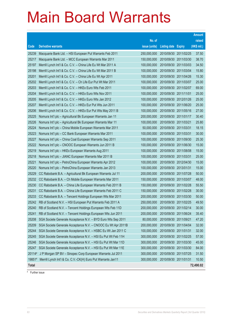|              |                                                              |               |                            |            | <b>Amount</b> |
|--------------|--------------------------------------------------------------|---------------|----------------------------|------------|---------------|
|              |                                                              | No. of        |                            |            | raised        |
| Code         | <b>Derivative warrants</b>                                   | issue (units) | <b>Listing date Expiry</b> |            | (HK\$ mil.)   |
| 25239        | Macquarie Bank Ltd. - HSI European Put Warrants Feb 2011     | 250,000,000   | 2010/09/30 2011/02/25      |            | 37.50         |
| 25217        | Macquarie Bank Ltd. - MCC European Warrants Mar 2011         | 150,000,000   | 2010/09/30 2011/03/30      |            | 38.70         |
| 25197        | Merrill Lynch Int'l & Co. C.V. - China Life Eu Wt Mar 2011 A | 100,000,000   | 2010/09/30                 | 2011/03/03 | 34.50         |
| 25198        | Merrill Lynch Int'l & Co. C.V. - China Life Eu Wt Mar 2011 B | 100,000,000   | 2010/09/30 2011/03/04      |            | 15.80         |
| 25201        | Merrill Lynch Int'l & Co. C.V. - China Life Eu Wt Apr 2011   | 100,000,000   | 2010/09/30 2011/04/26      |            | 15.30         |
| 25202        | Merrill Lynch Int'l & Co. C.V. - Ch Life Eur Put Wt Mar 2011 | 100,000,000   | 2010/09/30 2011/03/07      |            | 25.00         |
| 25203        | Merrill Lynch Int'l & Co. C.V. - HKEx Euro Wts Feb 2011      | 100,000,000   | 2010/09/30 2011/02/07      |            | 69.00         |
| 25204        | Merrill Lynch Int'l & Co. C.V. - HKEx Euro Wts Nov 2011      | 100,000,000   | 2010/09/30 2011/11/01      |            | 25.00         |
| 25205        | Merrill Lynch Int'l & Co. C.V. - HKEx Euro Wts Jan 2012      | 100,000,000   | 2010/09/30 2012/01/26      |            | 25.00         |
| 25207        | Merrill Lynch Int'l & Co. C.V. - HKEx Eur Put Wts Jun 2011   | 100,000,000   | 2010/09/30 2011/06/20      |            | 25.00         |
| 25206        | Merrill Lynch Int'l & Co. C.V. - HKEx Eur Put Wts May 2011 B | 100,000,000   | 2010/09/30 2011/05/16      |            | 27.00         |
| 25225        | Nomura Int'l plc - Agricultural Bk European Warrants Jan 11  | 200,000,000   | 2010/09/30 2011/01/17      |            | 30.40         |
| 25226        | Nomura Int'l plc - Agricultural Bk European Warrants Mar 11  | 100,000,000   | 2010/09/30 2011/03/21      |            | 25.80         |
| 25224        | Nomura Int'l plc - China Mobile European Warrants Mar 2011   | 50,000,000    | 2010/09/30 2011/03/31      |            | 18.15         |
| 25223        | Nomura Int'l plc - CC Bank European Warrants Mar 2011        | 100,000,000   | 2010/09/30 2011/03/31      |            | 30.00         |
| 25227        | Nomura Int'l plc - China Coal European Warrants Sep 2011     | 100,000,000   | 2010/09/30 2011/09/30      |            | 25.30         |
| 25222        | Nomura Int'l plc - CNOOC European Warrants Jun 2011 B        | 100,000,000   | 2010/09/30 2011/06/30      |            | 15.00         |
| 25219        | Nomura Int'l plc - HKEx European Warrants Aug 2011           | 100,000,000   | 2010/09/30 2011/08/08      |            | 15.00         |
| 25218        | Nomura Int'l plc - JIANC European Warrants Mar 2011 B        | 100,000,000   | 2010/09/30                 | 2011/03/31 | 25.00         |
| 25221        | Nomura Int'l plc - PetroChina European Warrants Apr 2012     | 100,000,000   | 2010/09/30 2012/04/30      |            | 15.00         |
| 25220        | Nomura Int'l plc - PetroChina European Warrants Jan 2013     | 100,000,000   | 2010/09/30 2013/01/31      |            | 15.00         |
| 25229        | CC Rabobank B.A. - Agricultural Bk European Warrants Jul 11  | 200,000,000   | 2010/09/30 2011/07/28      |            | 50.00         |
| 25232        | CC Rabobank B.A. - Ch Mobile European Warrants Mar 2011      | 150,000,000   | 2010/09/30 2011/03/07      |            | 48.00         |
| 25230        | CC Rabobank B.A. - China Life European Warrants Feb 2011 B   | 150,000,000   | 2010/09/30 2011/02/28      |            | 55.50         |
| 25231        | CC Rabobank B.A. - China Life European Warrants Feb 2011 C   | 150,000,000   | 2010/09/30 2011/02/28      |            | 30.00         |
| 25233        | CC Rabobank B.A. - Tencent Holdings European Wts Mar 2011    | 200,000,000   | 2010/09/30 2011/03/30      |            | 50.00         |
| 25242        | RB of Scotland N.V. - HSI European Put Warrants Feb 2011 A   | 250,000,000   | 2010/09/30 2011/02/25      |            | 49.50         |
| 25240        | RB of Scotland N.V. - Tencent Holdings European Wts Feb 11D  | 200,000,000   | 2010/09/30 2011/02/14      |            | 30.00         |
| 25241        | RB of Scotland N.V. - Tencent Holdings European Wts Jun 2011 | 200,000,000   | 2010/09/30                 | 2011/06/24 | 35.40         |
| 25208        | SGA Societe Generale Acceptance N.V. - BYD Euro Wts Sep 2011 | 80,000,000    | 2010/09/30 2011/09/21      |            | 47.20         |
| 25209        | SGA Societe Generale Acceptance N.V. - CNOOC Eu Wt Apr 2011B | 200,000,000   | 2010/09/30                 | 2011/04/04 | 32.00         |
| 25244        | SGA Societe Generale Acceptance N.V. - HSBC Eu Wt Jan 2011 C | 100,000,000   | 2010/09/30                 | 2011/01/31 | 32.00         |
| 25245        | SGA Societe Generale Acceptance N.V. - HSI Eu Put Wt Feb 11H | 300,000,000   | 2010/09/30                 | 2011/02/25 | 57.00         |
| 25246        | SGA Societe Generale Acceptance N.V. - HSI Eu Put Wt Mar 11D | 300,000,000   | 2010/09/30                 | 2011/03/30 | 45.00         |
| 25247        | SGA Societe Generale Acceptance N.V. - HSI Eu Put Wt Mar 11E | 300,000,000   | 2010/09/30                 | 2011/03/30 | 84.00         |
| 20114#       | J P Morgan SP BV - Sinopec Corp European Warrants Jul 2011   | 300,000,000   | 2010/09/30 2011/07/25      |            | 31.50         |
| 19851#       | Merrill Lynch Int'l & Co. C.V.-CK(H) Euro Put Warrants Jan11 | 300,000,000   | 2010/09/30 2011/01/31      |            | 10.50         |
| <b>Total</b> |                                                              |               |                            |            | 72,490.02     |

# Further issue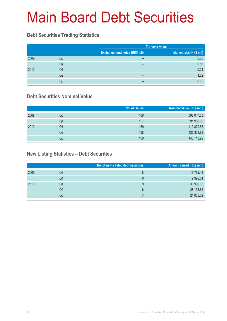# Main Board Debt Securities

#### **Debt Securities Trading Statistics**

|      |    |                                       | <b>Turnover value</b>   |  |  |
|------|----|---------------------------------------|-------------------------|--|--|
|      |    | <b>Exchange fund notes (HK\$ mil)</b> | Market total (HK\$ mil) |  |  |
| 2009 | Q3 | $\overline{\phantom{0}}$              | 0.36                    |  |  |
|      | Q4 | $\overline{\phantom{0}}$              | 0.16                    |  |  |
| 2010 | Q1 | -                                     | 0.21                    |  |  |
|      | Q2 | -                                     | 1.22                    |  |  |
|      | Q3 | -                                     | 0.05                    |  |  |

#### **Debt Securities Nominal Value**

|      |    | No. of issues | Nominal value (HK\$ mil.) |
|------|----|---------------|---------------------------|
| 2009 | Q3 | 166           | 398,047.03                |
|      | Q4 | 157           | 391,908.38                |
| 2010 | Q1 | 160           | 410,829.55                |
|      | Q2 | 158           | 426,338.89                |
|      | Q3 | 160           | 440,113.92                |

#### **New Listing Statistics – Debt Securities**

|      |    | No. of newly listed debt securities | Amount raised (HK\$ mil.) |
|------|----|-------------------------------------|---------------------------|
| 2009 | Q3 | 8                                   | 19,782.43                 |
|      | Q4 | 6                                   | 9,996.64                  |
| 2010 | Q1 | 9                                   | 30,996.63                 |
|      | Q2 | 6                                   | 28,133.65                 |
|      | Q3 |                                     | 21,025.02                 |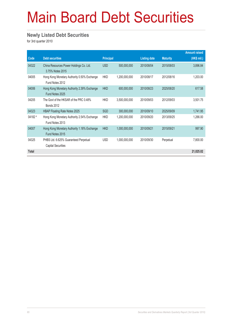# Main Board Debt Securities

#### **Newly Listed Debt Securities**

for 3rd quarter 2010

|              |                                                                    |                  |               |                     |                 | <b>Amount raised</b> |
|--------------|--------------------------------------------------------------------|------------------|---------------|---------------------|-----------------|----------------------|
| Code         | <b>Debt securities</b>                                             | <b>Principal</b> |               | <b>Listing date</b> | <b>Maturity</b> | (HK\$ mil.)          |
| 04322        | China Resources Power Holdings Co. Ltd.<br>3.75% Notes 2015        | <b>USD</b>       | 500,000,000   | 2010/08/04          | 2015/08/03      | 3,896.84             |
| 04005        | Hong Kong Monetary Authority 0.50% Exchange<br>Fund Notes 2012     | <b>HKD</b>       | 1,200,000,000 | 2010/08/17          | 2012/08/16      | 1,203.00             |
| 04006        | Hong Kong Monetary Authority 2.39% Exchange<br>Fund Notes 2025     | <b>HKD</b>       | 600,000,000   | 2010/08/23          | 2025/08/20      | 617.58               |
| 04205        | The Govt of the HKSAR of the PRC 0.48%<br><b>Bonds 2012</b>        | <b>HKD</b>       | 3,500,000,000 | 2010/09/03          | 2012/09/03      | 3,501.75             |
| 04323        | HBAP Floating Rate Notes 2025                                      | <b>SGD</b>       | 300,000,000   | 2010/09/10          | 2025/09/09      | 1,741.95             |
| 04182 #      | Hong Kong Monetary Authority 2.54% Exchange<br>Fund Notes 2013     | <b>HKD</b>       | 1,200,000,000 | 2010/09/20          | 2013/09/25      | 1,266.00             |
| 04007        | Hong Kong Monetary Authority 1.18% Exchange<br>Fund Notes 2015     | <b>HKD</b>       | 1,000,000,000 | 2010/09/21          | 2015/09/21      | 997.90               |
| 04325        | PHBS Ltd. 6.625% Guaranteed Perpetual<br><b>Capital Securities</b> | <b>USD</b>       | 1,000,000,000 | 2010/09/30          | Perpetual       | 7,800.00             |
| <b>Total</b> |                                                                    |                  |               |                     |                 | 21,025.02            |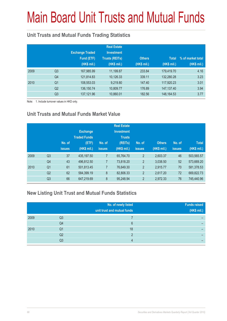# Main Board Unit Trusts and Mutual Funds

#### **Unit Trusts and Mutual Funds Trading Statistics**

|      |                | <b>Exchange Traded</b><br>Fund (ETF)<br>(HK\$ mil.) | <b>Real Estate</b><br><b>Investment</b><br><b>Trusts (REITs)</b><br>(HK\$ mil.) | <b>Others</b><br>(HK\$ mil.) | <b>Total</b><br>(HK\$ mil.) | % of market total<br>(HK\$ mil.) |
|------|----------------|-----------------------------------------------------|---------------------------------------------------------------------------------|------------------------------|-----------------------------|----------------------------------|
| 2009 | Q <sub>3</sub> | 167,985.99                                          | 11,199.87                                                                       | 233.84                       | 179,419.70                  | 4.16                             |
|      | Q4             | 121,814.83                                          | 10,126.33                                                                       | 339.11                       | 132,280.28                  | 3.23                             |
| 2010 | Q <sub>1</sub> | 108,553.03                                          | 9,219.80                                                                        | 147.40                       | 117,920.23                  | 3.01                             |
|      | Q <sub>2</sub> | 136, 150. 74                                        | 10,809.77                                                                       | 176.89                       | 147, 137. 40                | 3.94                             |
|      | Q <sub>3</sub> | 137, 121.96                                         | 10,860.01                                                                       | 182.56                       | 148, 164. 53                | 3.77                             |

Note: 1. Include turnover values in HKD only.

#### **Unit Trusts and Mutual Funds Market Value**

|      |                | No. of<br><b>issues</b> | <b>Exchange</b><br><b>Traded Funds</b><br>(ETF)<br>(HK\$ mil.) | No. of<br><b>issues</b> | <b>Real Estate</b><br><b>Investment</b><br><b>Trusts</b><br>(REITs)<br>(HK\$ mil.) | No. of<br><b>issues</b> | <b>Others</b><br>(HK\$ mil.) | No. of<br><b>issues</b> | <b>Total</b><br>(HK\$ mil.) |
|------|----------------|-------------------------|----------------------------------------------------------------|-------------------------|------------------------------------------------------------------------------------|-------------------------|------------------------------|-------------------------|-----------------------------|
| 2009 | Q <sub>3</sub> | 37                      | 435,197.50                                                     | 7                       | 65,764.70                                                                          | $\overline{2}$          | 2.603.37                     | 46                      | 503,565.57                  |
|      | Q4             | 43                      | 496,812.50                                                     | 7                       | 73,818.20                                                                          | $\overline{2}$          | 3,038.50                     | 52                      | 573,669.20                  |
| 2010 | Q <sub>1</sub> | 61                      | 501,813.45                                                     | 7                       | 76,649.30                                                                          | $\overline{2}$          | 2,915.77                     | 70                      | 581,378.53                  |
|      | Q <sub>2</sub> | 62                      | 584,399.19                                                     | 8                       | 82,806.33                                                                          | $\overline{2}$          | 2,617.20                     | 72                      | 669,822.73                  |
|      | Q <sub>3</sub> | 66                      | 647,219.69                                                     | 8                       | 95,248.94                                                                          | $\overline{2}$          | 2,972.33                     | 76                      | 745,440.96                  |

#### **New Listing Unit Trust and Mutual Funds Statistics**

|      |    | No. of newly listed<br>unit trust and mutual funds | <b>Funds raised</b><br>(HK\$ mil.) |
|------|----|----------------------------------------------------|------------------------------------|
| 2009 | Q3 |                                                    |                                    |
|      | Q4 | 6                                                  |                                    |
| 2010 | Q1 | 18                                                 |                                    |
|      | Q2 | റ                                                  |                                    |
|      | Q3 |                                                    |                                    |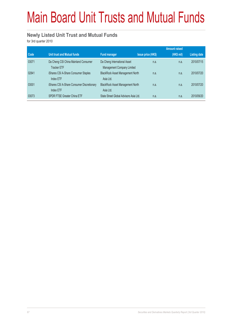# Main Board Unit Trusts and Mutual Funds

#### **Newly Listed Unit Trust and Mutual Funds**

for 3rd quarter 2010

|       |                                            |                                         |                           | <b>Amount raised</b> |              |
|-------|--------------------------------------------|-----------------------------------------|---------------------------|----------------------|--------------|
| Code  | <b>Unit trust and Mutual funds</b>         | <b>Fund manager</b>                     | <b>Issue price (HK\$)</b> | (HK\$ mil)           | Listing date |
| 03071 | Da Cheng CSI China Mainland Consumer       | Da Cheng International Asset            | n.a.                      | n.a.                 | 2010/07/15   |
|       | <b>Tracker ETF</b>                         | Management Company Limited              |                           |                      |              |
| 02841 | iShares CSI A-Share Consumer Staples       | <b>BlackRock Asset Management North</b> | n.a.                      | n.a.                 | 2010/07/20   |
|       | Index ETF                                  | Asia Ltd.                               |                           |                      |              |
| 03001 | iShares CSI A-Share Consumer Discretionary | <b>BlackRock Asset Management North</b> | n.a.                      | n.a.                 | 2010/07/20   |
|       | Index ETF                                  | Asia Ltd.                               |                           |                      |              |
| 03073 | SPDR FTSE Greater China ETF                | State Street Global Advisors Asia Ltd.  | n.a.                      | n.a.                 | 2010/09/20   |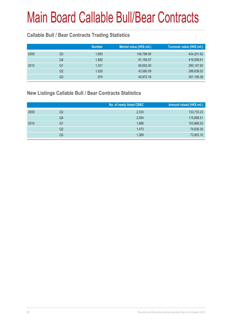#### **Callable Bull / Bear Contracts Trading Statistics**

|    |     |                                                   | Turnover value (HK\$ mil.) |
|----|-----|---------------------------------------------------|----------------------------|
| Q3 |     | 145,788.56                                        | 434,251.62                 |
| Q4 |     | 91,190.57                                         | 419,558.61                 |
| Q1 |     | 60,652.40                                         | 290,147.62                 |
| Q2 |     | 43,060.09                                         | 299,639.52                 |
| Q3 | 974 | 40,872.16                                         | 351,106.38                 |
|    |     | <b>Number</b><br>1,893<br>1,692<br>1,331<br>1,020 | Market value (HK\$ mil.)   |

#### **New Listings Callable Bull / Bear Contracts Statistics**

|      |                | No. of newly listed CBBC | Amount raised (HK\$ mil.) |
|------|----------------|--------------------------|---------------------------|
| 2009 | Q <sub>3</sub> | 2,333                    | 133,733.23                |
|      | Q4             | 2,054                    | 115,888.51                |
| 2010 | Q1             | 1,886                    | 103,866.53                |
|      | Q <sub>2</sub> | 1,473                    | 74,636.30                 |
|      | Q3             | 1,369                    | 73,903.10                 |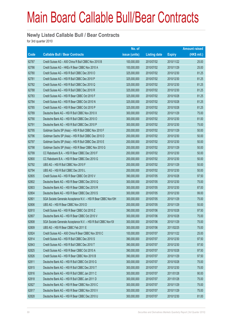#### **Newly Listed Callable Bull / Bear Contracts**

for 3rd quarter 2010

|       |                                                               | No. of        |                     |               | <b>Amount raised</b> |
|-------|---------------------------------------------------------------|---------------|---------------------|---------------|----------------------|
| Code  | <b>Callable Bull / Bear Contracts</b>                         | issue (units) | <b>Listing date</b> | <b>Expiry</b> | $(HK$$ mil.)         |
| 62787 | Credit Suisse AG - A50 China R Bull CBBC Nov 2010 B           | 100,000,000   | 2010/07/02          | 2010/11/22    | 25.00                |
| 62786 | Credit Suisse AG - HKEx R Bear CBBC Nov 2010 A                | 100,000,000   | 2010/07/02          | 2010/11/29    | 25.00                |
| 62780 | Credit Suisse AG - HSI R Bull CBBC Dec 2010 O                 | 325,000,000   | 2010/07/02          | 2010/12/30    | 81.25                |
| 62781 | Credit Suisse AG - HSI R Bull CBBC Dec 2010 P                 | 325,000,000   | 2010/07/02          | 2010/12/30    | 81.25                |
| 62782 | Credit Suisse AG - HSI R Bull CBBC Dec 2010 Q                 | 325,000,000   | 2010/07/02          | 2010/12/30    | 81.25                |
| 62788 | Credit Suisse AG - HSI R Bull CBBC Dec 2010 R                 | 325,000,000   | 2010/07/02          | 2010/12/30    | 81.25                |
| 62783 | Credit Suisse AG - HSI R Bear CBBC Oct 2010 F                 | 325,000,000   | 2010/07/02          | 2010/10/28    | 81.25                |
| 62784 | Credit Suisse AG - HSI R Bear CBBC Oct 2010 N                 | 325,000,000   | 2010/07/02          | 2010/10/28    | 81.25                |
| 62785 | Credit Suisse AG - HSI R Bear CBBC Oct 2010 P                 | 325,000,000   | 2010/07/02          | 2010/10/28    | 81.25                |
| 62789 | Deutsche Bank AG - HSI R Bull CBBC Nov 2010 X                 | 300,000,000   | 2010/07/02          | 2010/11/29    | 75.00                |
| 62790 | Deutsche Bank AG - HSI R Bull CBBC Dec 2010 O                 | 300,000,000   | 2010/07/02          | 2010/12/30    | 81.00                |
| 62791 | Deutsche Bank AG - HSI R Bull CBBC Dec 2010 P                 | 300,000,000   | 2010/07/02          | 2010/12/30    | 75.00                |
| 62795 | Goldman Sachs SP (Asia) - HSI R Bull CBBC Nov 2010 F          | 200,000,000   | 2010/07/02          | 2010/11/29    | 50.00                |
| 62796 | Goldman Sachs SP (Asia) - HSI R Bull CBBC Dec 2010 D          | 200,000,000   | 2010/07/02          | 2010/12/30    | 50.00                |
| 62797 | Goldman Sachs SP (Asia) - HSI R Bull CBBC Dec 2010 E          | 200,000,000   | 2010/07/02          | 2010/12/30    | 50.00                |
| 62798 | Goldman Sachs SP (Asia) - HSI R Bear CBBC Nov 2010 G          | 200,000,000   | 2010/07/02          | 2010/11/29    | 50.00                |
| 62799 | CC Rabobank B.A. - HSI R Bear CBBC Dec 2010 F                 | 200,000,000   | 2010/07/02          | 2010/12/30    | 50.00                |
| 62800 | CC Rabobank B.A. - HSI R Bear CBBC Dec 2010 G                 | 200,000,000   | 2010/07/02          | 2010/12/30    | 50.00                |
| 62792 | UBS AG - HSI R Bull CBBC Nov 2010 F                           | 200,000,000   | 2010/07/02          | 2010/11/29    | 50.00                |
| 62794 | UBS AG - HSI R Bull CBBC Dec 2010 L                           | 200,000,000   | 2010/07/02          | 2010/12/30    | 50.00                |
| 62805 | Credit Suisse AG - HSI R Bear CBBC Oct 2010 V                 | 390,000,000   | 2010/07/05          | 2010/10/28    | 97.50                |
| 62802 | Deutsche Bank AG - HSI R Bear CBBC Dec 2010 Q                 | 300,000,000   | 2010/07/05          | 2010/12/30    | 75.00                |
| 62803 | Deutsche Bank AG - HSI R Bear CBBC Dec 2010 R                 | 300,000,000   | 2010/07/05          | 2010/12/30    | 87.00                |
| 62804 | Deutsche Bank AG - HSI R Bear CBBC Dec 2010 S                 | 300,000,000   | 2010/07/05          | 2010/12/30    | 99.00                |
| 62801 | SGA Societe Generale Acceptance N.V. - HSI R Bear CBBC Nov10H | 300,000,000   | 2010/07/05          | 2010/11/29    | 75.00                |
| 62806 | UBS AG - HSI R Bear CBBC Nov 2010 D                           | 200,000,000   | 2010/07/05          | 2010/11/29    | 50.00                |
| 62810 | Credit Suisse AG - HSI R Bear CBBC Oct 2010 Z                 | 390,000,000   | 2010/07/06          | 2010/10/28    | 97.50                |
| 62807 | Deutsche Bank AG - HSI R Bear CBBC Oct 2010 V                 | 300,000,000   | 2010/07/06          | 2010/10/28    | 75.00                |
| 62808 | SGA Societe Generale Acceptance N.V. - HSI R Bull CBBC Nov101 | 300,000,000   | 2010/07/06          | 2010/11/29    | 75.00                |
| 62809 | UBS AG - HSI R Bear CBBC Feb 2011 E                           | 300,000,000   | 2010/07/06          | 2011/02/25    | 75.00                |
| 62824 | Credit Suisse AG - A50 China R Bear CBBC Nov 2010 C           | 100,000,000   | 2010/07/07          | 2010/11/22    | 25.00                |
| 62814 | Credit Suisse AG - HSI R Bull CBBC Dec 2010 S                 | 390,000,000   | 2010/07/07          | 2010/12/30    | 97.50                |
| 62843 | Credit Suisse AG - HSI R Bull CBBC Dec 2010 T                 | 390,000,000   | 2010/07/07          | 2010/12/30    | 97.50                |
| 62825 | Credit Suisse AG - HSI R Bear CBBC Oct 2010 A                 | 390,000,000   | 2010/07/07          | 2010/10/28    | 97.50                |
| 62826 | Credit Suisse AG - HSI R Bear CBBC Nov 2010 B                 | 390,000,000   | 2010/07/07          | 2010/11/29    | 97.50                |
| 62811 | Deutsche Bank AG - HSI R Bull CBBC Oct 2010 G                 | 300,000,000   | 2010/07/07          | 2010/10/28    | 75.00                |
| 62815 | Deutsche Bank AG - HSI R Bull CBBC Dec 2010 T                 | 300,000,000   | 2010/07/07          | 2010/12/30    | 75.00                |
| 62816 | Deutsche Bank AG - HSI R Bull CBBC Jan 2011 C                 | 300,000,000   | 2010/07/07          | 2011/01/28    | 90.00                |
| 62818 | Deutsche Bank AG - HSI R Bull CBBC Jan 2011 D                 | 300,000,000   | 2010/07/07          | 2011/01/28    | 75.00                |
| 62827 | Deutsche Bank AG - HSI R Bear CBBC Nov 2010 C                 | 300,000,000   | 2010/07/07          | 2010/11/29    | 75.00                |
| 62817 | Deutsche Bank AG - HSI R Bear CBBC Nov 2010 V                 | 300,000,000   | 2010/07/07          | 2010/11/29    | 75.00                |
| 62828 | Deutsche Bank AG - HSI R Bear CBBC Dec 2010 U                 | 300,000,000   | 2010/07/07          | 2010/12/30    | 81.00                |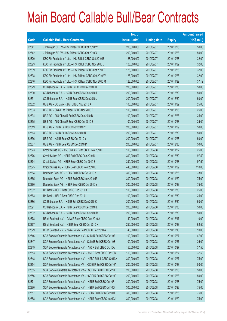|             |                                                                | No. of        |                     |               | <b>Amount raised</b> |
|-------------|----------------------------------------------------------------|---------------|---------------------|---------------|----------------------|
| <b>Code</b> | <b>Callable Bull / Bear Contracts</b>                          | issue (units) | <b>Listing date</b> | <b>Expiry</b> | (HK\$ mil.)          |
| 62841       | J P Morgan SP BV - HSI R Bear CBBC Oct 2010 W                  | 200,000,000   | 2010/07/07          | 2010/10/28    | 50.00                |
| 62842       | J P Morgan SP BV - HSI R Bear CBBC Oct 2010 X                  | 200,000,000   | 2010/07/07          | 2010/10/28    | 50.00                |
| 62820       | KBC Fin Products Int'l Ltd. - HSI R Bull CBBC Oct 2010 R       | 128,000,000   | 2010/07/07          | 2010/10/28    | 32.00                |
| 62823       | KBC Fin Products Int'l Ltd. - HSI R Bull CBBC Nov 2010 L       | 128,000,000   | 2010/07/07          | 2010/11/29    | 32.00                |
| 62839       | KBC Fin Products Int'l Ltd. - HSI R Bear CBBC Oct 2010 T       | 128,000,000   | 2010/07/07          | 2010/10/28    | 32.00                |
| 62838       | KBC Fin Products Int'l Ltd. - HSI R Bear CBBC Oct 2010 W       | 128,000,000   | 2010/07/07          | 2010/10/28    | 32.00                |
| 62840       | KBC Fin Products Int'l Ltd. - HSI R Bear CBBC Nov 2010 M       | 128,000,000   | 2010/07/07          | 2010/11/29    | 37.12                |
| 62829       | CC Rabobank B.A. - HSI R Bull CBBC Dec 2010 H                  | 200,000,000   | 2010/07/07          | 2010/12/30    | 50.00                |
| 62830       | CC Rabobank B.A. - HSI R Bear CBBC Dec 2010 I                  | 200,000,000   | 2010/07/07          | 2010/12/30    | 50.00                |
| 62831       | CC Rabobank B.A. - HSI R Bear CBBC Dec 2010 J                  | 200,000,000   | 2010/07/07          | 2010/12/30    | 50.00                |
| 62832       | UBS AG - CC Bank R Bull CBBC Nov 2010 A                        | 100,000,000   | 2010/07/07          | 2010/11/29    | 25.00                |
| 62833       | UBS AG - China Life R Bear CBBC Nov 2010 F                     | 100,000,000   | 2010/07/07          | 2010/11/08    | 25.00                |
| 62834       | UBS AG - A50 China R Bull CBBC Dec 2010 B                      | 100,000,000   | 2010/07/07          | 2010/12/28    | 25.00                |
| 62835       | UBS AG - A50 China R Bear CBBC Oct 2010 B                      | 100,000,000   | 2010/07/07          | 2010/10/28    | 25.00                |
| 62819       | UBS AG - HSI R Bull CBBC Nov 2010 Y                            | 200,000,000   | 2010/07/07          | 2010/11/29    | 50.00                |
| 62813       | UBS AG - HSI R Bull CBBC Dec 2010 N                            | 200,000,000   | 2010/07/07          | 2010/12/30    | 50.00                |
| 62836       | UBS AG - HSI R Bear CBBC Oct 2010 Y                            | 200,000,000   | 2010/07/07          | 2010/10/28    | 50.00                |
| 62837       | UBS AG - HSI R Bear CBBC Dec 2010 P                            | 200,000,000   | 2010/07/07          | 2010/12/30    | 50.00                |
| 62873       | Credit Suisse AG - A50 China R Bear CBBC Nov 2010 D            | 100,000,000   | 2010/07/08          | 2010/11/22    | 25.00                |
| 62876       | Credit Suisse AG - HSI R Bull CBBC Dec 2010 U                  | 390,000,000   | 2010/07/08          | 2010/12/30    | 97.50                |
| 62874       | Credit Suisse AG - HSI R Bear CBBC Oct 2010 B                  | 390,000,000   | 2010/07/08          | 2010/10/28    | 97.50                |
| 62875       | Credit Suisse AG - HSI R Bear CBBC Nov 2010 E                  | 440,000,000   | 2010/07/08          | 2010/11/29    | 110.00               |
| 62864       | Deutsche Bank AG - HSI R Bull CBBC Oct 2010 X                  | 300,000,000   | 2010/07/08          | 2010/10/28    | 78.00                |
| 62865       | Deutsche Bank AG - HSI R Bull CBBC Nov 2010 E                  | 300,000,000   | 2010/07/08          | 2010/11/29    | 75.00                |
| 62880       | Deutsche Bank AG - HSI R Bear CBBC Oct 2010 Y                  | 300,000,000   | 2010/07/08          | 2010/10/28    | 75.00                |
| 62862       | HK Bank - HSI R Bear CBBC Dec 2010 K                           | 100,000,000   | 2010/07/08          | 2010/12/30    | 25.00                |
| 62863       | HK Bank - HSI R Bear CBBC Dec 2010 L                           | 100,000,000   | 2010/07/08          | 2010/12/30    | 25.00                |
| 62886       | CC Rabobank B.A. - HSI R Bull CBBC Dec 2010 K                  | 200,000,000   | 2010/07/08          | 2010/12/30    | 50.00                |
| 62891       | CC Rabobank B.A. - HSI R Bear CBBC Dec 2010 L                  | 200,000,000   | 2010/07/08          | 2010/12/30    | 50.00                |
| 62892       | CC Rabobank B.A. - HSI R Bear CBBC Dec 2010 M                  | 200,000,000   | 2010/07/08          | 2010/12/30    | 50.00                |
| 62878       | RB of Scotland N.V. - DJIA R Bear CBBC Dec 2010 A              | 40,000,000    | 2010/07/08          | 2010/12/17    | 10.00                |
| 62877       | RB of Scotland N.V. - HSI R Bear CBBC Oct 2010 X               | 250,000,000   | 2010/07/08          | 2010/10/28    | 62.50                |
| 62879       | RB of Scotland N.V. - Nikkei 225 R Bear CBBC Dec 2010 A        | 40,000,000    | 2010/07/08          | 2010/12/10    | 10.00                |
| 62846       | SGA Societe Generale Acceptance N.V - CLife R Bull CBBC Oct10A | 100,000,000   | 2010/07/08          | 2010/10/27    | 47.00                |
| 62847       | SGA Societe Generale Acceptance N.V - CLife R Bull CBBC Oct10B | 100,000,000   | 2010/07/08          | 2010/10/27    | 36.00                |
| 62849       | SGA Societe Generale Acceptance N.V. - A50 R Bull CBBC Oct10A  | 150,000,000   | 2010/07/08          | 2010/10/27    | 37.50                |
| 62853       | SGA Societe Generale Acceptance N.V. - A50 R Bear CBBC Oct10B  | 150,000,000   | 2010/07/08          | 2010/10/27    | 37.50                |
| 62848       | SGA Societe Generale Acceptance N.V. - HSBC R Bull CBBC Oct10A | 300,000,000   | 2010/07/08          | 2010/10/27    | 75.00                |
| 62854       | SGA Societe Generale Acceptance NV - HSCEI R Bull CBBC Oct10A  | 200,000,000   | 2010/07/08          | 2010/10/28    | 50.00                |
| 62855       | SGA Societe Generale Acceptance NV - HSCEI R Bull CBBC Oct10B  | 200,000,000   | 2010/07/08          | 2010/10/28    | 50.00                |
| 62856       | SGA Societe Generale Acceptance NV - HSCEI R Bull CBBC Oct10C  | 200,000,000   | 2010/07/08          | 2010/10/28    | 50.00                |
| 62871       | SGA Societe Generale Acceptance N.V. - HSI R Bull CBBC Oct10F  | 300,000,000   | 2010/07/08          | 2010/10/28    | 75.00                |
| 62870       | SGA Societe Generale Acceptance N.V. - HSI R Bull CBBC Oct10G  | 300,000,000   | 2010/07/08          | 2010/10/28    | 75.00                |
| 62857       | SGA Societe Generale Acceptance N.V. - HSI R Bull CBBC Oct10M  | 300,000,000   | 2010/07/08          | 2010/10/28    | 75.00                |
| 62858       | SGA Societe Generale Acceptance N.V. - HSI R Bear CBBC Nov10J  | 300,000,000   | 2010/07/08          | 2010/11/29    | 75.00                |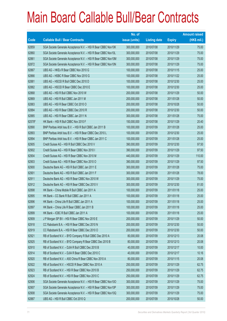|             |                                                               | No. of        |                     |               | <b>Amount raised</b> |
|-------------|---------------------------------------------------------------|---------------|---------------------|---------------|----------------------|
| <b>Code</b> | <b>Callable Bull / Bear Contracts</b>                         | issue (units) | <b>Listing date</b> | <b>Expiry</b> | (HK\$ mil.)          |
| 62859       | SGA Societe Generale Acceptance N.V. - HSI R Bear CBBC Nov10K | 300,000,000   | 2010/07/08          | 2010/11/29    | 75.00                |
| 62860       | SGA Societe Generale Acceptance N.V. - HSI R Bear CBBC Nov10L | 300,000,000   | 2010/07/08          | 2010/11/29    | 75.00                |
| 62861       | SGA Societe Generale Acceptance N.V. - HSI R Bear CBBC Nov10M | 300,000,000   | 2010/07/08          | 2010/11/29    | 75.00                |
| 62872       | SGA Societe Generale Acceptance N.V. - HSI R Bear CBBC Nov10N | 300,000,000   | 2010/07/08          | 2010/11/29    | 75.00                |
| 62867       | UBS AG - HKEx R Bear CBBC Nov 2010 G                          | 100,000,000   | 2010/07/08          | 2010/11/15    | 25.00                |
| 62866       | UBS AG - HSBC R Bear CBBC Nov 2010 G                          | 100,000,000   | 2010/07/08          | 2010/11/22    | 25.00                |
| 62881       | UBS AG - HSCEI R Bull CBBC Dec 2010 D                         | 100,000,000   | 2010/07/08          | 2010/12/30    | 25.00                |
| 62882       | UBS AG - HSCEI R Bear CBBC Dec 2010 E                         | 100,000,000   | 2010/07/08          | 2010/12/30    | 25.00                |
| 62868       | UBS AG - HSI R Bull CBBC Nov 2010 W                           | 200,000,000   | 2010/07/08          | 2010/11/29    | 50.00                |
| 62869       | UBS AG - HSI R Bull CBBC Jan 2011 M                           | 200,000,000   | 2010/07/08          | 2011/01/28    | 50.00                |
| 62883       | UBS AG - HSI R Bear CBBC Oct 2010 O                           | 200,000,000   | 2010/07/08          | 2010/10/28    | 50.00                |
| 62884       | UBS AG - HSI R Bear CBBC Dec 2010 R                           | 200,000,000   | 2010/07/08          | 2010/12/30    | 50.00                |
| 62885       | UBS AG - HSI R Bear CBBC Jan 2011 N                           | 300,000,000   | 2010/07/08          | 2011/01/28    | 75.00                |
| 62578#      | HK Bank - HSI R Bull CBBC Nov 2010 F                          | 150,000,000   | 2010/07/08          | 2010/11/29    | 20.40                |
| 62890       | BNP Paribas Arbit Issu B.V. - HSI R Bull CBBC Jan 2011 B      | 100,000,000   | 2010/07/09          | 2011/01/28    | 25.00                |
| 62893       | BNP Paribas Arbit Issu B.V. - HSI R Bear CBBC Dec 2010 L      | 100,000,000   | 2010/07/09          | 2010/12/30    | 25.00                |
| 62894       | BNP Paribas Arbit Issu B.V. - HSI R Bear CBBC Jan 2011 C      | 100,000,000   | 2010/07/09          | 2011/01/28    | 25.00                |
| 62905       | Credit Suisse AG - HSI R Bull CBBC Dec 2010 V                 | 390,000,000   | 2010/07/09          | 2010/12/30    | 97.50                |
| 62902       | Credit Suisse AG - HSI R Bear CBBC Nov 2010 I                 | 390,000,000   | 2010/07/09          | 2010/11/29    | 97.50                |
| 62904       | Credit Suisse AG - HSI R Bear CBBC Nov 2010 M                 | 440,000,000   | 2010/07/09          | 2010/11/29    | 110.00               |
| 62903       | Credit Suisse AG - HSI R Bear CBBC Nov 2010 O                 | 390,000,000   | 2010/07/09          | 2010/11/29    | 97.50                |
| 62900       | Deutsche Bank AG - HSI R Bull CBBC Jan 2011 E                 | 300,000,000   | 2010/07/09          | 2011/01/28    | 75.00                |
| 62901       | Deutsche Bank AG - HSI R Bull CBBC Jan 2011 F                 | 300,000,000   | 2010/07/09          | 2011/01/28    | 78.00                |
| 62911       | Deutsche Bank AG - HSI R Bear CBBC Nov 2010 W                 | 300,000,000   | 2010/07/09          | 2010/11/29    | 75.00                |
| 62912       | Deutsche Bank AG - HSI R Bear CBBC Dec 2010 V                 | 300,000,000   | 2010/07/09          | 2010/12/30    | 81.00                |
| 62898       | HK Bank - China Mobile R Bull CBBC Jan 2011 A                 | 100,000,000   | 2010/07/09          | 2011/01/18    | 25.00                |
| 62895       | HK Bank - CC Bank R Bull CBBC Jan 2011 A                      | 100,000,000   | 2010/07/09          | 2011/01/18    | 25.00                |
| 62896       | HK Bank - China Life R Bull CBBC Jan 2011 A                   | 100,000,000   | 2010/07/09          | 2011/01/18    | 25.00                |
| 62897       | HK Bank – China Life R Bear CBBC Jan 2011 B                   | 100,000,000   | 2010/07/09          | 2011/01/18    | 25.00                |
| 62899       | HK Bank - ICBC R Bull CBBC Jan 2011 A                         | 100,000,000   | 2010/07/09          | 2011/01/18    | 25.00                |
| 62909       | J P Morgan SP BV - HSI R Bear CBBC Nov 2010 E                 | 200,000,000   | 2010/07/09          | 2010/11/29    | 50.00                |
| 62918       | CC Rabobank B.A. - HSI R Bear CBBC Dec 2010 N                 | 200,000,000   | 2010/07/09          | 2010/12/30    | 50.00                |
| 62919       | CC Rabobank B.A. - HSI R Bear CBBC Dec 2010 O                 | 200,000,000   | 2010/07/09          | 2010/12/30    | 50.00                |
| 62921       | RB of Scotland N.V. - BYD Company R Bull CBBC Dec 2010 A      | 80,000,000    | 2010/07/09          | 2010/12/13    | 20.08                |
| 62925       | RB of Scotland N.V. - BYD Company R Bear CBBC Dec 2010 B      | 80,000,000    | 2010/07/09          | 2010/12/13    | 20.08                |
| 62910       | RB of Scotland N.V. - DJIA R Bull CBBC Dec 2010 B             | 40,000,000    | 2010/07/09          | 2010/12/17    | 10.00                |
| 62914       | RB of Scotland N.V. - DJIA R Bear CBBC Dec 2010 C             | 40,000,000    | 2010/07/09          | 2010/12/17    | 10.16                |
| 62920       | RB of Scotland N.V. - A50 China R Bear CBBC Nov 2010 A        | 80,000,000    | 2010/07/09          | 2010/11/15    | 20.08                |
| 62922       | RB of Scotland N.V. - HSCEI R Bear CBBC Nov 2010 A            | 250,000,000   | 2010/07/09          | 2010/11/29    | 62.75                |
| 62923       | RB of Scotland N.V. - HSI R Bear CBBC Nov 2010 B              | 250,000,000   | 2010/07/09          | 2010/11/29    | 62.75                |
| 62924       | RB of Scotland N.V. - HSI R Bear CBBC Nov 2010 C              | 250,000,000   | 2010/07/09          | 2010/11/29    | 62.75                |
| 62906       | SGA Societe Generale Acceptance N.V. - HSI R Bear CBBC Nov10O | 300,000,000   | 2010/07/09          | 2010/11/29    | 75.00                |
| 62907       | SGA Societe Generale Acceptance N.V. - HSI R Bear CBBC Nov10P | 300,000,000   | 2010/07/09          | 2010/11/29    | 75.00                |
| 62908       | SGA Societe Generale Acceptance N.V. - HSI R Bear CBBC Nov10Q | 300,000,000   | 2010/07/09          | 2010/11/29    | 75.00                |
| 62887       | UBS AG - HSI R Bull CBBC Oct 2010 Q                           | 200,000,000   | 2010/07/09          | 2010/10/28    | 50.00                |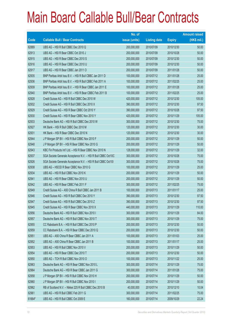|             |                                                               | No. of        |                     |               | <b>Amount raised</b> |
|-------------|---------------------------------------------------------------|---------------|---------------------|---------------|----------------------|
| <b>Code</b> | <b>Callable Bull / Bear Contracts</b>                         | issue (units) | <b>Listing date</b> | <b>Expiry</b> | (HK\$ mil.)          |
| 62889       | UBS AG - HSI R Bull CBBC Dec 2010 Q                           | 200,000,000   | 2010/07/09          | 2010/12/30    | 50.00                |
| 62913       | UBS AG - HSI R Bear CBBC Oct 2010 J                           | 200,000,000   | 2010/07/09          | 2010/10/28    | 50.00                |
| 62915       | UBS AG - HSI R Bear CBBC Dec 2010 S                           | 200,000,000   | 2010/07/09          | 2010/12/30    | 50.00                |
| 62916       | UBS AG - HSI R Bear CBBC Dec 2010 U                           | 200,000,000   | 2010/07/09          | 2010/12/30    | 50.00                |
| 62917       | UBS AG - HSI R Bear CBBC Jan 2011 O                           | 200,000,000   | 2010/07/09          | 2011/01/28    | 50.00                |
| 62935       | BNP Paribas Arbit Issu B.V. - HSI R Bull CBBC Jan 2011 D      | 100,000,000   | 2010/07/12          | 2011/01/28    | 25.00                |
| 62936       | BNP Paribas Arbit Issu B.V. - HSI R Bull CBBC Feb 2011 A      | 100,000,000   | 2010/07/12          | 2011/02/25    | 25.00                |
| 62939       | BNP Paribas Arbit Issu B.V. - HSI R Bear CBBC Jan 2011 E      | 100,000,000   | 2010/07/12          | 2011/01/28    | 25.00                |
| 62940       | BNP Paribas Arbit Issu B.V. - HSI R Bear CBBC Feb 2011 B      | 100,000,000   | 2010/07/12          | 2011/02/25    | 25.00                |
| 62928       | Credit Suisse AG - HSI R Bull CBBC Dec 2010 W                 | 420,000,000   | 2010/07/12          | 2010/12/30    | 105.00               |
| 62932       | Credit Suisse AG - HSI R Bull CBBC Dec 2010 X                 | 390,000,000   | 2010/07/12          | 2010/12/30    | 97.50                |
| 62929       | Credit Suisse AG - HSI R Bear CBBC Oct 2010 Y                 | 390,000,000   | 2010/07/12          | 2010/10/28    | 97.50                |
| 62930       | Credit Suisse AG - HSI R Bear CBBC Nov 2010 Y                 | 420,000,000   | 2010/07/12          | 2010/11/29    | 105.00               |
| 62933       | Deutsche Bank AG - HSI R Bull CBBC Dec 2010 W                 | 300,000,000   | 2010/07/12          | 2010/12/30    | 75.00                |
| 62927       | HK Bank - HSI R Bull CBBC Dec 2010 M                          | 120,000,000   | 2010/07/12          | 2010/12/30    | 30.00                |
| 62931       | HK Bank - HSI R Bear CBBC Dec 2010 N                          | 120,000,000   | 2010/07/12          | 2010/12/30    | 30.00                |
| 62944       | J P Morgan SP BV - HSI R Bull CBBC Nov 2010 F                 | 200,000,000   | 2010/07/12          | 2010/11/29    | 50.00                |
| 62948       | J P Morgan SP BV - HSI R Bear CBBC Nov 2010 G                 | 200,000,000   | 2010/07/12          | 2010/11/29    | 50.00                |
| 62943       | KBC Fin Products Int'l Ltd. - HSI R Bear CBBC Nov 2010 N      | 128,000,000   | 2010/07/12          | 2010/11/29    | 32.00                |
| 62937       | SGA Societe Generale Acceptance N.V. - HSI R Bull CBBC Oct10C | 300,000,000   | 2010/07/12          | 2010/10/28    | 75.00                |
| 62926       | SGA Societe Generale Acceptance N.V. - HSI R Bull CBBC Oct101 | 300,000,000   | 2010/07/12          | 2010/10/28    | 75.00                |
| 62938       | UBS AG - HSCEI R Bear CBBC Nov 2010 G                         | 100,000,000   | 2010/07/12          | 2010/11/29    | 25.00                |
| 62934       | UBS AG - HSI R Bull CBBC Nov 2010 K                           | 200,000,000   | 2010/07/12          | 2010/11/29    | 50.00                |
| 62941       | UBS AG - HSI R Bear CBBC Nov 2010 U                           | 200,000,000   | 2010/07/12          | 2010/11/29    | 50.00                |
| 62942       | UBS AG - HSI R Bear CBBC Feb 2011 F                           | 300,000,000   | 2010/07/12          | 2011/02/25    | 75.00                |
| 62949       | Credit Suisse AG - A50 China R Bull CBBC Jan 2011 B           | 100,000,000   | 2010/07/13          | 2011/01/17    | 25.00                |
| 62946       | Credit Suisse AG - HSI R Bull CBBC Dec 2010 Y                 | 390,000,000   | 2010/07/13          | 2010/12/30    | 97.50                |
| 62947       | Credit Suisse AG - HSI R Bull CBBC Dec 2010 Z                 | 390,000,000   | 2010/07/13          | 2010/12/30    | 97.50                |
| 62945       | Credit Suisse AG - HSI R Bear CBBC Nov 2010 X                 | 440,000,000   | 2010/07/13          | 2010/11/29    | 110.00               |
| 62956       | Deutsche Bank AG - HSI R Bull CBBC Nov 2010 I                 | 300,000,000   | 2010/07/13          | 2010/11/29    | 84.00                |
| 62957       | Deutsche Bank AG - HSI R Bull CBBC Nov 2010 T                 | 300,000,000   | 2010/07/13          | 2010/11/29    | 75.00                |
| 62955       | CC Rabobank B.A. - HSI R Bull CBBC Dec 2010 P                 | 200,000,000   | 2010/07/13          | 2010/12/30    | 50.00                |
| 62959       | CC Rabobank B.A. - HSI R Bear CBBC Dec 2010 Q                 | 200,000,000   | 2010/07/13          | 2010/12/30    | 50.00                |
| 62951       | UBS AG - A50 China R Bear CBBC Jan 2011 A                     | 100,000,000   | 2010/07/13          | 2011/01/03    | 25.00                |
| 62952       | UBS AG - A50 China R Bear CBBC Jan 2011 B                     | 100,000,000   | 2010/07/13          | 2011/01/17    | 25.00                |
| 62953       | UBS AG - HSI R Bull CBBC Nov 2010 V                           | 200,000,000   | 2010/07/13          | 2010/11/29    | 50.00                |
| 62954       | UBS AG - HSI R Bear CBBC Dec 2010 T                           | 200,000,000   | 2010/07/13          | 2010/12/30    | 50.00                |
| 62950       | UBS AG - TCH R Bull CBBC Nov 2010 O                           | 100,000,000   | 2010/07/13          | 2010/11/22    | 25.00                |
| 62963       | Deutsche Bank AG - HSI R Bear CBBC Nov 2010 L                 | 300,000,000   | 2010/07/14          | 2010/11/29    | 75.00                |
| 62964       | Deutsche Bank AG - HSI R Bear CBBC Jan 2011 G                 | 300,000,000   | 2010/07/14          | 2011/01/28    | 75.00                |
| 62958       | J P Morgan SP BV - HSI R Bull CBBC Nov 2010 H                 | 200,000,000   | 2010/07/14          | 2010/11/29    | 50.00                |
| 62960       | J P Morgan SP BV - HSI R Bull CBBC Nov 2010 I                 | 200,000,000   | 2010/07/14          | 2010/11/29    | 50.00                |
| 62962       | RB of Scotland N.V. - Nikkei 225 R Bull CBBC Dec 2010 B       | 40,000,000    | 2010/07/14          | 2010/12/10    | 10.04                |
| 62961       | UBS AG - HSI R Bull CBBC Feb 2011 G                           | 300,000,000   | 2010/07/14          | 2011/02/25    | 75.00                |
| 61664#      | UBS AG - HSI R Bull CBBC Oct 2009 E                           | 160,000,000   | 2010/07/14          | 2009/10/29    | 22.24                |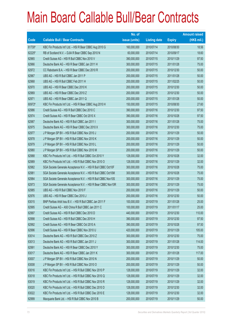|        |                                                               | No. of        |                     |               | <b>Amount raised</b> |
|--------|---------------------------------------------------------------|---------------|---------------------|---------------|----------------------|
| Code   | <b>Callable Bull / Bear Contracts</b>                         | issue (units) | <b>Listing date</b> | <b>Expiry</b> | (HK\$ mil.)          |
| 61730# | KBC Fin Products Int'l Ltd. - HSI R Bear CBBC Aug 2010 G      | 160,000,000   | 2010/07/14          | 2010/08/30    | 18.56                |
| 62225# | RB of Scotland N.V. - DJIA R Bear CBBC Sep 2010 N             | 60,000,000    | 2010/07/14          | 2010/09/17    | 18.60                |
| 62965  | Credit Suisse AG - HSI R Bull CBBC Nov 2010 V                 | 390,000,000   | 2010/07/15          | 2010/11/29    | 97.50                |
| 62966  | Deutsche Bank AG - HSI R Bear CBBC Jan 2011 H                 | 300,000,000   | 2010/07/15          | 2011/01/28    | 75.00                |
| 62972  | CC Rabobank B.A. - HSI R Bear CBBC Dec 2010 R                 | 200,000,000   | 2010/07/15          | 2010/12/30    | 50.00                |
| 62967  | UBS AG - HSI R Bull CBBC Jan 2011 P                           | 200,000,000   | 2010/07/15          | 2011/01/28    | 50.00                |
| 62968  | UBS AG - HSI R Bull CBBC Feb 2011 H                           | 200,000,000   | 2010/07/15          | 2011/02/25    | 50.00                |
| 62970  | UBS AG - HSI R Bear CBBC Dec 2010 K                           | 200,000,000   | 2010/07/15          | 2010/12/30    | 50.00                |
| 62969  | UBS AG - HSI R Bear CBBC Dec 2010 Z                           | 200,000,000   | 2010/07/15          | 2010/12/30    | 50.00                |
| 62971  | UBS AG - HSI R Bear CBBC Jan 2011 Q                           | 200,000,000   | 2010/07/15          | 2011/01/28    | 50.00                |
| 60972# | KBC Fin Products Int'l Ltd. - HSI R Bear CBBC Aug 2010 H      | 150,000,000   | 2010/07/15          | 2010/08/30    | 27.60                |
| 62986  | Credit Suisse AG - HSI R Bull CBBC Dec 2010 C                 | 390,000,000   | 2010/07/16          | 2010/12/30    | 97.50                |
| 62974  | Credit Suisse AG - HSI R Bear CBBC Oct 2010 X                 | 390,000,000   | 2010/07/16          | 2010/10/28    | 97.50                |
| 62987  | Deutsche Bank AG - HSI R Bull CBBC Jan 2011 I                 | 300,000,000   | 2010/07/16          | 2011/01/28    | 75.00                |
| 62975  | Deutsche Bank AG - HSI R Bear CBBC Dec 2010 X                 | 300,000,000   | 2010/07/16          | 2010/12/30    | 75.00                |
| 62977  | J P Morgan SP BV - HSI R Bull CBBC Nov 2010 J                 | 200,000,000   | 2010/07/16          | 2010/11/29    | 50.00                |
| 62978  | J P Morgan SP BV - HSI R Bull CBBC Nov 2010 K                 | 200,000,000   | 2010/07/16          | 2010/11/29    | 50.00                |
| 62979  | J P Morgan SP BV - HSI R Bull CBBC Nov 2010 L                 | 200,000,000   | 2010/07/16          | 2010/11/29    | 50.00                |
| 62980  | J P Morgan SP BV - HSI R Bull CBBC Nov 2010 M                 | 200,000,000   | 2010/07/16          | 2010/11/29    | 50.00                |
| 62988  | KBC Fin Products Int'l Ltd. - HSI R Bull CBBC Oct 2010 Y      | 128,000,000   | 2010/07/16          | 2010/10/28    | 32.00                |
| 62989  | KBC Fin Products Int'l Ltd. - HSI R Bull CBBC Nov 2010 O      | 128,000,000   | 2010/07/16          | 2010/11/29    | 32.00                |
| 62982  | SGA Societe Generale Acceptance N.V. - HSI R Bull CBBC Oct10F | 300,000,000   | 2010/07/16          | 2010/10/28    | 75.00                |
| 62981  | SGA Societe Generale Acceptance N.V. - HSI R Bull CBBC Oct10M | 300,000,000   | 2010/07/16          | 2010/10/28    | 75.00                |
| 62984  | SGA Societe Generale Acceptance N.V. - HSI R Bull CBBC Nov10S | 300,000,000   | 2010/07/16          | 2010/11/29    | 75.00                |
| 62973  | SGA Societe Generale Acceptance N.V. - HSI R Bear CBBC Nov10R | 300,000,000   | 2010/07/16          | 2010/11/29    | 75.00                |
| 62985  | UBS AG - HSI R Bull CBBC Nov 2010 F                           | 200,000,000   | 2010/07/16          | 2010/11/29    | 50.00                |
| 62976  | UBS AG - HSI R Bear CBBC Dec 2010 J                           | 200,000,000   | 2010/07/16          | 2010/12/30    | 50.00                |
| 63015  | BNP Paribas Arbit Issu B.V. - HSI R Bull CBBC Jan 2011 F      | 100,000,000   | 2010/07/19          | 2011/01/28    | 25.00                |
| 62995  | Credit Suisse AG - A50 China R Bull CBBC Jan 2011 C           | 100,000,000   | 2010/07/19          | 2011/01/17    | 25.00                |
| 62997  | Credit Suisse AG - HSI R Bull CBBC Dec 2010 D                 | 440,000,000   | 2010/07/19          | 2010/12/30    | 110.00               |
| 62998  | Credit Suisse AG - HSI R Bull CBBC Dec 2010 H                 | 390,000,000   | 2010/07/19          | 2010/12/30    | 97.50                |
| 62992  | Credit Suisse AG - HSI R Bear CBBC Oct 2010 A                 | 390,000,000   | 2010/07/19          | 2010/10/28    | 97.50                |
| 62996  | Credit Suisse AG - HSI R Bear CBBC Nov 2010 U                 | 420,000,000   | 2010/07/19          | 2010/11/29    | 105.00               |
| 63014  | Deutsche Bank AG - HSI R Bull CBBC Dec 2010 Z                 | 300,000,000   | 2010/07/19          | 2010/12/30    | 75.00                |
| 63013  | Deutsche Bank AG - HSI R Bull CBBC Jan 2011 J                 | 300,000,000   | 2010/07/19          | 2011/01/28    | 114.00               |
| 62991  | Deutsche Bank AG - HSI R Bear CBBC Dec 2010 Y                 | 300,000,000   | 2010/07/19          | 2010/12/30    | 75.00                |
| 63017  | Deutsche Bank AG - HSI R Bear CBBC Jan 2011 K                 | 300,000,000   | 2010/07/19          | 2011/01/28    | 117.00               |
| 63007  | J P Morgan SP BV - HSI R Bull CBBC Nov 2010 N                 | 200,000,000   | 2010/07/19          | 2010/11/29    | 50.00                |
| 63008  | J P Morgan SP BV - HSI R Bull CBBC Nov 2010 O                 | 200,000,000   | 2010/07/19          | 2010/11/29    | 50.00                |
| 63016  | KBC Fin Products Int'l Ltd. - HSI R Bull CBBC Nov 2010 P      | 128,000,000   | 2010/07/19          | 2010/11/29    | 32.00                |
| 63018  | KBC Fin Products Int'l Ltd. - HSI R Bull CBBC Nov 2010 Q      | 128,000,000   | 2010/07/19          | 2010/11/29    | 32.00                |
| 63019  | KBC Fin Products Int'l Ltd. - HSI R Bull CBBC Nov 2010 R      | 128,000,000   | 2010/07/19          | 2010/11/29    | 32.00                |
| 63020  | KBC Fin Products Int'l Ltd. - HSI R Bull CBBC Dec 2010 D      | 128,000,000   | 2010/07/19          | 2010/12/30    | 32.00                |
| 63022  | KBC Fin Products Int'l Ltd. - HSI R Bull CBBC Dec 2010 E      | 128,000,000   | 2010/07/19          | 2010/12/30    | 32.00                |
| 62999  | Macquarie Bank Ltd. - HSI R Bull CBBC Nov 2010 B              | 200,000,000   | 2010/07/19          | 2010/11/29    | 50.00                |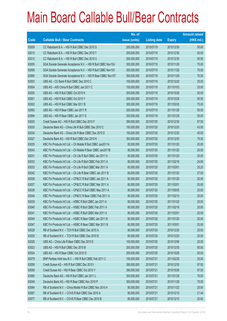|       |                                                               | No. of        |                     |               | <b>Amount raised</b> |
|-------|---------------------------------------------------------------|---------------|---------------------|---------------|----------------------|
| Code  | <b>Callable Bull / Bear Contracts</b>                         | issue (units) | <b>Listing date</b> | <b>Expiry</b> | (HK\$ mil.)          |
| 63009 | CC Rabobank B.A. - HSI R Bull CBBC Dec 2010 S                 | 200,000,000   | 2010/07/19          | 2010/12/30    | 50.00                |
| 63010 | CC Rabobank B.A. - HSI R Bull CBBC Dec 2010 T                 | 200,000,000   | 2010/07/19          | 2010/12/30    | 50.00                |
| 63012 | CC Rabobank B.A. - HSI R Bull CBBC Dec 2010 U                 | 200,000,000   | 2010/07/19          | 2010/12/30    | 50.00                |
| 63005 | SGA Societe Generale Acceptance N.V. - HSI R Bull CBBC Nov10U | 300,000,000   | 2010/07/19          | 2010/11/29    | 75.00                |
| 63006 | SGA Societe Generale Acceptance N.V. - HSI R Bull CBBC Nov10V | 300,000,000   | 2010/07/19          | 2010/11/29    | 75.00                |
| 62990 | SGA Societe Generale Acceptance N.V. - HSI R Bear CBBC Nov10T | 300,000,000   | 2010/07/19          | 2010/11/29    | 75.00                |
| 63003 | UBS AG - CC Bank R Bull CBBC Dec 2010 C                       | 100,000,000   | 2010/07/19          | 2010/12/20    | 25.00                |
| 63004 | UBS AG - A50 China R Bull CBBC Jan 2011 C                     | 100,000,000   | 2010/07/19          | 2011/01/03    | 25.00                |
| 63000 | UBS AG - HSI R Bull CBBC Oct 2010 K                           | 200,000,000   | 2010/07/19          | 2010/10/28    | 50.00                |
| 63001 | UBS AG - HSI R Bull CBBC Oct 2010 Y                           | 200,000,000   | 2010/07/19          | 2010/10/28    | 50.00                |
| 63002 | UBS AG - HSI R Bull CBBC Mar 2011 B                           | 300,000,000   | 2010/07/19          | 2011/03/30    | 75.00                |
| 62993 | UBS AG - HSI R Bear CBBC Jan 2011 R                           | 200,000,000   | 2010/07/19          | 2011/01/28    | 50.00                |
| 62994 | UBS AG - HSI R Bear CBBC Jan 2011 S                           | 200,000,000   | 2010/07/19          | 2011/01/28    | 50.00                |
| 63025 | Credit Suisse AG - HSI R Bull CBBC Dec 2010 F                 | 390,000,000   | 2010/07/20          | 2010/12/30    | 97.50                |
| 63030 | Deutsche Bank AG - China Life R Bull CBBC Dec 2010 C          | 150,000,000   | 2010/07/20          | 2010/12/20    | 43.50                |
| 63034 | Deutsche Bank AG - China Life R Bear CBBC Dec 2010 D          | 150,000,000   | 2010/07/20          | 2010/12/20    | 45.00                |
| 63027 | Deutsche Bank AG - HSI R Bull CBBC Dec 2010 K                 | 300,000,000   | 2010/07/20          | 2010/12/30    | 75.00                |
| 63035 | KBC Fin Products Int'l Ltd. - Ch Mobile R Bull CBBC Jan2011A  | 80,000,000    | 2010/07/20          | 2011/01/20    | 20.00                |
| 63043 | KBC Fin Products Int'l Ltd. - Ch Mobile R Bear CBBC Jan2011B  | 80,000,000    | 2010/07/20          | 2011/01/20    | 20.00                |
| 63031 | KBC Fin Products Int'l Ltd. - Ch Life R Bull CBBC Jan 2011 A  | 80,000,000    | 2010/07/20          | 2011/01/20    | 20.00                |
| 63032 | KBC Fin Products Int'l Ltd. - Ch Life R Bull CBBC Feb 2011 A  | 80,000,000    | 2010/07/20          | 2011/02/18    | 24.80                |
| 63033 | KBC Fin Products Int'l Ltd. - Ch Life R Bull CBBC Mar 2011 A  | 60,000,000    | 2010/07/20          | 2011/03/01    | 25.20                |
| 63042 | KBC Fin Products Int'l Ltd. - Ch Life R Bear CBBC Jan 2011 B  | 60,000,000    | 2010/07/20          | 2011/01/20    | 27.00                |
| 63036 | KBC Fin Products Int'l Ltd. - CP&CC R Bull CBBC Jan 2011 A    | 80,000,000    | 2010/07/20          | 2011/01/20    | 20.00                |
| 63037 | KBC Fin Products Int'l Ltd. - CP&CC R Bull CBBC Mar 2011 A    | 80,000,000    | 2010/07/20          | 2011/03/01    | 20.00                |
| 63038 | KBC Fin Products Int'l Ltd. - CP&CC R Bull CBBC May 2011 A    | 80,000,000    | 2010/07/20          | 2011/05/05    | 20.00                |
| 63044 | KBC Fin Products Int'l Ltd. - CP&CC R Bear CBBC Feb 2011 A    | 80,000,000    | 2010/07/20          | 2011/02/10    | 20.00                |
| 63039 | KBC Fin Products Int'l Ltd. - HSBC R Bull CBBC Jan 2011 A     | 80,000,000    | 2010/07/20          | 2011/01/20    | 20.00                |
| 63040 | KBC Fin Products Int'l Ltd. - HSBC R Bull CBBC Feb 2011 A     | 80,000,000    | 2010/07/20          | 2011/02/18    | 20.00                |
| 63041 | KBC Fin Products Int'l Ltd. - HSBC R Bull CBBC Mar 2011 A     | 80,000,000    | 2010/07/20          | 2011/03/01    | 20.00                |
| 63045 | KBC Fin Products Int'l Ltd. - HSBC R Bear CBBC Jan 2011 B     | 80,000,000    | 2010/07/20          | 2011/01/20    | 20.00                |
| 63047 | KBC Fin Products Int'l Ltd. - HSBC R Bear CBBC Mar 2011 B     | 80,000,000    | 2010/07/20          | 2011/03/01    | 20.00                |
| 63028 | RB of Scotland N.V. - TCH R Bull CBBC Dec 2010 A              | 80,000,000    | 2010/07/20          | 2010/12/20    | 20.00                |
| 63029 | RB of Scotland N.V. - TCH R Bull CBBC Dec 2010 B              | 80,000,000    | 2010/07/20          | 2010/12/20    | 20.00                |
| 63026 | UBS AG - China Life R Bear CBBC Dec 2010 E                    | 100,000,000   | 2010/07/20          | 2010/12/06    | 25.00                |
| 63023 | UBS AG - HSI R Bull CBBC Dec 2010 B                           | 200,000,000   | 2010/07/20          | 2010/12/30    | 50.00                |
| 63024 | UBS AG - HSI R Bear CBBC Oct 2010 O                           | 200,000,000   | 2010/07/20          | 2010/10/28    | 50.00                |
| 63079 | BNP Paribas Arbit Issu B.V. - HSI R Bull CBBC Feb 2011 C      | 100,000,000   | 2010/07/21          | 2011/02/25    | 25.00                |
| 63059 | Credit Suisse AG - HSI R Bull CBBC Dec 2010 I                 | 390,000,000   | 2010/07/21          | 2010/12/30    | 97.50                |
| 63056 | Credit Suisse AG - HSI R Bear CBBC Oct 2010 Y                 | 390,000,000   | 2010/07/21          | 2010/10/28    | 97.50                |
| 63060 | Deutsche Bank AG - HSI R Bull CBBC Jan 2011 L                 | 300,000,000   | 2010/07/21          | 2011/01/28    | 75.00                |
| 63049 | Deutsche Bank AG - HSI R Bear CBBC Nov 2010 P                 | 300,000,000   | 2010/07/21          | 2010/11/29    | 75.00                |
| 63064 | RB of Scotland N.V. - China Mobile R Bull CBBC Nov 2010 A     | 80,000,000    | 2010/07/21          | 2010/11/22    | 20.00                |
| 63067 | RB of Scotland N.V. - COVS R Bull CBBC Dec 2010 A             | 80,000,000    | 2010/07/21          | 2010/12/10    | 21.44                |
| 63077 | RB of Scotland N.V. - COVS R Bear CBBC Dec 2010 B             | 80,000,000    | 2010/07/21          | 2010/12/10    | 20.00                |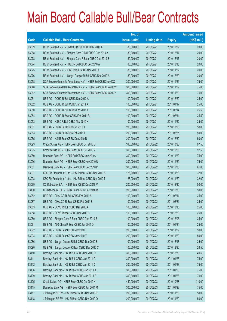|       |                                                               | No. of        |                     |               | <b>Amount raised</b> |
|-------|---------------------------------------------------------------|---------------|---------------------|---------------|----------------------|
| Code  | <b>Callable Bull / Bear Contracts</b>                         | issue (units) | <b>Listing date</b> | <b>Expiry</b> | $(HK$$ mil.)         |
| 63069 | RB of Scotland N.V. - CNOOC R Bull CBBC Dec 2010 A            | 80,000,000    | 2010/07/21          | 2010/12/09    | 20.00                |
| 63068 | RB of Scotland N.V. - Sinopec Corp R Bull CBBC Dec 2010 A     | 80,000,000    | 2010/07/21          | 2010/12/17    | 20.00                |
| 63078 | RB of Scotland N.V. - Sinopec Corp R Bear CBBC Dec 2010 B     | 80,000,000    | 2010/07/21          | 2010/12/17    | 20.00                |
| 63074 | RB of Scotland N.V. - HKEx R Bull CBBC Dec 2010 A             | 80,000,000    | 2010/07/21          | 2010/12/13    | 20.00                |
| 63075 | RB of Scotland N.V. - ICBC R Bull CBBC Nov 2010 A             | 80,000,000    | 2010/07/21          | 2010/11/22    | 20.00                |
| 63076 | RB of Scotland N.V. - Jiangxi Copper R Bull CBBC Dec 2010 A   | 80,000,000    | 2010/07/21          | 2010/12/29    | 20.00                |
| 63058 | SGA Societe Generale Acceptance N.V. - HSI R Bull CBBC Nov10X | 300,000,000   | 2010/07/21          | 2010/11/29    | 75.00                |
| 63048 | SGA Societe Generale Acceptance N.V. - HSI R Bear CBBC Nov10W | 300,000,000   | 2010/07/21          | 2010/11/29    | 75.00                |
| 63062 | SGA Societe Generale Acceptance N.V. - HSI R Bear CBBC Nov10Y | 300,000,000   | 2010/07/21          | 2010/11/29    | 75.00                |
| 63051 | UBS AG - CCHC R Bull CBBC Dec 2010 A                          | 100,000,000   | 2010/07/21          | 2010/12/20    | 25.00                |
| 63052 | UBS AG - CCHC R Bull CBBC Jan 2011 A                          | 100,000,000   | 2010/07/21          | 2011/01/17    | 25.00                |
| 63050 | UBS AG - CCHC R Bull CBBC Feb 2011 A                          | 100,000,000   | 2010/07/21          | 2011/02/14    | 25.50                |
| 63054 | UBS AG - CCHC R Bear CBBC Feb 2011 B                          | 100,000,000   | 2010/07/21          | 2011/02/14    | 25.50                |
| 63053 | UBS AG - HSBC R Bull CBBC Nov 2010 H                          | 100,000,000   | 2010/07/21          | 2010/11/22    | 25.00                |
| 63061 | UBS AG - HSI R Bull CBBC Oct 2010 J                           | 200,000,000   | 2010/07/21          | 2010/10/28    | 50.00                |
| 63063 | UBS AG - HSI R Bull CBBC Feb 2011 I                           | 200,000,000   | 2010/07/21          | 2011/02/25    | 50.00                |
| 63055 | UBS AG - HSI R Bear CBBC Dec 2010 D                           | 200,000,000   | 2010/07/21          | 2010/12/30    | 50.00                |
| 63093 | Credit Suisse AG - HSI R Bear CBBC Oct 2010 B                 | 390,000,000   | 2010/07/22          | 2010/10/28    | 97.50                |
| 63095 | Credit Suisse AG - HSI R Bear CBBC Oct 2010 V                 | 390,000,000   | 2010/07/22          | 2010/10/28    | 97.50                |
| 63080 | Deutsche Bank AG - HSI R Bull CBBC Nov 2010 J                 | 300,000,000   | 2010/07/22          | 2010/11/29    | 75.00                |
| 63096 | Deutsche Bank AG - HSI R Bear CBBC Nov 2010 U                 | 300,000,000   | 2010/07/22          | 2010/11/29    | 75.00                |
| 63081 | Deutsche Bank AG - HSI R Bear CBBC Dec 2010 P                 | 300,000,000   | 2010/07/22          | 2010/12/30    | 81.00                |
| 63097 | KBC Fin Products Int'l Ltd. - HSI R Bear CBBC Nov 2010 S      | 128,000,000   | 2010/07/22          | 2010/11/29    | 32.00                |
| 63098 | KBC Fin Products Int'l Ltd. - HSI R Bear CBBC Nov 2010 T      | 128,000,000   | 2010/07/22          | 2010/11/29    | 32.00                |
| 63099 | CC Rabobank B.A. - HSI R Bear CBBC Dec 2010 V                 | 200,000,000   | 2010/07/22          | 2010/12/30    | 50.00                |
| 63100 | CC Rabobank B.A. - HSI R Bear CBBC Dec 2010 W                 | 200,000,000   | 2010/07/22          | 2010/12/30    | 50.00                |
| 63082 | UBS AG - CHALCO R Bull CBBC Feb 2011 A                        | 100,000,000   | 2010/07/22          | 2011/02/14    | 25.00                |
| 63087 | UBS AG - CHALCO R Bear CBBC Feb 2011 B                        | 100,000,000   | 2010/07/22          | 2011/02/21    | 25.00                |
| 63083 | UBS AG - COVS R Bull CBBC Dec 2010 A                          | 100,000,000   | 2010/07/22          | 2010/12/13    | 25.00                |
| 63088 | UBS AG - COVS R Bear CBBC Dec 2010 B                          | 100,000,000   | 2010/07/22          | 2010/12/20    | 25.00                |
| 63089 | UBS AG - Sinopec Corp R Bear CBBC Dec 2010 B                  | 100,000,000   | 2010/07/22          | 2010/12/06    | 25.00                |
| 63091 | UBS AG - A50 China R Bear CBBC Jan 2011 D                     | 100,000,000   | 2010/07/22          | 2011/01/24    | 25.00                |
| 63092 | UBS AG - HSI R Bear CBBC Nov 2010 T                           | 200,000,000   | 2010/07/22          | 2010/11/29    | 50.00                |
| 63094 | UBS AG - HSI R Bear CBBC Nov 2010 Y                           | 200,000,000   | 2010/07/22          | 2010/11/29    | 50.00                |
| 63086 | UBS AG - Jiangxi Copper R Bull CBBC Dec 2010 B                | 100,000,000   | 2010/07/22          | 2010/12/13    | 25.00                |
| 63090 | UBS AG - Jiangxi Copper R Bear CBBC Dec 2010 C                | 100,000,000   | 2010/07/22          | 2010/12/20    | 26.50                |
| 63110 | Barclays Bank plc - HSI R Bull CBBC Dec 2010 D                | 300,000,000   | 2010/07/23          | 2010/12/30    | 49.50                |
| 63111 | Barclays Bank plc - HSI R Bull CBBC Jan 2011 C                | 300,000,000   | 2010/07/23          | 2011/01/28    | 75.00                |
| 63112 | Barclays Bank plc - HSI R Bull CBBC Jan 2011 D                | 300,000,000   | 2010/07/23          | 2011/01/28    | 75.00                |
| 63106 | Barclays Bank plc - HSI R Bear CBBC Jan 2011 A                | 300,000,000   | 2010/07/23          | 2011/01/28    | 75.00                |
| 63109 | Barclays Bank plc - HSI R Bear CBBC Jan 2011 B                | 300,000,000   | 2010/07/23          | 2011/01/28    | 75.00                |
| 63105 | Credit Suisse AG - HSI R Bear CBBC Oct 2010 X                 | 440,000,000   | 2010/07/23          | 2010/10/28    | 110.00               |
| 63115 | Deutsche Bank AG - HSI R Bear CBBC Jan 2011 M                 | 300,000,000   | 2010/07/23          | 2011/01/28    | 75.00                |
| 63117 | J P Morgan SP BV - HSI R Bear CBBC Nov 2010 P                 | 200,000,000   | 2010/07/23          | 2010/11/29    | 50.00                |
| 63118 | J P Morgan SP BV - HSI R Bear CBBC Nov 2010 Q                 | 200,000,000   | 2010/07/23          | 2010/11/29    | 50.00                |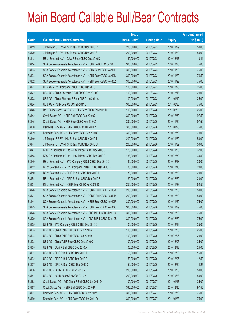|             |                                                                | No. of        |                     |               | <b>Amount raised</b> |
|-------------|----------------------------------------------------------------|---------------|---------------------|---------------|----------------------|
| <b>Code</b> | <b>Callable Bull / Bear Contracts</b>                          | issue (units) | <b>Listing date</b> | <b>Expiry</b> | $(HK$$ mil.)         |
| 63119       | J P Morgan SP BV - HSI R Bear CBBC Nov 2010 R                  | 200,000,000   | 2010/07/23          | 2010/11/29    | 50.00                |
| 63120       | J P Morgan SP BV - HSI R Bear CBBC Nov 2010 S                  | 200,000,000   | 2010/07/23          | 2010/11/29    | 50.00                |
| 63113       | RB of Scotland N.V. - DJIA R Bear CBBC Dec 2010 D              | 40,000,000    | 2010/07/23          | 2010/12/17    | 10.44                |
| 63114       | SGA Societe Generale Acceptance N.V. - HSI R Bull CBBC Oct10F  | 300,000,000   | 2010/07/23          | 2010/10/28    | 75.00                |
| 63103       | SGA Societe Generale Acceptance N.V. - HSI R Bear CBBC Nov101  | 300,000,000   | 2010/07/23          | 2010/11/29    | 75.00                |
| 63104       | SGA Societe Generale Acceptance N.V. - HSI R Bear CBBC Nov10N  | 300,000,000   | 2010/07/23          | 2010/11/29    | 76.50                |
| 63102       | SGA Societe Generale Acceptance N.V. - HSI R Bear CBBC Nov10Z  | 300,000,000   | 2010/07/23          | 2010/11/29    | 75.00                |
| 63121       | UBS AG - BYD Company R Bull CBBC Dec 2010 B                    | 100,000,000   | 2010/07/23          | 2010/12/20    | 25.00                |
| 63122       | UBS AG - China Shenhua R Bull CBBC Dec 2010 C                  | 100,000,000   | 2010/07/23          | 2010/12/13    | 25.00                |
| 63123       | UBS AG - China Shenhua R Bear CBBC Jan 2011 A                  | 100,000,000   | 2010/07/23          | 2011/01/10    | 25.00                |
| 63124       | UBS AG - HSI R Bear CBBC Feb 2011 J                            | 300,000,000   | 2010/07/23          | 2011/02/25    | 75.00                |
| 63146       | BNP Paribas Arbit Issu B.V. - HSI R Bear CBBC Feb 2011 D       | 100,000,000   | 2010/07/26          | 2011/02/25    | 25.00                |
| 63142       | Credit Suisse AG - HSI R Bull CBBC Dec 2010 Q                  | 390,000,000   | 2010/07/26          | 2010/12/30    | 97.50                |
| 63145       | Credit Suisse AG - HSI R Bear CBBC Nov 2010 Z                  | 390,000,000   | 2010/07/26          | 2010/11/29    | 97.50                |
| 63130       | Deutsche Bank AG - HSI R Bull CBBC Jan 2011 N                  | 300,000,000   | 2010/07/26          | 2011/01/28    | 75.00                |
| 63139       | Deutsche Bank AG - HSI R Bear CBBC Dec 2010 O                  | 300,000,000   | 2010/07/26          | 2010/12/30    | 75.00                |
| 63140       | J P Morgan SP BV - HSI R Bear CBBC Nov 2010 T                  | 200,000,000   | 2010/07/26          | 2010/11/29    | 50.00                |
| 63141       | J P Morgan SP BV - HSI R Bear CBBC Nov 2010 U                  | 200,000,000   | 2010/07/26          | 2010/11/29    | 50.00                |
| 63147       | KBC Fin Products Int'l Ltd. - HSI R Bear CBBC Nov 2010 U       | 128,000,000   | 2010/07/26          | 2010/11/29    | 32.00                |
| 63148       | KBC Fin Products Int'l Ltd. - HSI R Bear CBBC Dec 2010 F       | 158,000,000   | 2010/07/26          | 2010/12/30    | 39.50                |
| 63149       | RB of Scotland N.V. - BYD Company R Bull CBBC Dec 2010 C       | 80,000,000    | 2010/07/26          | 2010/12/13    | 20.00                |
| 63152       | RB of Scotland N.V. - BYD Company R Bear CBBC Dec 2010 D       | 80,000,000    | 2010/07/26          | 2010/12/13    | 20.00                |
| 63150       | RB of Scotland N.V. - CPIC R Bull CBBC Dec 2010 A              | 80,000,000    | 2010/07/26          | 2010/12/29    | 20.00                |
| 63154       | RB of Scotland N.V. - CPIC R Bear CBBC Dec 2010 B              | 80,000,000    | 2010/07/26          | 2010/12/29    | 20.00                |
| 63151       | RB of Scotland N.V. - HSI R Bear CBBC Nov 2010 D               | 250,000,000   | 2010/07/26          | 2010/11/29    | 62.50                |
| 63126       | SGA Societe Generale Acceptance N.V. - CCB R Bull CBBC Dec10A  | 200,000,000   | 2010/07/26          | 2010/12/29    | 50.00                |
| 63127       | SGA Societe Generale Acceptance N.V. - CCB R Bull CBBC Dec10B  | 200,000,000   | 2010/07/26          | 2010/12/29    | 50.00                |
| 63144       | SGA Societe Generale Acceptance N.V. - HSI R Bear CBBC Nov10P  | 300,000,000   | 2010/07/26          | 2010/11/29    | 75.00                |
| 63143       | SGA Societe Generale Acceptance N.V. - HSI R Bear CBBC Nov10Q  | 300,000,000   | 2010/07/26          | 2010/11/29    | 75.00                |
| 63128       | SGA Societe Generale Acceptance N.V. - ICBC R Bull CBBC Dec10A | 300,000,000   | 2010/07/26          | 2010/12/29    | 75.00                |
| 63129       | SGA Societe Generale Acceptance N.V. - ICBC R Bull CBBC Dec10B | 300,000,000   | 2010/07/26          | 2010/12/29    | 75.00                |
| 63155       | UBS AG - BYD Company R Bull CBBC Dec 2010 C                    | 100,000,000   | 2010/07/26          | 2010/12/13    | 25.00                |
| 63133       | UBS AG - China Tel R Bull CBBC Dec 2010 A                      | 100,000,000   | 2010/07/26          | 2010/12/20    | 25.00                |
| 63134       | UBS AG - China Tel R Bull CBBC Dec 2010 B                      | 100,000,000   | 2010/07/26          | 2010/12/06    | 25.00                |
| 63138       | UBS AG - China Tel R Bear CBBC Dec 2010 C                      | 100,000,000   | 2010/07/26          | 2010/12/06    | 25.00                |
| 63135       | UBS AG - CUni R Bull CBBC Dec 2010 A                           | 100,000,000   | 2010/07/26          | 2010/12/13    | 25.00                |
| 63131       | UBS AG - CPIC R Bull CBBC Dec 2010 A                           | 50,000,000    | 2010/07/26          | 2010/12/20    | 16.00                |
| 63132       | UBS AG - CPIC R Bull CBBC Dec 2010 B                           | 50,000,000    | 2010/07/26          | 2010/12/06    | 12.50                |
| 63137       | UBS AG - CPIC R Bear CBBC Dec 2010 C                           | 50,000,000    | 2010/07/26          | 2010/12/20    | 14.25                |
| 63136       | UBS AG - HSI R Bull CBBC Oct 2010 Y                            | 200,000,000   | 2010/07/26          | 2010/10/28    | 50.00                |
| 63157       | UBS AG - HSI R Bear CBBC Oct 2010 K                            | 200,000,000   | 2010/07/26          | 2010/10/28    | 50.00                |
| 63168       | Credit Suisse AG - A50 China R Bull CBBC Jan 2011 D            | 100,000,000   | 2010/07/27          | 2011/01/17    | 25.00                |
| 63167       | Credit Suisse AG - HSI R Bull CBBC Dec 2010 P                  | 390,000,000   | 2010/07/27          | 2010/12/30    | 97.50                |
| 63161       | Deutsche Bank AG - HSI R Bull CBBC Dec 2010 V                  | 300,000,000   | 2010/07/27          | 2010/12/30    | 75.00                |
| 63160       | Deutsche Bank AG - HSI R Bear CBBC Jan 2011 O                  | 300,000,000   | 2010/07/27          | 2011/01/28    | 75.00                |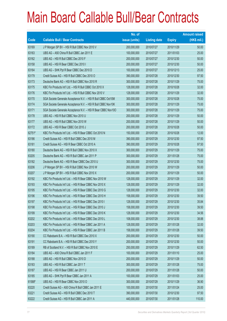|        |                                                               | No. of        |                     |               | <b>Amount raised</b> |
|--------|---------------------------------------------------------------|---------------|---------------------|---------------|----------------------|
| Code   | <b>Callable Bull / Bear Contracts</b>                         | issue (units) | <b>Listing date</b> | <b>Expiry</b> | (HK\$ mil.)          |
| 63169  | J P Morgan SP BV - HSI R Bull CBBC Nov 2010 V                 | 200,000,000   | 2010/07/27          | 2010/11/29    | 50.00                |
| 63163  | UBS AG - A50 China R Bull CBBC Jan 2011 E                     | 100,000,000   | 2010/07/27          | 2011/01/03    | 25.00                |
| 63162  | UBS AG - HSI R Bull CBBC Dec 2010 F                           | 200,000,000   | 2010/07/27          | 2010/12/30    | 50.00                |
| 63158  | UBS AG - HSI R Bear CBBC Dec 2010 I                           | 200,000,000   | 2010/07/27          | 2010/12/30    | 50.00                |
| 63164  | UBS AG - SHK Ppt R Bear CBBC Dec 2010 D                       | 100,000,000   | 2010/07/27          | 2010/12/13    | 25.00                |
| 63179  | Credit Suisse AG - HSI R Bull CBBC Dec 2010 O                 | 390,000,000   | 2010/07/28          | 2010/12/30    | 97.50                |
| 63173  | Deutsche Bank AG - HSI R Bull CBBC Nov 2010 R                 | 300,000,000   | 2010/07/28          | 2010/11/29    | 75.00                |
| 63175  | KBC Fin Products Int'l Ltd. - HSI R Bull CBBC Oct 2010 X      | 128,000,000   | 2010/07/28          | 2010/10/28    | 32.00                |
| 63176  | KBC Fin Products Int'l Ltd. - HSI R Bull CBBC Nov 2010 V      | 128,000,000   | 2010/07/28          | 2010/11/29    | 32.00                |
| 63170  | SGA Societe Generale Acceptance N.V. - HSI R Bull CBBC Oct10M | 300,000,000   | 2010/07/28          | 2010/10/28    | 75.00                |
| 63174  | SGA Societe Generale Acceptance N.V. - HSI R Bull CBBC Nov10K | 300,000,000   | 2010/07/28          | 2010/11/29    | 75.00                |
| 63171  | SGA Societe Generale Acceptance N.V. - HSI R Bear CBBC Nov10O | 300,000,000   | 2010/07/28          | 2010/11/29    | 75.00                |
| 63178  | UBS AG - HSI R Bull CBBC Nov 2010 U                           | 200,000,000   | 2010/07/28          | 2010/11/29    | 50.00                |
| 63177  | UBS AG - HSI R Bull CBBC Nov 2010 W                           | 200,000,000   | 2010/07/28          | 2010/11/29    | 50.00                |
| 63172  | UBS AG - HSI R Bear CBBC Oct 2010 J                           | 200,000,000   | 2010/07/28          | 2010/10/28    | 50.00                |
| 62751# | KBC Fin Products Int'l Ltd. - HSI R Bear CBBC Oct 2010 N      | 150,000,000   | 2010/07/28          | 2010/10/28    | 12.00                |
| 63186  | Credit Suisse AG - HSI R Bull CBBC Dec 2010 M                 | 390,000,000   | 2010/07/29          | 2010/12/30    | 97.50                |
| 63181  | Credit Suisse AG - HSI R Bear CBBC Oct 2010 A                 | 390,000,000   | 2010/07/29          | 2010/10/28    | 97.50                |
| 63180  | Deutsche Bank AG - HSI R Bull CBBC Nov 2010 X                 | 300,000,000   | 2010/07/29          | 2010/11/29    | 75.00                |
| 63205  | Deutsche Bank AG - HSI R Bull CBBC Jan 2011 P                 | 300,000,000   | 2010/07/29          | 2011/01/28    | 75.00                |
| 63182  | Deutsche Bank AG - HSI R Bear CBBC Dec 2010 U                 | 300,000,000   | 2010/07/29          | 2010/12/30    | 75.00                |
| 63206  | J P Morgan SP BV - HSI R Bull CBBC Nov 2010 W                 | 200,000,000   | 2010/07/29          | 2010/11/29    | 50.00                |
| 63207  | J P Morgan SP BV - HSI R Bull CBBC Nov 2010 X                 | 200,000,000   | 2010/07/29          | 2010/11/29    | 50.00                |
| 63192  | KBC Fin Products Int'l Ltd. - HSI R Bear CBBC Nov 2010 W      | 128,000,000   | 2010/07/29          | 2010/11/29    | 32.00                |
| 63193  | KBC Fin Products Int'l Ltd. - HSI R Bear CBBC Nov 2010 X      | 128,000,000   | 2010/07/29          | 2010/11/29    | 32.00                |
| 63195  | KBC Fin Products Int'l Ltd. - HSI R Bear CBBC Dec 2010 G      | 128,000,000   | 2010/07/29          | 2010/12/30    | 32.00                |
| 63196  | KBC Fin Products Int'l Ltd. - HSI R Bear CBBC Dec 2010 H      | 158,000,000   | 2010/07/29          | 2010/12/30    | 39.50                |
| 63197  | KBC Fin Products Int'l Ltd. - HSI R Bear CBBC Dec 2010 I      | 128,000,000   | 2010/07/29          | 2010/12/30    | 35.84                |
| 63198  | KBC Fin Products Int'l Ltd. - HSI R Bear CBBC Dec 2010 J      | 158,000,000   | 2010/07/29          | 2010/12/30    | 39.50                |
| 63199  | KBC Fin Products Int'l Ltd. - HSI R Bear CBBC Dec 2010 K      | 128,000,000   | 2010/07/29          | 2010/12/30    | 34.56                |
| 63202  | KBC Fin Products Int'l Ltd. - HSI R Bear CBBC Dec 2010 L      | 108,000,000   | 2010/07/29          | 2010/12/30    | 38.88                |
| 63203  | KBC Fin Products Int'l Ltd. - HSI R Bear CBBC Jan 2011 A      | 128,000,000   | 2010/07/29          | 2011/01/28    | 32.00                |
| 63204  | KBC Fin Products Int'l Ltd. - HSI R Bear CBBC Jan 2011 B      | 158,000,000   | 2010/07/29          | 2011/01/28    | 39.50                |
| 63190  | CC Rabobank B.A. - HSI R Bull CBBC Dec 2010 X                 | 200,000,000   | 2010/07/29          | 2010/12/30    | 50.00                |
| 63191  | CC Rabobank B.A. - HSI R Bull CBBC Dec 2010 Y                 | 200,000,000   | 2010/07/29          | 2010/12/30    | 50.00                |
| 63189  | RB of Scotland N.V. - HSI R Bull CBBC Nov 2010 E              | 250,000,000   | 2010/07/29          | 2010/11/29    | 62.50                |
| 63184  | UBS AG - A50 China R Bull CBBC Jan 2011 F                     | 100,000,000   | 2010/07/29          | 2011/01/10    | 25.00                |
| 63188  | UBS AG - HSI R Bull CBBC Nov 2010 D                           | 200,000,000   | 2010/07/29          | 2010/11/29    | 50.00                |
| 63183  | UBS AG - HSI R Bull CBBC Jan 2011 T                           | 300,000,000   | 2010/07/29          | 2011/01/28    | 75.00                |
| 63187  | UBS AG - HSI R Bear CBBC Jan 2011 U                           | 200,000,000   | 2010/07/29          | 2011/01/28    | 50.00                |
| 63185  | UBS AG - SHK Ppt R Bear CBBC Jan 2011 A                       | 100,000,000   | 2010/07/29          | 2011/01/03    | 25.00                |
| 61588# | UBS AG - HSI R Bear CBBC Nov 2010 O                           | 300,000,000   | 2010/07/29          | 2010/11/29    | 36.90                |
| 63220  | Credit Suisse AG - A50 China R Bull CBBC Jan 2011 E           | 100,000,000   | 2010/07/30          | 2011/01/24    | 25.00                |
| 63221  | Credit Suisse AG - HSI R Bull CBBC Dec 2010 T                 | 390,000,000   | 2010/07/30          | 2010/12/30    | 97.50                |
| 63222  | Credit Suisse AG - HSI R Bull CBBC Jan 2011 A                 | 440,000,000   | 2010/07/30          | 2011/01/28    | 110.00               |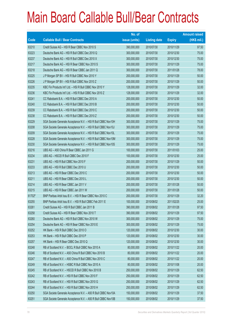|        |                                                               | No. of        |                     |               | <b>Amount raised</b> |
|--------|---------------------------------------------------------------|---------------|---------------------|---------------|----------------------|
| Code   | <b>Callable Bull / Bear Contracts</b>                         | issue (units) | <b>Listing date</b> | <b>Expiry</b> | (HK\$ mil.)          |
| 63210  | Credit Suisse AG - HSI R Bear CBBC Nov 2010 S                 | 390,000,000   | 2010/07/30          | 2010/11/29    | 97.50                |
| 63223  | Deutsche Bank AG - HSI R Bull CBBC Dec 2010 Q                 | 300,000,000   | 2010/07/30          | 2010/12/30    | 75.00                |
| 63237  | Deutsche Bank AG - HSI R Bull CBBC Dec 2010 X                 | 300,000,000   | 2010/07/30          | 2010/12/30    | 75.00                |
| 63217  | Deutsche Bank AG - HSI R Bear CBBC Nov 2010 S                 | 300,000,000   | 2010/07/30          | 2010/11/29    | 75.00                |
| 63218  | Deutsche Bank AG - HSI R Bear CBBC Jan 2011 Q                 | 300,000,000   | 2010/07/30          | 2011/01/28    | 78.00                |
| 63225  | J P Morgan SP BV - HSI R Bull CBBC Nov 2010 Y                 | 200,000,000   | 2010/07/30          | 2010/11/29    | 50.00                |
| 63226  | J P Morgan SP BV - HSI R Bull CBBC Nov 2010 Z                 | 200,000,000   | 2010/07/30          | 2010/11/29    | 50.00                |
| 63235  | KBC Fin Products Int'l Ltd. - HSI R Bull CBBC Nov 2010 Y      | 128,000,000   | 2010/07/30          | 2010/11/29    | 32.00                |
| 63236  | KBC Fin Products Int'l Ltd. - HSI R Bull CBBC Nov 2010 Z      | 128,000,000   | 2010/07/30          | 2010/11/29    | 32.00                |
| 63241  | CC Rabobank B.A. - HSI R Bull CBBC Dec 2010 A                 | 200,000,000   | 2010/07/30          | 2010/12/30    | 50.00                |
| 63240  | CC Rabobank B.A. - HSI R Bull CBBC Dec 2010 B                 | 200,000,000   | 2010/07/30          | 2010/12/30    | 50.00                |
| 63239  | CC Rabobank B.A. - HSI R Bull CBBC Dec 2010 C                 | 200,000,000   | 2010/07/30          | 2010/12/30    | 50.00                |
| 63238  | CC Rabobank B.A. - HSI R Bull CBBC Dec 2010 Z                 | 200,000,000   | 2010/07/30          | 2010/12/30    | 50.00                |
| 63229  | SGA Societe Generale Acceptance N.V. - HSI R Bull CBBC Nov10H | 300,000,000   | 2010/07/30          | 2010/11/29    | 75.00                |
| 63208  | SGA Societe Generale Acceptance N.V. - HSI R Bull CBBC Nov10J | 300,000,000   | 2010/07/30          | 2010/11/29    | 75.00                |
| 63209  | SGA Societe Generale Acceptance N.V. - HSI R Bull CBBC Nov10L | 300,000,000   | 2010/07/30          | 2010/11/29    | 75.00                |
| 63228  | SGA Societe Generale Acceptance N.V. - HSI R Bull CBBC Nov10M | 300,000,000   | 2010/07/30          | 2010/11/29    | 75.00                |
| 63230  | SGA Societe Generale Acceptance N.V. - HSI R Bull CBBC Nov10S | 300,000,000   | 2010/07/30          | 2010/11/29    | 75.00                |
| 63216  | UBS AG - A50 China R Bear CBBC Jan 2011 G                     | 100,000,000   | 2010/07/30          | 2011/01/03    | 25.00                |
| 63234  | UBS AG - HSCEI R Bull CBBC Dec 2010 F                         | 100,000,000   | 2010/07/30          | 2010/12/30    | 25.00                |
| 63231  | UBS AG - HSI R Bull CBBC Nov 2010 F                           | 200,000,000   | 2010/07/30          | 2010/11/29    | 50.00                |
| 63233  | UBS AG - HSI R Bull CBBC Dec 2010 U                           | 200,000,000   | 2010/07/30          | 2010/12/30    | 50.00                |
| 63213  | UBS AG - HSI R Bear CBBC Dec 2010 C                           | 200,000,000   | 2010/07/30          | 2010/12/30    | 50.00                |
| 63211  | UBS AG - HSI R Bear CBBC Dec 2010 L                           | 200,000,000   | 2010/07/30          | 2010/12/30    | 50.00                |
| 63214  | UBS AG - HSI R Bear CBBC Jan 2011 V                           | 200,000,000   | 2010/07/30          | 2011/01/28    | 50.00                |
| 63215  | UBS AG - HSI R Bear CBBC Jan 2011 W                           | 200,000,000   | 2010/07/30          | 2011/01/28    | 50.00                |
| 61702# | BNP Paribas Arbit Issu B.V. - HSI R Bear CBBC Nov 2010 C      | 200,000,000   | 2010/07/30          | 2010/11/29    | 32.20                |
| 63255  | BNP Paribas Arbit Issu B.V. - HSI R Bull CBBC Feb 2011 E      | 100,000,000   | 2010/08/02          | 2011/02/25    | 25.00                |
| 63261  | Credit Suisse AG - HSI R Bull CBBC Jan 2011 B                 | 390,000,000   | 2010/08/02          | 2011/01/28    | 97.50                |
| 63258  | Credit Suisse AG - HSI R Bear CBBC Nov 2010 T                 | 390,000,000   | 2010/08/02          | 2010/11/29    | 97.50                |
| 63260  | Deutsche Bank AG - HSI R Bull CBBC Nov 2010 W                 | 300,000,000   | 2010/08/02          | 2010/11/29    | 75.00                |
| 63254  | Deutsche Bank AG - HSI R Bear CBBC Nov 2010 E                 | 300,000,000   | 2010/08/02          | 2010/11/29    | 75.00                |
| 63252  | HK Bank - HSI R Bull CBBC Dec 2010 O                          | 120,000,000   | 2010/08/02          | 2010/12/30    | 30.00                |
| 63253  | HK Bank - HSI R Bull CBBC Dec 2010 P                          | 120,000,000   | 2010/08/02          | 2010/12/30    | 30.00                |
| 63257  | HK Bank - HSI R Bear CBBC Dec 2010 Q                          | 120,000,000   | 2010/08/02          | 2010/12/30    | 30.00                |
| 63248  | RB of Scotland N.V. - BOCL R Bull CBBC Nov 2010 A             | 80,000,000    | 2010/08/02          | 2010/11/22    | 20.00                |
| 63246  | RB of Scotland N.V. - A50 China R Bull CBBC Nov 2010 B        | 80,000,000    | 2010/08/02          | 2010/11/22    | 20.00                |
| 63247  | RB of Scotland N.V. - A50 China R Bull CBBC Nov 2010 C        | 80,000,000    | 2010/08/02          | 2010/11/22    | 20.00                |
| 63249  | RB of Scotland N.V. - HSBC R Bull CBBC Nov 2010 A             | 80,000,000    | 2010/08/02          | 2010/11/08    | 20.00                |
| 63245  | RB of Scotland N.V. - HSCEI R Bull CBBC Nov 2010 B            | 250,000,000   | 2010/08/02          | 2010/11/29    | 62.50                |
| 63242  | RB of Scotland N.V. - HSI R Bull CBBC Nov 2010 F              | 250,000,000   | 2010/08/02          | 2010/11/29    | 62.50                |
| 63243  | RB of Scotland N.V. - HSI R Bull CBBC Nov 2010 G              | 250,000,000   | 2010/08/02          | 2010/11/29    | 62.50                |
| 63244  | RB of Scotland N.V. - HSI R Bull CBBC Nov 2010 H              | 250,000,000   | 2010/08/02          | 2010/11/29    | 62.50                |
| 63250  | SGA Societe Generale Acceptance N.V. - A50 R Bull CBBC Nov10A | 150,000,000   | 2010/08/02          | 2010/11/29    | 37.50                |
| 63251  | SGA Societe Generale Acceptance N.V. - A50 R Bull CBBC Nov10B | 150,000,000   | 2010/08/02          | 2010/11/29    | 37.50                |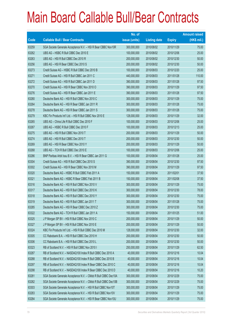|             |                                                                | No. of        |                     |               | <b>Amount raised</b> |
|-------------|----------------------------------------------------------------|---------------|---------------------|---------------|----------------------|
| <b>Code</b> | <b>Callable Bull / Bear Contracts</b>                          | issue (units) | <b>Listing date</b> | <b>Expiry</b> | $(HK$$ mil.)         |
| 63259       | SGA Societe Generale Acceptance N.V. - HSI R Bear CBBC Nov10R  | 300,000,000   | 2010/08/02          | 2010/11/29    | 75.00                |
| 63262       | UBS AG - HSBC R Bull CBBC Dec 2010 E                           | 100,000,000   | 2010/08/02          | 2010/12/06    | 25.00                |
| 63263       | UBS AG - HSI R Bull CBBC Dec 2010 R                            | 200,000,000   | 2010/08/02          | 2010/12/30    | 50.00                |
| 63256       | UBS AG - HSI R Bear CBBC Dec 2010 S                            | 200,000,000   | 2010/08/02          | 2010/12/30    | 50.00                |
| 63273       | Credit Suisse AG - HSBC R Bull CBBC Dec 2010 B                 | 100,000,000   | 2010/08/03          | 2010/12/20    | 25.00                |
| 63271       | Credit Suisse AG - HSI R Bull CBBC Jan 2011 C                  | 440,000,000   | 2010/08/03          | 2011/01/28    | 110.00               |
| 63272       | Credit Suisse AG - HSI R Bull CBBC Jan 2011 D                  | 390,000,000   | 2010/08/03          | 2011/01/28    | 97.50                |
| 63270       | Credit Suisse AG - HSI R Bear CBBC Nov 2010 O                  | 390,000,000   | 2010/08/03          | 2010/11/29    | 97.50                |
| 63276       | Credit Suisse AG - HSI R Bear CBBC Jan 2011 E                  | 390,000,000   | 2010/08/03          | 2011/01/28    | 97.50                |
| 63280       | Deutsche Bank AG - HSI R Bull CBBC Nov 2010 C                  | 300,000,000   | 2010/08/03          | 2010/11/29    | 75.00                |
| 63264       | Deutsche Bank AG - HSI R Bear CBBC Jan 2011 R                  | 300,000,000   | 2010/08/03          | 2011/01/28    | 75.00                |
| 63278       | Deutsche Bank AG - HSI R Bear CBBC Jan 2011 S                  | 300,000,000   | 2010/08/03          | 2011/01/28    | 75.00                |
| 63279       | KBC Fin Products Int'l Ltd. - HSI R Bull CBBC Nov 2010 E       | 128,000,000   | 2010/08/03          | 2010/11/29    | 32.00                |
| 63265       | UBS AG - China Life R Bull CBBC Dec 2010 F                     | 100,000,000   | 2010/08/03          | 2010/12/06    | 25.00                |
| 63267       | UBS AG - HSBC R Bull CBBC Dec 2010 F                           | 100,000,000   | 2010/08/03          | 2010/12/13    | 25.00                |
| 63275       | UBS AG - HSI R Bull CBBC Nov 2010 T                            | 200,000,000   | 2010/08/03          | 2010/11/29    | 50.00                |
| 63274       | UBS AG - HSI R Bull CBBC Dec 2010 T                            | 200,000,000   | 2010/08/03          | 2010/12/30    | 50.00                |
| 63269       | UBS AG - HSI R Bear CBBC Nov 2010 Y                            | 200,000,000   | 2010/08/03          | 2010/11/29    | 50.00                |
| 63268       | UBS AG - TCH R Bull CBBC Dec 2010 E                            | 100,000,000   | 2010/08/03          | 2010/12/06    | 25.00                |
| 63286       | BNP Paribas Arbit Issu B.V. - HSI R Bear CBBC Jan 2011 G       | 100,000,000   | 2010/08/04          | 2011/01/28    | 25.00                |
| 63304       | Credit Suisse AG - HSI R Bull CBBC Dec 2010 S                  | 390,000,000   | 2010/08/04          | 2010/12/30    | 97.50                |
| 63302       | Credit Suisse AG - HSI R Bear CBBC Nov 2010 M                  | 390,000,000   | 2010/08/04          | 2010/11/29    | 97.50                |
| 63320       | Deutsche Bank AG - HSBC R Bull CBBC Feb 2011 A                 | 150,000,000   | 2010/08/04          | 2011/02/01    | 37.50                |
| 63321       | Deutsche Bank AG - HSBC R Bear CBBC Feb 2011 B                 | 150,000,000   | 2010/08/04          | 2011/02/08    | 37.50                |
| 63316       | Deutsche Bank AG - HSI R Bull CBBC Nov 2010 V                  | 300,000,000   | 2010/08/04          | 2010/11/29    | 75.00                |
| 63317       | Deutsche Bank AG - HSI R Bull CBBC Dec 2010 K                  | 300,000,000   | 2010/08/04          | 2010/12/30    | 78.00                |
| 63318       | Deutsche Bank AG - HSI R Bull CBBC Dec 2010 Y                  | 300,000,000   | 2010/08/04          | 2010/12/30    | 75.00                |
| 63319       | Deutsche Bank AG - HSI R Bull CBBC Jan 2011 T                  | 300,000,000   | 2010/08/04          | 2011/01/28    | 75.00                |
| 63285       | Deutsche Bank AG - HSI R Bear CBBC Dec 2010 Z                  | 300,000,000   | 2010/08/04          | 2010/12/30    | 75.00                |
| 63322       | Deutsche Bank AG - TCH R Bull CBBC Jan 2011 A                  | 150,000,000   | 2010/08/04          | 2011/01/25    | 51.00                |
| 63325       | J P Morgan SP BV - HSI R Bull CBBC Nov 2010 C                  | 200,000,000   | 2010/08/04          | 2010/11/29    | 50.00                |
| 63327       | J P Morgan SP BV - HSI R Bull CBBC Nov 2010 E                  | 200,000,000   | 2010/08/04          | 2010/11/29    | 50.00                |
| 63324       | KBC Fin Products Int'l Ltd. - HSI R Bull CBBC Dec 2010 M       | 128,000,000   | 2010/08/04          | 2010/12/30    | 32.00                |
| 63305       | CC Rabobank B.A. - HSI R Bull CBBC Dec 2010 H                  | 200,000,000   | 2010/08/04          | 2010/12/30    | 50.00                |
| 63306       | CC Rabobank B.A. - HSI R Bull CBBC Dec 2010 L                  | 200,000,000   | 2010/08/04          | 2010/12/30    | 50.00                |
| 63323       | RB of Scotland N.V. - HSI R Bull CBBC Nov 2010 I               | 250,000,000   | 2010/08/04          | 2010/11/29    | 62.50                |
| 63287       | RB of Scotland N.V. - NASDAQ100 Index R Bull CBBC Dec 2010 A   | 40,000,000    | 2010/08/04          | 2010/12/16    | 10.04                |
| 63288       | RB of Scotland N.V. - NASDAQ100 Index R Bull CBBC Dec 2010 B   | 40,000,000    | 2010/08/04          | 2010/12/16    | 10.04                |
| 63297       | RB of Scotland N.V. - NASDAQ100 Index R Bear CBBC Dec 2010 C   | 40,000,000    | 2010/08/04          | 2010/12/16    | 10.04                |
| 63298       | RB of Scotland N.V. - NASDAQ100 Index R Bear CBBC Dec 2010 D   | 40,000,000    | 2010/08/04          | 2010/12/16    | 10.20                |
| 63281       | SGA Societe Generale Acceptance N.V. - CMob R Bull CBBC Dec10A | 300,000,000   | 2010/08/04          | 2010/12/29    | 75.00                |
| 63282       | SGA Societe Generale Acceptance N.V. - CMob R Bull CBBC Dec10B | 300,000,000   | 2010/08/04          | 2010/12/29    | 75.00                |
| 63303       | SGA Societe Generale Acceptance N.V. - HSI R Bull CBBC Nov10T  | 300,000,000   | 2010/08/04          | 2010/11/29    | 75.00                |
| 63283       | SGA Societe Generale Acceptance N.V. - HSI R Bull CBBC Nov10V  | 300,000,000   | 2010/08/04          | 2010/11/29    | 75.00                |
| 63284       | SGA Societe Generale Acceptance N.V. - HSI R Bear CBBC Nov10U  | 300,000,000   | 2010/08/04          | 2010/11/29    | 75.00                |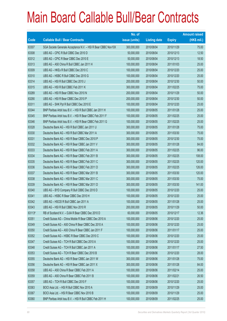|        |                                                               | No. of        |                     |               | <b>Amount raised</b> |
|--------|---------------------------------------------------------------|---------------|---------------------|---------------|----------------------|
| Code   | <b>Callable Bull / Bear Contracts</b>                         | issue (units) | <b>Listing date</b> | <b>Expiry</b> | $(HK$$ mil.)         |
| 63307  | SGA Societe Generale Acceptance N.V. - HSI R Bear CBBC Nov10X | 300,000,000   | 2010/08/04          | 2010/11/29    | 75.00                |
| 63308  | UBS AG - CPIC R Bull CBBC Dec 2010 D                          | 50,000,000    | 2010/08/04          | 2010/12/13    | 12.50                |
| 63312  | UBS AG - CPIC R Bear CBBC Dec 2010 E                          | 50,000,000    | 2010/08/04          | 2010/12/13    | 18.50                |
| 63313  | UBS AG - A50 China R Bull CBBC Jan 2011 H                     | 100,000,000   | 2010/08/04          | 2011/01/03    | 25.00                |
| 63309  | UBS AG - HKEx R Bull CBBC Dec 2010 C                          | 100,000,000   | 2010/08/04          | 2010/12/20    | 25.00                |
| 63310  | UBS AG - HSBC R Bull CBBC Dec 2010 G                          | 100,000,000   | 2010/08/04          | 2010/12/20    | 25.00                |
| 63314  | UBS AG - HSI R Bull CBBC Dec 2010 J                           | 200,000,000   | 2010/08/04          | 2010/12/30    | 50.00                |
| 63315  | UBS AG - HSI R Bull CBBC Feb 2011 K                           | 300,000,000   | 2010/08/04          | 2011/02/25    | 75.00                |
| 63289  | UBS AG - HSI R Bear CBBC Nov 2010 N                           | 200,000,000   | 2010/08/04          | 2010/11/29    | 50.00                |
| 63290  | UBS AG - HSI R Bear CBBC Dec 2010 P                           | 200,000,000   | 2010/08/04          | 2010/12/30    | 50.00                |
| 63311  | UBS AG - SHK Ppt R Bull CBBC Dec 2010 E                       | 100,000,000   | 2010/08/04          | 2010/12/20    | 25.00                |
| 63344  | BNP Paribas Arbit Issu B.V. - HSI R Bull CBBC Jan 2011 H      | 100,000,000   | 2010/08/05          | 2011/01/28    | 25.00                |
| 63345  | BNP Paribas Arbit Issu B.V. - HSI R Bear CBBC Feb 2011 F      | 100,000,000   | 2010/08/05          | 2011/02/25    | 25.00                |
| 63346  | BNP Paribas Arbit Issu B.V. - HSI R Bear CBBC Feb 2011 G      | 100,000,000   | 2010/08/05          | 2011/02/25    | 25.00                |
| 63328  | Deutsche Bank AG - HSI R Bull CBBC Jan 2011 U                 | 300,000,000   | 2010/08/05          | 2011/01/28    | 75.00                |
| 63330  | Deutsche Bank AG - HSI R Bull CBBC Mar 2011 A                 | 300,000,000   | 2010/08/05          | 2011/03/30    | 75.00                |
| 63331  | Deutsche Bank AG - HSI R Bear CBBC Dec 2010 P                 | 300,000,000   | 2010/08/05          | 2010/12/30    | 75.00                |
| 63332  | Deutsche Bank AG - HSI R Bear CBBC Jan 2011 V                 | 300,000,000   | 2010/08/05          | 2011/01/28    | 84.00                |
| 63333  | Deutsche Bank AG - HSI R Bear CBBC Feb 2011 A                 | 300,000,000   | 2010/08/05          | 2011/02/25    | 96.00                |
| 63334  | Deutsche Bank AG - HSI R Bear CBBC Feb 2011 B                 | 300,000,000   | 2010/08/05          | 2011/02/25    | 108.00               |
| 63335  | Deutsche Bank AG - HSI R Bear CBBC Feb 2011 C                 | 300,000,000   | 2010/08/05          | 2011/02/25    | 120.00               |
| 63336  | Deutsche Bank AG - HSI R Bear CBBC Feb 2011 D                 | 300,000,000   | 2010/08/05          | 2011/02/25    | 126.00               |
| 63337  | Deutsche Bank AG - HSI R Bear CBBC Mar 2011 B                 | 300,000,000   | 2010/08/05          | 2011/03/30    | 120.00               |
| 63338  | Deutsche Bank AG - HSI R Bear CBBC Mar 2011 C                 | 300,000,000   | 2010/08/05          | 2011/03/30    | 75.00                |
| 63339  | Deutsche Bank AG - HSI R Bear CBBC Mar 2011 D                 | 300,000,000   | 2010/08/05          | 2011/03/30    | 141.00               |
| 63340  | UBS AG - BYD Company R Bull CBBC Dec 2010 D                   | 100,000,000   | 2010/08/05          | 2010/12/20    | 25.00                |
| 63341  | UBS AG - HSBC R Bear CBBC Dec 2010 H                          | 100,000,000   | 2010/08/05          | 2010/12/20    | 25.00                |
| 63342  | UBS AG - HSCEI R Bull CBBC Jan 2011 A                         | 100,000,000   | 2010/08/05          | 2011/01/28    | 25.00                |
| 63343  | UBS AG - HSI R Bull CBBC Nov 2010 R                           | 200,000,000   | 2010/08/05          | 2010/11/29    | 50.00                |
| 63113# | RB of Scotland N.V. - DJIA R Bear CBBC Dec 2010 D             | 60,000,000    | 2010/08/05          | 2010/12/17    | 12.36                |
| 63351  | Credit Suisse AG - China Mobile R Bear CBBC Dec 2010 A        | 100,000,000   | 2010/08/06          | 2010/12/20    | 25.00                |
| 63349  | Credit Suisse AG - A50 China R Bear CBBC Dec 2010 A           | 100,000,000   | 2010/08/06          | 2010/12/20    | 25.00                |
| 63350  | Credit Suisse AG - A50 China R Bear CBBC Jan 2011 F           | 100,000,000   | 2010/08/06          | 2011/01/17    | 25.00                |
| 63352  | Credit Suisse AG - HSBC R Bear CBBC Dec 2010 C                | 100,000,000   | 2010/08/06          | 2010/12/20    | 25.00                |
| 63347  | Credit Suisse AG - TCH R Bull CBBC Dec 2010 A                 | 100,000,000   | 2010/08/06          | 2010/12/20    | 25.00                |
| 63348  | Credit Suisse AG - TCH R Bull CBBC Jan 2011 A                 | 100,000,000   | 2010/08/06          | 2011/01/17    | 27.50                |
| 63353  | Credit Suisse AG - TCH R Bear CBBC Dec 2010 B                 | 100,000,000   | 2010/08/06          | 2010/12/20    | 28.00                |
| 63355  | Deutsche Bank AG - HSI R Bear CBBC Jan 2011 W                 | 300,000,000   | 2010/08/06          | 2011/01/28    | 75.00                |
| 63356  | Deutsche Bank AG - HSI R Bear CBBC Jan 2011 X                 | 300,000,000   | 2010/08/06          | 2011/01/28    | 84.00                |
| 63358  | UBS AG - A50 China R Bear CBBC Feb 2011 A                     | 100,000,000   | 2010/08/06          | 2011/02/14    | 25.00                |
| 63359  | UBS AG - A50 China R Bear CBBC Feb 2011 B                     | 100,000,000   | 2010/08/06          | 2011/02/21    | 26.50                |
| 63357  | UBS AG - TCH R Bull CBBC Dec 2010 F                           | 100,000,000   | 2010/08/06          | 2010/12/20    | 25.00                |
| 63363  | BOCI Asia Ltd. - HSI R Bull CBBC Nov 2010 A                   | 100,000,000   | 2010/08/09          | 2010/11/29    | 25.00                |
| 63367  | BOCI Asia Ltd. - HSI R Bear CBBC Nov 2010 B                   | 100,000,000   | 2010/08/09          | 2010/11/29    | 25.00                |
| 63360  | BNP Paribas Arbit Issu B.V. - HSI R Bull CBBC Feb 2011 H      | 100,000,000   | 2010/08/09          | 2011/02/25    | 25.00                |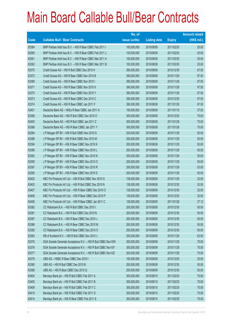|             |                                                               | No. of        |                     |               | <b>Amount raised</b> |
|-------------|---------------------------------------------------------------|---------------|---------------------|---------------|----------------------|
| <b>Code</b> | <b>Callable Bull / Bear Contracts</b>                         | issue (units) | <b>Listing date</b> | <b>Expiry</b> | $(HK$$ mil.)         |
| 63364       | BNP Paribas Arbit Issu B.V. - HSI R Bear CBBC Feb 2011 I      | 100,000,000   | 2010/08/09          | 2011/02/25    | 25.00                |
| 63365       | BNP Paribas Arbit Issu B.V. - HSI R Bear CBBC Feb 2011 J      | 100,000,000   | 2010/08/09          | 2011/02/25    | 25.00                |
| 63361       | BNP Paribas Arbit Issu B.V. - HSI R Bear CBBC Mar 2011 A      | 100,000,000   | 2010/08/09          | 2011/03/30    | 25.00                |
| 63362       | BNP Paribas Arbit Issu B.V. - HSI R Bear CBBC Mar 2011 B      | 100,000,000   | 2010/08/09          | 2011/03/30    | 25.00                |
| 63375       | Credit Suisse AG - HSI R Bull CBBC Dec 2010 H                 | 390,000,000   | 2010/08/09          | 2010/12/30    | 97.50                |
| 63372       | Credit Suisse AG - HSI R Bear CBBC Nov 2010 B                 | 390,000,000   | 2010/08/09          | 2010/11/29    | 97.50                |
| 63369       | Credit Suisse AG - HSI R Bear CBBC Nov 2010 I                 | 390,000,000   | 2010/08/09          | 2010/11/29    | 97.50                |
| 63371       | Credit Suisse AG - HSI R Bear CBBC Nov 2010 X                 | 390,000,000   | 2010/08/09          | 2010/11/29    | 97.50                |
| 63370       | Credit Suisse AG - HSI R Bear CBBC Nov 2010 Y                 | 390,000,000   | 2010/08/09          | 2010/11/29    | 97.50                |
| 63373       | Credit Suisse AG - HSI R Bear CBBC Dec 2010 C                 | 390,000,000   | 2010/08/09          | 2010/12/30    | 97.50                |
| 63374       | Credit Suisse AG - HSI R Bear CBBC Jan 2011 F                 | 390,000,000   | 2010/08/09          | 2011/01/28    | 97.50                |
| 63401       | Deutsche Bank AG - HKEx R Bear CBBC Jan 2011 A                | 150,000,000   | 2010/08/09          | 2011/01/10    | 37.50                |
| 63399       | Deutsche Bank AG - HSI R Bull CBBC Dec 2010 O                 | 300,000,000   | 2010/08/09          | 2010/12/30    | 75.00                |
| 63400       | Deutsche Bank AG - HSI R Bull CBBC Jan 2011 Z                 | 300,000,000   | 2010/08/09          | 2011/01/28    | 75.00                |
| 63368       | Deutsche Bank AG - HSI R Bear CBBC Jan 2011 Y                 | 300,000,000   | 2010/08/09          | 2011/01/28    | 75.00                |
| 63384       | J P Morgan SP BV - HSI R Bull CBBC Nov 2010 G                 | 200,000,000   | 2010/08/09          | 2010/11/29    | 50.00                |
| 63388       | J P Morgan SP BV - HSI R Bull CBBC Nov 2010 M                 | 200,000,000   | 2010/08/09          | 2010/11/29    | 50.00                |
| 63394       | J P Morgan SP BV - HSI R Bear CBBC Nov 2010 K                 | 200,000,000   | 2010/08/09          | 2010/11/29    | 50.00                |
| 63389       | J P Morgan SP BV - HSI R Bear CBBC Nov 2010 L                 | 200,000,000   | 2010/08/09          | 2010/11/29    | 50.00                |
| 63392       | J P Morgan SP BV - HSI R Bear CBBC Nov 2010 N                 | 200,000,000   | 2010/08/09          | 2010/11/29    | 50.00                |
| 63390       | J P Morgan SP BV - HSI R Bear CBBC Nov 2010 O                 | 200,000,000   | 2010/08/09          | 2010/11/29    | 50.00                |
| 63397       | J P Morgan SP BV - HSI R Bear CBBC Nov 2010 R                 | 200,000,000   | 2010/08/09          | 2010/11/29    | 53.00                |
| 63395       | J P Morgan SP BV - HSI R Bear CBBC Nov 2010 S                 | 200,000,000   | 2010/08/09          | 2010/11/29    | 50.00                |
| 63402       | KBC Fin Products Int'l Ltd. - HSI R Bull CBBC Nov 2010 G      | 128,000,000   | 2010/08/09          | 2010/11/29    | 32.00                |
| 63403       | KBC Fin Products Int'l Ltd. - HSI R Bull CBBC Dec 2010 N      | 128,000,000   | 2010/08/09          | 2010/12/30    | 32.00                |
| 63407       | KBC Fin Products Int'l Ltd. - HSI R Bear CBBC Dec 2010 O      | 128,000,000   | 2010/08/09          | 2010/12/30    | 32.00                |
| 63408       | KBC Fin Products Int'l Ltd. - HSI R Bear CBBC Dec 2010 P      | 128,000,000   | 2010/08/09          | 2010/12/30    | 32.00                |
| 63406       | KBC Fin Products Int'l Ltd. - HSI R Bear CBBC Jan 2011 C      | 128,000,000   | 2010/08/09          | 2011/01/28    | 37.12                |
| 63382       | CC Rabobank B.A. - HSI R Bull CBBC Dec 2010 I                 | 200,000,000   | 2010/08/09          | 2010/12/30    | 50.00                |
| 63381       | CC Rabobank B.A. - HSI R Bull CBBC Dec 2010 N                 | 200,000,000   | 2010/08/09          | 2010/12/30    | 50.00                |
| 63387       | CC Rabobank B.A. - HSI R Bear CBBC Dec 2010 J                 | 200,000,000   | 2010/08/09          | 2010/12/30    | 50.00                |
| 63386       | CC Rabobank B.A. - HSI R Bear CBBC Dec 2010 M                 | 200,000,000   | 2010/08/09          | 2010/12/30    | 50.00                |
| 63385       | CC Rabobank B.A. - HSI R Bear CBBC Dec 2010 O                 | 200,000,000   | 2010/08/09          | 2010/12/30    | 50.00                |
| 63383       | RB of Scotland N.V. - HSI R Bull CBBC Nov 2010 J              | 250,000,000   | 2010/08/09          | 2010/11/29    | 62.50                |
| 63376       | SGA Societe Generale Acceptance N.V. - HSI R Bull CBBC Nov10W | 300,000,000   | 2010/08/09          | 2010/11/29    | 75.00                |
| 63378       | SGA Societe Generale Acceptance N.V. - HSI R Bull CBBC Nov10Y | 300,000,000   | 2010/08/09          | 2010/11/29    | 75.00                |
| 63377       | SGA Societe Generale Acceptance N.V. - HSI R Bull CBBC Nov10Z | 300,000,000   | 2010/08/09          | 2010/11/29    | 75.00                |
| 63379       | UBS AG - HSBC R Bear CBBC Dec 2010 I                          | 100,000,000   | 2010/08/09          | 2010/12/20    | 25.00                |
| 63380       | UBS AG - HSI R Bull CBBC Dec 2010 B                           | 200,000,000   | 2010/08/09          | 2010/12/30    | 50.00                |
| 63366       | UBS AG - HSI R Bear CBBC Dec 2010 Q                           | 200,000,000   | 2010/08/09          | 2010/12/30    | 50.00                |
| 63404       | Barclays Bank plc - HSI R Bull CBBC Feb 2011 A                | 300,000,000   | 2010/08/10          | 2011/02/25    | 75.00                |
| 63405       | Barclays Bank plc - HSI R Bull CBBC Feb 2011 B                | 300,000,000   | 2010/08/10          | 2011/02/25    | 75.00                |
| 63409       | Barclays Bank plc - HSI R Bull CBBC Feb 2011 C                | 300,000,000   | 2010/08/10          | 2011/02/25    | 75.00                |
| 63410       | Barclays Bank plc - HSI R Bull CBBC Feb 2011 D                | 300,000,000   | 2010/08/10          | 2011/02/25    | 75.00                |
| 63414       | Barclays Bank plc - HSI R Bear CBBC Feb 2011 E                | 300,000,000   | 2010/08/10          | 2011/02/25    | 75.00                |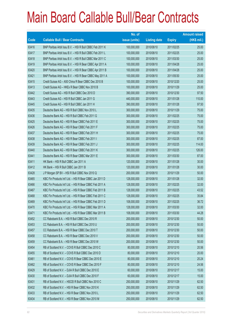|       |                                                          | No. of        |                     |               | <b>Amount raised</b> |
|-------|----------------------------------------------------------|---------------|---------------------|---------------|----------------------|
| Code  | <b>Callable Bull / Bear Contracts</b>                    | issue (units) | <b>Listing date</b> | <b>Expiry</b> | $(HK$$ mil.)         |
| 63416 | BNP Paribas Arbit Issu B.V. - HSI R Bull CBBC Feb 2011 K | 100,000,000   | 2010/08/10          | 2011/02/25    | 25.00                |
| 63417 | BNP Paribas Arbit Issu B.V. - HSI R Bull CBBC Feb 2011 L | 100,000,000   | 2010/08/10          | 2011/02/25    | 25.00                |
| 63418 | BNP Paribas Arbit Issu B.V. - HSI R Bull CBBC Mar 2011 C | 100,000,000   | 2010/08/10          | 2011/03/30    | 25.00                |
| 63419 | BNP Paribas Arbit Issu B.V. - HSI R Bear CBBC Apr 2011 A | 100,000,000   | 2010/08/10          | 2011/04/28    | 25.00                |
| 63420 | BNP Paribas Arbit Issu B.V. - HSI R Bear CBBC Apr 2011 B | 100,000,000   | 2010/08/10          | 2011/04/28    | 25.00                |
| 63421 | BNP Paribas Arbit Issu B.V. - HSI R Bear CBBC May 2011 A | 100,000,000   | 2010/08/10          | 2011/05/30    | 25.00                |
| 63415 | Credit Suisse AG - A50 China R Bear CBBC Dec 2010 B      | 100,000,000   | 2010/08/10          | 2010/12/20    | 25.00                |
| 63413 | Credit Suisse AG - HKEx R Bear CBBC Nov 2010 B           | 100,000,000   | 2010/08/10          | 2010/11/29    | 25.00                |
| 63442 | Credit Suisse AG - HSI R Bull CBBC Dec 2010 D            | 390,000,000   | 2010/08/10          | 2010/12/30    | 97.50                |
| 63443 | Credit Suisse AG - HSI R Bull CBBC Jan 2011 G            | 440,000,000   | 2010/08/10          | 2011/01/28    | 110.00               |
| 63445 | Credit Suisse AG - HSI R Bull CBBC Jan 2011 H            | 390,000,000   | 2010/08/10          | 2011/01/28    | 97.50                |
| 63435 | Deutsche Bank AG - HSI R Bull CBBC Nov 2010 L            | 300,000,000   | 2010/08/10          | 2010/11/29    | 75.00                |
| 63436 | Deutsche Bank AG - HSI R Bull CBBC Feb 2011 G            | 300,000,000   | 2010/08/10          | 2011/02/25    | 75.00                |
| 63425 | Deutsche Bank AG - HSI R Bear CBBC Feb 2011 E            | 300,000,000   | 2010/08/10          | 2011/02/25    | 75.00                |
| 63426 | Deutsche Bank AG - HSI R Bear CBBC Feb 2011 F            | 300,000,000   | 2010/08/10          | 2011/02/25    | 75.00                |
| 63437 | Deutsche Bank AG - HSI R Bear CBBC Feb 2011 H            | 300,000,000   | 2010/08/10          | 2011/02/25    | 75.00                |
| 63438 | Deutsche Bank AG - HSI R Bear CBBC Feb 2011 I            | 300,000,000   | 2010/08/10          | 2011/02/25    | 87.00                |
| 63439 | Deutsche Bank AG - HSI R Bear CBBC Feb 2011 J            | 300,000,000   | 2010/08/10          | 2011/02/25    | 114.00               |
| 63440 | Deutsche Bank AG - HSI R Bear CBBC Feb 2011 K            | 300,000,000   | 2010/08/10          | 2011/02/25    | 126.00               |
| 63441 | Deutsche Bank AG - HSI R Bear CBBC Mar 2011 E            | 300,000,000   | 2010/08/10          | 2011/03/30    | 87.00                |
| 63411 | HK Bank - HSI R Bull CBBC Jan 2011 A                     | 120,000,000   | 2010/08/10          | 2011/01/28    | 30.00                |
| 63412 | HK Bank - HSI R Bull CBBC Jan 2011 B                     | 120,000,000   | 2010/08/10          | 2011/01/28    | 30.00                |
| 63428 | J P Morgan SP BV - HSI R Bull CBBC Nov 2010 Q            | 200,000,000   | 2010/08/10          | 2010/11/29    | 50.00                |
| 63465 | KBC Fin Products Int'l Ltd. - HSI R Bear CBBC Jan 2011 D | 128,000,000   | 2010/08/10          | 2011/01/28    | 32.00                |
| 63466 | KBC Fin Products Int'l Ltd. - HSI R Bear CBBC Feb 2011 A | 128,000,000   | 2010/08/10          | 2011/02/25    | 32.00                |
| 63467 | KBC Fin Products Int'l Ltd. - HSI R Bear CBBC Feb 2011 B | 128,000,000   | 2010/08/10          | 2011/02/25    | 43.52                |
| 63468 | KBC Fin Products Int'l Ltd. - HSI R Bear CBBC Feb 2011 C | 128,000,000   | 2010/08/10          | 2011/02/25    | 35.84                |
| 63469 | KBC Fin Products Int'l Ltd. - HSI R Bear CBBC Feb 2011 D | 108,000,000   | 2010/08/10          | 2011/02/25    | 36.72                |
| 63470 | KBC Fin Products Int'l Ltd. - HSI R Bear CBBC Mar 2011 A | 128,000,000   | 2010/08/10          | 2011/03/30    | 32.00                |
| 63471 | KBC Fin Products Int'l Ltd. - HSI R Bear CBBC Mar 2011 B | 108,000,000   | 2010/08/10          | 2011/03/30    | 44.28                |
| 63452 | CC Rabobank B.A. - HSI R Bull CBBC Dec 2010 R            | 200,000,000   | 2010/08/10          | 2010/12/30    | 50.00                |
| 63453 | CC Rabobank B.A. - HSI R Bull CBBC Dec 2010 U            | 200,000,000   | 2010/08/10          | 2010/12/30    | 50.00                |
| 63457 | CC Rabobank B.A. - HSI R Bear CBBC Dec 2010 T            | 200,000,000   | 2010/08/10          | 2010/12/30    | 50.00                |
| 63458 | CC Rabobank B.A. - HSI R Bear CBBC Dec 2010 V            | 200,000,000   | 2010/08/10          | 2010/12/30    | 50.00                |
| 63459 | CC Rabobank B.A. - HSI R Bear CBBC Dec 2010 W            | 200,000,000   | 2010/08/10          | 2010/12/30    | 50.00                |
| 63454 | RB of Scotland N.V. - COVS R Bull CBBC Dec 2010 C        | 80,000,000    | 2010/08/10          | 2010/12/10    | 20.56                |
| 63455 | RB of Scotland N.V. - COVS R Bull CBBC Dec 2010 D        | 80,000,000    | 2010/08/10          | 2010/12/10    | 20.00                |
| 63461 | RB of Scotland N.V. - COVS R Bear CBBC Dec 2010 E        | 80,000,000    | 2010/08/10          | 2010/12/10    | 20.24                |
| 63462 | RB of Scotland N.V. - COVS R Bear CBBC Dec 2010 F        | 80,000,000    | 2010/08/10          | 2010/12/10    | 24.56                |
| 63429 | RB of Scotland N.V. - DJIA R Bull CBBC Dec 2010 E        | 60,000,000    | 2010/08/10          | 2010/12/17    | 15.00                |
| 63430 | RB of Scotland N.V. - DJIA R Bull CBBC Dec 2010 F        | 60,000,000    | 2010/08/10          | 2010/12/17    | 15.00                |
| 63431 | RB of Scotland N.V. - HSCEI R Bull CBBC Nov 2010 C       | 250,000,000   | 2010/08/10          | 2010/11/29    | 62.50                |
| 63432 | RB of Scotland N.V. - HSI R Bear CBBC Nov 2010 K         | 250,000,000   | 2010/08/10          | 2010/11/29    | 62.50                |
| 63433 | RB of Scotland N.V. - HSI R Bear CBBC Nov 2010 L         | 250,000,000   | 2010/08/10          | 2010/11/29    | 62.50                |
| 63434 | RB of Scotland N.V. - HSI R Bear CBBC Nov 2010 M         | 250,000,000   | 2010/08/10          | 2010/11/29    | 62.50                |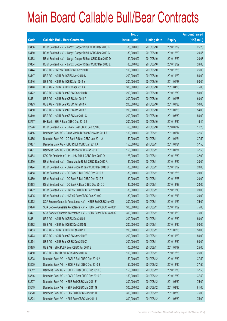|        |                                                               | No. of        |                     |               | <b>Amount raised</b> |
|--------|---------------------------------------------------------------|---------------|---------------------|---------------|----------------------|
| Code   | <b>Callable Bull / Bear Contracts</b>                         | issue (units) | <b>Listing date</b> | <b>Expiry</b> | (HK\$ mil.)          |
| 63456  | RB of Scotland N.V. - Jiangxi Copper R Bull CBBC Dec 2010 B   | 80,000,000    | 2010/08/10          | 2010/12/29    | 25.28                |
| 63460  | RB of Scotland N.V. - Jiangxi Copper R Bull CBBC Dec 2010 C   | 80,000,000    | 2010/08/10          | 2010/12/29    | 20.56                |
| 63463  | RB of Scotland N.V. - Jiangxi Copper R Bear CBBC Dec 2010 D   | 80,000,000    | 2010/08/10          | 2010/12/29    | 20.08                |
| 63464  | RB of Scotland N.V. - Jiangxi Copper R Bear CBBC Dec 2010 E   | 80,000,000    | 2010/08/10          | 2010/12/29    | 24.88                |
| 63444  | UBS AG - HKEx R Bull CBBC Dec 2010 D                          | 100,000,000   | 2010/08/10          | 2010/12/28    | 25.00                |
| 63447  | UBS AG - HSI R Bull CBBC Nov 2010 S                           | 200,000,000   | 2010/08/10          | 2010/11/29    | 50.00                |
| 63446  | UBS AG - HSI R Bull CBBC Jan 2011 Y                           | 200,000,000   | 2010/08/10          | 2011/01/28    | 50.00                |
| 63448  | UBS AG - HSI R Bull CBBC Apr 2011 A                           | 300,000,000   | 2010/08/10          | 2011/04/28    | 75.00                |
| 63422  | UBS AG - HSI R Bear CBBC Dec 2010 D                           | 200,000,000   | 2010/08/10          | 2010/12/30    | 50.00                |
| 63451  | UBS AG - HSI R Bear CBBC Jan 2011 A                           | 200,000,000   | 2010/08/10          | 2011/01/28    | 60.00                |
| 63423  | UBS AG - HSI R Bear CBBC Jan 2011 X                           | 200,000,000   | 2010/08/10          | 2011/01/28    | 50.00                |
| 63450  | UBS AG - HSI R Bear CBBC Jan 2011 Z                           | 200,000,000   | 2010/08/10          | 2011/01/28    | 54.00                |
| 63449  | UBS AG - HSI R Bear CBBC Mar 2011 C                           | 200,000,000   | 2010/08/10          | 2011/03/30    | 50.00                |
| 62737# | HK Bank - HSI R Bear CBBC Dec 2010 J                          | 200,000,000   | 2010/08/10          | 2010/12/30    | 19.40                |
| 62226# | RB of Scotland N.V. - DJIA R Bear CBBC Sep 2010 O             | 60,000,000    | 2010/08/10          | 2010/09/17    | 11.28                |
| 63486  | Deutsche Bank AG - China Mobile R Bear CBBC Jan 2011 A        | 150,000,000   | 2010/08/11          | 2011/01/17    | 37.50                |
| 63485  | Deutsche Bank AG - CC Bank R Bear CBBC Jan 2011 A             | 150,000,000   | 2010/08/11          | 2011/01/24    | 37.50                |
| 63487  | Deutsche Bank AG - ICBC R Bull CBBC Jan 2011 A                | 150,000,000   | 2010/08/11          | 2011/01/24    | 37.50                |
| 63491  | Deutsche Bank AG - ICBC R Bear CBBC Jan 2011 B                | 150,000,000   | 2010/08/11          | 2011/01/31    | 37.50                |
| 63484  | KBC Fin Products Int'l Ltd. - HSI R Bull CBBC Dec 2010 Q      | 128,000,000   | 2010/08/11          | 2010/12/30    | 32.00                |
| 63490  | RB of Scotland N.V. - China Mobile R Bull CBBC Dec 2010 A     | 80,000,000    | 2010/08/11          | 2010/12/22    | 20.00                |
| 63494  | RB of Scotland N.V. - China Mobile R Bear CBBC Dec 2010 B     | 80,000,000    | 2010/08/11          | 2010/12/22    | 20.00                |
| 63488  | RB of Scotland N.V. - CC Bank R Bull CBBC Dec 2010 A          | 80,000,000    | 2010/08/11          | 2010/12/28    | 20.00                |
| 63489  | RB of Scotland N.V. - CC Bank R Bull CBBC Dec 2010 B          | 80,000,000    | 2010/08/11          | 2010/12/28    | 20.00                |
| 63493  | RB of Scotland N.V. - CC Bank R Bear CBBC Dec 2010 C          | 80,000,000    | 2010/08/11          | 2010/12/28    | 20.00                |
| 63492  | RB of Scotland N.V. - HKEx R Bull CBBC Dec 2010 B             | 80,000,000    | 2010/08/11          | 2010/12/13    | 20.00                |
| 63495  | RB of Scotland N.V. - HKEx R Bear CBBC Dec 2010 C             | 80,000,000    | 2010/08/11          | 2010/12/13    | 20.00                |
| 63472  | SGA Societe Generale Acceptance N.V. - HSI R Bull CBBC Nov101 | 300,000,000   | 2010/08/11          | 2010/11/29    | 75.00                |
| 63478  | SGA Societe Generale Acceptance N.V. - HSI R Bear CBBC Nov10P | 300,000,000   | 2010/08/11          | 2010/11/29    | 75.00                |
| 63477  | SGA Societe Generale Acceptance N.V. - HSI R Bear CBBC Nov10Q | 300,000,000   | 2010/08/11          | 2010/11/29    | 75.00                |
| 63481  | UBS AG - HSI R Bull CBBC Dec 2010 I                           | 200,000,000   | 2010/08/11          | 2010/12/30    | 50.00                |
| 63482  | UBS AG - HSI R Bull CBBC Dec 2010 N                           | 200,000,000   | 2010/08/11          | 2010/12/30    | 50.00                |
| 63483  | UBS AG - HSI R Bull CBBC Feb 2011 L                           | 200,000,000   | 2010/08/11          | 2011/02/25    | 50.00                |
| 63473  | UBS AG - HSI R Bear CBBC Nov 2010 Y                           | 200,000,000   | 2010/08/11          | 2010/11/29    | 50.00                |
| 63474  | UBS AG - HSI R Bear CBBC Dec 2010 Z                           | 200,000,000   | 2010/08/11          | 2010/12/30    | 50.00                |
| 63479  | UBS AG - SHK Ppt R Bear CBBC Jan 2011 B                       | 100,000,000   | 2010/08/11          | 2011/01/17    | 25.00                |
| 63480  | UBS AG - TCH R Bull CBBC Dec 2010 G                           | 100,000,000   | 2010/08/11          | 2010/12/28    | 25.00                |
| 63508  | Deutsche Bank AG - HSCEI R Bull CBBC Dec 2010 A               | 150,000,000   | 2010/08/12          | 2010/12/30    | 37.50                |
| 63509  | Deutsche Bank AG - HSCEI R Bull CBBC Dec 2010 B               | 150,000,000   | 2010/08/12          | 2010/12/30    | 37.50                |
| 63512  | Deutsche Bank AG - HSCEI R Bear CBBC Dec 2010 C               | 150,000,000   | 2010/08/12          | 2010/12/30    | 37.50                |
| 63516  | Deutsche Bank AG - HSCEI R Bear CBBC Dec 2010 D               | 150,000,000   | 2010/08/12          | 2010/12/30    | 37.50                |
| 63507  | Deutsche Bank AG - HSI R Bull CBBC Mar 2011 F                 | 300,000,000   | 2010/08/12          | 2011/03/30    | 75.00                |
| 63519  | Deutsche Bank AG - HSI R Bull CBBC Mar 2011 G                 | 300,000,000   | 2010/08/12          | 2011/03/30    | 81.00                |
| 63520  | Deutsche Bank AG - HSI R Bull CBBC Mar 2011 H                 | 300,000,000   | 2010/08/12          | 2011/03/30    | 75.00                |
| 63524  | Deutsche Bank AG - HSI R Bear CBBC Mar 2011 I                 | 300,000,000   | 2010/08/12          | 2011/03/30    | 75.00                |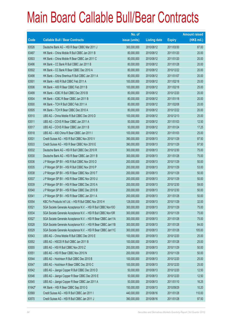|        |                                                               | No. of        |                     |               | <b>Amount raised</b> |
|--------|---------------------------------------------------------------|---------------|---------------------|---------------|----------------------|
| Code   | <b>Callable Bull / Bear Contracts</b>                         | issue (units) | <b>Listing date</b> | <b>Expiry</b> | $(HK$$ mil.)         |
| 63526  | Deutsche Bank AG - HSI R Bear CBBC Mar 2011 J                 | 300,000,000   | 2010/08/12          | 2011/03/30    | 87.00                |
| 63497  | HK Bank - China Mobile R Bull CBBC Jan 2011 B                 | 80,000,000    | 2010/08/12          | 2011/01/20    | 20.00                |
| 63503  | HK Bank - China Mobile R Bear CBBC Jan 2011 C                 | 80,000,000    | 2010/08/12          | 2011/01/20    | 20.00                |
| 63496  | HK Bank - CC Bank R Bull CBBC Jan 2011 B                      | 80,000,000    | 2010/08/12          | 2011/01/28    | 20.00                |
| 63502  | HK Bank - CC Bank R Bear CBBC Dec 2010 A                      | 80,000,000    | 2010/08/12          | 2010/12/22    | 20.00                |
| 63498  | HK Bank - China Shenhua R Bull CBBC Jan 2011 A                | 80,000,000    | 2010/08/12          | 2011/01/07    | 20.00                |
| 63501  | HK Bank - A50 R Bull CBBC Feb 2011 A                          | 100,000,000   | 2010/08/12          | 2011/02/18    | 25.00                |
| 63506  | HK Bank - A50 R Bear CBBC Feb 2011 B                          | 100,000,000   | 2010/08/12          | 2011/02/18    | 25.00                |
| 63499  | HK Bank - ICBC R Bull CBBC Dec 2010 B                         | 80,000,000    | 2010/08/12          | 2010/12/20    | 20.00                |
| 63504  | HK Bank - ICBC R Bear CBBC Jan 2011 B                         | 80,000,000    | 2010/08/12          | 2011/01/18    | 20.00                |
| 63500  | HK Bank - TCH R Bull CBBC Feb 2011 A                          | 80,000,000    | 2010/08/12          | 2011/02/08    | 20.00                |
| 63505  | HK Bank - TCH R Bear CBBC Dec 2010 A                          | 80,000,000    | 2010/08/12          | 2010/12/22    | 20.00                |
| 63510  | UBS AG - China Mobile R Bull CBBC Dec 2010 D                  | 100,000,000   | 2010/08/12          | 2010/12/13    | 25.00                |
| 63511  | UBS AG - COVS R Bear CBBC Jan 2011 A                          | 50,000,000    | 2010/08/12          | 2011/01/03    | 12.50                |
| 63517  | UBS AG - COVS R Bear CBBC Jan 2011 B                          | 50,000,000    | 2010/08/12          | 2011/01/24    | 17.25                |
| 63518  | UBS AG - A50 China R Bear CBBC Jan 2011 I                     | 100,000,000   | 2010/08/12          | 2011/01/03    | 25.00                |
| 63531  | Credit Suisse AG - HSI R Bull CBBC Nov 2010 V                 | 390,000,000   | 2010/08/13          | 2010/11/29    | 97.50                |
| 63533  | Credit Suisse AG - HSI R Bear CBBC Nov 2010 E                 | 390,000,000   | 2010/08/13          | 2010/11/29    | 97.50                |
| 63532  | Deutsche Bank AG - HSI R Bull CBBC Dec 2010 R                 | 300,000,000   | 2010/08/13          | 2010/12/30    | 75.00                |
| 63530  | Deutsche Bank AG - HSI R Bear CBBC Jan 2011 B                 | 300,000,000   | 2010/08/13          | 2011/01/28    | 75.00                |
| 63536  | J P Morgan SP BV - HSI R Bull CBBC Nov 2010 D                 | 200,000,000   | 2010/08/13          | 2010/11/29    | 50.00                |
| 63535  | J P Morgan SP BV - HSI R Bull CBBC Nov 2010 P                 | 200,000,000   | 2010/08/13          | 2010/11/29    | 53.00                |
| 63538  | J P Morgan SP BV - HSI R Bear CBBC Nov 2010 T                 | 200,000,000   | 2010/08/13          | 2010/11/29    | 50.00                |
| 63537  | J P Morgan SP BV - HSI R Bear CBBC Nov 2010 U                 | 200,000,000   | 2010/08/13          | 2010/11/29    | 50.00                |
| 63539  | J P Morgan SP BV - HSI R Bear CBBC Dec 2010 A                 | 200,000,000   | 2010/08/13          | 2010/12/30    | 59.00                |
| 63540  | J P Morgan SP BV - HSI R Bear CBBC Dec 2010 B                 | 200,000,000   | 2010/08/13          | 2010/12/30    | 50.00                |
| 63541  | J P Morgan SP BV - HSI R Bear CBBC Jan 2011 A                 | 200,000,000   | 2010/08/13          | 2011/01/28    | 50.00                |
| 63554  | KBC Fin Products Int'l Ltd. - HSI R Bull CBBC Nov 2010 H      | 128,000,000   | 2010/08/13          | 2010/11/29    | 32.00                |
| 63521  | SGA Societe Generale Acceptance N.V. - HSI R Bull CBBC Nov100 | 300,000,000   | 2010/08/13          | 2010/11/29    | 75.00                |
| 63534  | SGA Societe Generale Acceptance N.V. - HSI R Bull CBBC Nov10R | 300,000,000   | 2010/08/13          | 2010/11/29    | 75.00                |
| 63527  | SGA Societe Generale Acceptance N.V. - HSI R Bear CBBC Jan11A | 300,000,000   | 2010/08/13          | 2011/01/28    | 75.00                |
| 63528  | SGA Societe Generale Acceptance N.V. - HSI R Bear CBBC Jan11B | 300,000,000   | 2010/08/13          | 2011/01/28    | 84.00                |
| 63529  | SGA Societe Generale Acceptance N.V. - HSI R Bear CBBC Jan11C | 300,000,000   | 2010/08/13          | 2011/01/28    | 105.00               |
| 63543  | UBS AG - China Mobile R Bull CBBC Dec 2010 E                  | 100,000,000   | 2010/08/13          | 2010/12/20    | 25.00                |
| 63552  | UBS AG - HSCEI R Bull CBBC Jan 2011 B                         | 100,000,000   | 2010/08/13          | 2011/01/28    | 25.00                |
| 63555  | UBS AG - HSI R Bull CBBC Nov 2010 Z                           | 200,000,000   | 2010/08/13          | 2010/11/29    | 50.00                |
| 63551  | UBS AG - HSI R Bear CBBC Nov 2010 N                           | 200,000,000   | 2010/08/13          | 2010/11/29    | 50.00                |
| 63544  | UBS AG - Hutchison R Bull CBBC Dec 2010 B                     | 100,000,000   | 2010/08/13          | 2010/12/20    | 25.00                |
| 63547  | UBS AG - Hutchison R Bear CBBC Dec 2010 C                     | 100,000,000   | 2010/08/13          | 2010/12/20    | 25.00                |
| 63542  | UBS AG - Jiangxi Copper R Bull CBBC Dec 2010 D                | 50,000,000    | 2010/08/13          | 2010/12/20    | 12.50                |
| 63546  | UBS AG - Jiangxi Copper R Bear CBBC Dec 2010 E                | 50,000,000    | 2010/08/13          | 2010/12/20    | 12.50                |
| 63545  | UBS AG - Jiangxi Copper R Bear CBBC Jan 2011 A                | 50,000,000    | 2010/08/13          | 2011/01/10    | 16.25                |
| 61642# | HK Bank - HSI R Bear CBBC Sep 2010 G                          | 150,000,000   | 2010/08/13          | 2010/09/29    | 10.20                |
| 63569  | Credit Suisse AG - HSI R Bull CBBC Jan 2011 I                 | 440,000,000   | 2010/08/16          | 2011/01/28    | 110.00               |
| 63570  | Credit Suisse AG - HSI R Bull CBBC Jan 2011 J                 | 390,000,000   | 2010/08/16          | 2011/01/28    | 97.50                |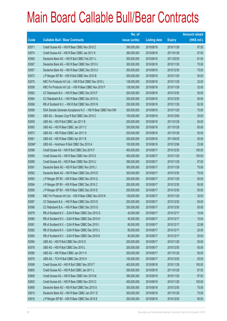|        |                                                               | No. of        |                     |               | <b>Amount raised</b> |
|--------|---------------------------------------------------------------|---------------|---------------------|---------------|----------------------|
| Code   | <b>Callable Bull / Bear Contracts</b>                         | issue (units) | <b>Listing date</b> | <b>Expiry</b> | (HK\$ mil.)          |
| 63571  | Credit Suisse AG - HSI R Bear CBBC Nov 2010 Z                 | 390,000,000   | 2010/08/16          | 2010/11/29    | 97.50                |
| 63574  | Credit Suisse AG - HSI R Bear CBBC Jan 2011 K                 | 390,000,000   | 2010/08/16          | 2011/01/28    | 97.50                |
| 63565  | Deutsche Bank AG - HSI R Bull CBBC Feb 2011 L                 | 300,000,000   | 2010/08/16          | 2011/02/25    | 81.00                |
| 63567  | Deutsche Bank AG - HSI R Bear CBBC Nov 2010 U                 | 300,000,000   | 2010/08/16          | 2010/11/29    | 75.00                |
| 63557  | Deutsche Bank AG - HSI R Bear CBBC Dec 2010 U                 | 300,000,000   | 2010/08/16          | 2010/12/30    | 75.00                |
| 63572  | J P Morgan SP BV - HSI R Bull CBBC Nov 2010 B                 | 200,000,000   | 2010/08/16          | 2010/11/29    | 50.00                |
| 63575  | KBC Fin Products Int'l Ltd. - HSI R Bull CBBC Nov 2010 L      | 128,000,000   | 2010/08/16          | 2010/11/29    | 32.00                |
| 63558  | KBC Fin Products Int'l Ltd. - HSI R Bear CBBC Nov 2010 F      | 128,000,000   | 2010/08/16          | 2010/11/29    | 32.00                |
| 63562  | CC Rabobank B.A. - HSI R Bear CBBC Dec 2010 F                 | 200,000,000   | 2010/08/16          | 2010/12/30    | 50.00                |
| 63564  | CC Rabobank B.A. - HSI R Bear CBBC Dec 2010 Q                 | 200,000,000   | 2010/08/16          | 2010/12/30    | 50.00                |
| 63568  | RB of Scotland N.V. - HSI R Bull CBBC Nov 2010 N              | 250,000,000   | 2010/08/16          | 2010/11/29    | 62.50                |
| 63556  | SGA Societe Generale Acceptance N.V. - HSI R Bear CBBC Nov10N | 300,000,000   | 2010/08/16          | 2010/11/29    | 75.00                |
| 63560  | UBS AG - Sinopec Corp R Bull CBBC Dec 2010 C                  | 100,000,000   | 2010/08/16          | 2010/12/06    | 25.00                |
| 63559  | UBS AG - HSI R Bull CBBC Jan 2011 B                           | 200,000,000   | 2010/08/16          | 2011/01/28    | 50.00                |
| 63563  | UBS AG - HSI R Bear CBBC Jan 2011 C                           | 200,000,000   | 2010/08/16          | 2011/01/28    | 65.00                |
| 63573  | UBS AG - HSI R Bear CBBC Jan 2011 D                           | 200,000,000   | 2010/08/16          | 2011/01/28    | 50.00                |
| 63561  | UBS AG - HSI R Bear CBBC Apr 2011 B                           | 200,000,000   | 2010/08/16          | 2011/04/28    | 50.00                |
| 62064# | UBS AG - Hutchison R Bull CBBC Dec 2010 A                     | 100,000,000   | 2010/08/16          | 2010/12/06    | 23.90                |
| 63588  | Credit Suisse AG - HSI R Bull CBBC Dec 2010 F                 | 400,000,000   | 2010/08/17          | 2010/12/30    | 100.00               |
| 63590  | Credit Suisse AG - HSI R Bear CBBC Nov 2010 S                 | 400,000,000   | 2010/08/17          | 2010/11/29    | 100.00               |
| 63589  | Credit Suisse AG - HSI R Bear CBBC Nov 2010 U                 | 390,000,000   | 2010/08/17          | 2010/11/29    | 97.50                |
| 63591  | Deutsche Bank AG - HSI R Bull CBBC Nov 2010 J                 | 300,000,000   | 2010/08/17          | 2010/11/29    | 75.00                |
| 63592  | Deutsche Bank AG - HSI R Bear CBBC Dec 2010 D                 | 300,000,000   | 2010/08/17          | 2010/12/30    | 75.00                |
| 63593  | J P Morgan SP BV - HSI R Bear CBBC Nov 2010 Q                 | 200,000,000   | 2010/08/17          | 2010/11/29    | 50.00                |
| 63594  | J P Morgan SP BV - HSI R Bear CBBC Dec 2010 C                 | 200,000,000   | 2010/08/17          | 2010/12/30    | 50.00                |
| 63595  | J P Morgan SP BV - HSI R Bear CBBC Dec 2010 D                 | 200,000,000   | 2010/08/17          | 2010/12/30    | 50.00                |
| 63596  | KBC Fin Products Int'l Ltd. - HSI R Bear CBBC Nov 2010 N      | 128,000,000   | 2010/08/17          | 2010/11/29    | 32.00                |
| 63587  | CC Rabobank B.A. - HSI R Bear CBBC Dec 2010 D                 | 200,000,000   | 2010/08/17          | 2010/12/30    | 50.00                |
| 63586  | CC Rabobank B.A. - HSI R Bear CBBC Dec 2010 G                 | 200,000,000   | 2010/08/17          | 2010/12/30    | 50.00                |
| 63579  | RB of Scotland N.V. - DJIA R Bear CBBC Dec 2010 G             | 40,000,000    | 2010/08/17          | 2010/12/17    | 10.04                |
| 63580  | RB of Scotland N.V. - DJIA R Bear CBBC Dec 2010 H             | 40,000,000    | 2010/08/17          | 2010/12/17    | 10.04                |
| 63581  | RB of Scotland N.V. - DJIA R Bear CBBC Dec 2010 I             | 80,000,000    | 2010/08/17          | 2010/12/17    | 22.88                |
| 63582  | RB of Scotland N.V. - DJIA R Bear CBBC Dec 2010 J             | 80,000,000    | 2010/08/17          | 2010/12/17    | 20.00                |
| 63583  | RB of Scotland N.V. - DJIA R Bear CBBC Dec 2010 K             | 80,000,000    | 2010/08/17          | 2010/12/17    | 20.00                |
| 63584  | UBS AG - HSI R Bull CBBC Nov 2010 S                           | 200,000,000   | 2010/08/17          | 2010/11/29    | 50.00                |
| 63578  | UBS AG - HSI R Bull CBBC Dec 2010 L                           | 200,000,000   | 2010/08/17          | 2010/12/30    | 50.00                |
| 63585  | UBS AG - HSI R Bear CBBC Jan 2011 H                           | 200,000,000   | 2010/08/17          | 2011/01/28    | 50.00                |
| 63576  | UBS AG - TCH R Bull CBBC Dec 2010 H                           | 100,000,000   | 2010/08/17          | 2010/12/20    | 25.00                |
| 63599  | Credit Suisse AG - HSI R Bull CBBC Nov 2010 T                 | 400,000,000   | 2010/08/18          | 2010/11/29    | 100.00               |
| 63600  | Credit Suisse AG - HSI R Bull CBBC Jan 2011 L                 | 390,000,000   | 2010/08/18          | 2011/01/28    | 97.50                |
| 63609  | Credit Suisse AG - HSI R Bear CBBC Nov 2010 M                 | 390,000,000   | 2010/08/18          | 2010/11/29    | 97.50                |
| 63603  | Credit Suisse AG - HSI R Bear CBBC Nov 2010 O                 | 400,000,000   | 2010/08/18          | 2010/11/29    | 100.00               |
| 63608  | Deutsche Bank AG - HSI R Bull CBBC Dec 2010 S                 | 300,000,000   | 2010/08/18          | 2010/12/30    | 75.00                |
| 63615  | Deutsche Bank AG - HSI R Bear CBBC Jan 2011 D                 | 300,000,000   | 2010/08/18          | 2011/01/28    | 75.00                |
| 63616  | J P Morgan SP BV - HSI R Bear CBBC Dec 2010 E                 | 200,000,000   | 2010/08/18          | 2010/12/30    | 50.00                |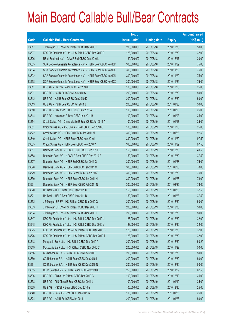|       |                                                               | No. of        |                     |               | <b>Amount raised</b> |
|-------|---------------------------------------------------------------|---------------|---------------------|---------------|----------------------|
| Code  | <b>Callable Bull / Bear Contracts</b>                         | issue (units) | <b>Listing date</b> | <b>Expiry</b> | $(HK$$ mil.)         |
| 63617 | J P Morgan SP BV - HSI R Bear CBBC Dec 2010 F                 | 200,000,000   | 2010/08/18          | 2010/12/30    | 50.00                |
| 63607 | KBC Fin Products Int'l Ltd. - HSI R Bull CBBC Dec 2010 R      | 128,000,000   | 2010/08/18          | 2010/12/30    | 32.00                |
| 63606 | RB of Scotland N.V. - DJIA R Bull CBBC Dec 2010 L             | 80,000,000    | 2010/08/18          | 2010/12/17    | 20.00                |
| 63605 | SGA Societe Generale Acceptance N.V. - HSI R Bear CBBC Nov10P | 300,000,000   | 2010/08/18          | 2010/11/29    | 75.00                |
| 63604 | SGA Societe Generale Acceptance N.V. - HSI R Bear CBBC Nov10Q | 300,000,000   | 2010/08/18          | 2010/11/29    | 75.00                |
| 63602 | SGA Societe Generale Acceptance N.V. - HSI R Bear CBBC Nov10U | 300,000,000   | 2010/08/18          | 2010/11/29    | 75.00                |
| 63598 | SGA Societe Generale Acceptance N.V. - HSI R Bear CBBC Nov10X | 300,000,000   | 2010/08/18          | 2010/11/29    | 75.00                |
| 63611 | UBS AG - HKEx R Bear CBBC Dec 2010 E                          | 100,000,000   | 2010/08/18          | 2010/12/20    | 25.00                |
| 63601 | UBS AG - HSI R Bull CBBC Dec 2010 S                           | 200,000,000   | 2010/08/18          | 2010/12/30    | 50.00                |
| 63612 | UBS AG - HSI R Bear CBBC Dec 2010 K                           | 200,000,000   | 2010/08/18          | 2010/12/30    | 50.00                |
| 63613 | UBS AG - HSI R Bear CBBC Jan 2011 J                           | 200,000,000   | 2010/08/18          | 2011/01/28    | 50.00                |
| 63610 | UBS AG - Hutchison R Bull CBBC Jan 2011 A                     | 100,000,000   | 2010/08/18          | 2011/01/03    | 25.00                |
| 63614 | UBS AG - Hutchison R Bear CBBC Jan 2011 B                     | 100,000,000   | 2010/08/18          | 2011/01/03    | 25.00                |
| 63654 | Credit Suisse AG - China Mobile R Bear CBBC Jan 2011 A        | 100,000,000   | 2010/08/19          | 2011/01/17    | 25.00                |
| 63651 | Credit Suisse AG - A50 China R Bear CBBC Dec 2010 C           | 100,000,000   | 2010/08/19          | 2010/12/20    | 25.00                |
| 63622 | Credit Suisse AG - HSI R Bull CBBC Jan 2011 M                 | 390,000,000   | 2010/08/19          | 2011/01/28    | 97.50                |
| 63649 | Credit Suisse AG - HSI R Bear CBBC Nov 2010 I                 | 390,000,000   | 2010/08/19          | 2010/11/29    | 97.50                |
| 63635 | Credit Suisse AG - HSI R Bear CBBC Nov 2010 Y                 | 390,000,000   | 2010/08/19          | 2010/11/29    | 97.50                |
| 63657 | Deutsche Bank AG - HSCEI R Bull CBBC Dec 2010 E               | 150,000,000   | 2010/08/19          | 2010/12/30    | 40.50                |
| 63658 | Deutsche Bank AG - HSCEI R Bear CBBC Dec 2010 F               | 150,000,000   | 2010/08/19          | 2010/12/30    | 37.50                |
| 63627 | Deutsche Bank AG - HSI R Bull CBBC Jan 2011 G                 | 300,000,000   | 2010/08/19          | 2011/01/28    | 75.00                |
| 63628 | Deutsche Bank AG - HSI R Bull CBBC Feb 2011 M                 | 300,000,000   | 2010/08/19          | 2011/02/25    | 78.00                |
| 63629 | Deutsche Bank AG - HSI R Bear CBBC Dec 2010 Z                 | 300,000,000   | 2010/08/19          | 2010/12/30    | 75.00                |
| 63630 | Deutsche Bank AG - HSI R Bear CBBC Jan 2011 H                 | 300,000,000   | 2010/08/19          | 2011/01/28    | 78.00                |
| 63631 | Deutsche Bank AG - HSI R Bear CBBC Feb 2011 N                 | 300,000,000   | 2010/08/19          | 2011/02/25    | 78.00                |
| 63620 | HK Bank - HSI R Bear CBBC Jan 2011 C                          | 150,000,000   | 2010/08/19          | 2011/01/28    | 37.50                |
| 63621 | HK Bank - HSI R Bear CBBC Jan 2011 D                          | 150,000,000   | 2010/08/19          | 2011/01/28    | 37.50                |
| 63632 | J P Morgan SP BV - HSI R Bear CBBC Dec 2010 G                 | 200,000,000   | 2010/08/19          | 2010/12/30    | 50.00                |
| 63633 | J P Morgan SP BV - HSI R Bear CBBC Dec 2010 H                 | 200,000,000   | 2010/08/19          | 2010/12/30    | 50.00                |
| 63634 | J P Morgan SP BV - HSI R Bear CBBC Dec 2010 I                 | 200,000,000   | 2010/08/19          | 2010/12/30    | 50.00                |
| 63647 | KBC Fin Products Int'l Ltd. - HSI R Bull CBBC Dec 2010 U      | 128,000,000   | 2010/08/19          | 2010/12/30    | 32.00                |
| 63648 | KBC Fin Products Int'l Ltd. - HSI R Bull CBBC Dec 2010 V      | 128,000,000   | 2010/08/19          | 2010/12/30    | 32.00                |
| 63625 | KBC Fin Products Int'l Ltd. - HSI R Bear CBBC Dec 2010 S      | 128,000,000   | 2010/08/19          | 2010/12/30    | 32.00                |
| 63626 | KBC Fin Products Int'l Ltd. - HSI R Bear CBBC Dec 2010 T      | 128,000,000   | 2010/08/19          | 2010/12/30    | 32.00                |
| 63618 | Macquarie Bank Ltd. - HSI R Bull CBBC Dec 2010 A              | 200,000,000   | 2010/08/19          | 2010/12/30    | 50.20                |
| 63619 | Macquarie Bank Ltd. - HSI R Bear CBBC Nov 2010 C              | 200,000,000   | 2010/08/19          | 2010/11/29    | 50.00                |
| 63656 | CC Rabobank B.A. - HSI R Bull CBBC Dec 2010 T                 | 200,000,000   | 2010/08/19          | 2010/12/30    | 50.00                |
| 63660 | CC Rabobank B.A. - HSI R Bear CBBC Dec 2010 I                 | 200,000,000   | 2010/08/19          | 2010/12/30    | 50.00                |
| 63661 | CC Rabobank B.A. - HSI R Bear CBBC Dec 2010 N                 | 200,000,000   | 2010/08/19          | 2010/12/30    | 50.00                |
| 63655 | RB of Scotland N.V. - HSI R Bear CBBC Nov 2010 O              | 250,000,000   | 2010/08/19          | 2010/11/29    | 62.50                |
| 63636 | UBS AG - China Life R Bear CBBC Dec 2010 G                    | 100,000,000   | 2010/08/19          | 2010/12/13    | 25.00                |
| 63638 | UBS AG - A50 China R Bear CBBC Jan 2011 J                     | 100,000,000   | 2010/08/19          | 2011/01/10    | 25.00                |
| 63639 | UBS AG - HSCEI R Bear CBBC Dec 2010 G                         | 100,000,000   | 2010/08/19          | 2010/12/30    | 25.00                |
| 63640 | UBS AG - HSCEI R Bear CBBC Jan 2011 C                         | 100,000,000   | 2010/08/19          | 2011/01/28    | 25.00                |
| 63624 | UBS AG - HSI R Bull CBBC Jan 2011 I                           | 200,000,000   | 2010/08/19          | 2011/01/28    | 50.00                |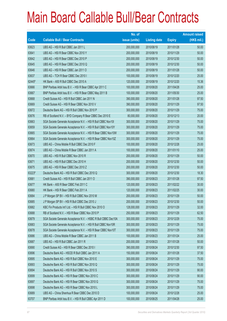|        |                                                                | No. of        |                     |               | <b>Amount raised</b> |
|--------|----------------------------------------------------------------|---------------|---------------------|---------------|----------------------|
| Code   | <b>Callable Bull / Bear Contracts</b>                          | issue (units) | <b>Listing date</b> | <b>Expiry</b> | (HK\$ mil.)          |
| 63623  | UBS AG - HSI R Bull CBBC Jan 2011 L                            | 200,000,000   | 2010/08/19          | 2011/01/28    | 50.00                |
| 63641  | UBS AG - HSI R Bear CBBC Nov 2010 Y                            | 200,000,000   | 2010/08/19          | 2010/11/29    | 50.00                |
| 63642  | UBS AG - HSI R Bear CBBC Dec 2010 P                            | 200,000,000   | 2010/08/19          | 2010/12/30    | 50.00                |
| 63645  | UBS AG - HSI R Bear CBBC Dec 2010 Q                            | 200,000,000   | 2010/08/19          | 2010/12/30    | 50.00                |
| 63646  | UBS AG - HSI R Bear CBBC Jan 2011 O                            | 200,000,000   | 2010/08/19          | 2011/01/28    | 50.00                |
| 63637  | UBS AG - TCH R Bear CBBC Dec 2010 I                            | 100,000,000   | 2010/08/19          | 2010/12/20    | 25.00                |
| 62445# | HK Bank - A50 R Bull CBBC Dec 2010 A                           | 120,000,000   | 2010/08/19          | 2010/12/20    | 15.36                |
| 63666  | BNP Paribas Arbit Issu B.V. - HSI R Bear CBBC Apr 2011 C       | 100,000,000   | 2010/08/20          | 2011/04/28    | 25.00                |
| 63667  | BNP Paribas Arbit Issu B.V. - HSI R Bear CBBC May 2011 B       | 100,000,000   | 2010/08/20          | 2011/05/30    | 25.00                |
| 63668  | Credit Suisse AG - HSI R Bull CBBC Jan 2011 N                  | 390,000,000   | 2010/08/20          | 2011/01/28    | 97.50                |
| 63669  | Credit Suisse AG - HSI R Bear CBBC Nov 2010 V                  | 390,000,000   | 2010/08/20          | 2010/11/29    | 97.50                |
| 63672  | Deutsche Bank AG - HSI R Bull CBBC Nov 2010 P                  | 300,000,000   | 2010/08/20          | 2010/11/29    | 75.00                |
| 63676  | RB of Scotland N.V. - BYD Company R Bear CBBC Dec 2010 E       | 80,000,000    | 2010/08/20          | 2010/12/13    | 20.00                |
| 63663  | SGA Societe Generale Acceptance N.V. - HSI R Bull CBBC Nov101  | 300,000,000   | 2010/08/20          | 2010/11/29    | 75.00                |
| 63659  | SGA Societe Generale Acceptance N.V. - HSI R Bull CBBC Nov10Y  | 300,000,000   | 2010/08/20          | 2010/11/29    | 75.00                |
| 63665  | SGA Societe Generale Acceptance N.V. - HSI R Bear CBBC Nov10W  | 300,000,000   | 2010/08/20          | 2010/11/29    | 75.00                |
| 63664  | SGA Societe Generale Acceptance N.V. - HSI R Bear CBBC Nov10Z  | 300,000,000   | 2010/08/20          | 2010/11/29    | 75.00                |
| 63673  | UBS AG - China Mobile R Bull CBBC Dec 2010 F                   | 100,000,000   | 2010/08/20          | 2010/12/28    | 25.00                |
| 63674  | UBS AG - China Mobile R Bear CBBC Jan 2011 A                   | 100,000,000   | 2010/08/20          | 2011/01/10    | 25.00                |
| 63670  | UBS AG - HSI R Bull CBBC Nov 2010 R                            | 200,000,000   | 2010/08/20          | 2010/11/29    | 50.00                |
| 63671  | UBS AG - HSI R Bull CBBC Dec 2010 H                            | 200,000,000   | 2010/08/20          | 2010/12/30    | 50.00                |
| 63675  | UBS AG - HSI R Bear CBBC Dec 2010 Z                            | 200,000,000   | 2010/08/20          | 2010/12/30    | 50.00                |
| 63223# | Deutsche Bank AG - HSI R Bull CBBC Dec 2010 Q                  | 300,000,000   | 2010/08/20          | 2010/12/30    | 18.30                |
| 63681  | Credit Suisse AG - HSI R Bull CBBC Jan 2011 O                  | 390,000,000   | 2010/08/23          | 2011/01/28    | 97.50                |
| 63677  | HK Bank - A50 R Bear CBBC Feb 2011 C                           | 120,000,000   | 2010/08/23          | 2011/02/22    | 30.00                |
| 63680  | HK Bank - HSI R Bear CBBC Feb 2011 A                           | 120,000,000   | 2010/08/23          | 2011/02/25    | 30.00                |
| 63684  | J P Morgan SP BV - HSI R Bull CBBC Nov 2010 M                  | 200,000,000   | 2010/08/23          | 2010/11/29    | 50.00                |
| 63685  | J P Morgan SP BV - HSI R Bull CBBC Dec 2010 J                  | 200,000,000   | 2010/08/23          | 2010/12/30    | 50.00                |
| 63682  | KBC Fin Products Int'l Ltd. - HSI R Bull CBBC Nov 2010 O       | 128,000,000   | 2010/08/23          | 2010/11/29    | 32.00                |
| 63688  | RB of Scotland N.V. - HSI R Bear CBBC Nov 2010 P               | 250,000,000   | 2010/08/23          | 2010/11/29    | 62.50                |
| 63679  | SGA Societe Generale Acceptance N.V. - HSBC R Bull CBBC Dec10A | 300,000,000   | 2010/08/23          | 2010/12/29    | 75.00                |
| 63683  | SGA Societe Generale Acceptance N.V. - HSI R Bull CBBC Nov10R  | 300,000,000   | 2010/08/23          | 2010/11/29    | 75.00                |
| 63678  | SGA Societe Generale Acceptance N.V. - HSI R Bear CBBC Nov10T  | 300,000,000   | 2010/08/23          | 2010/11/29    | 75.00                |
| 63686  | UBS AG - China Mobile R Bear CBBC Jan 2011 B                   | 100,000,000   | 2010/08/23          | 2011/01/24    | 25.00                |
| 63687  | UBS AG - HSI R Bull CBBC Jan 2011 R                            | 200,000,000   | 2010/08/23          | 2011/01/28    | 50.00                |
| 63690  | Credit Suisse AG - HSI R Bear CBBC Dec 2010 I                  | 390,000,000   | 2010/08/24          | 2010/12/30    | 97.50                |
| 63696  | Deutsche Bank AG - HSCEI R Bull CBBC Jan 2011 A                | 150,000,000   | 2010/08/24          | 2011/01/28    | 37.50                |
| 63695  | Deutsche Bank AG - HSI R Bull CBBC Nov 2010 E                  | 300,000,000   | 2010/08/24          | 2010/11/29    | 75.00                |
| 63693  | Deutsche Bank AG - HSI R Bull CBBC Nov 2010 Q                  | 300,000,000   | 2010/08/24          | 2010/11/29    | 75.00                |
| 63694  | Deutsche Bank AG - HSI R Bull CBBC Nov 2010 S                  | 300,000,000   | 2010/08/24          | 2010/11/29    | 90.00                |
| 63699  | Deutsche Bank AG - HSI R Bear CBBC Nov 2010 C                  | 300,000,000   | 2010/08/24          | 2010/11/29    | 90.00                |
| 63697  | Deutsche Bank AG - HSI R Bear CBBC Nov 2010 G                  | 300,000,000   | 2010/08/24          | 2010/11/29    | 75.00                |
| 63698  | Deutsche Bank AG - HSI R Bear CBBC Nov 2010 L                  | 300,000,000   | 2010/08/24          | 2010/11/29    | 75.00                |
| 63689  | UBS AG - China Shenhua R Bear CBBC Dec 2010 D                  | 100,000,000   | 2010/08/24          | 2010/12/28    | 25.00                |
| 63707  | BNP Paribas Arbit Issu B.V. - HSI R Bull CBBC Apr 2011 D       | 100,000,000   | 2010/08/25          | 2011/04/28    | 25.00                |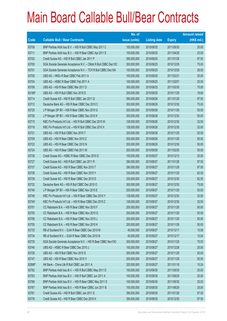|        |                                                                | No. of        |                     |               | <b>Amount raised</b> |
|--------|----------------------------------------------------------------|---------------|---------------------|---------------|----------------------|
| Code   | <b>Callable Bull / Bear Contracts</b>                          | issue (units) | <b>Listing date</b> | <b>Expiry</b> | (HK\$ mil.)          |
| 63708  | BNP Paribas Arbit Issu B.V. - HSI R Bull CBBC May 2011 C       | 100,000,000   | 2010/08/25          | 2011/05/30    | 25.00                |
| 63711  | BNP Paribas Arbit Issu B.V. - HSI R Bear CBBC Apr 2011 E       | 100,000,000   | 2010/08/25          | 2011/04/28    | 25.00                |
| 63702  | Credit Suisse AG - HSI R Bull CBBC Jan 2011 P                  | 390,000,000   | 2010/08/25          | 2011/01/28    | 97.50                |
| 63700  | SGA Societe Generale Acceptance N.V. - CMob R Bull CBBC Dec10C | 300,000,000   | 2010/08/25          | 2010/12/29    | 75.00                |
| 63701  | SGA Societe Generale Acceptance N.V. - TCH R Bull CBBC Dec10A  | 100,000,000   | 2010/08/25          | 2010/12/29    | 26.00                |
| 63705  | UBS AG - HKEx R Bear CBBC Feb 2011 A                           | 100,000,000   | 2010/08/25          | 2011/02/21    | 25.00                |
| 63704  | UBS AG - HSBC R Bear CBBC Feb 2011 A                           | 100,000,000   | 2010/08/25          | 2011/02/07    | 25.00                |
| 63706  | UBS AG - HSI R Bear CBBC Mar 2011 D                            | 300,000,000   | 2010/08/25          | 2011/03/30    | 75.00                |
| 63188# | UBS AG - HSI R Bull CBBC Nov 2010 D                            | 200,000,000   | 2010/08/25          | 2010/11/29    | 18.60                |
| 63714  | Credit Suisse AG - HSI R Bull CBBC Jan 2011 Q                  | 390,000,000   | 2010/08/26          | 2011/01/28    | 97.50                |
| 63712  | Deutsche Bank AG - HSI R Bear CBBC Dec 2010 C                  | 300,000,000   | 2010/08/26          | 2010/12/30    | 75.00                |
| 63725  | J P Morgan SP BV - HSI R Bear CBBC Nov 2010 G                  | 200,000,000   | 2010/08/26          | 2010/11/29    | 50.00                |
| 63726  | J P Morgan SP BV - HSI R Bear CBBC Dec 2010 K                  | 200,000,000   | 2010/08/26          | 2010/12/30    | 50.00                |
| 63715  | KBC Fin Products Int'l Ltd. - HSI R Bull CBBC Dec 2010 W       | 128,000,000   | 2010/08/26          | 2010/12/30    | 32.00                |
| 63716  | KBC Fin Products Int'l Ltd. - HSI R Bull CBBC Dec 2010 X       | 128,000,000   | 2010/08/26          | 2010/12/30    | 32.00                |
| 63721  | UBS AG - HSI R Bull CBBC Nov 2010 T                            | 200,000,000   | 2010/08/26          | 2010/11/29    | 50.00                |
| 63709  | UBS AG - HSI R Bear CBBC Nov 2010 Z                            | 200,000,000   | 2010/08/26          | 2010/11/29    | 50.00                |
| 63722  | UBS AG - HSI R Bear CBBC Dec 2010 N                            | 200,000,000   | 2010/08/26          | 2010/12/30    | 50.00                |
| 63724  | UBS AG - HSI R Bear CBBC Feb 2011 M                            | 200,000,000   | 2010/08/26          | 2011/02/25    | 50.00                |
| 63736  | Credit Suisse AG - HSBC R Bear CBBC Dec 2010 D                 | 100,000,000   | 2010/08/27          | 2010/12/13    | 25.00                |
| 63727  | Credit Suisse AG - HSI R Bull CBBC Jan 2011 R                  | 390,000,000   | 2010/08/27          | 2011/01/28    | 97.50                |
| 63737  | Credit Suisse AG - HSI R Bear CBBC Nov 2010 T                  | 390,000,000   | 2010/08/27          | 2010/11/29    | 97.50                |
| 63738  | Credit Suisse AG - HSI R Bear CBBC Nov 2010 Y                  | 330,000,000   | 2010/08/27          | 2010/11/29    | 82.50                |
| 63739  | Credit Suisse AG - HSI R Bear CBBC Dec 2010 D                  | 330,000,000   | 2010/08/27          | 2010/12/30    | 82.50                |
| 63732  | Deutsche Bank AG - HSI R Bull CBBC Dec 2010 O                  | 300,000,000   | 2010/08/27          | 2010/12/30    | 75.00                |
| 63740  | J P Morgan SP BV - HSI R Bear CBBC Nov 2010 E                  | 200,000,000   | 2010/08/27          | 2010/11/29    | 50.00                |
| 63748  | KBC Fin Products Int'l Ltd. - HSI R Bear CBBC Dec 2010 Y       | 128,000,000   | 2010/08/27          | 2010/12/30    | 32.00                |
| 63749  | KBC Fin Products Int'l Ltd. - HSI R Bear CBBC Dec 2010 Z       | 128,000,000   | 2010/08/27          | 2010/12/30    | 32.00                |
| 63751  | CC Rabobank B.A. - HSI R Bear CBBC Nov 2010 F                  | 200,000,000   | 2010/08/27          | 2010/11/29    | 50.00                |
| 63750  | CC Rabobank B.A. - HSI R Bear CBBC Nov 2010 G                  | 200,000,000   | 2010/08/27          | 2010/11/29    | 50.00                |
| 63756  | CC Rabobank B.A. - HSI R Bear CBBC Nov 2010 J                  | 200,000,000   | 2010/08/27          | 2010/11/29    | 50.00                |
| 63755  | CC Rabobank B.A. - HSI R Bear CBBC Nov 2010 K                  | 200,000,000   | 2010/08/27          | 2010/11/29    | 50.00                |
| 63733  | RB of Scotland N.V. - DJIA R Bear CBBC Dec 2010 M              | 40,000,000    | 2010/08/27          | 2010/12/17    | 10.08                |
| 63734  | RB of Scotland N.V. - DJIA R Bear CBBC Dec 2010 N              | 40,000,000    | 2010/08/27          | 2010/12/17    | 10.04                |
| 63735  | SGA Societe Generale Acceptance N.V. - HSI R Bear CBBC Nov10O  | 300,000,000   | 2010/08/27          | 2010/11/29    | 75.00                |
| 63746  | UBS AG - HSBC R Bear CBBC Dec 2010 J                           | 100,000,000   | 2010/08/27          | 2010/12/28    | 25.00                |
| 63728  | UBS AG - HSI R Bull CBBC Nov 2010 S                            | 200,000,000   | 2010/08/27          | 2010/11/29    | 50.00                |
| 63747  | UBS AG - HSI R Bear CBBC Nov 2010 Y                            | 200,000,000   | 2010/08/27          | 2010/11/29    | 50.00                |
| 62896# | HK Bank - China Life R Bull CBBC Jan 2011 A                    | 320,000,000   | 2010/08/27          | 2011/01/18    | 10.24                |
| 63762  | BNP Paribas Arbit Issu B.V. - HSI R Bull CBBC May 2011 D       | 100,000,000   | 2010/08/30          | 2011/05/30    | 25.00                |
| 63763  | BNP Paribas Arbit Issu B.V. - HSI R Bull CBBC Jun 2011 A       | 100,000,000   | 2010/08/30          | 2011/06/29    | 25.00                |
| 63766  | BNP Paribas Arbit Issu B.V. - HSI R Bear CBBC May 2011 E       | 100,000,000   | 2010/08/30          | 2011/05/30    | 25.00                |
| 63767  | BNP Paribas Arbit Issu B.V. - HSI R Bear CBBC Jun 2011 B       | 100,000,000   | 2010/08/30          | 2011/06/29    | 25.00                |
| 63761  | Credit Suisse AG - HSI R Bull CBBC Jan 2011 S                  | 390,000,000   | 2010/08/30          | 2011/01/28    | 97.50                |
| 63776  | Credit Suisse AG - HSI R Bear CBBC Dec 2010 H                  | 390,000,000   | 2010/08/30          | 2010/12/30    | 97.50                |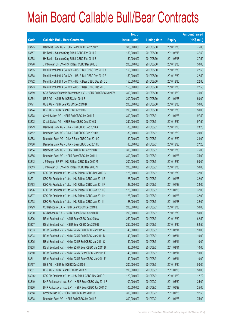|        |                                                               | No. of        |                     |               | <b>Amount raised</b> |
|--------|---------------------------------------------------------------|---------------|---------------------|---------------|----------------------|
| Code   | <b>Callable Bull / Bear Contracts</b>                         | issue (units) | <b>Listing date</b> | <b>Expiry</b> | (HK\$ mil.)          |
| 63775  | Deutsche Bank AG - HSI R Bear CBBC Dec 2010 Y                 | 300,000,000   | 2010/08/30          | 2010/12/30    | 75.00                |
| 63757  | HK Bank - Sinopec Corp R Bull CBBC Feb 2011 A                 | 150,000,000   | 2010/08/30          | 2011/02/18    | 37.50                |
| 63758  | HK Bank - Sinopec Corp R Bull CBBC Feb 2011 B                 | 150,000,000   | 2010/08/30          | 2011/02/18    | 37.50                |
| 63770  | J P Morgan SP BV - HSI R Bear CBBC Dec 2010 L                 | 200,000,000   | 2010/08/30          | 2010/12/30    | 50.00                |
| 63765  | Merrill Lynch Int'l & Co. C.V. - HSI R Bull CBBC Dec 2010 A   | 150,000,000   | 2010/08/30          | 2010/12/30    | 22.50                |
| 63768  | Merrill Lynch Int'l & Co. C.V. - HSI R Bull CBBC Dec 2010 B   | 150,000,000   | 2010/08/30          | 2010/12/30    | 22.50                |
| 63772  | Merrill Lynch Int'l & Co. C.V. - HSI R Bear CBBC Dec 2010 C   | 150,000,000   | 2010/08/30          | 2010/12/30    | 22.80                |
| 63773  | Merrill Lynch Int'l & Co. C.V. - HSI R Bear CBBC Dec 2010 D   | 150,000,000   | 2010/08/30          | 2010/12/30    | 22.50                |
| 63769  | SGA Societe Generale Acceptance N.V. - HSI R Bull CBBC Nov10V | 300,000,000   | 2010/08/30          | 2010/11/29    | 75.00                |
| 63764  | UBS AG - HSI R Bull CBBC Jan 2011 S                           | 200,000,000   | 2010/08/30          | 2011/01/28    | 50.00                |
| 63771  | UBS AG - HSI R Bear CBBC Dec 2010 B                           | 200,000,000   | 2010/08/30          | 2010/12/30    | 50.00                |
| 63774  | UBS AG - HSI R Bear CBBC Dec 2010 J                           | 200,000,000   | 2010/08/30          | 2010/12/30    | 50.00                |
| 63778  | Credit Suisse AG - HSI R Bull CBBC Jan 2011 T                 | 390,000,000   | 2010/08/31          | 2011/01/28    | 97.50                |
| 63802  | Credit Suisse AG - HSI R Bear CBBC Dec 2010 S                 | 390,000,000   | 2010/08/31          | 2010/12/30    | 97.50                |
| 63779  | Deutsche Bank AG - DJIA R Bull CBBC Dec 2010 A                | 80,000,000    | 2010/08/31          | 2010/12/20    | 23.20                |
| 63782  | Deutsche Bank AG - DJIA R Bull CBBC Dec 2010 B                | 80,000,000    | 2010/08/31          | 2010/12/20    | 20.00                |
| 63783  | Deutsche Bank AG - DJIA R Bear CBBC Dec 2010 C                | 80,000,000    | 2010/08/31          | 2010/12/20    | 24.00                |
| 63786  | Deutsche Bank AG - DJIA R Bear CBBC Dec 2010 D                | 80,000,000    | 2010/08/31          | 2010/12/20    | 27.20                |
| 63784  | Deutsche Bank AG - HSI R Bull CBBC Dec 2010 R                 | 300,000,000   | 2010/08/31          | 2010/12/30    | 75.00                |
| 63785  | Deutsche Bank AG - HSI R Bear CBBC Jan 2011 I                 | 300,000,000   | 2010/08/31          | 2011/01/28    | 75.00                |
| 63812  | J P Morgan SP BV - HSI R Bear CBBC Dec 2010 M                 | 200,000,000   | 2010/08/31          | 2010/12/30    | 50.00                |
| 63813  | J P Morgan SP BV - HSI R Bear CBBC Dec 2010 N                 | 200,000,000   | 2010/08/31          | 2010/12/30    | 50.00                |
| 63789  | KBC Fin Products Int'l Ltd. - HSI R Bear CBBC Dec 2010 C      | 128,000,000   | 2010/08/31          | 2010/12/30    | 32.00                |
| 63791  | KBC Fin Products Int'l Ltd. - HSI R Bear CBBC Jan 2011 E      | 128,000,000   | 2010/08/31          | 2011/01/28    | 32.00                |
| 63793  | KBC Fin Products Int'l Ltd. - HSI R Bear CBBC Jan 2011 F      | 128,000,000   | 2010/08/31          | 2011/01/28    | 32.00                |
| 63796  | KBC Fin Products Int'l Ltd. - HSI R Bear CBBC Jan 2011 G      | 128,000,000   | 2010/08/31          | 2011/01/28    | 32.00                |
| 63797  | KBC Fin Products Int'l Ltd. - HSI R Bear CBBC Jan 2011 H      | 128,000,000   | 2010/08/31          | 2011/01/28    | 32.00                |
| 63798  | KBC Fin Products Int'l Ltd. - HSI R Bear CBBC Jan 2011 I      | 128,000,000   | 2010/08/31          | 2011/01/28    | 32.00                |
| 63799  | CC Rabobank B.A. - HSI R Bear CBBC Dec 2010 L                 | 200,000,000   | 2010/08/31          | 2010/12/30    | 50.00                |
| 63800  | CC Rabobank B.A. - HSI R Bear CBBC Dec 2010 U                 | 200,000,000   | 2010/08/31          | 2010/12/30    | 50.00                |
| 63806  | RB of Scotland N.V. - HSI R Bear CBBC Dec 2010 A              | 250,000,000   | 2010/08/31          | 2010/12/30    | 62.50                |
| 63807  | RB of Scotland N.V. - HSI R Bear CBBC Dec 2010 B              | 250,000,000   | 2010/08/31          | 2010/12/30    | 62.50                |
| 63803  | RB of Scotland N.V. - Nikkei 225 R Bull CBBC Mar 2011 A       | 40,000,000    | 2010/08/31          | 2011/03/11    | 10.00                |
| 63804  | RB of Scotland N.V. - Nikkei 225 R Bull CBBC Mar 2011 B       | 40,000,000    | 2010/08/31          | 2011/03/11    | 10.00                |
| 63805  | RB of Scotland N.V. - Nikkei 225 R Bull CBBC Mar 2011 C       | 40,000,000    | 2010/08/31          | 2011/03/11    | 10.00                |
| 63808  | RB of Scotland N.V. - Nikkei 225 R Bear CBBC Mar 2011 D       | 40,000,000    | 2010/08/31          | 2011/03/11    | 10.00                |
| 63810  | RB of Scotland N.V. - Nikkei 225 R Bear CBBC Mar 2011 E       | 40,000,000    | 2010/08/31          | 2011/03/11    | 10.00                |
| 63811  | RB of Scotland N.V. - Nikkei 225 R Bear CBBC Mar 2011 F       | 40,000,000    | 2010/08/31          | 2011/03/11    | 10.00                |
| 63777  | UBS AG - HSI R Bull CBBC Dec 2010 I                           | 200,000,000   | 2010/08/31          | 2010/12/30    | 50.00                |
| 63801  | UBS AG - HSI R Bear CBBC Jan 2011 N                           | 200,000,000   | 2010/08/31          | 2011/01/28    | 50.00                |
| 63016# | KBC Fin Products Int'l Ltd. - HSI R Bull CBBC Nov 2010 P      | 120,000,000   | 2010/08/31          | 2010/11/29    | 12.72                |
| 63819  | BNP Paribas Arbit Issu B.V. - HSI R Bear CBBC May 2011 F      | 100,000,000   | 2010/09/01          | 2011/05/30    | 25.00                |
| 63820  | BNP Paribas Arbit Issu B.V. - HSI R Bear CBBC Jun 2011 C      | 100,000,000   | 2010/09/01          | 2011/06/29    | 25.00                |
| 63818  | Credit Suisse AG - HSI R Bull CBBC Jan 2011 U                 | 390,000,000   | 2010/09/01          | 2011/01/28    | 97.50                |
| 63838  | Deutsche Bank AG - HSI R Bull CBBC Jan 2011 F                 | 300,000,000   | 2010/09/01          | 2011/01/28    | 75.00                |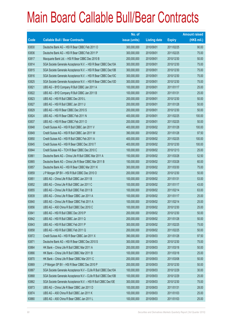|       |                                                                | No. of        |                     |               | <b>Amount raised</b> |
|-------|----------------------------------------------------------------|---------------|---------------------|---------------|----------------------|
| Code  | <b>Callable Bull / Bear Contracts</b>                          | issue (units) | <b>Listing date</b> | <b>Expiry</b> | (HK\$ mil.)          |
| 63830 | Deutsche Bank AG - HSI R Bear CBBC Feb 2011 O                  | 300,000,000   | 2010/09/01          | 2011/02/25    | 90.00                |
| 63836 | Deutsche Bank AG - HSI R Bear CBBC Feb 2011 P                  | 300,000,000   | 2010/09/01          | 2011/02/25    | 75.00                |
| 63817 | Macquarie Bank Ltd. - HSI R Bear CBBC Dec 2010 B               | 200,000,000   | 2010/09/01          | 2010/12/30    | 50.00                |
| 63814 | SGA Societe Generale Acceptance N.V. - HSI R Bear CBBC Dec10A  | 300,000,000   | 2010/09/01          | 2010/12/30    | 75.00                |
| 63815 | SGA Societe Generale Acceptance N.V. - HSI R Bear CBBC Dec10B  | 300,000,000   | 2010/09/01          | 2010/12/30    | 75.00                |
| 63816 | SGA Societe Generale Acceptance N.V. - HSI R Bear CBBC Dec10C  | 300,000,000   | 2010/09/01          | 2010/12/30    | 75.00                |
| 63825 | SGA Societe Generale Acceptance N.V. - HSI R Bear CBBC Dec10D  | 300,000,000   | 2010/09/01          | 2010/12/30    | 75.00                |
| 63821 | UBS AG - BYD Company R Bull CBBC Jan 2011 A                    | 100,000,000   | 2010/09/01          | 2011/01/17    | 25.00                |
| 63822 | UBS AG - BYD Company R Bull CBBC Jan 2011 B                    | 100,000,000   | 2010/09/01          | 2011/01/31    | 25.00                |
| 63823 | UBS AG - HSI R Bull CBBC Dec 2010 L                            | 200,000,000   | 2010/09/01          | 2010/12/30    | 50.00                |
| 63827 | UBS AG - HSI R Bull CBBC Jan 2011 U                            | 200,000,000   | 2010/09/01          | 2011/01/28    | 50.00                |
| 63829 | UBS AG - HSI R Bear CBBC Dec 2010 S                            | 200,000,000   | 2010/09/01          | 2010/12/30    | 50.00                |
| 63824 | UBS AG - HSI R Bear CBBC Feb 2011 N                            | 400,000,000   | 2010/09/01          | 2011/02/25    | 100.00               |
| 63837 | UBS AG - HSI R Bear CBBC Feb 2011 O                            | 200,000,000   | 2010/09/01          | 2011/02/25    | 50.00                |
| 63848 | Credit Suisse AG - HSI R Bull CBBC Jan 2011 V                  | 400,000,000   | 2010/09/02          | 2011/01/28    | 100.00               |
| 63849 | Credit Suisse AG - HSI R Bull CBBC Jan 2011 W                  | 390,000,000   | 2010/09/02          | 2011/01/28    | 97.50                |
| 63850 | Credit Suisse AG - HSI R Bull CBBC Feb 2011 A                  | 400,000,000   | 2010/09/02          | 2011/02/25    | 100.00               |
| 63845 | Credit Suisse AG - HSI R Bear CBBC Dec 2010 T                  | 400,000,000   | 2010/09/02          | 2010/12/30    | 100.00               |
| 63844 | Credit Suisse AG - TCH R Bear CBBC Dec 2010 C                  | 100,000,000   | 2010/09/02          | 2010/12/13    | 25.00                |
| 63861 | Deutsche Bank AG - China Life R Bull CBBC Mar 2011 A           | 150,000,000   | 2010/09/02          | 2011/03/28    | 52.50                |
| 63865 | Deutsche Bank AG - China Life R Bear CBBC Mar 2011 B           | 150,000,000   | 2010/09/02          | 2011/03/28    | 60.00                |
| 63857 | Deutsche Bank AG - HSI R Bear CBBC Mar 2011 K                  | 300,000,000   | 2010/09/02          | 2011/03/30    | 75.00                |
| 63859 | J P Morgan SP BV - HSI R Bull CBBC Dec 2010 O                  | 200,000,000   | 2010/09/02          | 2010/12/30    | 50.00                |
| 63851 | UBS AG - China Life R Bull CBBC Jan 2011 B                     | 100,000,000   | 2010/09/02          | 2011/01/31    | 53.00                |
| 63852 | UBS AG - China Life R Bull CBBC Jan 2011 C                     | 100,000,000   | 2010/09/02          | 2011/01/17    | 43.00                |
| 63855 | UBS AG - China Life R Bull CBBC Feb 2011 B                     | 100,000,000   | 2010/09/02          | 2011/02/14    | 63.00                |
| 63839 | UBS AG - China Life R Bear CBBC Jan 2011 A                     | 100,000,000   | 2010/09/02          | 2011/01/17    | 25.00                |
| 63840 | UBS AG - China Life R Bear CBBC Feb 2011 A                     | 100,000,000   | 2010/09/02          | 2011/02/14    | 25.00                |
| 63856 | UBS AG - A50 China R Bull CBBC Dec 2010 C                      | 100,000,000   | 2010/09/02          | 2010/12/30    | 25.00                |
| 63841 | UBS AG - HSI R Bull CBBC Dec 2010 P                            | 200,000,000   | 2010/09/02          | 2010/12/30    | 50.00                |
| 63842 | UBS AG - HSI R Bull CBBC Jan 2011 Q                            | 200,000,000   | 2010/09/02          | 2011/01/28    | 50.00                |
| 63843 | UBS AG - HSI R Bull CBBC Feb 2011 P                            | 300,000,000   | 2010/09/02          | 2011/02/25    | 75.00                |
| 63858 | UBS AG - HSI R Bull CBBC Feb 2011 Q                            | 200,000,000   | 2010/09/02          | 2011/02/25    | 50.00                |
| 63872 | Credit Suisse AG - HSI R Bear CBBC Jan 2011 X                  | 390,000,000   | 2010/09/03          | 2011/01/28    | 97.50                |
| 63871 | Deutsche Bank AG - HSI R Bear CBBC Dec 2010 S                  | 300,000,000   | 2010/09/03          | 2010/12/30    | 75.00                |
| 63864 | HK Bank - China Life R Bull CBBC Mar 2011 A                    | 200,000,000   | 2010/09/03          | 2011/03/18    | 50.00                |
| 63866 | HK Bank - China Life R Bull CBBC Mar 2011 B                    | 100,000,000   | 2010/09/03          | 2011/03/18    | 25.00                |
| 63870 | HK Bank - China Life R Bear CBBC Mar 2011 C                    | 200,000,000   | 2010/09/03          | 2011/03/08    | 50.00                |
| 63869 | J P Morgan SP BV - HSI R Bear CBBC Dec 2010 P                  | 200,000,000   | 2010/09/03          | 2010/12/30    | 50.00                |
| 63867 | SGA Societe Generale Acceptance N.V - CLife R Bull CBBC Dec10A | 100,000,000   | 2010/09/03          | 2010/12/29    | 30.00                |
| 63868 | SGA Societe Generale Acceptance N.V - CLife R Bull CBBC Dec10B | 100,000,000   | 2010/09/03          | 2010/12/29    | 25.00                |
| 63862 | SGA Societe Generale Acceptance N.V. - HSI R Bull CBBC Dec10E  | 300,000,000   | 2010/09/03          | 2010/12/30    | 75.00                |
| 63873 | UBS AG - China Life R Bear CBBC Jan 2011 D                     | 100,000,000   | 2010/09/03          | 2011/01/31    | 28.00                |
| 63874 | UBS AG - A50 China R Bull CBBC Jan 2011 K                      | 100,000,000   | 2010/09/03          | 2011/01/03    | 25.00                |
| 63880 | UBS AG - A50 China R Bear CBBC Jan 2011 L                      | 100,000,000   | 2010/09/03          | 2011/01/03    | 25.00                |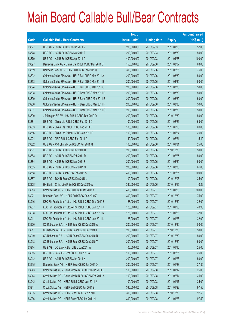|        |                                                          | No. of        |                     |               | <b>Amount raised</b> |
|--------|----------------------------------------------------------|---------------|---------------------|---------------|----------------------|
| Code   | <b>Callable Bull / Bear Contracts</b>                    | issue (units) | <b>Listing date</b> | <b>Expiry</b> | (HK\$ mil.)          |
| 63877  | UBS AG - HSI R Bull CBBC Jan 2011 V                      | 200,000,000   | 2010/09/03          | 2011/01/28    | 57.00                |
| 63878  | UBS AG - HSI R Bull CBBC Mar 2011 E                      | 200,000,000   | 2010/09/03          | 2011/03/30    | 50.00                |
| 63879  | UBS AG - HSI R Bull CBBC Apr 2011 C                      | 400,000,000   | 2010/09/03          | 2011/04/28    | 100.00               |
| 63897  | Deutsche Bank AG - China Life R Bull CBBC Mar 2011 C     | 150,000,000   | 2010/09/06          | 2011/03/07    | 63.00                |
| 63889  | Deutsche Bank AG - HSI R Bull CBBC Feb 2011 Q            | 300,000,000   | 2010/09/06          | 2011/02/25    | 75.00                |
| 63892  | Goldman Sachs SP (Asia) - HSI R Bull CBBC Mar 2011 A     | 200,000,000   | 2010/09/06          | 2011/03/30    | 50.00                |
| 63893  | Goldman Sachs SP (Asia) - HSI R Bull CBBC Mar 2011 B     | 200,000,000   | 2010/09/06          | 2011/03/30    | 50.00                |
| 63894  | Goldman Sachs SP (Asia) - HSI R Bull CBBC Mar 2011 C     | 200,000,000   | 2010/09/06          | 2011/03/30    | 50.00                |
| 63898  | Goldman Sachs SP (Asia) - HSI R Bear CBBC Mar 2011 D     | 200,000,000   | 2010/09/06          | 2011/03/30    | 50.00                |
| 63899  | Goldman Sachs SP (Asia) - HSI R Bear CBBC Mar 2011 E     | 200,000,000   | 2010/09/06          | 2011/03/30    | 50.00                |
| 63900  | Goldman Sachs SP (Asia) - HSI R Bear CBBC Mar 2011 F     | 200,000,000   | 2010/09/06          | 2011/03/30    | 50.00                |
| 63901  | Goldman Sachs SP (Asia) - HSI R Bear CBBC Mar 2011 G     | 200,000,000   | 2010/09/06          | 2011/03/30    | 50.00                |
| 63890  | J P Morgan SP BV - HSI R Bull CBBC Dec 2010 Q            | 200,000,000   | 2010/09/06          | 2010/12/30    | 50.00                |
| 63881  | UBS AG - China Life R Bull CBBC Feb 2011 C               | 100,000,000   | 2010/09/06          | 2011/02/21    | 63.00                |
| 63903  | UBS AG - China Life R Bull CBBC Feb 2011 D               | 100,000,000   | 2010/09/06          | 2011/02/28    | 69.00                |
| 63886  | UBS AG - China Life R Bear CBBC Jan 2011 E               | 100,000,000   | 2010/09/06          | 2011/01/24    | 25.00                |
| 63904  | UBS AG - CPIC R Bull CBBC Feb 2011 A                     | 40,000,000    | 2010/09/06          | 2011/02/21    | 15.40                |
| 63882  | UBS AG - A50 China R Bull CBBC Jan 2011 M                | 100,000,000   | 2010/09/06          | 2011/01/31    | 25.00                |
| 63891  | UBS AG - HSI R Bull CBBC Dec 2010 H                      | 200,000,000   | 2010/09/06          | 2010/12/30    | 50.00                |
| 63883  | UBS AG - HSI R Bull CBBC Feb 2011 R                      | 200,000,000   | 2010/09/06          | 2011/02/25    | 50.00                |
| 63884  | UBS AG - HSI R Bull CBBC Mar 2011 F                      | 200,000,000   | 2010/09/06          | 2011/03/30    | 50.00                |
| 63885  | UBS AG - HSI R Bull CBBC Mar 2011 G                      | 200,000,000   | 2010/09/06          | 2011/03/30    | 61.00                |
| 63888  | UBS AG - HSI R Bear CBBC Feb 2011 S                      | 400,000,000   | 2010/09/06          | 2011/02/25    | 100.00               |
| 63887  | UBS AG - TCH R Bear CBBC Dec 2010 J                      | 100,000,000   | 2010/09/06          | 2010/12/06    | 25.00                |
| 62308# | HK Bank - China Life R Bull CBBC Dec 2010 A              | 380,000,000   | 2010/09/06          | 2010/12/15    | 10.26                |
| 63913  | Credit Suisse AG - HSI R Bull CBBC Jan 2011 Y            | 400,000,000   | 2010/09/07          | 2011/01/28    | 100.00               |
| 63921  | Deutsche Bank AG - HSI R Bull CBBC Dec 2010 Z            | 300,000,000   | 2010/09/07          | 2010/12/30    | 75.00                |
| 63916  | KBC Fin Products Int'l Ltd. - HSI R Bull CBBC Dec 2010 E | 128,000,000   | 2010/09/07          | 2010/12/30    | 32.00                |
| 63907  | KBC Fin Products Int'l Ltd. - HSI R Bull CBBC Jan 2011 J | 128,000,000   | 2010/09/07          | 2011/01/28    | 40.96                |
| 63908  | KBC Fin Products Int'l Ltd. - HSI R Bull CBBC Jan 2011 K | 128,000,000   | 2010/09/07          | 2011/01/28    | 32.00                |
| 63911  | KBC Fin Products Int'l Ltd. - HSI R Bull CBBC Jan 2011 L | 128,000,000   | 2010/09/07          | 2011/01/28    | 32.00                |
| 63920  | CC Rabobank B.A. - HSI R Bear CBBC Dec 2010 A            | 200,000,000   | 2010/09/07          | 2010/12/30    | 50.00                |
| 63917  | CC Rabobank B.A. - HSI R Bear CBBC Dec 2010 I            | 200,000,000   | 2010/09/07          | 2010/12/30    | 50.00                |
| 63919  | CC Rabobank B.A. - HSI R Bear CBBC Dec 2010 R            | 200,000,000   | 2010/09/07          | 2010/12/30    | 50.00                |
| 63918  | CC Rabobank B.A. - HSI R Bear CBBC Dec 2010 T            | 200,000,000   | 2010/09/07          | 2010/12/30    | 50.00                |
| 63914  | UBS AG - CC Bank R Bull CBBC Jan 2011 A                  | 100,000,000   | 2010/09/07          | 2011/01/10    | 25.00                |
| 63915  | UBS AG - HSCEI R Bear CBBC Feb 2011 A                    | 100,000,000   | 2010/09/07          | 2011/02/25    | 25.00                |
| 63912  | UBS AG - HSI R Bull CBBC Jan 2011 X                      | 200,000,000   | 2010/09/07          | 2011/01/28    | 50.00                |
| 63615# | Deutsche Bank AG - HSI R Bear CBBC Jan 2011 D            | 300,000,000   | 2010/09/07          | 2011/01/28    | 27.30                |
| 63943  | Credit Suisse AG - China Mobile R Bull CBBC Jan 2011 B   | 100,000,000   | 2010/09/08          | 2011/01/17    | 25.00                |
| 63944  | Credit Suisse AG - China Mobile R Bull CBBC Feb 2011 A   | 100,000,000   | 2010/09/08          | 2011/02/14    | 25.00                |
| 63942  | Credit Suisse AG - HSBC R Bull CBBC Jan 2011 A           | 100,000,000   | 2010/09/08          | 2011/01/17    | 25.00                |
| 63941  | Credit Suisse AG - HSI R Bull CBBC Jan 2011 Z            | 390,000,000   | 2010/09/08          | 2011/01/28    | 97.50                |
| 63935  | Credit Suisse AG - HSI R Bear CBBC Dec 2010 F            | 390,000,000   | 2010/09/08          | 2010/12/30    | 97.50                |
| 63936  | Credit Suisse AG - HSI R Bear CBBC Jan 2011 H            | 390,000,000   | 2010/09/08          | 2011/01/28    | 97.50                |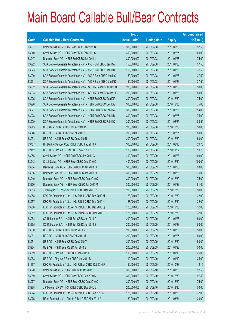|        |                                                               | No. of        |                     |               | <b>Amount raised</b> |
|--------|---------------------------------------------------------------|---------------|---------------------|---------------|----------------------|
| Code   | <b>Callable Bull / Bear Contracts</b>                         | issue (units) | <b>Listing date</b> | <b>Expiry</b> | $(HK$$ mil.)         |
| 63937  | Credit Suisse AG - HSI R Bear CBBC Feb 2011 B                 | 390,000,000   | 2010/09/08          | 2011/02/25    | 97.50                |
| 63940  | Credit Suisse AG - HSI R Bear CBBC Feb 2011 C                 | 400,000,000   | 2010/09/08          | 2011/02/25    | 100.00               |
| 63947  | Deutsche Bank AG - HSI R Bull CBBC Jan 2011 L                 | 300,000,000   | 2010/09/08          | 2011/01/28    | 75.00                |
| 63922  | SGA Societe Generale Acceptance N.V. - A50 R Bull CBBC Jan11A | 150,000,000   | 2010/09/08          | 2011/01/26    | 37.50                |
| 63923  | SGA Societe Generale Acceptance N.V. - A50 R Bull CBBC Jan11B | 150,000,000   | 2010/09/08          | 2011/01/26    | 37.50                |
| 63930  | SGA Societe Generale Acceptance N.V. - A50 R Bear CBBC Jan11C | 150,000,000   | 2010/09/08          | 2011/01/26    | 37.50                |
| 63931  | SGA Societe Generale Acceptance N.V. - A50 R Bear CBBC Jan11D | 150,000,000   | 2010/09/08          | 2011/01/26    | 37.50                |
| 63932  | SGA Societe Generale Acceptance NV - HSCEI R Bear CBBC Jan11A | 200,000,000   | 2010/09/08          | 2011/01/28    | 50.00                |
| 63933  | SGA Societe Generale Acceptance NV - HSCEI R Bear CBBC Jan11B | 200,000,000   | 2010/09/08          | 2011/01/28    | 50.00                |
| 63925  | SGA Societe Generale Acceptance N.V. - HSI R Bull CBBC Dec10F | 300,000,000   | 2010/09/08          | 2010/12/30    | 75.00                |
| 63926  | SGA Societe Generale Acceptance N.V. - HSI R Bull CBBC Dec10G | 300,000,000   | 2010/09/08          | 2010/12/30    | 75.00                |
| 63927  | SGA Societe Generale Acceptance N.V. - HSI R Bull CBBC Feb11A | 300,000,000   | 2010/09/08          | 2011/02/25    | 114.00               |
| 63928  | SGA Societe Generale Acceptance N.V. - HSI R Bull CBBC Feb11B | 300,000,000   | 2010/09/08          | 2011/02/25    | 75.00                |
| 63929  | SGA Societe Generale Acceptance N.V. - HSI R Bull CBBC Feb11C | 300,000,000   | 2010/09/08          | 2011/02/25    | 88.50                |
| 63945  | UBS AG - HSI R Bull CBBC Dec 2010 R                           | 200,000,000   | 2010/09/08          | 2010/12/30    | 50.00                |
| 63946  | UBS AG - HSI R Bull CBBC Feb 2011 T                           | 200,000,000   | 2010/09/08          | 2011/02/25    | 50.00                |
| 63934  | UBS AG - HSI R Bear CBBC Dec 2010 U                           | 200,000,000   | 2010/09/08          | 2010/12/30    | 50.00                |
| 63757# | HK Bank - Sinopec Corp R Bull CBBC Feb 2011 A                 | 300,000,000   | 2010/09/08          | 2011/02/18    | 29.70                |
| 62112# | UBS AG - Ping An R Bear CBBC Nov 2010 B                       | 100,000,000   | 2010/09/08          | 2010/11/22    | 10.70                |
| 63955  | Credit Suisse AG - HSI R Bull CBBC Jan 2011 G                 | 400,000,000   | 2010/09/09          | 2011/01/28    | 100.00               |
| 63948  | Credit Suisse AG - HSI R Bear CBBC Dec 2010 O                 | 400,000,000   | 2010/09/09          | 2010/12/30    | 100.00               |
| 63954  | Deutsche Bank AG - HSI R Bull CBBC Jan 2011 O                 | 300,000,000   | 2010/09/09          | 2011/01/28    | 93.00                |
| 63966  | Deutsche Bank AG - HSI R Bull CBBC Jan 2011 Q                 | 300,000,000   | 2010/09/09          | 2011/01/28    | 75.00                |
| 63949  | Deutsche Bank AG - HSI R Bear CBBC Dec 2010 Q                 | 300,000,000   | 2010/09/09          | 2010/12/30    | 75.00                |
| 63950  | Deutsche Bank AG - HSI R Bear CBBC Jan 2011 M                 | 300,000,000   | 2010/09/09          | 2011/01/28    | 81.00                |
| 63953  | J P Morgan SP BV - HSI R Bull CBBC Dec 2010 R                 | 200,000,000   | 2010/09/09          | 2010/12/30    | 50.00                |
| 63958  | KBC Fin Products Int'l Ltd. - HSI R Bull CBBC Dec 2010 M      | 128,000,000   | 2010/09/09          | 2010/12/30    | 32.00                |
| 63957  | KBC Fin Products Int'l Ltd. - HSI R Bull CBBC Dec 2010 N      | 128,000,000   | 2010/09/09          | 2010/12/30    | 32.00                |
| 63956  | KBC Fin Products Int'l Ltd. - HSI R Bull CBBC Dec 2010 Q      | 128,000,000   | 2010/09/09          | 2010/12/30    | 32.00                |
| 63952  | KBC Fin Products Int'l Ltd. - HSI R Bear CBBC Dec 2010 F      | 128,000,000   | 2010/09/09          | 2010/12/30    | 32.00                |
| 63962  | CC Rabobank B.A. - HSI R Bull CBBC Jan 2011 A                 | 200,000,000   | 2010/09/09          | 2011/01/28    | 50.00                |
| 63965  | CC Rabobank B.A. - HSI R Bull CBBC Jan 2011 B                 | 200,000,000   | 2010/09/09          | 2011/01/28    | 50.00                |
| 63960  | UBS AG - HSI R Bull CBBC Jan 2011 Y                           | 200,000,000   | 2010/09/09          | 2011/01/28    | 50.00                |
| 63961  | UBS AG - HSI R Bull CBBC Feb 2011 U                           | 200,000,000   | 2010/09/09          | 2011/02/25    | 50.00                |
| 63951  | UBS AG - HSI R Bear CBBC Dec 2010 T                           | 200,000,000   | 2010/09/09          | 2010/12/30    | 50.00                |
| 63964  | UBS AG - HSI R Bear CBBC Jan 2011 B                           | 200,000,000   | 2010/09/09          | 2011/01/28    | 50.00                |
| 63959  | UBS AG - Ping An R Bull CBBC Jan 2011 A                       | 100,000,000   | 2010/09/09          | 2011/01/10    | 25.00                |
| 63963  | UBS AG - Ping An R Bear CBBC Jan 2011 B                       | 100,000,000   | 2010/09/09          | 2011/01/10    | 25.00                |
| 61667# | KBC Fin Products Int'l Ltd. - HSI R Bear CBBC Oct 2010 F      | 150,000,000   | 2010/09/09          | 2010/10/28    | 12.15                |
| 63970  | Credit Suisse AG - HSI R Bull CBBC Jan 2011 J                 | 390,000,000   | 2010/09/10          | 2011/01/28    | 97.50                |
| 63969  | Credit Suisse AG - HSI R Bear CBBC Dec 2010 M                 | 390,000,000   | 2010/09/10          | 2010/12/30    | 97.50                |
| 63977  | Deutsche Bank AG - HSI R Bear CBBC Dec 2010 O                 | 300,000,000   | 2010/09/10          | 2010/12/30    | 75.00                |
| 63978  | J P Morgan SP BV - HSI R Bull CBBC Dec 2010 S                 | 200,000,000   | 2010/09/10          | 2010/12/30    | 50.00                |
| 63974  | KBC Fin Products Int'l Ltd. - HSI R Bull CBBC Jan 2011 M      | 128,000,000   | 2010/09/10          | 2011/01/28    | 32.00                |
| 63975  | RB of Scotland N.V. - Ch Life R Bull CBBC Mar 2011 A          | 80,000,000    | 2010/09/10          | 2011/03/31    | 20.00                |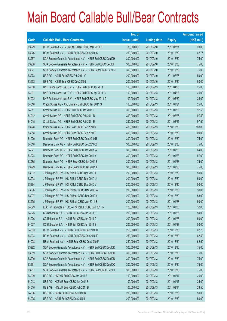|       |                                                               | No. of        |                     |               | <b>Amount raised</b> |
|-------|---------------------------------------------------------------|---------------|---------------------|---------------|----------------------|
| Code  | <b>Callable Bull / Bear Contracts</b>                         | issue (units) | <b>Listing date</b> | <b>Expiry</b> | $(HK$$ mil.)         |
| 63979 | RB of Scotland N.V. - Ch Life R Bear CBBC Mar 2011 B          | 80,000,000    | 2010/09/10          | 2011/03/31    | 20.00                |
| 63976 | RB of Scotland N.V. - HSI R Bull CBBC Dec 2010 C              | 250,000,000   | 2010/09/10          | 2010/12/30    | 62.75                |
| 63967 | SGA Societe Generale Acceptance N.V. - HSI R Bull CBBC Dec10H | 300,000,000   | 2010/09/10          | 2010/12/30    | 75.00                |
| 63968 | SGA Societe Generale Acceptance N.V. - HSI R Bull CBBC Dec10I | 300,000,000   | 2010/09/10          | 2010/12/30    | 75.00                |
| 63971 | SGA Societe Generale Acceptance N.V. - HSI R Bear CBBC Dec10J | 300,000,000   | 2010/09/10          | 2010/12/30    | 75.00                |
| 63973 | UBS AG - HSI R Bull CBBC Feb 2011 V                           | 200,000,000   | 2010/09/10          | 2011/02/25    | 50.00                |
| 63972 | UBS AG - HSI R Bear CBBC Dec 2010 I                           | 200,000,000   | 2010/09/10          | 2010/12/30    | 50.00                |
| 64000 | BNP Paribas Arbit Issu B.V. - HSI R Bull CBBC Apr 2011 F      | 100,000,000   | 2010/09/13          | 2011/04/28    | 25.00                |
| 64001 | BNP Paribas Arbit Issu B.V. - HSI R Bull CBBC Apr 2011 G      | 100,000,000   | 2010/09/13          | 2011/04/28    | 25.00                |
| 64002 | BNP Paribas Arbit Issu B.V. - HSI R Bull CBBC May 2011 G      | 100,000,000   | 2010/09/13          | 2011/05/30    | 25.00                |
| 64016 | Credit Suisse AG - A50 China R Bull CBBC Jan 2011 G           | 100,000,000   | 2010/09/13          | 2011/01/24    | 25.00                |
| 64011 | Credit Suisse AG - HSI R Bull CBBC Jan 2011 I                 | 390,000,000   | 2010/09/13          | 2011/01/28    | 97.50                |
| 64012 | Credit Suisse AG - HSI R Bull CBBC Feb 2011 D                 | 390,000,000   | 2010/09/13          | 2011/02/25    | 97.50                |
| 64015 | Credit Suisse AG - HSI R Bull CBBC Feb 2011 E                 | 390,000,000   | 2010/09/13          | 2011/02/25    | 97.50                |
| 63998 | Credit Suisse AG - HSI R Bear CBBC Dec 2010 S                 | 400,000,000   | 2010/09/13          | 2010/12/30    | 100.00               |
| 63988 | Credit Suisse AG - HSI R Bear CBBC Dec 2010 T                 | 400,000,000   | 2010/09/13          | 2010/12/30    | 100.00               |
| 64020 | Deutsche Bank AG - HSI R Bull CBBC Dec 2010 R                 | 300,000,000   | 2010/09/13          | 2010/12/30    | 75.00                |
| 64018 | Deutsche Bank AG - HSI R Bull CBBC Dec 2010 X                 | 300,000,000   | 2010/09/13          | 2010/12/30    | 75.00                |
| 64021 | Deutsche Bank AG - HSI R Bull CBBC Jan 2011 W                 | 300,000,000   | 2010/09/13          | 2011/01/28    | 84.00                |
| 64024 | Deutsche Bank AG - HSI R Bull CBBC Jan 2011 Y                 | 300,000,000   | 2010/09/13          | 2011/01/28    | 87.00                |
| 63985 | Deutsche Bank AG - HSI R Bear CBBC Jan 2011 S                 | 300,000,000   | 2010/09/13          | 2011/01/28    | 75.00                |
| 63999 | Deutsche Bank AG - HSI R Bear CBBC Jan 2011 X                 | 300,000,000   | 2010/09/13          | 2011/01/28    | 75.00                |
| 63992 | J P Morgan SP BV - HSI R Bull CBBC Dec 2010 T                 | 200,000,000   | 2010/09/13          | 2010/12/30    | 50.00                |
| 63993 | J P Morgan SP BV - HSI R Bull CBBC Dec 2010 U                 | 200,000,000   | 2010/09/13          | 2010/12/30    | 50.00                |
| 63994 | J P Morgan SP BV - HSI R Bull CBBC Dec 2010 V                 | 200,000,000   | 2010/09/13          | 2010/12/30    | 50.00                |
| 63996 | J P Morgan SP BV - HSI R Bear CBBC Dec 2010 W                 | 200,000,000   | 2010/09/13          | 2010/12/30    | 50.00                |
| 63997 | J P Morgan SP BV - HSI R Bear CBBC Dec 2010 X                 | 200,000,000   | 2010/09/13          | 2010/12/30    | 53.00                |
| 63995 | J P Morgan SP BV - HSI R Bear CBBC Jan 2011 B                 | 200,000,000   | 2010/09/13          | 2011/01/28    | 50.00                |
| 64029 | KBC Fin Products Int'l Ltd. - HSI R Bull CBBC Jan 2011 N      | 128,000,000   | 2010/09/13          | 2011/01/28    | 32.00                |
| 64025 | CC Rabobank B.A. - HSI R Bull CBBC Jan 2011 C                 | 200,000,000   | 2010/09/13          | 2011/01/28    | 50.00                |
| 64026 | CC Rabobank B.A. - HSI R Bull CBBC Jan 2011 D                 | 200,000,000   | 2010/09/13          | 2011/01/28    | 50.00                |
| 64027 | CC Rabobank B.A. - HSI R Bull CBBC Jan 2011 E                 | 200,000,000   | 2010/09/13          | 2011/01/28    | 50.00                |
| 64003 | RB of Scotland N.V. - HSI R Bull CBBC Dec 2010 D              | 250,000,000   | 2010/09/13          | 2010/12/30    | 62.75                |
| 64004 | RB of Scotland N.V. - HSI R Bull CBBC Dec 2010 E              | 250,000,000   | 2010/09/13          | 2010/12/30    | 62.50                |
| 64008 | RB of Scotland N.V. - HSI R Bear CBBC Dec 2010 F              | 250,000,000   | 2010/09/13          | 2010/12/30    | 62.50                |
| 63982 | SGA Societe Generale Acceptance N.V. - HSI R Bull CBBC Dec10K | 300,000,000   | 2010/09/13          | 2010/12/30    | 75.00                |
| 63989 | SGA Societe Generale Acceptance N.V. - HSI R Bull CBBC Dec10M | 300,000,000   | 2010/09/13          | 2010/12/30    | 75.00                |
| 63990 | SGA Societe Generale Acceptance N.V. - HSI R Bull CBBC Dec10N | 300,000,000   | 2010/09/13          | 2010/12/30    | 75.00                |
| 63991 | SGA Societe Generale Acceptance N.V. - HSI R Bull CBBC Dec10O | 300,000,000   | 2010/09/13          | 2010/12/30    | 75.00                |
| 63987 | SGA Societe Generale Acceptance N.V. - HSI R Bear CBBC Dec10L | 300,000,000   | 2010/09/13          | 2010/12/30    | 75.00                |
| 64009 | UBS AG - HKEx R Bull CBBC Jan 2011 A                          | 100,000,000   | 2010/09/13          | 2011/01/17    | 25.00                |
| 64013 | UBS AG - HKEx R Bear CBBC Jan 2011 B                          | 100,000,000   | 2010/09/13          | 2011/01/17    | 25.00                |
| 64010 | UBS AG - HKEx R Bear CBBC Feb 2011 B                          | 100,000,000   | 2010/09/13          | 2011/02/14    | 29.50                |
| 64006 | UBS AG - HSI R Bull CBBC Dec 2010 B                           | 200,000,000   | 2010/09/13          | 2010/12/30    | 50.00                |
| 64005 | UBS AG - HSI R Bull CBBC Dec 2010 L                           | 200,000,000   | 2010/09/13          | 2010/12/30    | 50.00                |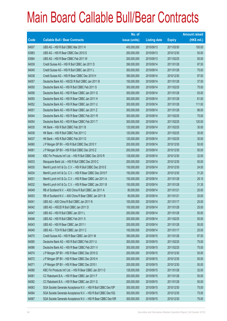|             |                                                               | No. of        |                     |               | <b>Amount raised</b> |
|-------------|---------------------------------------------------------------|---------------|---------------------|---------------|----------------------|
| <b>Code</b> | <b>Callable Bull / Bear Contracts</b>                         | issue (units) | <b>Listing date</b> | <b>Expiry</b> | $(HK$$ mil.)         |
| 64007       | UBS AG - HSI R Bull CBBC Mar 2011 H                           | 400,000,000   | 2010/09/13          | 2011/03/30    | 100.00               |
| 63983       | UBS AG - HSI R Bear CBBC Dec 2010 S                           | 200,000,000   | 2010/09/13          | 2010/12/30    | 50.00                |
| 63984       | UBS AG - HSI R Bear CBBC Feb 2011 W                           | 200,000,000   | 2010/09/13          | 2011/02/25    | 50.00                |
| 64039       | Credit Suisse AG - HSI R Bull CBBC Jan 2011 D                 | 390,000,000   | 2010/09/14          | 2011/01/28    | 97.50                |
| 64045       | Credit Suisse AG - HSI R Bull CBBC Jan 2011 L                 | 300,000,000   | 2010/09/14          | 2011/01/28    | 75.00                |
| 64038       | Credit Suisse AG - HSI R Bear CBBC Dec 2010 H                 | 390,000,000   | 2010/09/14          | 2010/12/30    | 97.50                |
| 64057       | Deutsche Bank AG - HSCEI R Bull CBBC Jan 2011 B               | 150,000,000   | 2010/09/14          | 2011/01/28    | 37.50                |
| 64050       | Deutsche Bank AG - HSI R Bull CBBC Feb 2011 S                 | 300,000,000   | 2010/09/14          | 2011/02/25    | 75.00                |
| 64056       | Deutsche Bank AG - HSI R Bear CBBC Jan 2011 G                 | 300,000,000   | 2010/09/14          | 2011/01/28    | 93.00                |
| 64055       | Deutsche Bank AG - HSI R Bear CBBC Jan 2011 H                 | 300,000,000   | 2010/09/14          | 2011/01/28    | 81.00                |
| 64052       | Deutsche Bank AG - HSI R Bear CBBC Jan 2011 U                 | 300,000,000   | 2010/09/14          | 2011/01/28    | 111.00               |
| 64051       | Deutsche Bank AG - HSI R Bear CBBC Jan 2011 Z                 | 300,000,000   | 2010/09/14          | 2011/01/28    | 96.00                |
| 64044       | Deutsche Bank AG - HSI R Bear CBBC Feb 2011 R                 | 300,000,000   | 2010/09/14          | 2011/02/25    | 75.00                |
| 64054       | Deutsche Bank AG - HSI R Bear CBBC Feb 2011 T                 | 300,000,000   | 2010/09/14          | 2011/02/25    | 120.00               |
| 64035       | HK Bank - HSI R Bull CBBC Feb 2011 B                          | 120,000,000   | 2010/09/14          | 2011/02/25    | 30.00                |
| 64036       | HK Bank - HSI R Bull CBBC Feb 2011 C                          | 120,000,000   | 2010/09/14          | 2011/02/25    | 30.00                |
| 64037       | HK Bank - HSI R Bull CBBC Feb 2011 D                          | 120,000,000   | 2010/09/14          | 2011/02/25    | 30.00                |
| 64060       | J P Morgan SP BV - HSI R Bull CBBC Dec 2010 Y                 | 200,000,000   | 2010/09/14          | 2010/12/30    | 50.00                |
| 64061       | J P Morgan SP BV - HSI R Bull CBBC Dec 2010 Z                 | 200,000,000   | 2010/09/14          | 2010/12/30    | 50.00                |
| 64048       | KBC Fin Products Int'l Ltd. - HSI R Bull CBBC Dec 2010 R      | 128,000,000   | 2010/09/14          | 2010/12/30    | 32.00                |
| 64033       | Macquarie Bank Ltd. - HSI R Bull CBBC Dec 2010 C              | 200,000,000   | 2010/09/14          | 2010/12/30    | 50.00                |
| 64030       | Merrill Lynch Int'l & Co. C.V. - HSI R Bull CBBC Dec 2010 E   | 150,000,000   | 2010/09/14          | 2010/12/30    | 24.00                |
| 64034       | Merrill Lynch Int'l & Co. C.V. - HSI R Bear CBBC Dec 2010 F   | 150,000,000   | 2010/09/14          | 2010/12/30    | 31.20                |
| 64031       | Merrill Lynch Int'l & Co. C.V. - HSI R Bear CBBC Jan 2011 A   | 150,000,000   | 2010/09/14          | 2011/01/28    | 29.10                |
| 64032       | Merrill Lynch Int'l & Co. C.V. - HSI R Bear CBBC Jan 2011 B   | 150,000,000   | 2010/09/14          | 2011/01/28    | 31.35                |
| 64049       | RB of Scotland N.V. - A50 China R Bull CBBC Jan 2011 A        | 80,000,000    | 2010/09/14          | 2011/01/21    | 20.00                |
| 64053       | RB of Scotland N.V. - A50 China R Bear CBBC Jan 2011 B        | 80,000,000    | 2010/09/14          | 2011/01/21    | 20.00                |
| 64041       | UBS AG - A50 China R Bull CBBC Jan 2011 N                     | 100,000,000   | 2010/09/14          | 2011/01/17    | 25.00                |
| 64042       | UBS AG - HSCEI R Bull CBBC Jan 2011 D                         | 100,000,000   | 2010/09/14          | 2011/01/28    | 25.00                |
| 64047       | UBS AG - HSI R Bull CBBC Jan 2011 L                           | 200,000,000   | 2010/09/14          | 2011/01/28    | 50.00                |
| 64046       | UBS AG - HSI R Bull CBBC Feb 2011 X                           | 200,000,000   | 2010/09/14          | 2011/02/25    | 50.00                |
| 64043       | UBS AG - HSI R Bear CBBC Jan 2011 I                           | 200,000,000   | 2010/09/14          | 2011/01/28    | 50.00                |
| 64040       | UBS AG - TCH R Bull CBBC Jan 2011 C                           | 100,000,000   | 2010/09/14          | 2011/01/17    | 25.00                |
| 64075       | Credit Suisse AG - HSI R Bear CBBC Jan 2011 M                 | 390,000,000   | 2010/09/15          | 2011/01/28    | 97.50                |
| 64065       | Deutsche Bank AG - HSI R Bull CBBC Feb 2011 U                 | 300,000,000   | 2010/09/15          | 2011/02/25    | 75.00                |
| 64066       | Deutsche Bank AG - HSI R Bear CBBC Feb 2011 V                 | 300,000,000   | 2010/09/15          | 2011/02/25    | 75.00                |
| 64074       | J P Morgan SP BV - HSI R Bear CBBC Dec 2010 G                 | 200,000,000   | 2010/09/15          | 2010/12/30    | 50.00                |
| 64072       | J P Morgan SP BV - HSI R Bear CBBC Dec 2010 H                 | 200,000,000   | 2010/09/15          | 2010/12/30    | 50.00                |
| 64071       | J P Morgan SP BV - HSI R Bear CBBC Dec 2010 I                 | 200,000,000   | 2010/09/15          | 2010/12/30    | 50.00                |
| 64080       | KBC Fin Products Int'l Ltd. - HSI R Bear CBBC Jan 2011 O      | 128,000,000   | 2010/09/15          | 2011/01/28    | 32.00                |
| 64081       | CC Rabobank B.A. - HSI R Bear CBBC Jan 2011 F                 | 200,000,000   | 2010/09/15          | 2011/01/28    | 50.00                |
| 64082       | CC Rabobank B.A. - HSI R Bear CBBC Jan 2011 G                 | 200,000,000   | 2010/09/15          | 2011/01/28    | 50.00                |
| 64063       | SGA Societe Generale Acceptance N.V. - HSI R Bull CBBC Dec10P | 300,000,000   | 2010/09/15          | 2010/12/30    | 75.00                |
| 64064       | SGA Societe Generale Acceptance N.V. - HSI R Bull CBBC Dec10Q | 300,000,000   | 2010/09/15          | 2010/12/30    | 75.00                |
| 64067       | SGA Societe Generale Acceptance N.V. - HSI R Bear CBBC Dec10R | 300,000,000   | 2010/09/15          | 2010/12/30    | 75.00                |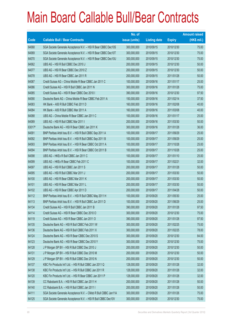|             |                                                                | No. of        |                     |               | <b>Amount raised</b> |
|-------------|----------------------------------------------------------------|---------------|---------------------|---------------|----------------------|
| <b>Code</b> | <b>Callable Bull / Bear Contracts</b>                          | issue (units) | <b>Listing date</b> | <b>Expiry</b> | (HK\$ mil.)          |
| 64068       | SGA Societe Generale Acceptance N.V. - HSI R Bear CBBC Dec10S  | 300,000,000   | 2010/09/15          | 2010/12/30    | 75.00                |
| 64069       | SGA Societe Generale Acceptance N.V. - HSI R Bear CBBC Dec10T  | 300,000,000   | 2010/09/15          | 2010/12/30    | 75.00                |
| 64070       | SGA Societe Generale Acceptance N.V. - HSI R Bear CBBC Dec10U  | 300,000,000   | 2010/09/15          | 2010/12/30    | 75.00                |
| 64062       | UBS AG - HSI R Bull CBBC Dec 2010 J                            | 200,000,000   | 2010/09/15          | 2010/12/30    | 50.00                |
| 64077       | UBS AG - HSI R Bear CBBC Dec 2010 Z                            | 200,000,000   | 2010/09/15          | 2010/12/30    | 50.00                |
| 64078       | UBS AG - HSI R Bear CBBC Jan 2011 R                            | 200,000,000   | 2010/09/15          | 2011/01/28    | 50.00                |
| 64087       | Credit Suisse AG - China Mobile R Bear CBBC Jan 2011 C         | 100,000,000   | 2010/09/16          | 2011/01/17    | 25.00                |
| 64086       | Credit Suisse AG - HSI R Bull CBBC Jan 2011 N                  | 300,000,000   | 2010/09/16          | 2011/01/28    | 75.00                |
| 64085       | Credit Suisse AG - HSI R Bear CBBC Dec 2010 I                  | 390,000,000   | 2010/09/16          | 2010/12/30    | 97.50                |
| 64090       | Deutsche Bank AG - China Mobile R Bear CBBC Feb 2011 A         | 150,000,000   | 2010/09/16          | 2011/02/14    | 37.50                |
| 64083       | HK Bank - A50 R Bull CBBC Feb 2011 D                           | 160,000,000   | 2010/09/16          | 2011/02/08    | 40.00                |
| 64084       | HK Bank - A50 R Bull CBBC Mar 2011 A                           | 160,000,000   | 2010/09/16          | 2011/03/08    | 40.00                |
| 64088       | UBS AG - China Mobile R Bear CBBC Jan 2011 C                   | 100,000,000   | 2010/09/16          | 2011/01/17    | 25.00                |
| 64089       | UBS AG - HSI R Bull CBBC Mar 2011 I                            | 200,000,000   | 2010/09/16          | 2011/03/30    | 50.00                |
| 63017#      | Deutsche Bank AG - HSI R Bear CBBC Jan 2011 K                  | 300,000,000   | 2010/09/16          | 2011/01/28    | 36.00                |
| 64091       | BNP Paribas Arbit Issu B.V. - HSI R Bull CBBC Sep 2011 A       | 100,000,000   | 2010/09/17          | 2011/09/29    | 25.00                |
| 64092       | BNP Paribas Arbit Issu B.V. - HSI R Bull CBBC Sep 2011 B       | 100,000,000   | 2010/09/17          | 2011/09/29    | 25.00                |
| 64093       | BNP Paribas Arbit Issu B.V. - HSI R Bear CBBC Oct 2011 A       | 100,000,000   | 2010/09/17          | 2011/10/28    | 25.00                |
| 64094       | BNP Paribas Arbit Issu B.V. - HSI R Bear CBBC Oct 2011 B       | 100,000,000   | 2010/09/17          | 2011/10/28    | 25.00                |
| 64098       | UBS AG - HKEx R Bull CBBC Jan 2011 C                           | 100,000,000   | 2010/09/17          | 2011/01/10    | 25.00                |
| 64099       | UBS AG - HKEx R Bear CBBC Feb 2011 C                           | 100,000,000   | 2010/09/17          | 2011/02/21    | 32.00                |
| 64097       | UBS AG - HSI R Bull CBBC Jan 2011 S                            | 200,000,000   | 2010/09/17          | 2011/01/28    | 50.00                |
| 64095       | UBS AG - HSI R Bull CBBC Mar 2011 J                            | 200,000,000   | 2010/09/17          | 2011/03/30    | 50.00                |
| 64100       | UBS AG - HSI R Bear CBBC Mar 2011 K                            | 200,000,000   | 2010/09/17          | 2011/03/30    | 50.00                |
| 64101       | UBS AG - HSI R Bear CBBC Mar 2011 L                            | 200,000,000   | 2010/09/17          | 2011/03/30    | 50.00                |
| 64102       | UBS AG - HSI R Bear CBBC Apr 2011 D                            | 200,000,000   | 2010/09/17          | 2011/04/28    | 50.00                |
| 64112       | BNP Paribas Arbit Issu B.V. - HSI R Bull CBBC May 2011 H       | 100,000,000   | 2010/09/20          | 2011/05/30    | 25.00                |
| 64113       | BNP Paribas Arbit Issu B.V. - HSI R Bull CBBC Jun 2011 D       | 100,000,000   | 2010/09/20          | 2011/06/29    | 25.00                |
| 64134       | Credit Suisse AG - HSI R Bull CBBC Jan 2011 B                  | 390,000,000   | 2010/09/20          | 2011/01/28    | 97.50                |
| 64114       | Credit Suisse AG - HSI R Bear CBBC Dec 2010 O                  | 300,000,000   | 2010/09/20          | 2010/12/30    | 75.00                |
| 64119       | Credit Suisse AG - HSI R Bear CBBC Jan 2011 O                  | 390,000,000   | 2010/09/20          | 2011/01/28    | 97.50                |
| 64135       | Deutsche Bank AG - HSI R Bull CBBC Feb 2011 W                  | 300,000,000   | 2010/09/20          | 2011/02/25    | 75.00                |
| 64136       | Deutsche Bank AG - HSI R Bull CBBC Feb 2011 X                  | 300,000,000   | 2010/09/20          | 2011/02/25    | 78.00                |
| 64124       | Deutsche Bank AG - HSI R Bear CBBC Dec 2010 S                  | 300,000,000   | 2010/09/20          | 2010/12/30    | 84.00                |
| 64123       | Deutsche Bank AG - HSI R Bear CBBC Dec 2010 Y                  | 300,000,000   | 2010/09/20          | 2010/12/30    | 75.00                |
| 64128       | J P Morgan SP BV - HSI R Bull CBBC Dec 2010 J                  | 200,000,000   | 2010/09/20          | 2010/12/30    | 50.00                |
| 64131       | J P Morgan SP BV - HSI R Bull CBBC Dec 2010 M                  | 200,000,000   | 2010/09/20          | 2010/12/30    | 50.00                |
| 64129       | J P Morgan SP BV - HSI R Bull CBBC Dec 2010 N                  | 200,000,000   | 2010/09/20          | 2010/12/30    | 50.00                |
| 64137       | KBC Fin Products Int'l Ltd. - HSI R Bull CBBC Jan 2011 Q       | 128,000,000   | 2010/09/20          | 2011/01/28    | 32.00                |
| 64138       | KBC Fin Products Int'l Ltd. - HSI R Bull CBBC Jan 2011 R       | 128,000,000   | 2010/09/20          | 2011/01/28    | 32.00                |
| 64120       | KBC Fin Products Int'l Ltd. - HSI R Bear CBBC Jan 2011 P       | 128,000,000   | 2010/09/20          | 2011/01/28    | 32.00                |
| 64139       | CC Rabobank B.A. - HSI R Bull CBBC Jan 2011 H                  | 200,000,000   | 2010/09/20          | 2011/01/28    | 50.00                |
| 64140       | CC Rabobank B.A. - HSI R Bull CBBC Jan 2011 I                  | 200,000,000   | 2010/09/20          | 2011/01/28    | 50.00                |
| 64111       | SGA Societe Generale Acceptance N.V. - CMob R Bull CBBC Jan11A | 300,000,000   | 2010/09/20          | 2011/01/26    | 75.00                |
| 64125       | SGA Societe Generale Acceptance N.V. - HSI R Bull CBBC Dec10V  | 300,000,000   | 2010/09/20          | 2010/12/30    | 75.00                |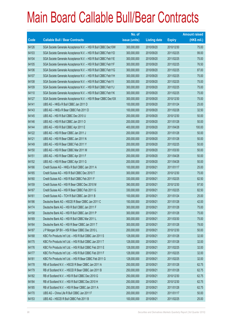|       |                                                               | No. of        |                     |               | <b>Amount raised</b> |
|-------|---------------------------------------------------------------|---------------|---------------------|---------------|----------------------|
| Code  | <b>Callable Bull / Bear Contracts</b>                         | issue (units) | <b>Listing date</b> | <b>Expiry</b> | $(HK$$ mil.)         |
| 64126 | SGA Societe Generale Acceptance N.V. - HSI R Bull CBBC Dec10W | 300,000,000   | 2010/09/20          | 2010/12/30    | 75.00                |
| 64103 | SGA Societe Generale Acceptance N.V. - HSI R Bull CBBC Feb11D | 300,000,000   | 2010/09/20          | 2011/02/25    | 99.00                |
| 64104 | SGA Societe Generale Acceptance N.V. - HSI R Bull CBBC Feb11E | 300,000,000   | 2010/09/20          | 2011/02/25    | 75.00                |
| 64105 | SGA Societe Generale Acceptance N.V. - HSI R Bull CBBC Feb11F | 300,000,000   | 2010/09/20          | 2011/02/25    | 76.50                |
| 64106 | SGA Societe Generale Acceptance N.V. - HSI R Bull CBBC Feb11G | 300,000,000   | 2010/09/20          | 2011/02/25    | 87.00                |
| 64107 | SGA Societe Generale Acceptance N.V. - HSI R Bull CBBC Feb11H | 300,000,000   | 2010/09/20          | 2011/02/25    | 75.00                |
| 64108 | SGA Societe Generale Acceptance N.V. - HSI R Bull CBBC Feb11I | 300,000,000   | 2010/09/20          | 2011/02/25    | 75.00                |
| 64109 | SGA Societe Generale Acceptance N.V. - HSI R Bull CBBC Feb11J | 300,000,000   | 2010/09/20          | 2011/02/25    | 75.00                |
| 64110 | SGA Societe Generale Acceptance N.V. - HSI R Bull CBBC Feb11K | 300,000,000   | 2010/09/20          | 2011/02/25    | 75.00                |
| 64127 | SGA Societe Generale Acceptance N.V. - HSI R Bear CBBC Dec10X | 300,000,000   | 2010/09/20          | 2010/12/30    | 75.00                |
| 64141 | UBS AG - HKEx R Bull CBBC Jan 2011 D                          | 100,000,000   | 2010/09/20          | 2011/01/24    | 25.00                |
| 64143 | UBS AG - HKEx R Bear CBBC Feb 2011 D                          | 100,000,000   | 2010/09/20          | 2011/02/28    | 32.50                |
| 64145 | UBS AG - HSI R Bull CBBC Dec 2010 U                           | 200,000,000   | 2010/09/20          | 2010/12/30    | 50.00                |
| 64146 | UBS AG - HSI R Bull CBBC Jan 2011 O                           | 200,000,000   | 2010/09/20          | 2011/01/28    | 50.00                |
| 64144 | UBS AG - HSI R Bull CBBC Apr 2011 E                           | 400,000,000   | 2010/09/20          | 2011/04/28    | 100.00               |
| 64122 | UBS AG - HSI R Bear CBBC Jan 2011 J                           | 200,000,000   | 2010/09/20          | 2011/01/28    | 50.00                |
| 64121 | UBS AG - HSI R Bear CBBC Jan 2011 N                           | 200,000,000   | 2010/09/20          | 2011/01/28    | 50.00                |
| 64149 | UBS AG - HSI R Bear CBBC Feb 2011 Y                           | 200,000,000   | 2010/09/20          | 2011/02/25    | 50.00                |
| 64150 | UBS AG - HSI R Bear CBBC Mar 2011 M                           | 200,000,000   | 2010/09/20          | 2011/03/30    | 50.00                |
| 64151 | UBS AG - HSI R Bear CBBC Apr 2011 F                           | 200,000,000   | 2010/09/20          | 2011/04/28    | 50.00                |
| 64152 | UBS AG - HSI R Bear CBBC Apr 2011 G                           | 200,000,000   | 2010/09/20          | 2011/04/28    | 50.00                |
| 64166 | Credit Suisse AG - HKEx R Bull CBBC Jan 2011 A                | 100,000,000   | 2010/09/21          | 2011/01/17    | 25.00                |
| 64165 | Credit Suisse AG - HSI R Bull CBBC Dec 2010 T                 | 300,000,000   | 2010/09/21          | 2010/12/30    | 75.00                |
| 64160 | Credit Suisse AG - HSI R Bull CBBC Feb 2011 F                 | 330,000,000   | 2010/09/21          | 2011/02/25    | 82.50                |
| 64159 | Credit Suisse AG - HSI R Bear CBBC Dec 2010 M                 | 390,000,000   | 2010/09/21          | 2010/12/30    | 97.50                |
| 64167 | Credit Suisse AG - HSI R Bear CBBC Feb 2011 G                 | 330,000,000   | 2010/09/21          | 2011/02/25    | 82.50                |
| 64161 | Credit Suisse AG - TCH R Bull CBBC Jan 2011 B                 | 100,000,000   | 2010/09/21          | 2011/01/24    | 25.00                |
| 64186 | Deutsche Bank AG - HSCEI R Bear CBBC Jan 2011 C               | 150,000,000   | 2010/09/21          | 2011/01/28    | 42.00                |
| 64174 | Deutsche Bank AG - HSI R Bull CBBC Jan 2011 F                 | 300,000,000   | 2010/09/21          | 2011/01/28    | 75.00                |
| 64158 | Deutsche Bank AG - HSI R Bull CBBC Jan 2011 P                 | 300,000,000   | 2010/09/21          | 2011/01/28    | 75.00                |
| 64169 | Deutsche Bank AG - HSI R Bull CBBC Mar 2011 L                 | 300,000,000   | 2010/09/21          | 2011/03/30    | 75.00                |
| 64164 | Deutsche Bank AG - HSI R Bear CBBC Jan 2011 T                 | 300,000,000   | 2010/09/21          | 2011/01/28    | 78.00                |
| 64187 | J P Morgan SP BV - HSI R Bear CBBC Dec 2010 L                 | 200,000,000   | 2010/09/21          | 2010/12/30    | 50.00                |
| 64168 | KBC Fin Products Int'l Ltd. - HSI R Bull CBBC Jan 2011 S      | 128,000,000   | 2010/09/21          | 2011/01/28    | 32.00                |
| 64175 | KBC Fin Products Int'l Ltd. - HSI R Bull CBBC Jan 2011 T      | 128,000,000   | 2010/09/21          | 2011/01/28    | 32.00                |
| 64176 | KBC Fin Products Int'l Ltd. - HSI R Bull CBBC Feb 2011 E      | 128,000,000   | 2010/09/21          | 2011/02/25    | 32.00                |
| 64177 | KBC Fin Products Int'l Ltd. - HSI R Bull CBBC Feb 2011 F      | 128,000,000   | 2010/09/21          | 2011/02/25    | 32.00                |
| 64181 | KBC Fin Products Int'l Ltd. - HSI R Bear CBBC Feb 2011 G      | 128,000,000   | 2010/09/21          | 2011/02/25    | 32.00                |
| 64178 | RB of Scotland N.V. - HSCEI R Bear CBBC Jan 2011 A            | 250,000,000   | 2010/09/21          | 2011/01/28    | 62.75                |
| 64179 | RB of Scotland N.V. - HSCEI R Bear CBBC Jan 2011 B            | 250,000,000   | 2010/09/21          | 2011/01/28    | 62.75                |
| 64182 | RB of Scotland N.V. - HSI R Bull CBBC Dec 2010 G              | 250,000,000   | 2010/09/21          | 2010/12/30    | 62.75                |
| 64184 | RB of Scotland N.V. - HSI R Bull CBBC Dec 2010 H              | 250,000,000   | 2010/09/21          | 2010/12/30    | 62.75                |
| 64185 | RB of Scotland N.V. - HSI R Bear CBBC Jan 2011 A              | 250,000,000   | 2010/09/21          | 2011/01/28    | 62.75                |
| 64170 | UBS AG - China Life R Bull CBBC Jan 2011 F                    | 200,000,000   | 2010/09/21          | 2011/01/17    | 50.00                |
| 64153 | UBS AG - HSCEI R Bull CBBC Feb 2011 B                         | 100,000,000   | 2010/09/21          | 2011/02/25    | 25.00                |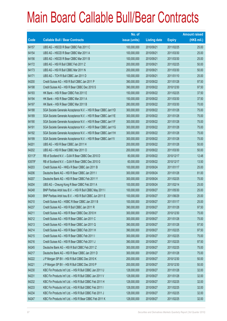|        |                                                               | No. of        |                     |               | <b>Amount raised</b> |
|--------|---------------------------------------------------------------|---------------|---------------------|---------------|----------------------|
| Code   | <b>Callable Bull / Bear Contracts</b>                         | issue (units) | <b>Listing date</b> | <b>Expiry</b> | $(HK$$ mil.)         |
| 64157  | UBS AG - HSCEI R Bear CBBC Feb 2011 C                         | 100,000,000   | 2010/09/21          | 2011/02/25    | 25.00                |
| 64154  | UBS AG - HSCEI R Bear CBBC Mar 2011 A                         | 100,000,000   | 2010/09/21          | 2011/03/30    | 25.00                |
| 64156  | UBS AG - HSCEI R Bear CBBC Mar 2011 B                         | 100,000,000   | 2010/09/21          | 2011/03/30    | 25.00                |
| 64172  | UBS AG - HSI R Bull CBBC Feb 2011 Z                           | 200,000,000   | 2010/09/21          | 2011/02/25    | 50.00                |
| 64173  | UBS AG - HSI R Bull CBBC Mar 2011 N                           | 200,000,000   | 2010/09/21          | 2011/03/30    | 50.00                |
| 64171  | UBS AG - TCH R Bull CBBC Jan 2011 D                           | 100,000,000   | 2010/09/21          | 2011/01/10    | 25.00                |
| 64200  | Credit Suisse AG - HSI R Bull CBBC Jan 2011 P                 | 390,000,000   | 2010/09/22          | 2011/01/28    | 97.50                |
| 64198  | Credit Suisse AG - HSI R Bear CBBC Dec 2010 S                 | 390,000,000   | 2010/09/22          | 2010/12/30    | 97.50                |
| 64193  | HK Bank - HSI R Bear CBBC Feb 2011 E                          | 150,000,000   | 2010/09/22          | 2011/02/25    | 37.50                |
| 64194  | HK Bank - HSI R Bear CBBC Mar 2011 A                          | 150,000,000   | 2010/09/22          | 2011/03/30    | 37.50                |
| 64197  | HK Bank - HSI R Bear CBBC Mar 2011 B                          | 280,000,000   | 2010/09/22          | 2011/03/30    | 70.00                |
| 64188  | SGA Societe Generale Acceptance N.V. - HSI R Bear CBBC Jan11D | 300,000,000   | 2010/09/22          | 2011/01/28    | 75.00                |
| 64189  | SGA Societe Generale Acceptance N.V. - HSI R Bear CBBC Jan11E | 300,000,000   | 2010/09/22          | 2011/01/28    | 75.00                |
| 64190  | SGA Societe Generale Acceptance N.V. - HSI R Bear CBBC Jan11F | 300,000,000   | 2010/09/22          | 2011/01/28    | 75.00                |
| 64191  | SGA Societe Generale Acceptance N.V. - HSI R Bear CBBC Jan11G | 300,000,000   | 2010/09/22          | 2011/01/28    | 75.00                |
| 64192  | SGA Societe Generale Acceptance N.V. - HSI R Bear CBBC Jan11H | 300,000,000   | 2010/09/22          | 2011/01/28    | 75.00                |
| 64199  | SGA Societe Generale Acceptance N.V. - HSI R Bear CBBC Jan11I | 300,000,000   | 2010/09/22          | 2011/01/28    | 75.00                |
| 64201  | UBS AG - HSI R Bear CBBC Jan 2011 H                           | 200,000,000   | 2010/09/22          | 2011/01/28    | 50.00                |
| 64202  | UBS AG - HSI R Bear CBBC Mar 2011 O                           | 200,000,000   | 2010/09/22          | 2011/03/30    | 50.00                |
| 63113# | RB of Scotland N.V. - DJIA R Bear CBBC Dec 2010 D             | 80,000,000    | 2010/09/22          | 2010/12/17    | 12.48                |
| 63579# | RB of Scotland N.V. - DJIA R Bear CBBC Dec 2010 G             | 60,000,000    | 2010/09/22          | 2010/12/17    | 13.50                |
| 64203  | Credit Suisse AG - HKEx R Bear CBBC Jan 2011 B                | 100,000,000   | 2010/09/24          | 2011/01/17    | 25.00                |
| 64206  | Deutsche Bank AG - HSI R Bear CBBC Jan 2011 I                 | 300,000,000   | 2010/09/24          | 2011/01/28    | 81.00                |
| 64207  | Deutsche Bank AG - HSI R Bear CBBC Feb 2011 Y                 | 300,000,000   | 2010/09/24          | 2011/02/25    | 75.00                |
| 64204  | UBS AG - Cheung Kong R Bear CBBC Feb 2011 A                   | 100,000,000   | 2010/09/24          | 2011/02/14    | 25.00                |
| 64248  | BNP Paribas Arbit Issu B.V. - HSI R Bull CBBC May 2011 I      | 100,000,000   | 2010/09/27          | 2011/05/30    | 25.00                |
| 64249  | BNP Paribas Arbit Issu B.V. - HSI R Bull CBBC Jun 2011 E      | 100,000,000   | 2010/09/27          | 2011/06/29    | 25.00                |
| 64210  | Credit Suisse AG - HSBC R Bear CBBC Jan 2011 B                | 100,000,000   | 2010/09/27          | 2011/01/17    | 25.00                |
| 64237  | Credit Suisse AG - HSI R Bull CBBC Jan 2011 R                 | 390,000,000   | 2010/09/27          | 2011/01/28    | 97.50                |
| 64211  | Credit Suisse AG - HSI R Bear CBBC Dec 2010 H                 | 300,000,000   | 2010/09/27          | 2010/12/30    | 75.00                |
| 64212  | Credit Suisse AG - HSI R Bear CBBC Jan 2011 C                 | 300,000,000   | 2010/09/27          | 2011/01/28    | 75.00                |
| 64213  | Credit Suisse AG - HSI R Bear CBBC Jan 2011 Q                 | 390,000,000   | 2010/09/27          | 2011/01/28    | 97.50                |
| 64214  | Credit Suisse AG - HSI R Bear CBBC Feb 2011 H                 | 390,000,000   | 2010/09/27          | 2011/02/25    | 97.50                |
| 64215  | Credit Suisse AG - HSI R Bear CBBC Feb 2011 I                 | 300,000,000   | 2010/09/27          | 2011/02/25    | 75.00                |
| 64216  | Credit Suisse AG - HSI R Bear CBBC Feb 2011 J                 | 390,000,000   | 2010/09/27          | 2011/02/25    | 97.50                |
| 64245  | Deutsche Bank AG - HSI R Bull CBBC Feb 2011 Z                 | 300,000,000   | 2010/09/27          | 2011/02/25    | 75.00                |
| 64217  | Deutsche Bank AG - HSI R Bear CBBC Jan 2011 D                 | 300,000,000   | 2010/09/27          | 2011/01/28    | 75.00                |
| 64222  | J P Morgan SP BV - HSI R Bull CBBC Dec 2010 K                 | 200,000,000   | 2010/09/27          | 2010/12/30    | 50.00                |
| 64221  | J P Morgan SP BV - HSI R Bull CBBC Dec 2010 P                 | 200,000,000   | 2010/09/27          | 2010/12/30    | 50.00                |
| 64230  | KBC Fin Products Int'l Ltd. - HSI R Bull CBBC Jan 2011 U      | 128,000,000   | 2010/09/27          | 2011/01/28    | 32.00                |
| 64231  | KBC Fin Products Int'l Ltd. - HSI R Bull CBBC Jan 2011 V      | 128,000,000   | 2010/09/27          | 2011/01/28    | 32.00                |
| 64232  | KBC Fin Products Int'l Ltd. - HSI R Bull CBBC Feb 2011 H      | 128,000,000   | 2010/09/27          | 2011/02/25    | 32.00                |
| 64233  | KBC Fin Products Int'l Ltd. - HSI R Bull CBBC Feb 2011 I      | 128,000,000   | 2010/09/27          | 2011/02/25    | 32.00                |
| 64234  | KBC Fin Products Int'l Ltd. - HSI R Bull CBBC Feb 2011 J      | 128,000,000   | 2010/09/27          | 2011/02/25    | 32.00                |
| 64247  | KBC Fin Products Int'l Ltd. - HSI R Bear CBBC Feb 2011 K      | 128,000,000   | 2010/09/27          | 2011/02/25    | 32.00                |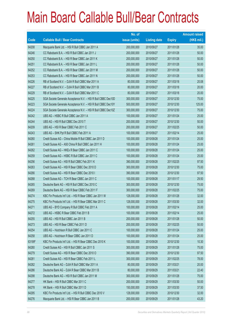|             |                                                               | No. of        |                     |               | <b>Amount raised</b> |
|-------------|---------------------------------------------------------------|---------------|---------------------|---------------|----------------------|
| <b>Code</b> | <b>Callable Bull / Bear Contracts</b>                         | issue (units) | <b>Listing date</b> | <b>Expiry</b> | (HK\$ mil.)          |
| 64208       | Macquarie Bank Ltd. - HSI R Bull CBBC Jan 2011 A              | 200,000,000   | 2010/09/27          | 2011/01/28    | 35.00                |
| 64246       | CC Rabobank B.A. - HSI R Bull CBBC Jan 2011 J                 | 200,000,000   | 2010/09/27          | 2011/01/28    | 50.00                |
| 64250       | CC Rabobank B.A. - HSI R Bear CBBC Jan 2011 K                 | 200,000,000   | 2010/09/27          | 2011/01/28    | 50.00                |
| 64251       | CC Rabobank B.A. - HSI R Bear CBBC Jan 2011 L                 | 200,000,000   | 2010/09/27          | 2011/01/28    | 50.00                |
| 64252       | CC Rabobank B.A. - HSI R Bear CBBC Jan 2011 M                 | 200,000,000   | 2010/09/27          | 2011/01/28    | 50.00                |
| 64253       | CC Rabobank B.A. - HSI R Bear CBBC Jan 2011 N                 | 200,000,000   | 2010/09/27          | 2011/01/28    | 50.00                |
| 64226       | RB of Scotland N.V. - DJIA R Bull CBBC Mar 2011 A             | 80,000,000    | 2010/09/27          | 2011/03/18    | 20.08                |
| 64227       | RB of Scotland N.V. - DJIA R Bull CBBC Mar 2011 B             | 80,000,000    | 2010/09/27          | 2011/03/18    | 20.00                |
| 64229       | RB of Scotland N.V. - DJIA R Bull CBBC Mar 2011 C             | 80,000,000    | 2010/09/27          | 2011/03/18    | 20.00                |
| 64225       | SGA Societe Generale Acceptance N.V. - HSI R Bull CBBC Dec10D | 300,000,000   | 2010/09/27          | 2010/12/30    | 75.00                |
| 64223       | SGA Societe Generale Acceptance N.V. - HSI R Bull CBBC Dec10Y | 500,000,000   | 2010/09/27          | 2010/12/30    | 125.00               |
| 64224       | SGA Societe Generale Acceptance N.V. - HSI R Bull CBBC Dec10Z | 300,000,000   | 2010/09/27          | 2010/12/30    | 75.00                |
| 64242       | UBS AG - HSBC R Bull CBBC Jan 2011 A                          | 100,000,000   | 2010/09/27          | 2011/01/24    | 25.00                |
| 64244       | UBS AG - HSI R Bull CBBC Dec 2010 T                           | 200,000,000   | 2010/09/27          | 2010/12/30    | 50.00                |
| 64209       | UBS AG - HSI R Bear CBBC Feb 2011 C                           | 200,000,000   | 2010/09/27          | 2011/02/25    | 50.00                |
| 64243       | UBS AG - SHK Ppt R Bull CBBC Feb 2011 A                       | 100,000,000   | 2010/09/27          | 2011/02/14    | 25.00                |
| 64260       | Credit Suisse AG - China Mobile R Bull CBBC Jan 2011 D        | 100,000,000   | 2010/09/28          | 2011/01/24    | 25.00                |
| 64261       | Credit Suisse AG - A50 China R Bull CBBC Jan 2011 H           | 100,000,000   | 2010/09/28          | 2011/01/24    | 25.00                |
| 64262       | Credit Suisse AG - HKEx R Bear CBBC Jan 2011 C                | 100,000,000   | 2010/09/28          | 2011/01/24    | 25.00                |
| 64259       | Credit Suisse AG - HSBC R Bull CBBC Jan 2011 C                | 100,000,000   | 2010/09/28          | 2011/01/24    | 25.00                |
| 64256       | Credit Suisse AG - HSI R Bull CBBC Feb 2011 K                 | 390,000,000   | 2010/09/28          | 2011/02/25    | 97.50                |
| 64263       | Credit Suisse AG - HSI R Bear CBBC Dec 2010 D                 | 300,000,000   | 2010/09/28          | 2010/12/30    | 75.00                |
| 64266       | Credit Suisse AG - HSI R Bear CBBC Dec 2010 I                 | 390,000,000   | 2010/09/28          | 2010/12/30    | 97.50                |
| 64268       | Credit Suisse AG - TCH R Bear CBBC Jan 2011 C                 | 100,000,000   | 2010/09/28          | 2011/01/17    | 29.50                |
| 64265       | Deutsche Bank AG - HSI R Bull CBBC Dec 2010 C                 | 300,000,000   | 2010/09/28          | 2010/12/30    | 75.00                |
| 64269       | Deutsche Bank AG - HSI R Bear CBBC Feb 2011 F                 | 300,000,000   | 2010/09/28          | 2011/02/25    | 75.00                |
| 64274       | KBC Fin Products Int'l Ltd. - HSI R Bear CBBC Jan 2011 W      | 128,000,000   | 2010/09/28          | 2011/01/28    | 32.00                |
| 64275       | KBC Fin Products Int'l Ltd. - HSI R Bear CBBC Mar 2011 C      | 128,000,000   | 2010/09/28          | 2011/03/30    | 32.00                |
| 64271       | UBS AG - BYD Company R Bull CBBC Feb 2011 A                   | 100,000,000   | 2010/09/28          | 2011/02/14    | 25.00                |
| 64272       | UBS AG - HSBC R Bear CBBC Feb 2011 B                          | 100,000,000   | 2010/09/28          | 2011/02/14    | 25.00                |
| 64255       | UBS AG - HSI R Bull CBBC Jan 2011 B                           | 200,000,000   | 2010/09/28          | 2011/01/28    | 50.00                |
| 64273       | UBS AG - HSI R Bear CBBC Feb 2011 D                           | 200,000,000   | 2010/09/28          | 2011/02/25    | 50.00                |
| 64254       | UBS AG - Hutchison R Bull CBBC Jan 2011 C                     | 100,000,000   | 2010/09/28          | 2011/01/24    | 25.00                |
| 64258       | UBS AG - Hutchison R Bear CBBC Jan 2011 D                     | 100,000,000   | 2010/09/28          | 2011/01/24    | 25.00                |
| 63199#      | KBC Fin Products Int'l Ltd. - HSI R Bear CBBC Dec 2010 K      | 100,000,000   | 2010/09/28          | 2010/12/30    | 10.30                |
| 64280       | Credit Suisse AG - HSI R Bull CBBC Jan 2011 S                 | 300,000,000   | 2010/09/29          | 2011/01/28    | 75.00                |
| 64279       | Credit Suisse AG - HSI R Bear CBBC Dec 2010 O                 | 390,000,000   | 2010/09/29          | 2010/12/30    | 97.50                |
| 64281       | Credit Suisse AG - HSI R Bear CBBC Feb 2011 L                 | 300,000,000   | 2010/09/29          | 2011/02/25    | 78.00                |
| 64282       | Deutsche Bank AG - DJIA R Bull CBBC Mar 2011 A                | 80,000,000    | 2010/09/29          | 2011/03/21    | 20.00                |
| 64286       | Deutsche Bank AG - DJIA R Bear CBBC Mar 2011 B                | 80,000,000    | 2010/09/29          | 2011/03/21    | 22.40                |
| 64298       | Deutsche Bank AG - HSI R Bull CBBC Jan 2011 M                 | 300,000,000   | 2010/09/29          | 2011/01/28    | 75.00                |
| 64277       | HK Bank - HSI R Bull CBBC Mar 2011 C                          | 200,000,000   | 2010/09/29          | 2011/03/30    | 50.00                |
| 64278       | HK Bank - HSI R Bull CBBC Mar 2011 D                          | 150,000,000   | 2010/09/29          | 2011/03/30    | 37.50                |
| 64295       | KBC Fin Products Int'l Ltd. - HSI R Bull CBBC Dec 2010 V      | 128,000,000   | 2010/09/29          | 2010/12/30    | 32.00                |
| 64276       | Macquarie Bank Ltd. - HSI R Bear CBBC Jan 2011 B              | 200,000,000   | 2010/09/29          | 2011/01/28    | 43.20                |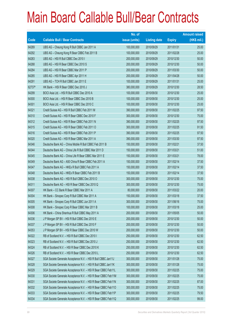|        |                                                               | No. of        |                     |               | <b>Amount raised</b> |
|--------|---------------------------------------------------------------|---------------|---------------------|---------------|----------------------|
| Code   | <b>Callable Bull / Bear Contracts</b>                         | issue (units) | <b>Listing date</b> | <b>Expiry</b> | $(HK$$ mil.)         |
| 64289  | UBS AG - Cheung Kong R Bull CBBC Jan 2011 A                   | 100,000,000   | 2010/09/29          | 2011/01/31    | 25.00                |
| 64292  | UBS AG - Cheung Kong R Bear CBBC Feb 2011 B                   | 100,000,000   | 2010/09/29          | 2011/02/28    | 25.00                |
| 64283  | UBS AG - HSI R Bull CBBC Dec 2010 I                           | 200,000,000   | 2010/09/29          | 2010/12/30    | 50.00                |
| 64288  | UBS AG - HSI R Bear CBBC Dec 2010 S                           | 200,000,000   | 2010/09/29          | 2010/12/30    | 50.00                |
| 64284  | UBS AG - HSI R Bear CBBC Mar 2011 P                           | 200,000,000   | 2010/09/29          | 2011/03/30    | 50.00                |
| 64285  | UBS AG - HSI R Bear CBBC Apr 2011 H                           | 200,000,000   | 2010/09/29          | 2011/04/28    | 50.00                |
| 64291  | UBS AG - TCH R Bull CBBC Jan 2011 E                           | 100,000,000   | 2010/09/29          | 2011/01/31    | 25.00                |
| 62737# | HK Bank - HSI R Bear CBBC Dec 2010 J                          | 380,000,000   | 2010/09/29          | 2010/12/30    | 28.50                |
| 64299  | BOCI Asia Ltd. - HSI R Bull CBBC Dec 2010 A                   | 100,000,000   | 2010/09/30          | 2010/12/30    | 25.00                |
| 64300  | BOCI Asia Ltd. - HSI R Bear CBBC Dec 2010 B                   | 100,000,000   | 2010/09/30          | 2010/12/30    | 25.00                |
| 64301  | BOCI Asia Ltd. - HSI R Bear CBBC Dec 2010 C                   | 100,000,000   | 2010/09/30          | 2010/12/30    | 25.00                |
| 64321  | Credit Suisse AG - HSI R Bull CBBC Feb 2011 M                 | 390,000,000   | 2010/09/30          | 2011/02/25    | 97.50                |
| 64310  | Credit Suisse AG - HSI R Bear CBBC Dec 2010 F                 | 300,000,000   | 2010/09/30          | 2010/12/30    | 75.00                |
| 64312  | Credit Suisse AG - HSI R Bear CBBC Feb 2011 N                 | 390,000,000   | 2010/09/30          | 2011/02/25    | 97.50                |
| 64315  | Credit Suisse AG - HSI R Bear CBBC Feb 2011 O                 | 300,000,000   | 2010/09/30          | 2011/02/25    | 91.50                |
| 64316  | Credit Suisse AG - HSI R Bear CBBC Feb 2011 P                 | 390,000,000   | 2010/09/30          | 2011/02/25    | 97.50                |
| 64320  | Credit Suisse AG - HSI R Bear CBBC Mar 2011 A                 | 390,000,000   | 2010/09/30          | 2011/03/30    | 97.50                |
| 64346  | Deutsche Bank AG - China Mobile R Bull CBBC Feb 2011 B        | 150,000,000   | 2010/09/30          | 2011/02/21    | 37.50                |
| 64344  | Deutsche Bank AG - China Life R Bull CBBC Mar 2011 D          | 150,000,000   | 2010/09/30          | 2011/03/21    | 51.00                |
| 64345  | Deutsche Bank AG - China Life R Bear CBBC Mar 2011 E          | 150,000,000   | 2010/09/30          | 2011/03/21    | 78.00                |
| 64349  | Deutsche Bank AG - A50 China R Bear CBBC Feb 2011 A           | 150,000,000   | 2010/09/30          | 2011/02/14    | 37.50                |
| 64347  | Deutsche Bank AG - HKEx R Bull CBBC Feb 2011 A                | 150,000,000   | 2010/09/30          | 2011/02/14    | 37.50                |
| 64348  | Deutsche Bank AG - HKEx R Bear CBBC Feb 2011 B                | 150,000,000   | 2010/09/30          | 2011/02/14    | 37.50                |
| 64338  | Deutsche Bank AG - HSI R Bull CBBC Dec 2010 O                 | 300,000,000   | 2010/09/30          | 2010/12/30    | 75.00                |
| 64311  | Deutsche Bank AG - HSI R Bear CBBC Dec 2010 Q                 | 300,000,000   | 2010/09/30          | 2010/12/30    | 75.00                |
| 64307  | HK Bank - CC Bank R Bear CBBC Mar 2011 A                      | 80,000,000    | 2010/09/30          | 2011/03/22    | 20.00                |
| 64304  | HK Bank - Sinopec Corp R Bull CBBC Mar 2011 A                 | 150,000,000   | 2010/09/30          | 2011/03/18    | 37.50                |
| 64305  | HK Bank - Sinopec Corp R Bull CBBC Jun 2011 A                 | 300,000,000   | 2010/09/30          | 2011/06/16    | 75.00                |
| 64308  | HK Bank - Sinopec Corp R Bear CBBC Mar 2011 B                 | 100,000,000   | 2010/09/30          | 2011/03/18    | 25.00                |
| 64306  | HK Bank - China Shenhua R Bull CBBC May 2011 A                | 200,000,000   | 2010/09/30          | 2011/05/05    | 50.00                |
| 64336  | J P Morgan SP BV - HSI R Bull CBBC Dec 2010 E                 | 200,000,000   | 2010/09/30          | 2010/12/30    | 50.00                |
| 64337  | J P Morgan SP BV - HSI R Bull CBBC Dec 2010 F                 | 200,000,000   | 2010/09/30          | 2010/12/30    | 50.00                |
| 64353  | J P Morgan SP BV - HSI R Bear CBBC Dec 2010 W                 | 200,000,000   | 2010/09/30          | 2010/12/30    | 50.00                |
| 64322  | RB of Scotland N.V. - HSI R Bull CBBC Dec 2010 I              | 250,000,000   | 2010/09/30          | 2010/12/30    | 62.50                |
| 64323  | RB of Scotland N.V. - HSI R Bull CBBC Dec 2010 J              | 250,000,000   | 2010/09/30          | 2010/12/30    | 62.50                |
| 64324  | RB of Scotland N.V. - HSI R Bear CBBC Dec 2010 K              | 250,000,000   | 2010/09/30          | 2010/12/30    | 62.50                |
| 64326  | RB of Scotland N.V. - HSI R Bear CBBC Dec 2010 L              | 250,000,000   | 2010/09/30          | 2010/12/30    | 62.50                |
| 64327  | SGA Societe Generale Acceptance N.V. - HSI R Bull CBBC Jan11J | 300,000,000   | 2010/09/30          | 2011/01/28    | 75.00                |
| 64328  | SGA Societe Generale Acceptance N.V. - HSI R Bull CBBC Jan11K | 300,000,000   | 2010/09/30          | 2011/01/28    | 75.00                |
| 64329  | SGA Societe Generale Acceptance N.V. - HSI R Bear CBBC Feb11L | 300,000,000   | 2010/09/30          | 2011/02/25    | 75.00                |
| 64330  | SGA Societe Generale Acceptance N.V. - HSI R Bear CBBC Feb11M | 300,000,000   | 2010/09/30          | 2011/02/25    | 75.00                |
| 64331  | SGA Societe Generale Acceptance N.V. - HSI R Bear CBBC Feb11N | 300,000,000   | 2010/09/30          | 2011/02/25    | 87.00                |
| 64332  | SGA Societe Generale Acceptance N.V. - HSI R Bear CBBC Feb110 | 300,000,000   | 2010/09/30          | 2011/02/25    | 75.00                |
| 64333  | SGA Societe Generale Acceptance N.V. - HSI R Bear CBBC Feb11P | 300,000,000   | 2010/09/30          | 2011/02/25    | 79.50                |
| 64334  | SGA Societe Generale Acceptance N.V. - HSI R Bear CBBC Feb11Q | 300,000,000   | 2010/09/30          | 2011/02/25    | 99.00                |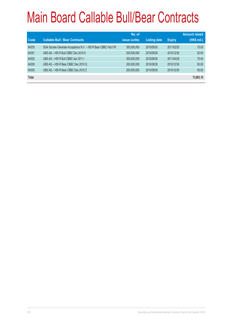| Code  | <b>Callable Bull / Bear Contracts</b>                         | No. of<br>issue (units) | <b>Listing date</b> | <b>Expiry</b> | <b>Amount raised</b><br>(HK\$ mil.) |
|-------|---------------------------------------------------------------|-------------------------|---------------------|---------------|-------------------------------------|
| 64335 | SGA Societe Generale Acceptance N.V. - HSI R Bear CBBC Feb11R | 300,000,000             | 2010/09/30          | 2011/02/25    | 75.00                               |
| 64351 | UBS AG - HSI R Bull CBBC Dec 2010 K                           | 200,000,000             | 2010/09/30          | 2010/12/30    | 50.00                               |
| 64352 | UBS AG - HSI R Bull CBBC Apr 2011 I                           | 300,000,000             | 2010/09/30          | 2011/04/28    | 75.00                               |
| 64309 | UBS AG - HSI R Bear CBBC Dec 2010 Q                           | 200,000,000             | 2010/09/30          | 2010/12/30    | 50.00                               |
| 64355 | UBS AG - HSI R Bear CBBC Dec 2010 Z                           | 200,000,000             | 2010/09/30          | 2010/12/30    | 50.00                               |
| Total |                                                               |                         |                     |               | 73,903.10                           |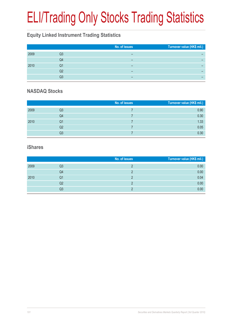# ELI/Trading Only Stocks Trading Statistics

#### **Equity Linked Instrument Trading Statistics**

|      |    | No. of issues | Turnover value (HK\$ mil.) |
|------|----|---------------|----------------------------|
| 2009 | Q3 |               |                            |
|      | Q4 |               |                            |
| 2010 | Q1 | -             |                            |
|      | Q2 | -             |                            |
|      | Q3 | -             |                            |

#### **NASDAQ Stocks**

|      |    | No. of issues | Turnover value (HK\$ mil.) |
|------|----|---------------|----------------------------|
| 2009 | Q3 |               | 0.90                       |
|      | Q4 |               | 0.30                       |
| 2010 | Q1 |               | 1.33                       |
|      | Q2 |               | 0.05                       |
|      | Q3 |               | 0.30                       |

#### **iShares**

|      |    | No. of issues | Turnover value (HK\$ mil.) |
|------|----|---------------|----------------------------|
| 2009 | Q3 |               | 0.00                       |
|      | Q4 |               | 0.00                       |
| 2010 | Q1 |               | 0.04                       |
|      | Q2 |               | 0.00                       |
|      | Q3 |               | 0.00                       |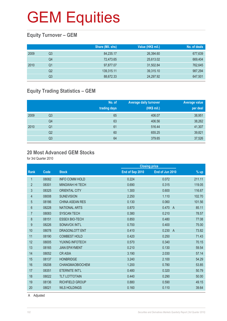#### **Equity Turnover – GEM**

|      |    | Share (Mil. shs) | Value (HK\$ mil.) | No. of deals |
|------|----|------------------|-------------------|--------------|
| 2009 | Q3 | 84,235.17        | 26,394.60         | 677,639      |
|      | Q4 | 72,473.65        | 25,613.02         | 669,404      |
| 2010 | Q1 | 97,877.07        | 31,502.84         | 762,645      |
|      | Q2 | 139,315.11       | 39,315.10         | 987,294      |
|      | Q3 | 88,672.33        | 24,297.92         | 647,501      |

#### **Equity Trading Statistics – GEM**

|      |                | No. of<br>trading days | <b>Average daily turnover</b><br>(HK\$ mil.) | Average value<br>per deal |
|------|----------------|------------------------|----------------------------------------------|---------------------------|
| 2009 | Q3             | 65                     | 406.07                                       | 38,951                    |
|      | Q <sub>4</sub> | 63                     | 406.56                                       | 38,262                    |
| 2010 | Q <sub>1</sub> | 61                     | 516.44                                       | 41,307                    |
|      | Q <sub>2</sub> | 60                     | 655.25                                       | 39,821                    |
|      | Q3             | 64                     | 379.65                                       | 37,526                    |

#### **20 Most Advanced GEM Stocks**

for 3rd Quarter 2010

|                |       |                        |                 | <b>Closing price</b>    |        |
|----------------|-------|------------------------|-----------------|-------------------------|--------|
| <b>Rank</b>    | Code  | <b>Stock</b>           | End of Sep 2010 | End of Jun 2010         | % up   |
| 1              | 08082 | <b>INFO COMM HOLD</b>  | 0.224           | 0.072                   | 211.11 |
| $\overline{2}$ | 08301 | <b>MINGWAH HI TECH</b> | 0.690           | 0.315                   | 119.05 |
| 3              | 08325 | <b>ORIENTAL CITY</b>   | 1.300           | 0.600                   | 116.67 |
| 4              | 08008 | <b>SUNEVISION</b>      | 2.250           | 1.110                   | 102.70 |
| 5              | 08186 | <b>CHINA ASEAN RES</b> | 0.130           | 0.060                   | 101.56 |
| 6              | 08228 | <b>NATIONAL ARTS</b>   | 0.870           | 0.470<br>$\overline{A}$ | 85.11  |
| $\overline{7}$ | 08083 | <b>SYSCAN TECH</b>     | 0.380           | 0.210                   | 78.57  |
| 8              | 08151 | <b>ESSEX BIO-TECH</b>  | 0.850           | 0.480                   | 77.08  |
| 9              | 08226 | SONAVOX INT'L          | 0.700           | 0.400                   | 75.00  |
| 10             | 08078 | DRAGONLOTT ENT         | 0.410           | 0.230<br>$\overline{A}$ | 73.82  |
| 11             | 08190 | <b>COMBEST HOLD</b>    | 0.420           | 0.250                   | 71.43  |
| 12             | 08005 | YUXING INFOTECH        | 0.570           | 0.340                   | 70.15  |
| 13             | 08165 | <b>JIAN EPAYMENT</b>   | 0.210           | 0.130                   | 59.54  |
| 14             | 08052 | <b>CRASIA</b>          | 3.190           | 2.030                   | 57.14  |
| 15             | 08137 | <b>HONBRIDGE</b>       | 3.240           | 2.100                   | 54.29  |
| 16             | 08208 | <b>CHANGMAOBIOCHEM</b> | 1.200           | 0.780                   | 53.85  |
| 17             | 08351 | <b>ETERNITE INT'L</b>  | 0.480           | 0.320                   | 50.79  |
| 18             | 08022 | <b>TLT LOTTOTAIN</b>   | 0.440           | 0.290                   | 50.00  |
| 19             | 08136 | <b>RICHFIELD GROUP</b> | 0.880           | 0.590                   | 49.15  |
| 20             | 08021 | <b>WLS HOLDINGS</b>    | 0.160           | 0.110                   | 39.64  |
|                |       |                        |                 |                         |        |

A Adjusted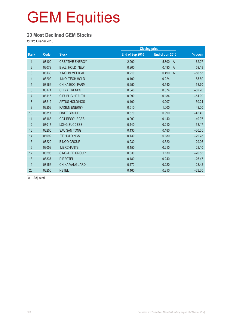#### **20 Most Declined GEM Stocks**

for 3rd Quarter 2010

|                |       |                        |                 | <b>Closing price</b>    |                    |
|----------------|-------|------------------------|-----------------|-------------------------|--------------------|
| Rank           | Code  | <b>Stock</b>           | End of Sep 2010 | End of Jun 2010         | $\frac{9}{6}$ down |
| 1              | 08109 | <b>CREATIVE ENERGY</b> | 2.200           | 5.800<br>$\overline{A}$ | $-62.07$           |
| $\overline{2}$ | 08079 | <b>B.A.L. HOLD-NEW</b> | 0.200           | 0.490<br>$\overline{A}$ | $-59.18$           |
| 3              | 08130 | <b>XINGLIN MEDICAL</b> | 0.210           | 0.490<br>$\overline{A}$ | $-56.53$           |
| $\overline{4}$ | 08202 | INNO-TECH HOLD         | 0.100           | 0.224                   | $-55.80$           |
| $\overline{5}$ | 08166 | <b>CHINA ECO-FARM</b>  | 0.250           | 0.540                   | $-53.70$           |
| $6\phantom{.}$ | 08171 | <b>CHINA TRENDS</b>    | 0.040           | 0.074                   | $-52.70$           |
| $\overline{7}$ | 08116 | C PUBLIC HEALTH        | 0.090           | 0.184                   | $-51.09$           |
| $\,8\,$        | 08212 | APTUS HOLDINGS         | 0.100           | 0.207                   | $-50.24$           |
| 9              | 08203 | <b>KAISUN ENERGY</b>   | 0.510           | 1.000                   | $-49.00$           |
| 10             | 08317 | <b>FINET GROUP</b>     | 0.570           | 0.990                   | $-42.42$           |
| 11             | 08163 | <b>CCT RESOURCES</b>   | 0.090           | 0.140                   | $-40.97$           |
| 12             | 08017 | <b>LONG SUCCESS</b>    | 0.140           | 0.210                   | $-33.17$           |
| 13             | 08200 | <b>SAU SAN TONG</b>    | 0.130           | 0.180                   | $-30.05$           |
| 14             | 08092 | <b>ITE HOLDINGS</b>    | 0.130           | 0.180                   | $-29.78$           |
| 15             | 08220 | <b>BINGO GROUP</b>     | 0.230           | 0.320                   | $-29.06$           |
| 16             | 08009 | <b>IMERCHANTS</b>      | 0.150           | 0.210                   | $-28.10$           |
| 17             | 08296 | SINO-LIFE GROUP        | 0.830           | 1.130                   | $-26.55$           |
| 18             | 08337 | <b>DIRECTEL</b>        | 0.180           | 0.240                   | $-26.47$           |
| 19             | 08156 | <b>CHINA VANGUARD</b>  | 0.170           | 0.220                   | $-23.42$           |
| 20             | 08256 | <b>NETEL</b>           | 0.160           | 0.210                   | $-23.30$           |

A Adjusted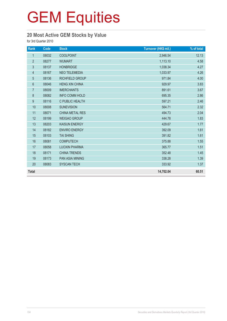#### **20 Most Active GEM Stocks by Value**

for 3rd Quarter 2010

| Rank           | Code  | <b>Stock</b>           | Turnover (HK\$ mil.) | % of total |
|----------------|-------|------------------------|----------------------|------------|
| $\mathbf{1}$   | 08032 | <b>COOLPOINT</b>       | 2,946.54             | 12.13      |
| $\overline{2}$ | 08277 | <b>WUMART</b>          | 1,113.10             | 4.58       |
| $\mathfrak{S}$ | 08137 | <b>HONBRIDGE</b>       | 1,038.34             | 4.27       |
| $\overline{4}$ | 08167 | <b>NEO TELEMEDIA</b>   | 1,033.97             | 4.26       |
| $\overline{5}$ | 08136 | <b>RICHFIELD GROUP</b> | 971.84               | 4.00       |
| $6\phantom{a}$ | 08046 | <b>HENG XIN CHINA</b>  | 929.97               | 3.83       |
| $\overline{7}$ | 08009 | <b>IMERCHANTS</b>      | 891.61               | 3.67       |
| 8              | 08082 | <b>INFO COMM HOLD</b>  | 695.35               | 2.86       |
| 9              | 08116 | C PUBLIC HEALTH        | 597.21               | 2.46       |
| 10             | 08008 | <b>SUNEVISION</b>      | 564.71               | 2.32       |
| 11             | 08071 | <b>CHINA METAL RES</b> | 494.73               | 2.04       |
| 12             | 08199 | <b>WEIGAO GROUP</b>    | 444.78               | 1.83       |
| 13             | 08203 | <b>KAISUN ENERGY</b>   | 429.67               | 1.77       |
| 14             | 08182 | <b>ENVIRO ENERGY</b>   | 392.09               | 1.61       |
| 15             | 08103 | <b>TAI SHING</b>       | 391.82               | 1.61       |
| 16             | 08081 | <b>COMPUTECH</b>       | 375.88               | 1.55       |
| 17             | 08058 | <b>LUOXIN PHARMA</b>   | 365.77               | 1.51       |
| 18             | 08171 | <b>CHINA TRENDS</b>    | 352.48               | 1.45       |
| 19             | 08173 | <b>PAN ASIA MINING</b> | 338.28               | 1.39       |
| 20             | 08083 | <b>SYSCAN TECH</b>     | 333.92               | 1.37       |
| <b>Total</b>   |       |                        | 14,702.04            | 60.51      |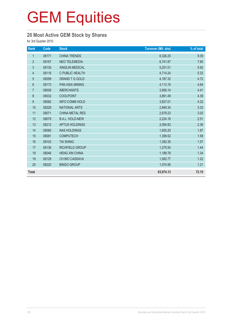#### **20 Most Active GEM Stock by Shares**

for 3rd Quarter 2010

| Rank           | Code  | <b>Stock</b>           | <b>Turnover (Mil. shs)</b> | % of total |
|----------------|-------|------------------------|----------------------------|------------|
| $\mathbf{1}$   | 08171 | <b>CHINA TRENDS</b>    | 8,326.25                   | 9.39       |
| $\overline{2}$ | 08167 | <b>NEO TELEMEDIA</b>   | 6,741.87                   | 7.60       |
| $\mathfrak{S}$ | 08130 | XINGLIN MEDICAL        | 5,251.01                   | 5.92       |
| $\overline{4}$ | 08116 | C PUBLIC HEALTH        | 4,714.24                   | 5.32       |
| $\overline{5}$ | 08299 | <b>GRAND T G GOLD</b>  | 4,187.32                   | 4.72       |
| 6              | 08173 | <b>PAN ASIA MINING</b> | 4,113.19                   | 4.64       |
| $\overline{7}$ | 08009 | <b>IMERCHANTS</b>      | 3,906.14                   | 4.41       |
| $\bf 8$        | 08032 | <b>COOLPOINT</b>       | 3,891.49                   | 4.39       |
| 9              | 08082 | <b>INFO COMM HOLD</b>  | 3,827.01                   | 4.32       |
| 10             | 08228 | <b>NATIONAL ARTS</b>   | 2,949.34                   | 3.33       |
| 11             | 08071 | CHINA METAL RES        | 2,678.23                   | 3.02       |
| 12             | 08079 | <b>B.A.L. HOLD-NEW</b> | 2,224.16                   | 2.51       |
| 13             | 08212 | APTUS HOLDINGS         | 2,094.83                   | 2.36       |
| 14             | 08080 | <b>NAS HOLDINGS</b>    | 1,655.20                   | 1.87       |
| 15             | 08081 | <b>COMPUTECH</b>       | 1,399.52                   | 1.58       |
| 16             | 08103 | <b>TAI SHING</b>       | 1,392.30                   | 1.57       |
| 17             | 08136 | <b>RICHFIELD GROUP</b> | 1,275.54                   | 1.44       |
| 18             | 08046 | <b>HENG XIN CHINA</b>  | 1,188.78                   | 1.34       |
| 19             | 08129 | CH BIO CASSAVA         | 1,082.77                   | 1.22       |
| 20             | 08220 | <b>BINGO GROUP</b>     | 1,074.95                   | 1.21       |
| <b>Total</b>   |       |                        | 63,974.13                  | 72.15      |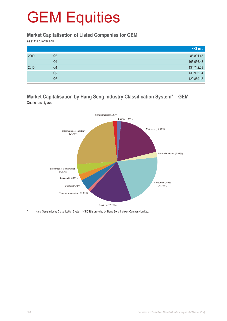#### **Market Capitalisation of Listed Companies for GEM**

as at the quarter end

|      |                | HK\$ mil.  |
|------|----------------|------------|
| 2009 | Q3             | 86,891.48  |
|      | Q4             | 105,036.43 |
| 2010 | Q1             | 134,742.28 |
|      | Q2             | 130,902.34 |
|      | Q <sub>3</sub> | 129,859.18 |

#### **Market Capitalisation by Hang Seng Industry Classification System\* – GEM** Quarter-end figures



Hang Seng Industry Classification System (HSICS) is provided by Hang Seng Indexes Company Limited.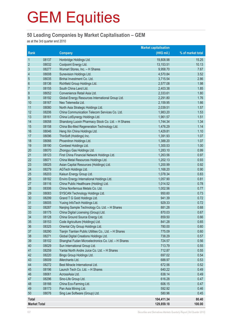#### **50 Leading Companies by Market Capitalisation – GEM**

as at the 3rd quarter end 2010

|                     |       |                                                        | <b>Market capitalisation</b> |                   |
|---------------------|-------|--------------------------------------------------------|------------------------------|-------------------|
| Rank                |       | <b>Company</b>                                         | (HK\$ mil.)                  | % of market total |
| $\mathbf{1}$        | 08137 | Honbridge Holdings Ltd.                                | 19,808.98                    | 15.25             |
| $\overline{2}$      | 08032 | Coolpoint Energy Ltd.                                  | 13,153.51                    | 10.13             |
| $\sqrt{3}$          | 08277 | Wumart Stores, Inc. - H Shares                         | 9,958.70                     | 7.67              |
| 4                   | 08008 | Sunevision Holdings Ltd.                               | 4,570.84                     | 3.52              |
| 5                   | 08035 | Binhai Investment Co. Ltd.                             | 3,715.54                     | 2.86              |
| $6\,$               | 08136 | Richfield Group Holdings Ltd.                          | 2,577.08                     | 1.98              |
| $\overline{7}$      | 08155 | South China Land Ltd.                                  | 2,403.38                     | 1.85              |
| 8                   | 08052 | Convenience Retail Asia Ltd.                           | 2,333.61                     | 1.80              |
| 9                   | 08192 | Global Energy Resources International Group Ltd.       | 2,291.80                     | 1.76              |
| 10                  | 08167 | Neo Telemedia Ltd.                                     | 2,159.95                     | 1.66              |
| 11                  | 08080 | North Asia Strategic Holdings Ltd.                     | 2,039.51                     | 1.57              |
| 12                  | 08206 | China Communication Telecom Services Co. Ltd.          | 1,983.20                     | 1.53              |
| 13                  | 08161 | China LotSynergy Holdings Ltd.                         | 1,961.57                     | 1.51              |
| 14                  | 08058 | Shandong Luoxin Pharmacy Stock Co. Ltd. - H Shares     | 1,744.34                     | 1.34              |
| 15                  | 08158 | China Bio-Med Regeneration Technology Ltd.             | 1,476.29                     | 1.14              |
| 16                  | 08046 | Heng Xin China Holdings Ltd.                           | 1,429.81                     | 1.10              |
| 17                  | 08096 | ThinSoft (Holdings) Inc.                               | 1,391.93                     | 1.07              |
| 18                  | 08066 | Phoenitron Holdings Ltd.                               | 1,388.20                     | 1.07              |
| 19                  | 08190 | Combest Holdings Ltd.                                  | 1,300.53                     | 1.00              |
| 20                  | 08070 | Zhongyu Gas Holdings Ltd.                              | 1,283.10                     | 0.99              |
| 21                  | 08123 | First China Financial Network Holdings Ltd.            | 1,263.56                     | 0.97              |
| 22                  | 08071 | China Metal Resources Holdings Ltd.                    | 1,202.13                     | 0.93              |
| 23                  | 08025 | Asian Capital Resources (Holdings) Ltd.                | 1,200.99                     | 0.92              |
| 24                  | 08279 | AGTech Holdings Ltd.                                   | 1,168.20                     | 0.90              |
| 25                  | 08203 | Kaisun Energy Group Ltd.                               | 1,078.34                     | 0.83              |
| 26                  | 08182 | Enviro Energy International Holdings Ltd.              | 1,057.90                     | 0.81              |
| 27                  | 08116 | China Public Healthcare (Holding) Ltd.                 | 1,014.52                     | 0.78              |
| 28                  | 08306 | China Nonferrous Metals Co. Ltd.                       | 1,002.56                     | 0.77              |
| 29                  | 08083 | SYSCAN Technology Holdings Ltd.                        | 950.60                       | 0.73              |
| 30                  | 08299 | Grand T G Gold Holdings Ltd.                           | 941.39                       | 0.72              |
| 31                  | 08005 | Yuxing InfoTech Holdings Ltd.                          | 929.33                       | 0.72              |
| 32                  | 08287 | Nanjing Sample Technology Co. Ltd. - H Shares          | 881.28                       | 0.68              |
| 33                  | 08175 | China Digital Licensing (Group) Ltd.                   | 870.03                       | 0.67              |
| 34                  | 08128 | China Ground Source Energy Ltd.                        | 859.50                       | 0.66              |
| 35                  | 08153 | Code Agriculture (Holdings) Ltd.                       | 841.28                       | 0.65              |
| 36                  | 08325 | Oriental City Group Holdings Ltd.                      | 780.00                       | 0.60              |
| 37                  | 08290 | Tianjin Tianlian Public Utilities Co., Ltd. - H Shares | 775.09                       | 0.60              |
| 38                  | 08271 | Global Digital Creations Holdings Ltd.                 | 738.29                       | 0.57              |
| 39                  | 08102 | Shanghai Fudan Microelectronics Co. Ltd. - H Shares    | 724.57                       | 0.56              |
| 40                  | 08029 | Sun International Group Ltd.                           | 713.79                       | 0.55              |
| 41                  | 08259 | Yantai North Andre Juice Co. Ltd. - H Shares           | 712.87                       | 0.55              |
| 42                  | 08220 | Bingo Group Holdings Ltd.                              | 697.02                       | 0.54              |
| 43                  | 08009 | iMerchants Ltd.                                        | 688.97                       | 0.53              |
| 44                  | 08272 | Best Miracle International Ltd.                        | 672.56                       | 0.52              |
| 45                  | 08196 | Launch Tech Co. Ltd. - H Shares                        | 640.22                       | 0.49              |
| 46                  | 08061 | AcrossAsia Ltd.                                        | 638.14                       | 0.49              |
| 47                  | 08296 | Sino-Life Group Ltd.                                   | 616.28                       | 0.47              |
| 48                  | 08166 | China Eco-Farming Ltd.                                 | 606.15                       | 0.47              |
| 49                  | 08173 | Pan Asia Mining Ltd.                                   | 592.92                       | 0.46              |
| 50                  | 08076 | Sing Lee Software (Group) Ltd.                         | 580.96                       | 0.45              |
| <b>Total</b>        |       |                                                        | 104,411.34                   | 80.40             |
| <b>Market Total</b> |       |                                                        | 129,859.18                   | 100.00            |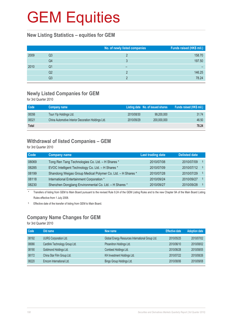# **GEM Equities**

#### **New Listing Statistics – equities for GEM**

|      |    | No. of newly listed companies | Funds raised (HK\$ mil.) |
|------|----|-------------------------------|--------------------------|
| 2009 | Q3 |                               | 158.70                   |
|      | Q4 |                               | 197.50                   |
| 2010 | Q1 |                               |                          |
|      | Q2 |                               | 146.25                   |
|      | Q3 |                               | 78.24                    |

#### **Newly Listed Companies for GEM**

for 3rd Quarter 2010

| <b>Code</b>  | Company name                                       |            | Listing date No. of issued shares | Funds raised (HK\$ mil.) |
|--------------|----------------------------------------------------|------------|-----------------------------------|--------------------------|
| 08356        | Tsun Yip Holdings Ltd.                             | 2010/08/30 | 99,200,000                        | 31.74                    |
| 08321        | China Automotive Interior Decoration Holdings Ltd. | 2010/09/29 | 200,000,000                       | 46.50                    |
| <b>Total</b> |                                                    |            |                                   | 78.24                    |

### **Withdrawal of listed Companies – GEM**

for 3rd Quarter 2010

| <b>Code</b> | <b>Company name</b>                                         | <b>Last trading date</b> | <b>Delisted date</b> |                    |
|-------------|-------------------------------------------------------------|--------------------------|----------------------|--------------------|
| 08069       | Tong Ren Tang Technologies Co. Ltd. - H Shares *            | 2010/07/08               | 2010/07/09           | -S                 |
| 08285       | EVOC Intelligent Technology Co. Ltd. - H Shares *           | 2010/07/09               | 2010/07/12           | -Ş                 |
| 08199       | Shandong Weigao Group Medical Polymer Co. Ltd. - H Shares * | 2010/07/28               | 2010/07/29           | -S                 |
| 08118       | International Entertainment Corporation *                   | 2010/09/24               | 2010/09/27           | $\hat{\mathbf{S}}$ |
| 08230       | Shenzhen Dongjiang Environmental Co. Ltd. - H Shares *      | 2010/09/27               | 2010/09/28           | -S                 |

Transfers of listing from GEM to Main Board pursuant to the revised Rule 9.24 of the GEM Listing Rules and to the new Chapter 9A of the Main Board Listing Rules effective from 1 July 2008.

§ Effective date of the transfer of listing from GEM to Main Board.

## **Company Name Changes for GEM**

| Code  | Old name                       | New name                                         | <b>Effective date</b> | <b>Adoption date</b> |
|-------|--------------------------------|--------------------------------------------------|-----------------------|----------------------|
| 08192 | <b>UURG Corporation Ltd.</b>   | Global Energy Resources International Group Ltd. | 2010/05/25            | 2010/07/02           |
| 08066 | Cardlink Technology Group Ltd. | Phoenitron Holdings Ltd.                         | 2010/06/10            | 2010/08/02           |
| 08190 | Goldmond Holdings Ltd.         | Combest Holdings Ltd.                            | 2010/06/28            | 2010/08/05           |
| 08172 | China Star Film Group Ltd.     | KH Investment Holdings Ltd.                      | 2010/07/22            | 2010/08/26           |
| 08220 | Emcom International Ltd.       | Bingo Group Holdings Ltd.                        | 2010/08/06            | 2010/09/08           |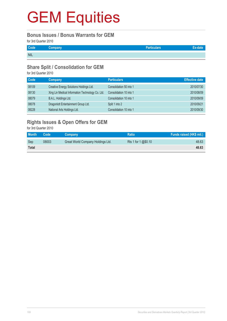# **GEM Equities**

#### **Bonus Issues / Bonus Warrants for GEM**

for 3rd Quarter 2010

| Code       | Company | <b>Particulars</b> |  |
|------------|---------|--------------------|--|
| <b>NIL</b> |         |                    |  |

#### **Share Split / Consolidation for GEM**

for 3rd Quarter 2010

| Code  | <b>Company</b>                                   | <b>Particulars</b>      | <b>Effective date</b> |
|-------|--------------------------------------------------|-------------------------|-----------------------|
| 08109 | Creative Energy Solutions Holdings Ltd.          | Consolidation 50 into 1 | 2010/07/30            |
| 08130 | Xing Lin Medical Information Technology Co. Ltd. | Consolidation 10 into 1 | 2010/08/09            |
| 08079 | B.A.L. Holdings Ltd.                             | Consolidation 10 into 1 | 2010/09/09            |
| 08078 | Dragonlott Entertainment Group Ltd.              | Split 1 into 2          | 2010/09/21            |
| 08228 | National Arts Holdings Ltd.                      | Consolidation 10 into 1 | 2010/09/30            |

## **Rights Issues & Open Offers for GEM**

| <b>Month</b> | Code  | Company                           | <b>Ratio</b>        | Funds raised (HK\$ mil.) |
|--------------|-------|-----------------------------------|---------------------|--------------------------|
| Sep          | 08003 | Great World Company Holdings Ltd. | Rts 1 for 1 @\$0.10 | 48.63                    |
| <b>Total</b> |       |                                   |                     | 48.63                    |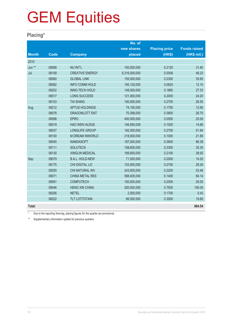# GEM Equities

### **Placing\***

|              |             |                        | No. of        |                      |                     |
|--------------|-------------|------------------------|---------------|----------------------|---------------------|
|              |             |                        | new shares    | <b>Placing price</b> | <b>Funds raised</b> |
| <b>Month</b> | <b>Code</b> | <b>Company</b>         | placed        | (HK\$)               | (HK\$ mil.)         |
| 2010         |             |                        |               |                      |                     |
| Jun **       | 08068       | <b>NU INT'L</b>        | 150,000,000   | 0.2120               | 31.80               |
| Jul          | 08109       | <b>CREATIVE ENERGY</b> | 8,316,000,000 | 0.0058               | 48.23               |
|              | 08060       | <b>GLOBAL LINK</b>     | 155,000,000   | 0.2300               | 35.65               |
|              | 08082       | <b>INFO COMM HOLD</b>  | 195,120,000   | 0.0620               | 12.10               |
|              | 08202       | <b>INNO-TECH HOLD</b>  | 148,000,000   | 0.1860               | 27.53               |
|              | 08017       | <b>LONG SUCCESS</b>    | 121,000,000   | 0.2000               | 24.20               |
|              | 08103       | <b>TAI SHING</b>       | 100,000,000   | 0.2700               | 26.50               |
| Aug          | 08212       | <b>APTUS HOLDINGS</b>  | 74,100,000    | 0.1700               | 12.60               |
|              | 08078       | DRAGONLOTT ENT         | 70,398,000    | 0.3800               | 26.75               |
|              | 08086       | <b>EPRO</b>            | 400,000,000   | 0.0500               | 20.00               |
|              | 08019       | <b>HAO WEN HLDGS</b>   | 146,590,009   | 0.1000               | 14.66               |
|              | 08037       | LONGLIFE GROUP         | 192,000,000   | 0.2700               | 51.84               |
|              | 08100       | M DREAM INWORLD        | 218,000,000   | 0.1000               | 21.80               |
|              | 08045       | <b>NANDASOFT</b>       | 187,000,000   | 0.3600               | 66.39               |
|              | 08111       | <b>SOLUTECK</b>        | 108,600,000   | 0.3300               | 35.30               |
|              | 08130       | <b>XINGLIN MEDICAL</b> | 189,850,000   | 0.2100               | 38.92               |
| Sep          | 08079       | <b>B.A.L. HOLD-NEW</b> | 71,000,000    | 0.2000               | 14.20               |
|              | 08175       | CHI DIGITAL LIC        | 103,500,000   | 0.2700               | 28.26               |
|              | 08250       | CHI NATURAL INV        | 243,000,000   | 0.2200               | 53.46               |
|              | 08071       | <b>CHINA METAL RES</b> | 588,405,000   | 0.1400               | 84.14               |
|              | 08081       | <b>COMPUTECH</b>       | 100,000,000   | 0.2000               | 20.00               |
|              | 08046       | <b>HENG XIN CHINA</b>  | 200,000,000   | 0.7500               | 150.00              |
|              | 08256       | <b>NETEL</b>           | 2,500,000     | 0.1700               | 0.43                |
|              | 08022       | <b>TLT LOTTOTAIN</b>   | 66,000,000    | 0.3000               | 19.80               |
| <b>Total</b> |             |                        |               |                      | 864.54              |

Due to the reporting time-lag, placing figures for the quarter are provisional.

\*\* Supplementary information update for previous quarters.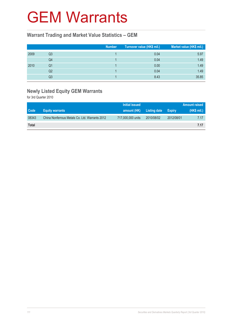# GEM Warrants

#### **Warrant Trading and Market Value Statistics – GEM**

|      |    | Number | Turnover value (HK\$ mil.) | Market value (HK\$ mil.) |
|------|----|--------|----------------------------|--------------------------|
| 2009 | Q3 |        | 0.04                       | 5.97                     |
|      | Q4 |        | 0.04                       | 1.49                     |
| 2010 | Q1 |        | 0.00                       | 1.49                     |
|      | Q2 |        | 0.04                       | 1.49                     |
|      | Q3 |        | 8.43                       | 35.85                    |

# **Newly Listed Equity GEM Warrants**

|              |                                                | Initial issued    |              |            | <b>Amount raised</b> |
|--------------|------------------------------------------------|-------------------|--------------|------------|----------------------|
| Code         | <b>Equity warrants</b>                         | amount (HK)       | Listing date | Expiry     | $(HKS$ mil.)         |
| 08343        | China Nonferrous Metals Co. Ltd. Warrants 2012 | 717,000,000 units | 2010/08/02   | 2012/08/01 | 7.17                 |
| <b>Total</b> |                                                |                   |              |            | 7.17                 |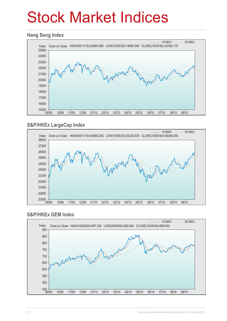# Stock Market Indices

#### **Hang Seng Index**



### **S&P/HKEx LargeCap Index**



#### **S&P/HKEx GEM Index**

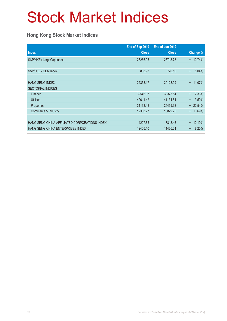# Stock Market Indices

### **Hong Kong Stock Market Indices**

|                                               | End of Sep 2010 | End of Jun 2010 |                     |
|-----------------------------------------------|-----------------|-----------------|---------------------|
| <b>Index</b>                                  | <b>Close</b>    | <b>Close</b>    | Change %            |
| S&P/HKEx LargeCap Index                       | 26266.05        | 23718.78        | $+ 10.74%$          |
|                                               |                 |                 |                     |
| S&P/HKEx GEM Index                            | 808.93          | 770.10          | 5.04%<br>$\ddot{}$  |
|                                               |                 |                 |                     |
| <b>HANG SENG INDEX</b>                        | 22358.17        | 20128.99        | + 11.07%            |
| <b>SECTORIAL INDICES</b>                      |                 |                 |                     |
| Finance                                       | 32546.07        | 30323.54        | 7.33%<br>$+$        |
| <b>Utilities</b>                              | 42611.42        | 41134.54        | 3.59%<br>$\ddot{}$  |
| Properties                                    | 31198.48        | 25459.32        | + 22.54%            |
| Commerce & Industry                           | 12368.77        | 10879.25        | $+ 13.69\%$         |
|                                               |                 |                 |                     |
| HANG SENG CHINA-AFFILIATED CORPORATIONS INDEX | 4207.65         | 3818.46         | 10.19%<br>$\ddot{}$ |
| HANG SENG CHINA ENTERPRISES INDEX             | 12406.10        | 11466.24        | 8.20%<br>$+$        |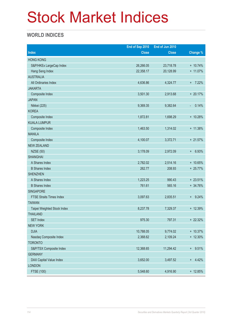# Stock Market Indices

### **WORLD INDICES**

|                                 | End of Sep 2010 | End of Jun 2010 |              |
|---------------------------------|-----------------|-----------------|--------------|
| <b>Index</b>                    | <b>Close</b>    | <b>Close</b>    | Change %     |
| <b>HONG KONG</b>                |                 |                 |              |
| S&P/HKEx LargeCap Index         | 26,266.05       | 23,718.78       | + 10.74%     |
| Hang Seng Index                 | 22,358.17       | 20,128.99       | + 11.07%     |
| <b>AUSTRALIA</b>                |                 |                 |              |
| All Ordinaries Index            | 4,636.86        | 4,324.77        | $+ 7.22%$    |
| <b>JAKARTA</b>                  |                 |                 |              |
| Composite Index                 | 3,501.30        | 2,913.68        | $+20.17%$    |
| <b>JAPAN</b>                    |                 |                 |              |
| Nikkei (225)                    | 9,369.35        | 9,382.64        | 0.14%<br>÷   |
| <b>KOREA</b>                    |                 |                 |              |
| Composite Index                 | 1,872.81        | 1,698.29        | + 10.28%     |
| <b>KUALA LUMPUR</b>             |                 |                 |              |
| Composite Index                 | 1,463.50        | 1,314.02        | + 11.38%     |
| <b>MANILA</b>                   |                 |                 |              |
| Composite Index                 | 4,100.07        | 3,372.71        | $+21.57%$    |
| <b>NEW ZEALAND</b>              |                 |                 |              |
| <b>NZSE (50)</b>                | 3,178.09        | 2,972.09        | 6.93%<br>$+$ |
| <b>SHANGHAI</b>                 |                 |                 |              |
| A Shares Index                  | 2,782.02        | 2,514.16        | + 10.65%     |
| <b>B</b> Shares Index           | 262.77          | 208.93          | + 25.77%     |
| <b>SHENZHEN</b>                 |                 |                 |              |
| A Shares Index                  | 1,223.25        | 990.43          | $+23.51%$    |
| <b>B</b> Shares Index           | 761.61          | 565.16          | + 34.76%     |
| <b>SINGAPORE</b>                |                 |                 |              |
| <b>FTSE Straits Times Index</b> | 3,097.63        | 2,835.51        | 9.24%<br>$+$ |
| <b>TAIWAN</b>                   |                 |                 |              |
| Taipei Weighted Stock Index     | 8,237.78        | 7,329.37        | + 12.39%     |
| <b>THAILAND</b>                 |                 |                 |              |
| <b>SET Index</b>                | 975.30          | 797.31          | + 22.32%     |
| <b>NEW YORK</b>                 |                 |                 |              |
| <b>DJIA</b>                     | 10,788.05       | 9,774.02        | + 10.37%     |
| Nasdaq Composite Index          | 2,368.62        | 2,109.24        | $+ 12.30\%$  |
| <b>TORONTO</b>                  |                 |                 |              |
| S&P/TSX Composite Index         | 12,368.65       | 11,294.42       | $+ 9.51%$    |
| <b>GERMANY</b>                  |                 |                 |              |
| DAX Capital Value Index         | 3,652.00        | 3,497.52        | 4.42%<br>$+$ |
| <b>LONDON</b>                   |                 |                 |              |
| FTSE (100)                      | 5,548.60        | 4,916.90        | + 12.85%     |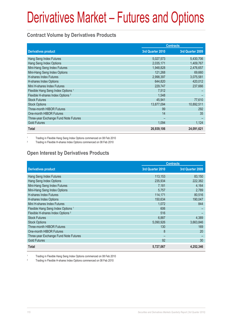#### **Contract Volume by Derivatives Products**

|                                               | <b>Contracts</b> |                  |
|-----------------------------------------------|------------------|------------------|
| <b>Derivatives product</b>                    | 3rd Quarter 2010 | 3rd Quarter 2009 |
| Hang Seng Index Futures                       | 5,027,573        | 5,430,706        |
| Hang Seng Index Options                       | 2,035,171        | 1,409,767        |
| Mini-Hang Seng Index Futures                  | 1,948,828        | 2,476,657        |
| Mini-Hang Seng Index Options                  | 121,268          | 69,660           |
| <b>H-shares Index Futures</b>                 | 2,998,397        | 3,075,581        |
| H-shares Index Options                        | 644,820          | 420,012          |
| Mini H-shares Index Futures                   | 229,747          | 237,666          |
| Flexible Hang Seng Index Options <sup>1</sup> | 7,512            |                  |
| Flexible H-shares Index Options <sup>2</sup>  | 1,548            |                  |
| <b>Stock Futures</b>                          | 45,941           | 77,610           |
| <b>Stock Options</b>                          | 13,877,094       | 10,892,511       |
| <b>Three-month HIBOR Futures</b>              | 99               | 292              |
| One-month HIBOR Futures                       | 14               | 35               |
| Three-year Exchange Fund Note Futures         |                  |                  |
| <b>Gold Futures</b>                           | 1,094            | 1,124            |
| <b>Total</b>                                  | 26,939,106       | 24,091,621       |

1 Trading in Flexible Hang Seng Index Options commenced on 08 Feb 2010

<sup>2</sup> Trading in Flexible H-shares Index Options commenced on 08 Feb 2010

### **Open Interest by Derivatives Products**

|                                               | <b>Contracts</b> |                  |  |
|-----------------------------------------------|------------------|------------------|--|
| <b>Derivatives product</b>                    | 3rd Quarter 2010 | 3rd Quarter 2009 |  |
| Hang Seng Index Futures                       | 113,153          | 83,150           |  |
| Hang Seng Index Options                       | 235,934          | 222,382          |  |
| Mini-Hang Seng Index Futures                  | 7,181            | 4,164            |  |
| Mini-Hang Seng Index Options                  | 5,757            | 2,789            |  |
| <b>H-shares Index Futures</b>                 | 114,171          | 80,516           |  |
| H-shares Index Options                        | 150,634          | 190,047          |  |
| Mini H-shares Index Futures                   | 1,072            | 844              |  |
| Flexible Hang Seng Index Options <sup>1</sup> | 606              |                  |  |
| Flexible H-shares Index Options <sup>2</sup>  | 516              |                  |  |
| <b>Stock Futures</b>                          | 6,887            | 4,389            |  |
| <b>Stock Options</b>                          | 5,090,926        | 3,663,846        |  |
| <b>Three-month HIBOR Futures</b>              | 130              | 169              |  |
| One-month HIBOR Futures                       | 8                | 20               |  |
| Three-year Exchange Fund Note Futures         |                  |                  |  |
| <b>Gold Futures</b>                           | 92               | 30               |  |
| <b>Total</b>                                  | 5,727,067        | 4,252,346        |  |

1 Trading in Flexible Hang Seng Index Options commenced on 08 Feb 2010

<sup>2</sup> Trading in Flexible H-shares Index Options commenced on 08 Feb 2010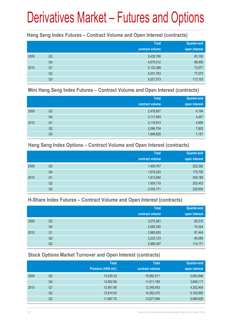#### **Hang Seng Index Futures – Contract Volume and Open Interest (contracts)**

|      |                | <b>Total</b><br>contract volume | <b>Quarter-end</b><br>open interest |
|------|----------------|---------------------------------|-------------------------------------|
| 2009 | Q <sub>3</sub> | 5,430,706                       | 83,150                              |
|      | Q4             | 4,675,012                       | 68,456                              |
| 2010 | Q <sub>1</sub> | 5,132,388                       | 73,577                              |
|      | Q <sub>2</sub> | 5,031,763                       | 77,070                              |
|      | Q <sub>3</sub> | 5,027,573                       | 113,153                             |

#### **Mini Hang Seng Index Futures – Contract Volume and Open Interest (contracts)**

|      |                | <b>Total</b><br>contract volume | <b>Quarter-end</b><br>open interest |
|------|----------------|---------------------------------|-------------------------------------|
| 2009 | Q <sub>3</sub> | 2,476,657                       | 4,164                               |
|      | Q4             | 2,117,954                       | 4,447                               |
| 2010 | Q <sub>1</sub> | 2,116,913                       | 4,956                               |
|      | Q <sub>2</sub> | 2,084,704                       | 7,602                               |
|      | Q <sub>3</sub> | 1,948,828                       | 7,181                               |

#### **Hang Seng Index Options – Contract Volume and Open Interest (contracts)**

|      |                | <b>Total</b>    | <b>Quarter-end</b> |
|------|----------------|-----------------|--------------------|
|      |                | contract volume | open interest      |
| 2009 | Q <sub>3</sub> | 1,409,767       | 222,382            |
|      | Q4             | 1,618,224       | 175,720            |
| 2010 | Q <sub>1</sub> | 1,813,584       | 208,189            |
|      | Q <sub>2</sub> | 1,935,115       | 202,453            |
|      | Q3             | 2,035,171       | 235,934            |

#### **H-Share Index Futures – Contract Volume and Open Interest (contracts)**

|      |                | <b>Total</b>    | <b>Quarter-end</b> |
|------|----------------|-----------------|--------------------|
|      |                | contract volume | open interest      |
| 2009 | Q <sub>3</sub> | 3,075,581       | 80,516             |
|      | Q4             | 2,655,350       | 74,324             |
| 2010 | Q <sub>1</sub> | 2,965,655       | 87,444             |
|      | Q2             | 3,223,123       | 89,089             |
|      | Q3             | 2,998,397       | 114,171            |

### **Stock Options Market Turnover and Open Interest (contracts)**

|    | <b>Total</b>        | <b>Total</b>    | Quarter-end   |
|----|---------------------|-----------------|---------------|
|    | Premium (HK\$ mil.) | contract volume | open interest |
| Q3 | 14,205.33           | 10,892,511      | 3,663,846     |
| Q4 | 14,852.98           | 11,611,195      | 3,848,117     |
| Q1 | 12,951.69           | 12,540,453      | 4,352,404     |
| Q2 | 12,614.00           | 14,262,472      | 5,163,995     |
| Q3 | 11,967.70           | 13,877,094      | 5,090,926     |
|    |                     |                 |               |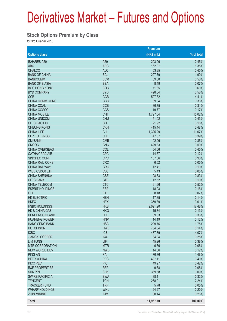#### **Stock Options Premium by Class**

|                           |                 | Premium     |            |
|---------------------------|-----------------|-------------|------------|
| <b>Options class</b>      |                 | (HK\$ mil.) | % of total |
| <b>ISHARES A50</b>        | A50             | 293.06      | 2.45%      |
| <b>ABC</b>                | <b>ABC</b>      | 162.07      | 1.35%      |
| <b>CHALCO</b>             | <b>ALC</b>      | 53.85       | 0.45%      |
| <b>BANK OF CHINA</b>      | <b>BCL</b>      | 227.79      | 1.90%      |
| <b>BANKCOMM</b>           | <b>BCM</b>      | 59.60       | 0.50%      |
| <b>BANK OF E ASIA</b>     | <b>BEA</b>      | 8.49        | 0.07%      |
| <b>BOC HONG KONG</b>      | <b>BOC</b>      | 71.85       | 0.60%      |
| <b>BYD COMPANY</b>        | <b>BYD</b>      | 428.04      | 3.58%      |
| <b>CCB</b>                | <b>CCB</b>      | 527.32      | 4.41%      |
| <b>CHINA COMM CONS</b>    | CCC             | 39.04       | 0.33%      |
| <b>CHINA COAL</b>         | <b>CCE</b>      | 36.75       | 0.31%      |
| CHINA COSCO               | <b>CCS</b>      | 19.77       | 0.17%      |
| <b>CHINA MOBILE</b>       | <b>CHT</b>      | 1,797.04    | 15.02%     |
| <b>CHINA UNICOM</b>       | <b>CHU</b>      | 51.02       | 0.43%      |
| <b>CITIC PACIFIC</b>      | <b>CIT</b>      | 21.92       | 0.18%      |
|                           |                 |             |            |
| <b>CHEUNG KONG</b>        | <b>CKH</b>      | 415.44      | 3.47%      |
| <b>CHINA LIFE</b>         | <b>CLI</b>      | 1,325.29    | 11.07%     |
| <b>CLP HOLDINGS</b>       | <b>CLP</b>      | 47.07       | 0.39%      |
| <b>CM BANK</b>            | <b>CMB</b>      | 102.06      | 0.85%      |
| <b>CNOOC</b>              | <b>CNC</b>      | 429.33      | 3.59%      |
| <b>CHINA OVERSEAS</b>     | COL             | 54.06       | 0.45%      |
| <b>CATHAY PAC AIR</b>     | <b>CPA</b>      | 14.67       | 0.12%      |
| SINOPEC CORP              | <b>CPC</b>      | 107.56      | 0.90%      |
| CHINA RAIL CONS           | <b>CRC</b>      | 6.52        | 0.05%      |
| <b>CHINA RAILWAY</b>      | <b>CRG</b>      | 12.41       | 0.10%      |
| WISE CSI300 ETF           | CS <sub>3</sub> | 5.43        | 0.05%      |
| <b>CHINA SHENHUA</b>      | <b>CSE</b>      | 98.83       | 0.83%      |
| <b>CITIC BANK</b>         | <b>CTB</b>      | 12.52       | 0.10%      |
| <b>CHINA TELECOM</b>      | <b>CTC</b>      | 61.66       | 0.52%      |
| <b>ESPRIT HOLDINGS</b>    | <b>ESP</b>      | 18.93       | 0.16%      |
| <b>FIH</b>                | <b>FIH</b>      | 8.18        | 0.07%      |
| <b>HK ELECTRIC</b>        | <b>HEH</b>      | 17.35       | 0.14%      |
| <b>HKEX</b>               | <b>HEX</b>      | 359.89      | 3.01%      |
| <b>HSBC HOLDINGS</b>      | <b>HKB</b>      | 2,091.90    | 17.48%     |
| <b>HK &amp; CHINA GAS</b> | <b>HKG</b>      | 15.34       | 0.13%      |
| <b>HENDERSON LAND</b>     | <b>HLD</b>      | 39.53       | 0.33%      |
| <b>HUANENG POWER</b>      | <b>HNP</b>      | 14.19       | 0.12%      |
| <b>HANG SENG BANK</b>     | <b>HSB</b>      | 209.76      | 1.75%      |
| <b>HUTCHISON</b>          | <b>HWL</b>      | 734.64      | 6.14%      |
| <b>ICBC</b>               | <b>ICB</b>      | 487.39      | 4.07%      |
| <b>JIANGXI COPPER</b>     | <b>JXC</b>      | 34.04       | 0.28%      |
| LI & FUNG                 | <b>LIF</b>      | 45.26       | 0.38%      |
| <b>MTR CORPORATION</b>    | <b>MTR</b>      | 6.66        | 0.06%      |
| <b>NEW WORLD DEV</b>      | <b>NWD</b>      | 14.56       | 0.12%      |
| <b>PING AN</b>            | PAI             | 176.76      | 1.48%      |
| <b>PETROCHINA</b>         | PEC             | 407.11      | 3.40%      |
| PICC P&C                  | <b>PIC</b>      | 49.97       | 0.42%      |
| <b>R&amp;F PROPERTIES</b> | <b>RFP</b>      | 9.88        | 0.08%      |
| <b>SHK PPT</b>            | <b>SHK</b>      | 369.58      | 3.09%      |
| <b>SWIRE PACIFIC A</b>    | <b>SWA</b>      | 38.11       | 0.32%      |
| <b>TENCENT</b>            | <b>TCH</b>      | 268.01      | 2.24%      |
| <b>TRACKER FUND</b>       | <b>TRF</b>      | 5.78        | 0.05%      |
|                           |                 |             |            |
| <b>WHARF HOLDINGS</b>     | <b>WHL</b>      | 24.27       | 0.20%      |
| <b>ZIJIN MINING</b>       | <b>ZJM</b>      | 30.14       | 0.25%      |
| <b>Total</b>              |                 | 11,967.70   | 100.00%    |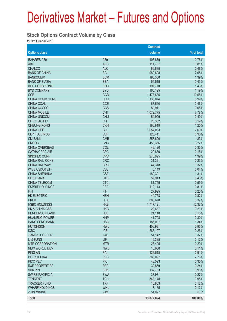#### **Stock Options Contract Volume by Class**

|                           |                 | <b>Contract</b> |            |
|---------------------------|-----------------|-----------------|------------|
| <b>Options class</b>      |                 | volume          | % of total |
| <b>ISHARES A50</b>        | A50             | 105,879         | 0.76%      |
| <b>ABC</b>                | <b>ABC</b>      | 111,787         | 0.81%      |
| <b>CHALCO</b>             | <b>ALC</b>      | 66,685          | 0.48%      |
| <b>BANK OF CHINA</b>      | <b>BCL</b>      | 982,698         | 7.08%      |
| <b>BANKCOMM</b>           | <b>BCM</b>      | 193,350         | 1.39%      |
| <b>BANK OF E ASIA</b>     | <b>BEA</b>      | 59,519          | 0.43%      |
| <b>BOC HONG KONG</b>      | <b>BOC</b>      | 197,770         | 1.43%      |
| <b>BYD COMPANY</b>        | <b>BYD</b>      | 165,195         | 1.19%      |
| <b>CCB</b>                | <b>CCB</b>      | 1,478,636       | 10.66%     |
| <b>CHINA COMM CONS</b>    | CCC             | 138,074         | 0.99%      |
| <b>CHINA COAL</b>         | <b>CCE</b>      | 63,540          | 0.46%      |
| CHINA COSCO               | <b>CCS</b>      | 89,911          | 0.65%      |
| <b>CHINA MOBILE</b>       | <b>CHT</b>      | 1,079,775       | 7.78%      |
| <b>CHINA UNICOM</b>       | <b>CHU</b>      | 54,929          | 0.40%      |
| <b>CITIC PACIFIC</b>      | <b>CIT</b>      | 26,352          | 0.19%      |
| <b>CHEUNG KONG</b>        | <b>CKH</b>      | 166,619         | 1.20%      |
| <b>CHINA LIFE</b>         | <b>CLI</b>      | 1,054,033       | 7.60%      |
| <b>CLP HOLDINGS</b>       | <b>CLP</b>      | 125,411         | 0.90%      |
| <b>CM BANK</b>            | <b>CMB</b>      | 253,606         | 1.83%      |
| <b>CNOOC</b>              | <b>CNC</b>      | 453,366         | 3.27%      |
| <b>CHINA OVERSEAS</b>     | COL             | 46,120          | 0.33%      |
| <b>CATHAY PAC AIR</b>     | <b>CPA</b>      | 20,830          | 0.15%      |
| SINOPEC CORP              | <b>CPC</b>      | 276,095         | 1.99%      |
| <b>CHINA RAIL CONS</b>    | <b>CRC</b>      | 31,321          | 0.23%      |
| <b>CHINA RAILWAY</b>      | <b>CRG</b>      | 44,318          | 0.32%      |
| WISE CSI300 ETF           | CS <sub>3</sub> | 5,149           | 0.04%      |
| <b>CHINA SHENHUA</b>      | <b>CSE</b>      | 182,301         | 1.31%      |
| <b>CITIC BANK</b>         | <b>CTB</b>      | 59,913          | 0.43%      |
| <b>CHINA TELECOM</b>      | <b>CTC</b>      | 81,759          | 0.59%      |
| <b>ESPRIT HOLDINGS</b>    | <b>ESP</b>      | 112,113         | 0.81%      |
| <b>FIH</b>                | <b>FIH</b>      | 27,995          | 0.20%      |
| <b>HK ELECTRIC</b>        | <b>HEH</b>      | 44,758          | 0.32%      |
| <b>HKEX</b>               | <b>HEX</b>      | 883,670         | 6.37%      |
| <b>HSBC HOLDINGS</b>      | <b>HKB</b>      | 1,717,121       | 12.37%     |
| <b>HK &amp; CHINA GAS</b> | <b>HKG</b>      | 28,637          | 0.21%      |
| <b>HENDERSON LAND</b>     | <b>HLD</b>      | 21,110          | 0.15%      |
| <b>HUANENG POWER</b>      | <b>HNP</b>      | 41,798          | 0.30%      |
| <b>HANG SENG BANK</b>     | <b>HSB</b>      | 186,007         | 1.34%      |
| <b>HUTCHISON</b>          | <b>HWL</b>      | 406,981         | 2.93%      |
| <b>ICBC</b>               | <b>ICB</b>      | 1,285,197       | 9.26%      |
| <b>JIANGXI COPPER</b>     | <b>JXC</b>      | 51,142          | 0.37%      |
| LI & FUNG                 | <b>LIF</b>      | 16,385          | 0.12%      |
| <b>MTR CORPORATION</b>    | <b>MTR</b>      | 28,405          | 0.20%      |
| NEW WORLD DEV             | <b>NWD</b>      | 15,900          | 0.11%      |
| <b>PING AN</b>            | PAI             | 126,518         | 0.91%      |
| <b>PETROCHINA</b>         | <b>PEC</b>      | 383,097         | 2.76%      |
| PICC P&C                  | <b>PIC</b>      | 48,523          | 0.35%      |
| <b>R&amp;F PROPERTIES</b> | <b>RFP</b>      | 32,869          | 0.24%      |
| <b>SHK PPT</b>            | <b>SHK</b>      | 132,753         | 0.96%      |
| <b>SWIRE PACIFIC A</b>    | <b>SWA</b>      | 37,971          | 0.27%      |
| <b>TENCENT</b>            | <b>TCH</b>      | 548,148         | 3.95%      |
| <b>TRACKER FUND</b>       | <b>TRF</b>      | 16,863          | 0.12%      |
| <b>WHARF HOLDINGS</b>     | <b>WHL</b>      | 17,165          | 0.12%      |
| <b>ZIJIN MINING</b>       | <b>ZJM</b>      | 51,027          | 0.37       |
| <b>Total</b>              |                 | 13,877,094      | 100.00%    |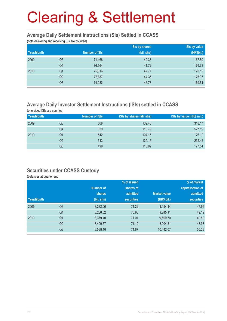#### **Average Daily Settlement Instructions (SIs) Settled in CCASS**

(both delivering and receiving SIs are counted)

|            |                |                      | Sis by shares | Sis by value |
|------------|----------------|----------------------|---------------|--------------|
| Year/Month |                | <b>Number of SIs</b> | (bil. shs)    | (HK\$bil.)   |
| 2009       | Q <sub>3</sub> | 71,468               | 40.37         | 167.89       |
|            | Q4             | 76,664               | 41.72         | 176.73       |
| 2010       | Q <sub>1</sub> | 75,816               | 42.77         | 170.12       |
|            | Q <sub>2</sub> | 77,887               | 44.35         | 176.97       |
|            | Q <sub>3</sub> | 74,032               | 46.78         | 169.54       |

### **Average Daily Investor Settlement Instructions (ISIs) settled in CCASS**

(one sided ISIs are counted)

| Year/Month |    | Number of ISIs | ISIs by shares (Mil shs) | ISIs by value (HK\$ mil.) |
|------------|----|----------------|--------------------------|---------------------------|
| 2009       | Q3 | 568            | 132.46                   | 318.17                    |
|            | Q4 | 629            | 118.78                   | 527.19                    |
| 2010       | Q1 | 542            | 104.15                   | 176.12                    |
|            | Q2 | 543            | 129.16                   | 252.42                    |
|            | Q3 | 499            | 115.92                   | 177.54                    |

#### **Securities under CCASS Custody**

(balances at quarter end)

|            |                |                  | % of issued       |                     | % of market       |
|------------|----------------|------------------|-------------------|---------------------|-------------------|
|            |                | <b>Number of</b> | shares of         |                     | capitalisation of |
|            |                | shares           | admitted          | <b>Market value</b> | admitted          |
| Year/Month |                | (bil. shs)       | <b>securities</b> | (HK\$ bil.)         | <b>securities</b> |
| 2009       | Q <sub>3</sub> | 3,282.06         | 71.26             | 8,194.14            | 47.96             |
|            | Q4             | 3,286.62         | 70.93             | 9,245.11            | 49.19             |
| 2010       | Q <sub>1</sub> | 3,379.40         | 71.01             | 9,509.70            | 49.89             |
|            | Q <sub>2</sub> | 3,409.67         | 71.10             | 8,904.81            | 48.93             |
|            | Q <sub>3</sub> | 3,538.16         | 71.67             | 10,442.07           | 50.28             |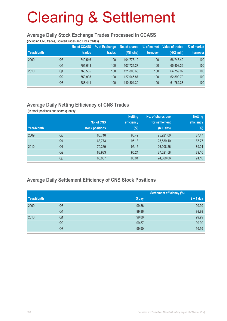#### **Average Daily Stock Exchange Trades Processed in CCASS**

(including CNS trades, isolated trades and cross trades)

| Year/Month |    | <b>No. of CCASS</b><br>trades | % of Exchange<br>trades | No. of shares<br>(Mil. shs) | % of market<br>turnover | Value of trades<br>(HK\$ mil.) | % of market<br>turnover |
|------------|----|-------------------------------|-------------------------|-----------------------------|-------------------------|--------------------------------|-------------------------|
| 2009       | Q3 | 749.546                       | 100                     | 104.773.19                  | 100                     | 66.746.40                      | 100                     |
|            | Q4 | 751.643                       | 100                     | 107.724.27                  | 100                     | 65.408.35                      | 100                     |
| 2010       | Q1 | 760.565                       | 100                     | 121,800.63                  | 100                     | 64.759.92                      | 100                     |
|            | Q2 | 759.995                       | 100                     | 127,045.87                  | 100                     | 62,890.79                      | 100                     |
|            | Q3 | 688,441                       | 100                     | 140,304.39                  | 100                     | 61,762.38                      | 100                     |

## **Average Daily Netting Efficiency of CNS Trades**

(in stock positions and share quantity)

|            |                |                 | <b>Netting</b> | No. of shares due | <b>Netting</b> |
|------------|----------------|-----------------|----------------|-------------------|----------------|
|            |                | No. of CNS      | efficiency     | for settlement    | efficiency     |
| Year/Month |                | stock positions | $(\%)$         | (Mil. shs)        | (%)            |
| 2009       | Q <sub>3</sub> | 65,718          | 95.42          | 25,921.00         | 87.47          |
|            | Q <sub>4</sub> | 68,773          | 95.18          | 25,589.10         | 87.77          |
| 2010       | Q <sub>1</sub> | 70,369          | 95.15          | 26,008.26         | 89.04          |
|            | Q <sub>2</sub> | 68,933          | 95.24          | 27,021.58         | 89.16          |
|            | Q3             | 65,867          | 95.01          | 24,660.06         | 91.10          |

### **Average Daily Settlement Efficiency of CNS Stock Positions**

| Year/Month |                | <b>Settlement efficiency (%)</b> |             |
|------------|----------------|----------------------------------|-------------|
|            |                | S day                            | $S + 1$ day |
| 2009       | Q3             | 99.86                            | 99.99       |
|            | Q4             | 99.86                            | 99.99       |
| 2010       | Q <sub>1</sub> | 99.88                            | 99.99       |
|            | Q2             | 99.87                            | 99.99       |
|            | Q3             | 99.90                            | 99.99       |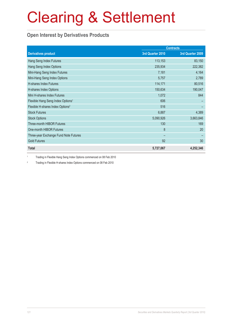# **Open Interest by Derivatives Products**

|                                               | <b>Contracts</b> |                  |  |
|-----------------------------------------------|------------------|------------------|--|
| <b>Derivatives product</b>                    | 3rd Quarter 2010 | 3rd Quarter 2009 |  |
| Hang Seng Index Futures                       | 113,153          | 83,150           |  |
| Hang Seng Index Options                       | 235,934          | 222,382          |  |
| Mini-Hang Seng Index Futures                  | 7,181            | 4,164            |  |
| Mini-Hang Seng Index Options                  | 5,757            | 2,789            |  |
| <b>H-shares Index Futures</b>                 | 114,171          | 80,516           |  |
| H-shares Index Options                        | 150,634          | 190,047          |  |
| Mini H-shares Index Futures                   | 1,072            | 844              |  |
| Flexible Hang Seng Index Options <sup>1</sup> | 606              |                  |  |
| Flexible H-shares Index Options <sup>2</sup>  | 516              |                  |  |
| <b>Stock Futures</b>                          | 6,887            | 4,389            |  |
| <b>Stock Options</b>                          | 5,090,926        | 3,663,846        |  |
| <b>Three-month HIBOR Futures</b>              | 130              | 169              |  |
| One-month HIBOR Futures                       | 8                | 20               |  |
| Three-year Exchange Fund Note Futures         |                  |                  |  |
| <b>Gold Futures</b>                           | 92               | 30               |  |
| <b>Total</b>                                  | 5,727,067        | 4,252,346        |  |

1 Trading in Flexible Hang Seng Index Options commenced on 08 Feb 2010

2 Trading in Flexible H-shares Index Options commenced on 08 Feb 2010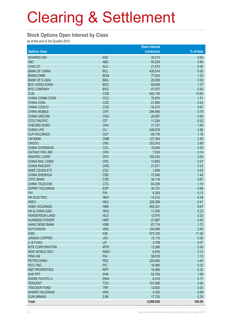#### **Stock Options Open Interest by Class**

as at the end of 3rd Quarter 2010

|                           |                 | <b>Open interest</b> |            |
|---------------------------|-----------------|----------------------|------------|
| <b>Options class</b>      |                 | (contracts)          | % of total |
| <b>ISHARES A50</b>        | A50             | 33,213               | 0.65       |
| <b>ABC</b>                | <b>ABC</b>      | 50,529               | 0.99       |
| <b>CHALCO</b>             | <b>ALC</b>      | 21,473               | 0.42       |
| <b>BANK OF CHINA</b>      | <b>BCL</b>      | 435,914              | 8.56       |
| <b>BANKCOMM</b>           | <b>BCM</b>      | 77,833               | 1.53       |
| <b>BANK OF E ASIA</b>     | <b>BEA</b>      | 20,095               | 0.39       |
| <b>BOC HONG KONG</b>      | <b>BOC</b>      | 69,939               | 1.37       |
| <b>BYD COMPANY</b>        | <b>BYD</b>      | 47,037               | 0.92       |
| <b>CCB</b>                | <b>CCB</b>      | 542,159              | 10.65      |
| <b>CHINA COMM CONS</b>    | CCC             | 76,974               | 1.51       |
| <b>CHINA COAL</b>         | <b>CCE</b>      |                      | 0.43       |
|                           |                 | 21,660               |            |
| CHINA COSCO               | <b>CCS</b>      | 34,273               | 0.67       |
| <b>CHINA MOBILE</b>       | <b>CHT</b>      | 294,690              | 5.79       |
| <b>CHINA UNICOM</b>       | <b>CHU</b>      | 28,507               | 0.56       |
| <b>CITIC PACIFIC</b>      | <b>CIT</b>      | 11,254               | 0.22       |
| <b>CHEUNG KONG</b>        | <b>CKH</b>      | 71,121               | 1.40       |
| <b>CHINA LIFE</b>         | <b>CLI</b>      | 246,878              | 4.85       |
| <b>CLP HOLDINGS</b>       | <b>CLP</b>      | 59,176               | 1.16       |
| <b>CM BANK</b>            | <b>CMB</b>      | 127,264              | 2.50       |
| <b>CNOOC</b>              | <b>CNC</b>      | 203,343              | 3.99       |
| <b>CHINA OVERSEAS</b>     | COL             | 10,044               | 0.20       |
| <b>CATHAY PAC AIR</b>     | <b>CPA</b>      | 7,035                | 0.14       |
| SINOPEC CORP              | <b>CPC</b>      | 155,243              | 3.05       |
| CHINA RAIL CONS           | <b>CRC</b>      | 13,663               | 0.27       |
| <b>CHINA RAILWAY</b>      | <b>CRG</b>      | 21,871               | 0.43       |
| WISE CSI300 ETF           | CS <sub>3</sub> | 1,608                | 0.03       |
| <b>CHINA SHENHUA</b>      | <b>CSE</b>      | 73,546               | 1.44       |
| <b>CITIC BANK</b>         | <b>CTB</b>      | 34,118               | 0.67       |
| <b>CHINA TELECOM</b>      | <b>CTC</b>      | 60,336               | 1.19       |
| <b>ESPRIT HOLDINGS</b>    | <b>ESP</b>      | 34,731               | 0.68       |
| <b>FIH</b>                | <b>FIH</b>      | 6,393                | 0.13       |
| <b>HK ELECTRIC</b>        | <b>HEH</b>      | 14,212               | 0.28       |
| <b>HKEX</b>               | <b>HEX</b>      | 326,206              | 6.41       |
| <b>HSBC HOLDINGS</b>      | <b>HKB</b>      | 492,321              | 9.67       |
| <b>HK &amp; CHINA GAS</b> | <b>HKG</b>      | 11,300               | 0.22       |
| <b>HENDERSON LAND</b>     | <b>HLD</b>      | 12,915               | 0.25       |
| <b>HUANENG POWER</b>      | <b>HNP</b>      | 21,987               | 0.43       |
| <b>HANG SENG BANK</b>     | <b>HSB</b>      | 87,714               | 1.72       |
| <b>HUTCHISON</b>          | <b>HWL</b>      | 104,958              | 2.06       |
| <b>ICBC</b>               | <b>ICB</b>      | 573,105              | 11.26      |
| <b>JIANGXI COPPER</b>     | <b>JXC</b>      | 15,115               | 0.30       |
| LI & FUNG                 | <b>LIF</b>      | 3,758                | 0.07       |
| <b>MTR CORPORATION</b>    | <b>MTR</b>      | 13,268               | 0.26       |
| <b>NEW WORLD DEV</b>      | <b>NWD</b>      | 6,545                | 0.13       |
| <b>PING AN</b>            | PAI             | 58,616               | 1.15       |
| <b>PETROCHINA</b>         | <b>PEC</b>      | 225,480              | 4.43       |
| PICC P&C                  | <b>PIC</b>      | 16,480               | 0.32       |
| <b>R&amp;F PROPERTIES</b> | <b>RFP</b>      | 16,480               | 0.32       |
| <b>SHK PPT</b>            | <b>SHK</b>      | 53,754               | 1.06       |
| <b>SWIRE PACIFIC A</b>    | <b>SWA</b>      | 8,416                | 0.17       |
|                           |                 |                      |            |
| <b>TENCENT</b>            | <b>TCH</b>      | 101,686              | 2.00       |
| <b>TRACKER FUND</b>       | <b>TRF</b>      | 12,603               | 0.25       |
| <b>WHARF HOLDINGS</b>     | <b>WHL</b>      | 4,335                | 0.09       |
| <b>ZIJIN MINING</b>       | <b>ZJM</b>      | 17,752               | 0.35       |
| <b>Total</b>              |                 | 5,090,926            | 100.00     |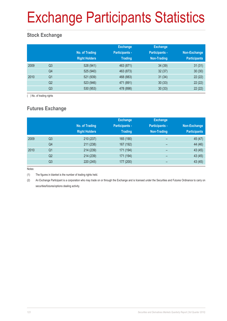# Exchange Participants Statistics

## **Stock Exchange**

|      |                | No. of Trading<br><b>Right Holders</b> | <b>Exchange</b><br><b>Participants -</b><br><b>Trading</b> | <b>Exchange</b><br><b>Participants -</b><br>Non-Trading | Non-Exchange<br><b>Participants</b> |
|------|----------------|----------------------------------------|------------------------------------------------------------|---------------------------------------------------------|-------------------------------------|
| 2009 | Q <sub>3</sub> | 528 (941)                              | 463 (871)                                                  | 34(39)                                                  | 31(31)                              |
|      | Q4             | 525 (940)                              | 463 (873)                                                  | 32(37)                                                  | 30(30)                              |
| 2010 | Q <sub>1</sub> | 521 (939)                              | 468 (883)                                                  | 31(34)                                                  | 22(22)                              |
|      | Q2             | 523 (946)                              | 471 (891)                                                  | 30(33)                                                  | 22(22)                              |
|      | Q3             | 530 (953)                              | 478 (898)                                                  | 30(33)                                                  | 22(22)                              |

( ) No. of trading rights

# **Futures Exchange**

|      |                | No. of Trading<br><b>Right Holders</b> | <b>Exchange</b><br><b>Participants -</b><br><b>Trading</b> | <b>Exchange</b><br><b>Participants -</b><br><b>Non-Trading</b> | Non-Exchange<br><b>Participants</b> |
|------|----------------|----------------------------------------|------------------------------------------------------------|----------------------------------------------------------------|-------------------------------------|
| 2009 | Q <sub>3</sub> | 210 (237)                              | 165 (190)                                                  | -                                                              | 45 (47)                             |
|      | Q4             | 211 (238)                              | 167 (192)                                                  | -                                                              | 44 (46)                             |
| 2010 | Q <sub>1</sub> | 214 (239)                              | 171 (194)                                                  | $\overline{\phantom{0}}$                                       | 43(45)                              |
|      | Q2             | 214 (239)                              | 171 (194)                                                  | -                                                              | 43(45)                              |
|      | Q3             | 220 (245)                              | 177 (200)                                                  |                                                                | 43(45)                              |

Notes:

(1) The figures in blanket is the number of trading rights held.

(2) An Exchange Participant is a corporation who may trade on or through the Exchange and is licensed under the Securities and Futures Ordinance to carry on securities/futures/options dealing activity.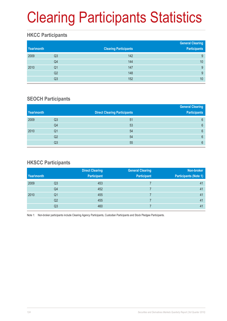# Clearing Participants Statistics

## **HKCC Participants**

| Year\month |    | <b>Clearing Participants</b> | <b>General Clearing</b><br><b>Participants</b> |
|------------|----|------------------------------|------------------------------------------------|
| 2009       | Q3 | 142                          | 9                                              |
|            | Q4 | 144                          | 10                                             |
| 2010       | Q1 | 147                          | 9                                              |
|            | Q2 | 148                          | 9                                              |
|            | Q3 | 152                          | 10                                             |

### **SEOCH Participants**

|                |                                     | <b>General Clearing</b> |
|----------------|-------------------------------------|-------------------------|
|                | <b>Direct Clearing Participants</b> | <b>Participants</b>     |
| Q3             | 51                                  | 6                       |
| Q4             | 53                                  | $6\phantom{1}$          |
| Q1             | 54                                  | 6                       |
| Q <sub>2</sub> | 54                                  | $6\phantom{1}$          |
| Q3             | 55                                  | 6                       |
|                |                                     |                         |

### **HKSCC Participants**

|            |                | <b>Direct Clearing</b> | <b>General Clearing</b> | Non-broker                   |
|------------|----------------|------------------------|-------------------------|------------------------------|
| Year\month |                | <b>Participant</b>     | <b>Participant</b>      | <b>Participants (Note 1)</b> |
| 2009       | Q3             | 453                    |                         | 41                           |
|            | Q4             | 452                    |                         | 41                           |
| 2010       | Q <sub>1</sub> | 455                    |                         | 41                           |
|            | Q2             | 455                    |                         | 41                           |
|            | Q3             | 460                    |                         | 41                           |

Note 1: Non-broker participants include Clearing Agency Participants, Custodian Participants and Stock Pledgee Participants.